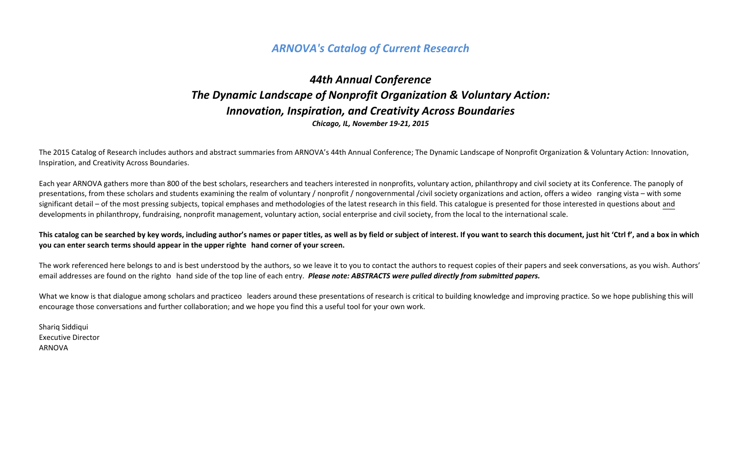# **ARNOVA's Catalog of Current Research**

# *44th Annual Conference* **The Dynamic Landscape of Nonprofit Organization & Voluntary Action:** *Innovation, Inspiration, and Creativity Across Boundaries Chicago, IL, November 19-21, 2015*

The 2015 Catalog of Research includes authors and abstract summaries from ARNOVA's 44th Annual Conference; The Dynamic Landscape of Nonprofit Organization & Voluntary Action: Innovation, Inspiration, and Creativity Across Boundaries.

Each year ARNOVA gathers more than 800 of the best scholars, researchers and teachers interested in nonprofits, voluntary action, philanthropy and civil society at its Conference. The panoply of presentations, from these scholars and students examining the realm of voluntary / nonprofit / nongovernmental /civil society organizations and action, offers a wideo ranging vista – with some significant detail – of the most pressing subjects, topical emphases and methodologies of the latest research in this field. This catalogue is presented for those interested in questions about and developments in philanthropy, fundraising, nonprofit management, voluntary action, social enterprise and civil society, from the local to the international scale.

This catalog can be searched by key words, including author's names or paper titles, as well as by field or subject of interest. If you want to search this document, just hit 'Ctrl f', and a box in which **you can enter search terms should appear in the upper righte** hand corner of your screen.

The work referenced here belongs to and is best understood by the authors, so we leave it to you to contact the authors to request copies of their papers and seek conversations, as you wish. Authors' email addresses are found on the righto hand side of the top line of each entry. *Please note: ABSTRACTS were pulled directly from submitted papers.* 

What we know is that dialogue among scholars and practiceo leaders around these presentations of research is critical to building knowledge and improving practice. So we hope publishing this will encourage those conversations and further collaboration; and we hope you find this a useful tool for your own work.

Shariq Siddiqui Executive Director ARNOVA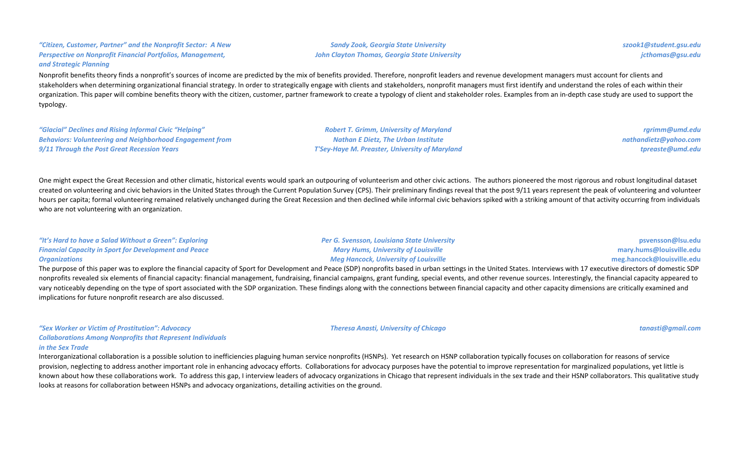### *"Citizen, Customer, Partner" and the Nonprofit Sector: A New*  **Perspective on Nonprofit Financial Portfolios, Management,** *and Strategic Planning*

Nonprofit benefits theory finds a nonprofit's sources of income are predicted by the mix of benefits provided. Therefore, nonprofit leaders and revenue development managers must account for clients and stakeholders when determining organizational financial strategy. In order to strategically engage with clients and stakeholders, nonprofit managers must first identify and understand the roles of each within their organization. This paper will combine benefits theory with the citizen, customer, partner framework to create a typology of client and stakeholder roles. Examples from an in-depth case study are used to support the typology.

*"Glacial" Declines and Rising Informal Civic "Helping"*  **Behaviors: Volunteering and Neighborhood Engagement from** *9/11 Through the Post Great Recession Years*

**Robert T. Grimm, University of Maryland** *Nathan E Dietz, The Urban Institute T'Sey-Haye M. Preaster, University of Maryland*

*Sandy Zook, Georgia State University* **John Clayton Thomas, Georgia State University** 

> *rgrimm@umd.edu nathandietz@yahoo.com tpreaste@umd.edu*

One might expect the Great Recession and other climatic, historical events would spark an outpouring of volunteerism and other civic actions. The authors pioneered the most rigorous and robust longitudinal dataset created on volunteering and civic behaviors in the United States through the Current Population Survey (CPS). Their preliminary findings reveal that the post 9/11 years represent the peak of volunteering and volunteer hours per capita; formal volunteering remained relatively unchanged during the Great Recession and then declined while informal civic behaviors spiked with a striking amount of that activity occurring from individuals who are not volunteering with an organization.

| "It's Hard to have a Salad Without a Green": Exploring       | <b>Per G. Svensson, Louisiana State University</b>                                                                                                                                                                             | psvensson@lsu.edu          |
|--------------------------------------------------------------|--------------------------------------------------------------------------------------------------------------------------------------------------------------------------------------------------------------------------------|----------------------------|
| <b>Financial Capacity in Sport for Development and Peace</b> | <b>Mary Hums, University of Louisville</b>                                                                                                                                                                                     | mary.hums@louisville.edu   |
| <b>Organizations</b>                                         | <b>Meg Hancock, University of Louisville</b>                                                                                                                                                                                   | meg.hancock@louisville.edu |
|                                                              | . The concerning of the concerned of the concerning of the concerning of the concerning of the concerning of the concerning of the concerning of the concerning of the concerning of the concerning of the concerning of the c |                            |

The purpose of this paper was to explore the financial capacity of Sport for Development and Peace (SDP) nonprofits based in urban settings in the United States. Interviews with 17 executive directors of domestic SDP nonprofits revealed six elements of financial capacity: financial management, fundraising, financial campaigns, grant funding, special events, and other revenue sources. Interestingly, the financial capacity appeared to vary noticeably depending on the type of sport associated with the SDP organization. These findings along with the connections between financial capacity and other capacity dimensions are critically examined and implications for future nonprofit research are also discussed.

*"Sex Worker or Victim of Prostitution": Advocacy Collaborations Among Nonprofits that Represent Individuals in the Sex Trade* 

*Theresa Anasti, University of Chicago tanasti@gmail.com*

*jcthomas@gsu.edu*

*szook1@student.gsu.edu*

Interorganizational collaboration is a possible solution to inefficiencies plaguing human service nonprofits (HSNPs). Yet research on HSNP collaboration typically focuses on collaboration for reasons of service provision, neglecting to address another important role in enhancing advocacy efforts. Collaborations for advocacy purposes have the potential to improve representation for marginalized populations, yet little is known about how these collaborations work. To address this gap, I interview leaders of advocacy organizations in Chicago that represent individuals in the sex trade and their HSNP collaborators. This qualitative study looks at reasons for collaboration between HSNPs and advocacy organizations, detailing activities on the ground.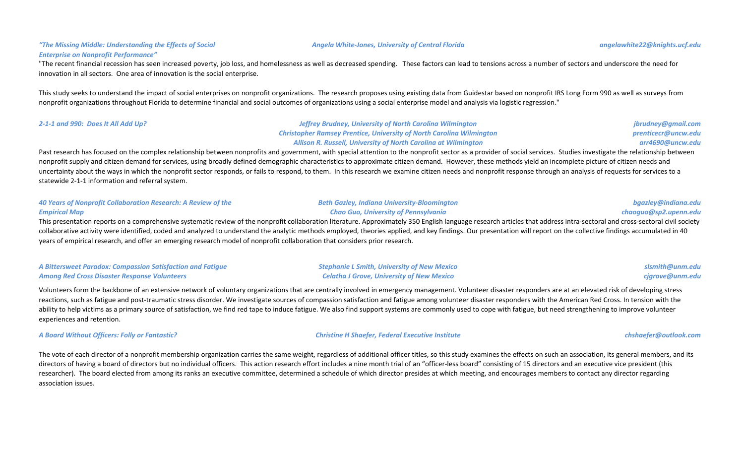### "The Missing Middle: Understanding the Effects of Social **Enterprise on Nonprofit Performance"**

"The recent financial recession has seen increased poverty, job loss, and homelessness as well as decreased spending. These factors can lead to tensions across a number of sectors and underscore the need for innovation in all sectors. One area of innovation is the social enterprise.

This study seeks to understand the impact of social enterprises on nonprofit organizations. The research proposes using existing data from Guidestar based on nonprofit IRS Long Form 990 as well as surveys from nonprofit organizations throughout Florida to determine financial and social outcomes of organizations using a social enterprise model and analysis via logistic regression."

| 2-1-1 and 990: Does It All Add Up? | <b>Jeffrey Brudney, University of North Carolina Wilmington</b>             | jbrudney@gmail.com  |
|------------------------------------|-----------------------------------------------------------------------------|---------------------|
|                                    | <b>Christopher Ramsey Prentice, University of North Carolina Wilmington</b> | prenticecr@uncw.edu |
|                                    | <b>Allison R. Russell, University of North Carolina at Wilmington</b>       | arr4690@uncw.edu    |

Past research has focused on the complex relationship between nonprofits and government, with special attention to the nonprofit sector as a provider of social services. Studies investigate the relationship between nonprofit supply and citizen demand for services, using broadly defined demographic characteristics to approximate citizen demand. However, these methods yield an incomplete picture of citizen needs and uncertainty about the ways in which the nonprofit sector responds, or fails to respond, to them. In this research we examine citizen needs and nonprofit response through an analysis of requests for services to a statewide 2-1-1 information and referral system.

| 40 Years of Nonprofit Collaboration Research: A Review of the                                                                                                                                                               | <b>Beth Gazley, Indiana University-Bloomington</b> | bgazley@indiana.edu   |
|-----------------------------------------------------------------------------------------------------------------------------------------------------------------------------------------------------------------------------|----------------------------------------------------|-----------------------|
| <b>Empirical Map</b>                                                                                                                                                                                                        | <b>Chao Guo, University of Pennsylvania</b>        | chaoquo@sp2.upenn.edu |
| This presentation reports on a comprehensive systematic review of the nonprofit collaboration literature. Approximately 350 English language research articles that address intra-sectoral and cross-sectoral civil society |                                                    |                       |

collaborative activity were identified, coded and analyzed to understand the analytic methods employed, theories applied, and key findings. Our presentation will report on the collective findings accumulated in 40 years of empirical research, and offer an emerging research model of nonprofit collaboration that considers prior research.

| A Bittersweet Paradox: Compassion Satisfaction and Fatigue | <b>Stephanie L Smith, University of New Mexico</b> | slsmith@unm.edu |
|------------------------------------------------------------|----------------------------------------------------|-----------------|
| <b>Among Red Cross Disaster Response Volunteers</b>        | <b>Celatha J Grove, University of New Mexico</b>   | cjgrove@unm.edu |

Volunteers form the backbone of an extensive network of voluntary organizations that are centrally involved in emergency management. Volunteer disaster responders are at an elevated risk of developing stress reactions, such as fatigue and post-traumatic stress disorder. We investigate sources of compassion satisfaction and fatigue among volunteer disaster responders with the American Red Cross. In tension with the ability to help victims as a primary source of satisfaction, we find red tape to induce fatigue. We also find support systems are commonly used to cope with fatigue, but need strengthening to improve volunteer experiences and retention.

*A Board Without Officers: Folly or Fantastic? Christine H Shaefer, Federal Executive Institute chshaefer@outlook.com*

The vote of each director of a nonprofit membership organization carries the same weight, regardless of additional officer titles, so this study examines the effects on such an association, its general members, and its directors of having a board of directors but no individual officers. This action research effort includes a nine month trial of an "officer-less board" consisting of 15 directors and an executive vice president (this researcher). The board elected from among its ranks an executive committee, determined a schedule of which director presides at which meeting, and encourages members to contact any director regarding association issues.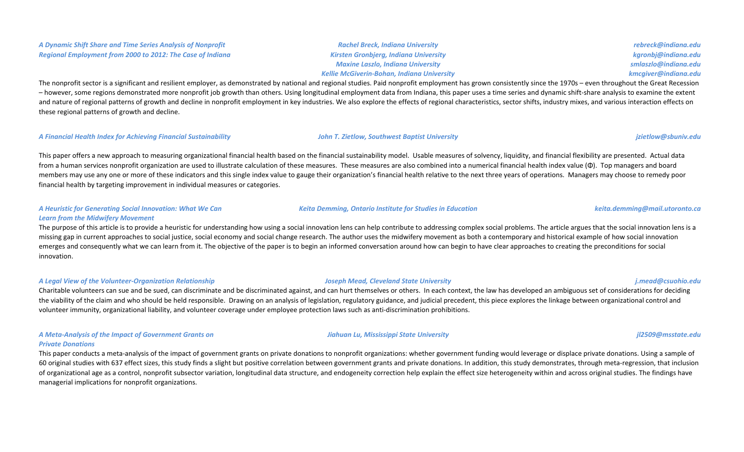#### *A Dynamic Shift Share and Time Series Analysis of Nonprofit Regional Employment from 2000 to 2012: The Case of Indiana*

*Rachel Breck, Indiana University Kirsten Gronbjerg, Indiana University Maxine Laszlo, Indiana University Kellie McGiverin-Bohan, Indiana University*

*rebreck@indiana.edu kgronbj@indiana.edu smlaszlo@indiana.edu kmcgiver@indiana.edu*

The nonprofit sector is a significant and resilient employer, as demonstrated by national and regional studies. Paid nonprofit employment has grown consistently since the 1970s – even throughout the Great Recession - however, some regions demonstrated more nonprofit job growth than others. Using longitudinal employment data from Indiana, this paper uses a time series and dynamic shift-share analysis to examine the extent and nature of regional patterns of growth and decline in nonprofit employment in key industries. We also explore the effects of regional characteristics, sector shifts, industry mixes, and various interaction effects on these regional patterns of growth and decline.

#### *A Financial Health Index for Achieving Financial Sustainability John T. Zietlow, Southwest Baptist University jzietlow@sbuniv.edu*

This paper offers a new approach to measuring organizational financial health based on the financial sustainability model. Usable measures of solvency, liquidity, and financial flexibility are presented. Actual data from a human services nonprofit organization are used to illustrate calculation of these measures. These measures are also combined into a numerical financial health index value (Φ). Top managers and board members may use any one or more of these indicators and this single index value to gauge their organization's financial health relative to the next three years of operations. Managers may choose to remedy poor financial health by targeting improvement in individual measures or categories.

#### *A Heuristic for Generating Social Innovation: What We Can*  Learn from the Midwifery Movement

The purpose of this article is to provide a heuristic for understanding how using a social innovation lens can help contribute to addressing complex social problems. The article argues that the social innovation lens is a missing gap in current approaches to social justice, social economy and social change research. The author uses the midwifery movement as both a contemporary and historical example of how social innovation emerges and consequently what we can learn from it. The objective of the paper is to begin an informed conversation around how can begin to have clear approaches to creating the preconditions for social innovation.

#### *A Legal View of the Volunteer-Organization Relationship Joseph Mead, Cleveland State University j.mead@csuohio.edu*

Charitable volunteers can sue and be sued, can discriminate and be discriminated against, and can hurt themselves or others. In each context, the law has developed an ambiguous set of considerations for deciding the viability of the claim and who should be held responsible. Drawing on an analysis of legislation, regulatory guidance, and judicial precedent, this piece explores the linkage between organizational control and volunteer immunity, organizational liability, and volunteer coverage under employee protection laws such as anti-discrimination prohibitions.

### A Meta-Analysis of the Impact of Government Grants on *Private Donations*

This paper conducts a meta-analysis of the impact of government grants on private donations to nonprofit organizations: whether government funding would leverage or displace private donations. Using a sample of 60 original studies with 637 effect sizes, this study finds a slight but positive correlation between government grants and private donations. In addition, this study demonstrates, through meta-regression, that inclusion of organizational age as a control, nonprofit subsector variation, longitudinal data structure, and endogeneity correction help explain the effect size heterogeneity within and across original studies. The findings have managerial implications for nonprofit organizations.

#### *Jiahuan Lu, Mississippi State University jl2509@msstate.edu*

*Keita Demming, Ontario Institute for Studies in Education keita.demming@mail.utoronto.ca*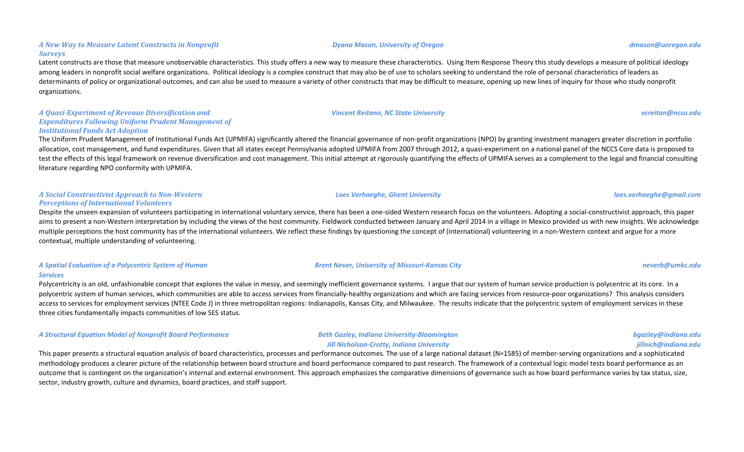#### *Dyana Mason, University of Oregon dmason@uoregon.edu*

### Latent constructs are those that measure unobservable characteristics. This study offers a new way to measure these characteristics. Using Item Response Theory this study develops a measure of political ideology among leaders in nonprofit social welfare organizations. Political ideology is a complex construct that may also be of use to scholars seeking to understand the role of personal characteristics of leaders as determinants of policy or organizational outcomes, and can also be used to measure a variety of other constructs that may be difficult to measure, opening up new lines of inquiry for those who study nonprofit organizations.

#### *A Quasi-Experiment of Revenue Diversification and*  **Expenditures Following Uniform Prudent Management of** *Institutional Funds Act Adoption*

*A New Way to Measure Latent Constructs in Nonprofit* 

*Surveys*

### The Uniform Prudent Management of Institutional Funds Act (UPMIFA) significantly altered the financial governance of non-profit organizations (NPO) by granting investment managers greater discretion in portfolio allocation, cost management, and fund expenditures. Given that all states except Pennsylvania adopted UPMIFA from 2007 through 2012, a quasi-experiment on a national panel of the NCCS Core data is proposed to test the effects of this legal framework on revenue diversification and cost management. This initial attempt at rigorously quantifying the effects of UPMIFA serves as a complement to the legal and financial consulting literature regarding NPO conformity with UPMIFA.

### *A Social Constructivist Approach to Non-Western Perceptions of International Volunteers*

Despite the unseen expansion of volunteers participating in international voluntary service, there has been a one-sided Western research focus on the volunteers. Adopting a social-constructivist approach, this paper aims to present a non-Western interpretation by including the views of the host community. Fieldwork conducted between January and April 2014 in a village in Mexico provided us with new insights. We acknowledge multiple perceptions the host community has of the international volunteers. We reflect these findings by questioning the concept of (international) volunteering in a non-Western context and argue for a more contextual, multiple understanding of volunteering.

### *A Spatial Evaluation of a Polycentric System of Human Services*

Polycentricity is an old, unfashionable concept that explores the value in messy, and seemingly inefficient governance systems. I argue that our system of human service production is polycentric at its core. In a polycentric system of human services, which communities are able to access services from financially-healthy organizations and which are facing services from resource-poor organizations? This analysis considers access to services for employment services (NTEE Code J) in three metropolitan regions: Indianapolis, Kansas City, and Milwaukee. The results indicate that the polycentric system of employment services in these three cities fundamentally impacts communities of low SES status.

*A Structural Equation Model of Nonprofit Board Performance Beth Gazley, Indiana University-Bloomington*

## **Jill Nicholson-Crotty, Indiana University**

This paper presents a structural equation analysis of board characteristics, processes and performance outcomes. The use of a large national dataset (N=1585) of member-serving organizations and a sophisticated methodology produces a clearer picture of the relationship between board structure and board performance compared to past research. The framework of a contextual logic model tests board performance as an outcome that is contingent on the organization's internal and external environment. This approach emphasizes the comparative dimensions of governance such as how board performance varies by tax status, size, sector, industry growth, culture and dynamics, board practices, and staff support.

*Vincent Reitano, NC State University vcreitan@ncsu.edu*

*Brent Never, University of Missouri-Kansas City neverb@umkc.edu*

*bgazley@indiana.edu*

### *jillnich@indiana.edu*

*Loes Verhaeghe, Ghent University loes.verhaeghe@gmail.com*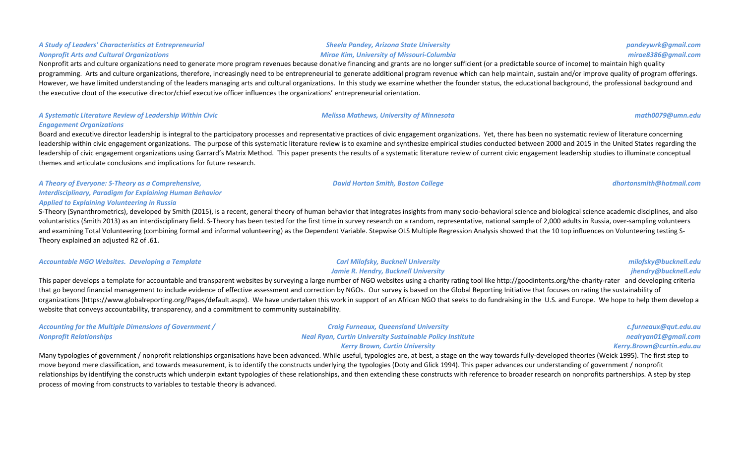#### *Sheela Pandey, Arizona State University Mirae Kim, University of Missouri-Columbia*

### Nonprofit arts and culture organizations need to generate more program revenues because donative financing and grants are no longer sufficient (or a predictable source of income) to maintain high quality programming. Arts and culture organizations, therefore, increasingly need to be entrepreneurial to generate additional program revenue which can help maintain, sustain and/or improve quality of program offerings. However, we have limited understanding of the leaders managing arts and cultural organizations. In this study we examine whether the founder status, the educational background, the professional background and the executive clout of the executive director/chief executive officer influences the organizations' entrepreneurial orientation.

### *A Systematic Literature Review of Leadership Within Civic Engagement Organizations*

*A Study of Leaders' Characteristics at Entrepreneurial* 

*Nonprofit Arts and Cultural Organizations*

Board and executive director leadership is integral to the participatory processes and representative practices of civic engagement organizations. Yet, there has been no systematic review of literature concerning leadership within civic engagement organizations. The purpose of this systematic literature review is to examine and synthesize empirical studies conducted between 2000 and 2015 in the United States regarding the leadership of civic engagement organizations using Garrard's Matrix Method. This paper presents the results of a systematic literature review of current civic engagement leadership studies to illuminate conceptual themes and articulate conclusions and implications for future research.

*A Theory of Everyone: S-Theory as a Comprehensive, Interdisciplinary, Paradigm for Explaining Human Behavior Applied to Explaining Volunteering in Russia*

S-Theory (Synanthrometrics), developed by Smith (2015), is a recent, general theory of human behavior that integrates insights from many socio-behavioral science and biological science academic disciplines, and also voluntaristics (Smith 2013) as an interdisciplinary field. S-Theory has been tested for the first time in survey research on a random, representative, national sample of 2,000 adults in Russia, over-sampling volunteers and examining Total Volunteering (combining formal and informal volunteering) as the Dependent Variable. Stepwise OLS Multiple Regression Analysis showed that the 10 top influences on Volunteering testing S-Theory explained an adiusted R2 of .61.

*Accountable NGO Websites. Developing a Template Carl Milofsky, Bucknell University*

**Jamie R. Hendry, Bucknell University** This paper develops a template for accountable and transparent websites by surveying a large number of NGO websites using a charity rating tool like http://goodintents.org/the-charity-rater and developing criteria that go beyond financial management to include evidence of effective assessment and correction by NGOs. Our survey is based on the Global Reporting Initiative that focuses on rating the sustainability of organizations (https://www.globalreporting.org/Pages/default.aspx). We have undertaken this work in support of an African NGO that seeks to do fundraising in the U.S. and Europe. We hope to help them develop a website that conveys accountability, transparency, and a commitment to community sustainability.

| <b>Accounting for the Multiple Dimensions of Government /</b> | <b>Craig Furneaux, Queensland University</b>                     | c.furneaux@qut.edu.au     |
|---------------------------------------------------------------|------------------------------------------------------------------|---------------------------|
| <b>Nonprofit Relationships</b>                                | <b>Neal Ryan, Curtin University Sustainable Policy Institute</b> | nealryan01@gmail.com      |
|                                                               | <b>Kerry Brown, Curtin University</b>                            | Kerry.Brown@curtin.edu.au |

Many typologies of government / nonprofit relationships organisations have been advanced. While useful, typologies are, at best, a stage on the way towards fully-developed theories (Weick 1995). The first step to move beyond mere classification, and towards measurement, is to identify the constructs underlying the typologies (Doty and Glick 1994). This paper advances our understanding of government / nonprofit relationships by identifying the constructs which underpin extant typologies of these relationships, and then extending these constructs with reference to broader research on nonprofits partnerships. A step by step process of moving from constructs to variables to testable theory is advanced.

*David Horton Smith, Boston College dhortonsmith@hotmail.com*

*Melissa Mathews, University of Minnesota math0079@umn.edu*

*milofsky@bucknell.edu jhendry@bucknell.edu*

*pandeywrk@gmail.com mirae8386@gmail.com*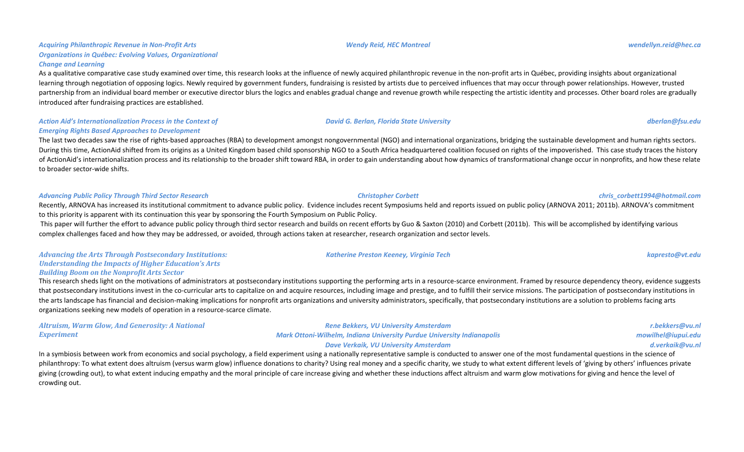#### Acquiring Philanthropic Revenue in Non-Profit Arts **Organizations in Québec: Evolving Values, Organizational** *Change and Learning*

As a qualitative comparative case study examined over time, this research looks at the influence of newly acquired philanthropic revenue in the non-profit arts in Québec, providing insights about organizational learning through negotiation of opposing logics. Newly required by government funders, fundraising is resisted by artists due to perceived influences that may occur through power relationships. However, trusted partnership from an individual board member or executive director blurs the logics and enables gradual change and revenue growth while respecting the artistic identity and processes. Other board roles are gradually introduced after fundraising practices are established.

Action Aid's Internationalization Process in the Context of *Emerging Rights Based Approaches to Development* 

The last two decades saw the rise of rights-based approaches (RBA) to development amongst nongovernmental (NGO) and international organizations, bridging the sustainable development and human rights sectors. During this time, ActionAid shifted from its origins as a United Kingdom based child sponsorship NGO to a South Africa headquartered coalition focused on rights of the impoverished. This case study traces the history of ActionAid's internationalization process and its relationship to the broader shift toward RBA, in order to gain understanding about how dynamics of transformational change occur in nonprofits, and how these relate to broader sector-wide shifts.

#### *Advancing Public Policy Through Third Sector Research Christopher Corbett chris\_corbett1994@hotmail.com*

Recently, ARNOVA has increased its institutional commitment to advance public policy. Evidence includes recent Symposiums held and reports issued on public policy (ARNOVA 2011; 2011b). ARNOVA's commitment to this priority is apparent with its continuation this year by sponsoring the Fourth Symposium on Public Policy.

This paper will further the effort to advance public policy through third sector research and builds on recent efforts by Guo & Saxton (2010) and Corbett (2011b). This will be accomplished by identifying various complex challenges faced and how they may be addressed, or avoided, through actions taken at researcher, research organization and sector levels.

#### Advancing the Arts Through Postsecondary Institutions: *Understanding the Impacts of Higher Education's Arts* **Building Boom on the Nonprofit Arts Sector**

This research sheds light on the motivations of administrators at postsecondary institutions supporting the performing arts in a resource-scarce environment. Framed by resource dependency theory, evidence suggests that postsecondary institutions invest in the co-curricular arts to capitalize on and acquire resources, including image and prestige, and to fulfill their service missions. The participation of postsecondary institutions the arts landscape has financial and decision-making implications for nonprofit arts organizations and university administrators, specifically, that postsecondary institutions are a solution to problems facing arts organizations seeking new models of operation in a resource-scarce climate.

| <b>Altruism, Warm Glow, And Generosity: A National</b> | Rene Bekkers, VU University Amsterdam                                         | r.bekkers@vu.nl    |
|--------------------------------------------------------|-------------------------------------------------------------------------------|--------------------|
| <b>Experiment</b>                                      | <b>Mark Ottoni-Wilhelm, Indiana University Purdue University Indianapolis</b> | mowilhel@iupui.edu |
|                                                        | Dave Verkaik, VU University Amsterdam                                         | d.verkaik@vu.nl    |

In a symbiosis between work from economics and social psychology, a field experiment using a nationally representative sample is conducted to answer one of the most fundamental questions in the science of philanthropy: To what extent does altruism (versus warm glow) influence donations to charity? Using real money and a specific charity, we study to what extent different levels of 'giving by others' influences private giving (crowding out), to what extent inducing empathy and the moral principle of care increase giving and whether these inductions affect altruism and warm glow motivations for giving and hence the level of crowding out.

#### *Wendy Reid, HEC Montreal wendellyn.reid@hec.ca*

### *Katherine Preston Keeney, Virginia Tech kapresto@vt.edu*

*David G. Berlan, Florida State University dberlan@fsu.edu*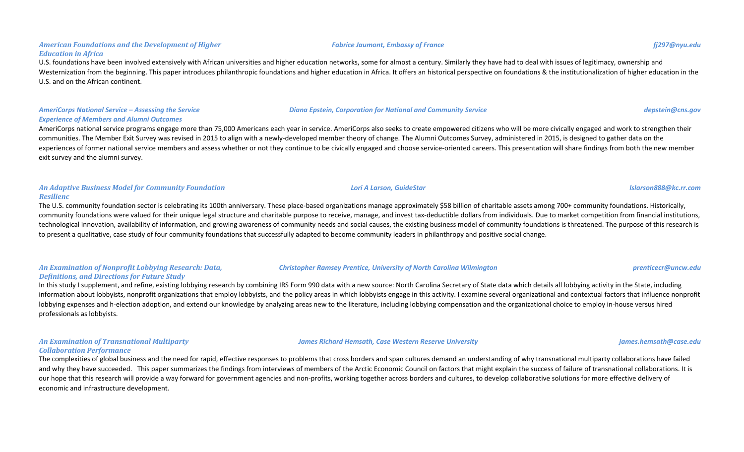#### American Foundations and the Development of Higher *Education in Africa*

U.S. foundations have been involved extensively with African universities and higher education networks, some for almost a century. Similarly they have had to deal with issues of legitimacy, ownership and Westernization from the beginning. This paper introduces philanthropic foundations and higher education in Africa. It offers an historical perspective on foundations & the institutionalization of higher education in the U.S. and on the African continent.

### AmeriCorps National Service – Assessing the Service *Experience of Members and Alumni Outcomes*

AmeriCorps national service programs engage more than 75,000 Americans each year in service. AmeriCorps also seeks to create empowered citizens who will be more civically engaged and work to strengthen their communities. The Member Exit Survey was revised in 2015 to align with a newly-developed member theory of change. The Alumni Outcomes Survey, administered in 2015, is designed to gather data on the experiences of former national service members and assess whether or not they continue to be civically engaged and choose service-oriented careers. This presentation will share findings from both the new member exit survey and the alumni survey.

### *An Adaptive Business Model for Community Foundation Resilienc*

The U.S. community foundation sector is celebrating its 100th anniversary. These place-based organizations manage approximately \$58 billion of charitable assets among 700+ community foundations. Historically, community foundations were valued for their unique legal structure and charitable purpose to receive, manage, and invest tax-deductible dollars from individuals. Due to market competition from financial institutions, technological innovation, availability of information, and growing awareness of community needs and social causes, the existing business model of community foundations is threatened. The purpose of this research is to present a qualitative, case study of four community foundations that successfully adapted to become community leaders in philanthropy and positive social change.

### An Examination of Nonprofit Lobbying Research: Data, *Definitions, and Directions for Future Study*

In this study I supplement, and refine, existing lobbying research by combining IRS Form 990 data with a new source: North Carolina Secretary of State data which details all lobbying activity in the State, including information about lobbyists, nonprofit organizations that employ lobbyists, and the policy areas in which lobbyists engage in this activity. I examine several organizational and contextual factors that influence nonprofit lobbying expenses and h-election adoption, and extend our knowledge by analyzing areas new to the literature, including lobbying compensation and the organizational choice to employ in-house versus hired professionals as lobbyists.

### *An Examination of Transnational Multiparty Collaboration Performance*

The complexities of global business and the need for rapid, effective responses to problems that cross borders and span cultures demand an understanding of why transnational multiparty collaborations have failed and why they have succeeded. This paper summarizes the findings from interviews of members of the Arctic Economic Council on factors that might explain the success of failure of transnational collaborations. It is our hope that this research will provide a way forward for government agencies and non-profits, working together across borders and cultures, to develop collaborative solutions for more effective delivery of economic and infrastructure development.

## **Christopher Ramsey Prentice, University of North Carolina Wilmington** *prenticecr@uncw.edu*

*James Richard Hemsath, Case Western Reserve University james.hemsath@case.edu james.hemsath@case.edu* 

*Fabrice Jaumont, Embassy of France fj297@nyu.edu*

*Diana Epstein, Corporation for National and Community Service depstein@cns.gov*

*Lori A Larson, GuideStar lslarson888@kc.rr.com*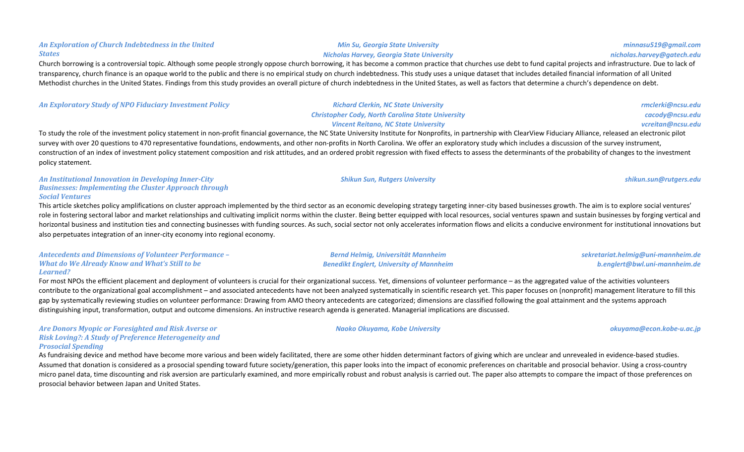# *Min Su, Georgia State University*

## *Nicholas Harvey, Georgia State University*

Church borrowing is a controversial topic. Although some people strongly oppose church borrowing, it has become a common practice that churches use debt to fund capital projects and infrastructure. Due to lack of transparency. church finance is an opaque world to the public and there is no empirical study on church indebtedness. This study uses a unique dataset that includes detailed financial information of all United Methodist churches in the United States. Findings from this study provides an overall picture of church indebtedness in the United States, as well as factors that determine a church's dependence on debt.

| <b>An Exploratory Study of NPO Fiduciary Investment Policy</b> | <b>Richard Clerkin, NC State University</b>              | rmclerki@ncsu.edu |
|----------------------------------------------------------------|----------------------------------------------------------|-------------------|
|                                                                | <b>Christopher Cody, North Carolina State University</b> | cacody@ncsu.edu   |
|                                                                | <b>Vincent Reitano, NC State University</b>              | vcreitan@ncsu.edu |
| _                                                              |                                                          |                   |

To study the role of the investment policy statement in non-profit financial governance, the NC State University Institute for Nonprofits, in partnership with ClearView Fiduciary Alliance, released an electronic pilot survey with over 20 questions to 470 representative foundations, endowments, and other non-profits in North Carolina. We offer an exploratory study which includes a discussion of the survey instrument, construction of an index of investment policy statement composition and risk attitudes, and an ordered probit regression with fixed effects to assess the determinants of the probability of changes to the investment policy statement.

An Institutional Innovation in Developing Inner-City **Businesses: Implementing the Cluster Approach through** *Social Ventures*

An Exploration of Church Indebtedness in the United

*States*

This article sketches policy amplifications on cluster approach implemented by the third sector as an economic developing strategy targeting inner-city based businesses growth. The aim is to explore social ventures' role in fostering sectoral labor and market relationships and cultivating implicit norms within the cluster. Being better equipped with local resources, social ventures spawn and sustain businesses by forging vertical and horizontal business and institution ties and connecting businesses with funding sources. As such, social sector not only accelerates information flows and elicits a conducive environment for institutional innovations but also perpetuates integration of an inner-city economy into regional economy.

#### Antecedents and Dimensions of Volunteer Performance -*What do We Already Know and What's Still to be Learned?*

For most NPOs the efficient placement and deployment of volunteers is crucial for their organizational success. Yet, dimensions of volunteer performance – as the aggregated value of the activities volunteers contribute to the organizational goal accomplishment - and associated antecedents have not been analyzed systematically in scientific research yet. This paper focuses on (nonprofit) management literature to fill this gap by systematically reviewing studies on volunteer performance: Drawing from AMO theory antecedents are categorized; dimensions are classified following the goal attainment and the systems approach distinguishing input, transformation, output and outcome dimensions. An instructive research agenda is generated. Managerial implications are discussed.

Are Donors Myopic or Foresighted and Risk Averse or *Risk Loving?: A Study of Preference Heterogeneity and Prosocial Spending*

As fundraising device and method have become more various and been widely facilitated, there are some other hidden determinant factors of giving which are unclear and unrevealed in evidence-based studies. Assumed that donation is considered as a prosocial spending toward future society/generation, this paper looks into the impact of economic preferences on charitable and prosocial behavior. Using a cross-country micro panel data, time discounting and risk aversion are particularly examined, and more empirically robust and robust analysis is carried out. The paper also attempts to compare the impact of those preferences on prosocial behavior between Japan and United States.

# *Bernd Helmig, Universität Mannheim*

**Benedikt Englert, University of Mannheim** 

*minnasu519@gmail.com*

*Naoko Okuyama, Kobe University okuyama@econ.kobe-u.ac.jp*

*sekretariat.helmig@uni-mannheim.de b.englert@bwl.uni-mannheim.de*

*Shikun Sun, Rutgers University shikun.sun@rutgers.edu*

*nicholas.harvey@gatech.edu*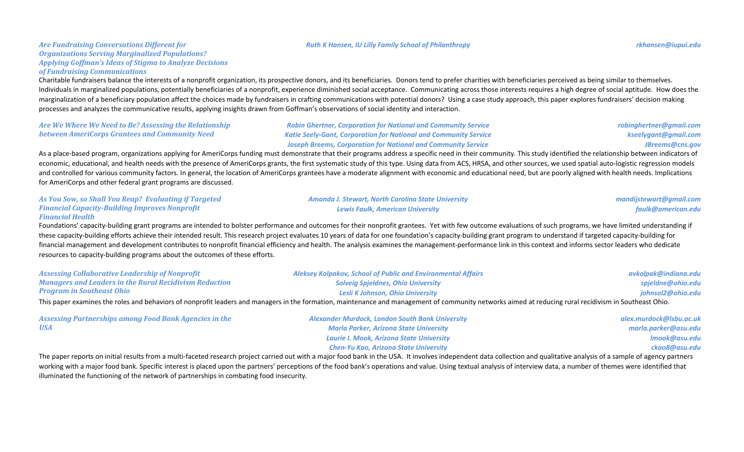#### *Ruth K Hansen, IU Lilly Family School of Philanthropy rkhansen@iupui.edu*

#### *Are Fundraising Conversations Different for* **Organizations Serving Marginalized Populations?** Applying Goffman's Ideas of Stigma to Analyze Decisions *of Fundraising Communications*

Charitable fundraisers balance the interests of a nonprofit organization, its prospective donors, and its beneficiaries. Donors tend to prefer charities with beneficiaries perceived as being similar to themselves. Individuals in marginalized populations, potentially beneficiaries of a nonprofit, experience diminished social acceptance. Communicating across those interests requires a high degree of social aptitude. How does the marginalization of a beneficiary population affect the choices made by fundraisers in crafting communications with potential donors? Using a case study approach, this paper explores fundraisers' decision making processes and analyzes the communicative results, applying insights drawn from Goffman's observations of social identity and interaction.

| Are We Where We Need to Be? Assessing the Relationship | <b>Robin Ghertner, Corporation for National and Community Service</b>   | robinghertner@gmail.com |
|--------------------------------------------------------|-------------------------------------------------------------------------|-------------------------|
| between AmeriCorps Grantees and Community Need         | <b>Katie Seely-Gant, Corporation for National and Community Service</b> | kseelygant@gmail.com    |
|                                                        | <b>Joseph Breems, Corporation for National and Community Service</b>    | JBreems@cns.gov         |

As a place-based program, organizations applying for AmeriCorps funding must demonstrate that their programs address a specific need in their community. This study identified the relationship between indicators of economic, educational, and health needs with the presence of AmeriCorps grants, the first systematic study of this type. Using data from ACS, HRSA, and other sources, we used spatial auto-logistic regression models and controlled for various community factors. In general, the location of AmeriCorps grantees have a moderate alignment with economic and educational need, but are poorly aligned with health needs. Implications for AmeriCorps and other federal grant programs are discussed.

| As You Sow, so Shall You Reap? Evaluating if Targeted | <b>Amanda J. Stewart, North Carolina State University</b> | mandijstewart@gmail.com |
|-------------------------------------------------------|-----------------------------------------------------------|-------------------------|
| <b>Financial Capacity-Building Improves Nonprofit</b> | Lewis Faulk, American University                          | faulk@american.edu      |
| <b>Financial Health</b>                               |                                                           |                         |

Foundations' capacity-building grant programs are intended to bolster performance and outcomes for their nonprofit grantees. Yet with few outcome evaluations of such programs, we have limited understanding if these capacity-building efforts achieve their intended result. This research project evaluates 10 years of data for one foundation's capacity-building grant program to understand if targeted capacity-building for financial management and development contributes to nonprofit financial efficiency and health. The analysis examines the management-performance link in this context and informs sector leaders who dedicate resources to capacity-building programs about the outcomes of these efforts.

| <b>Assessing Collaborative Leadership of Nonprofit</b>                                                                                                                                                                         | Aleksey Kolpakov, School of Public and Environmental Affairs | avkolpak@indiana.edu |
|--------------------------------------------------------------------------------------------------------------------------------------------------------------------------------------------------------------------------------|--------------------------------------------------------------|----------------------|
| <b>Managers and Leaders in the Rural Recidivism Reduction</b>                                                                                                                                                                  | <b>Solveig Spjeldnes, Ohio University</b>                    | spieldne@ohio.edu    |
| <b>Program in Southeast Ohio</b>                                                                                                                                                                                               | Lesli K Johnson, Ohio University                             | johnsol2@ohio.edu    |
| This way a waives the released behaviour of representing proposeding the formation, mointenance and monographs of computational et unduction and reduction would interest of Continued at the Continued of the contract of the |                                                              |                      |

This paper examines the roles and behaviors of nonprofit leaders and managers in the formation, maintenance and management of community networks aimed at reducing rural recidivism in Southeast Ohio.

| <b>Assessing Partnerships among Food Bank Agencies in the</b> | <b>Alexander Murdock, London South Bank University</b> | alex.murdock@lsbu.ac.uk |
|---------------------------------------------------------------|--------------------------------------------------------|-------------------------|
| <b>USA</b>                                                    | <b>Marla Parker, Arizona State University</b>          | marla.parker@asu.edu    |
|                                                               | Laurie I. Mook, Arizona State University               | Imook@asu.edu           |
|                                                               | <b>Chen-Yu Kao, Arizona State University</b>           | ckao8@asu.edu           |

The paper reports on initial results from a multi-faceted research project carried out with a major food bank in the USA. It involves independent data collection and qualitative analysis of a sample of agency partners working with a major food bank. Specific interest is placed upon the partners' perceptions of the food bank's operations and value. Using textual analysis of interview data, a number of themes were identified that illuminated the functioning of the network of partnerships in combating food insecurity.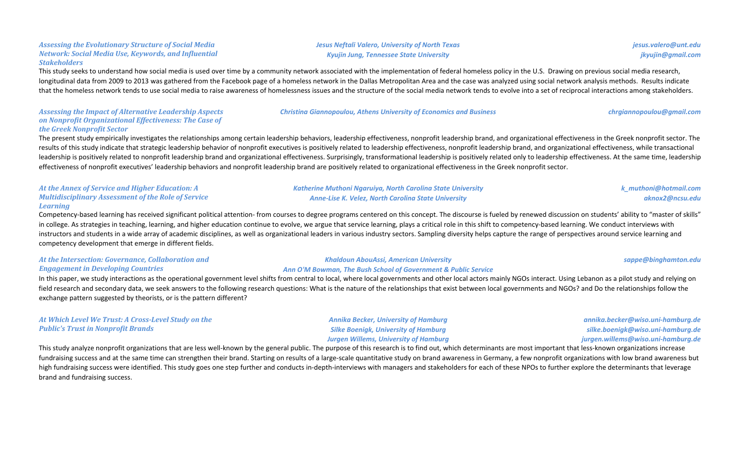### This study seeks to understand how social media is used over time by a community network associated with the implementation of federal homeless policy in the U.S. Drawing on previous social media research, longitudinal data from 2009 to 2013 was gathered from the Facebook page of a homeless network in the Dallas Metropolitan Area and the case was analyzed using social network analysis methods. Results indicate that the homeless network tends to use social media to raise awareness of homelessness issues and the structure of the social media network tends to evolve into a set of reciprocal interactions among stakeholders.

#### Assessing the Impact of Alternative Leadership Aspects *on Nonprofit Organizational Effectiveness: The Case of the Greek Nonprofit Sector*

Assessing the Evolutionary Structure of Social Media *Network: Social Media Use, Keywords, and Influential* 

*Stakeholders*

The present study empirically investigates the relationships among certain leadership behaviors, leadership effectiveness, nonprofit leadership brand, and organizational effectiveness in the Greek nonprofit sector. The results of this study indicate that strategic leadership behavior of nonprofit executives is positively related to leadership effectiveness, nonprofit leadership brand, and organizational effectiveness, while transactional leadership is positively related to nonprofit leadership brand and organizational effectiveness. Surprisingly, transformational leadership is positively related only to leadership effectiveness. At the same time, leadershi effectiveness of nonprofit executives' leadership behaviors and nonprofit leadership brand are positively related to organizational effectiveness in the Greek nonprofit sector.

#### At the Annex of Service and Higher Education: A *Multidisciplinary Assessment of the Role of Service Learning*

Competency-based learning has received significant political attention- from courses to degree programs centered on this concept. The discourse is fueled by renewed discussion on students' ability to "master of skills" in college. As strategies in teaching, learning, and higher education continue to evolve, we argue that service learning, plays a critical role in this shift to competency-based learning. We conduct interviews with instructors and students in a wide array of academic disciplines, as well as organizational leaders in various industry sectors. Sampling diversity helps capture the range of perspectives around service learning and competency development that emerge in different fields.

### At the Intersection: Governance, Collaboration and *Engagement in Developing Countries*

Ann O'M Bowman, The Bush School of Government & Public Service

*Katherine Muthoni Ngaruiya, North Carolina State University Anne-Lise K. Velez, North Carolina State University*

In this paper, we study interactions as the operational government level shifts from central to local, where local governments and other local actors mainly NGOs interact. Using Lebanon as a pilot study and relying on field research and secondary data, we seek answers to the following research questions: What is the nature of the relationships that exist between local governments and NGOs? and Do the relationships follow the exchange pattern suggested by theorists, or is the pattern different?

| At Which Level We Trust: A Cross-Level Study on the |  |
|-----------------------------------------------------|--|
| <b>Public's Trust in Nonprofit Brands</b>           |  |

This study analyze nonprofit organizations that are less well-known by the general public. The purpose of this research is to find out, which determinants are most important that less-known organizations increase fundraising success and at the same time can strengthen their brand. Starting on results of a large-scale quantitative study on brand awareness in Germany, a few nonprofit organizations with low brand awareness but high fundraising success were identified. This study goes one step further and conducts in-depth-interviews with managers and stakeholders for each of these NPOs to further explore the determinants that leverage brand and fundraising success.

# *Christina Giannopoulou, Athens University of Economics and Business chrgiannopoulou@gmail.com*

**Jesus Neftali Valero, University of North Texas** *Kyujin Jung, Tennessee State University*

# *Khaldoun AbouAssi, American University*

*Annika Becker, University of Hamburg* **Silke Boenigk, University of Hamburg** *Jurgen Willems, University of Hamburg*

*k\_muthoni@hotmail.com aknox2@ncsu.edu*

*sappe@binghamton.edu*

*annika.becker@wiso.uni-hamburg.de silke.boenigk@wiso.uni-hamburg.de jurgen.willems@wiso.uni-hamburg.de*

*jesus.valero@unt.edu jkyujin@gmail.com*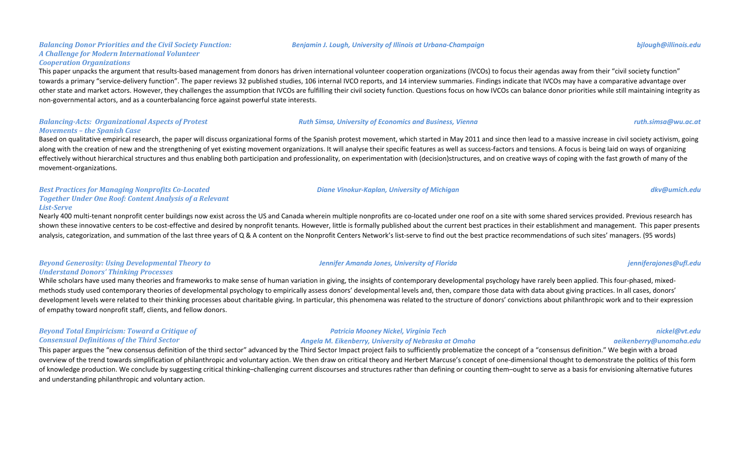#### **Balancing Donor Priorities and the Civil Society Function:** *A Challenge for Modern International Volunteer Cooperation Organizations*

This paper unpacks the argument that results-based management from donors has driven international volunteer cooperation organizations (IVCOs) to focus their agendas away from their "civil society function" towards a primary "service-delivery function". The paper reviews 32 published studies, 106 internal IVCO reports, and 14 interview summaries. Findings indicate that IVCOs may have a comparative advantage over other state and market actors. However, they challenges the assumption that IVCOs are fulfilling their civil society function. Questions focus on how IVCOs can balance donor priorities while still maintaining integrity as non-governmental actors, and as a counterbalancing force against powerful state interests.

#### **Balancing-Acts: Organizational Aspects of Protest** *Movements – the Spanish Case*

Based on qualitative empirical research, the paper will discuss organizational forms of the Spanish protest movement, which started in May 2011 and since then lead to a massive increase in civil society activism, going along with the creation of new and the strengthening of yet existing movement organizations. It will analyse their specific features as well as success-factors and tensions. A focus is being laid on ways of organizing effectively without hierarchical structures and thus enabling both participation and professionality, on experimentation with (decision)structures, and on creative ways of coping with the fast growth of many of the movement-organizations.

#### **Best Practices for Managing Nonprofits Co-Located Together Under One Roof: Content Analysis of a Relevant** *List-Serve*

Nearly 400 multi-tenant nonprofit center buildings now exist across the US and Canada wherein multiple nonprofits are co-located under one roof on a site with some shared services provided. Previous research has shown these innovative centers to be cost-effective and desired by nonprofit tenants. However, little is formally published about the current best practices in their establishment and management. This paper presents analysis, categorization, and summation of the last three years of Q & A content on the Nonprofit Centers Network's list-serve to find out the best practice recommendations of such sites' managers. (95 words)

### *Beyond Generosity: Using Developmental Theory to Understand Donors' Thinking Processes*

While scholars have used many theories and frameworks to make sense of human variation in giving, the insights of contemporary developmental psychology have rarely been applied. This four-phased, mixedmethods study used contemporary theories of developmental psychology to empirically assess donors' developmental levels and, then, compare those data with data about giving practices. In all cases, donors' development levels were related to their thinking processes about charitable giving. In particular, this phenomena was related to the structure of donors' convictions about philanthropic work and to their expression of empathy toward nonprofit staff, clients, and fellow donors.

#### **Beyond Total Empiricism: Toward a Critique of** *Consensual Definitions of the Third Sector*

This paper argues the "new consensus definition of the third sector" advanced by the Third Sector Impact project fails to sufficiently problematize the concept of a "consensus definition." We begin with a broad overview of the trend towards simplification of philanthropic and voluntary action. We then draw on critical theory and Herbert Marcuse's concept of one-dimensional thought to demonstrate the politics of this form of knowledge production. We conclude by suggesting critical thinking–challenging current discourses and structures rather than defining or counting them–ought to serve as a basis for envisioning alternative futures and understanding philanthropic and voluntary action.

*Patricia Mooney Nickel, Virginia Tech Angela M. Eikenberry, University of Nebraska at Omaha*

#### *Benjamin J. Lough, University of Illinois at Urbana-Champaign bjlough@illinois.edu*

*Diane Vinokur-Kaplan, University of Michigan dkv@umich.edu*

*Jennifer Amanda Jones, University of Florida jenniferajones@ufl.edu*

**Ruth Simsa, University of Economics and Business, Vienna** *ruth.simsa@wu.ac.at ruth.simsa@wu.ac.at* 

*nickel@vt.edu aeikenberry@unomaha.edu*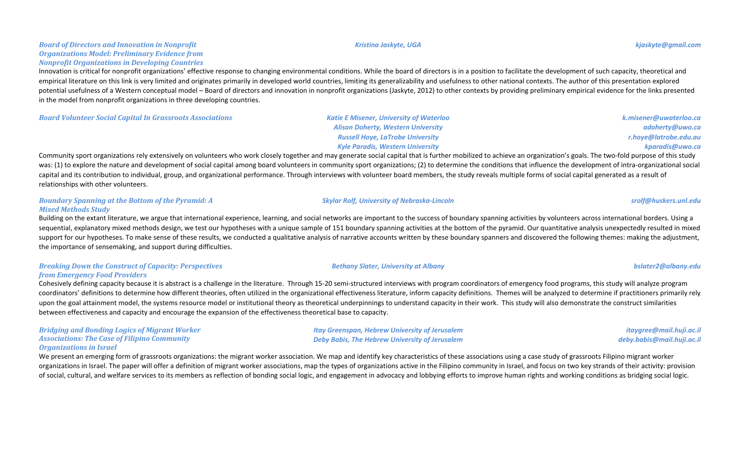#### *Kristina Jaskyte, UGA kjaskyte@gmail.com*

### **Board of Directors and Innovation in Nonprofit Organizations Model: Preliminary Evidence from** *Nonprofit Organizations in Developing Countries*

Innovation is critical for nonprofit organizations' effective response to changing environmental conditions. While the board of directors is in a position to facilitate the development of such capacity, theoretical and empirical literature on this link is very limited and originates primarily in developed world countries, limiting its generalizability and usefulness to other national contexts. The author of this presentation explored potential usefulness of a Western conceptual model – Board of directors and innovation in nonprofit organizations (Jaskyte, 2012) to other contexts by providing preliminary empirical evidence for the links presented in the model from nonprofit organizations in three developing countries.

**Board Volunteer Social Capital In Grassroots Associations Katie E Misener, University of Waterloo** 

*Alison Doherty, Western University Russell Hoye, LaTrobe University Kyle Paradis, Western University*

**Skylar Rolf, University of Nebraska-Lincoln state of the state of the state of the state of the state of the state of the state of the state of the state of the state of the state of the state of the state of the state** 

*Bethany Slater, University at Albany bslater2@albany.edu*

Community sport organizations rely extensively on volunteers who work closely together and may generate social capital that is further mobilized to achieve an organization's goals. The two-fold purpose of this study was: (1) to explore the nature and development of social capital among board volunteers in community sport organizations; (2) to determine the conditions that influence the development of intra-organizational social capital and its contribution to individual, group, and organizational performance. Through interviews with volunteer board members, the study reveals multiple forms of social capital generated as a result of relationships with other volunteers.

### **Boundary Spanning at the Bottom of the Pyramid: A** *Mixed Methods Study*

Building on the extant literature, we argue that international experience, learning, and social networks are important to the success of boundary spanning activities by volunteers across international borders. Using a sequential, explanatory mixed methods design, we test our hypotheses with a unique sample of 151 boundary spanning activities at the bottom of the pyramid. Our quantitative analysis unexpectedly resulted in mixed support for our hypotheses. To make sense of these results, we conducted a qualitative analysis of narrative accounts written by these boundary spanners and discovered the following themes: making the adjustment, the importance of sensemaking, and support during difficulties.

### **Breaking Down the Construct of Capacity: Perspectives** *from Emergency Food Providers*

Cohesively defining capacity because it is abstract is a challenge in the literature. Through 15-20 semi-structured interviews with program coordinators of emergency food programs, this study will analyze program coordinators' definitions to determine how different theories, often utilized in the organizational effectiveness literature, inform capacity definitions. Themes will be analyzed to determine if practitioners primarily rel upon the goal attainment model, the systems resource model or institutional theory as theoretical underpinnings to understand capacity in their work. This study will also demonstrate the construct similarities between effectiveness and capacity and encourage the expansion of the effectiveness theoretical base to capacity.

> *Itay Greenspan, Hebrew University of Jerusalem Deby Babis, The Hebrew University of Jerusalem*

#### **Bridging and Bonding Logics of Migrant Worker** Associations: The Case of Filipino Community **Organizations in Israel**

We present an emerging form of grassroots organizations: the migrant worker association. We map and identify key characteristics of these associations using a case study of grassroots Filipino migrant worker organizations in Israel. The paper will offer a definition of migrant worker associations, map the types of organizations active in the Filipino community in Israel, and focus on two key strands of their activity: provisio of social, cultural, and welfare services to its members as reflection of bonding social logic, and engagement in advocacy and lobbying efforts to improve human rights and working conditions as bridging social logic.

*adoherty@uwo.ca r.hoye@latrobe.edu.au kparadis@uwo.ca*

*k.misener@uwaterloo.ca*

*itaygree@mail.huji.ac.il deby.babis@mail.huji.ac.il*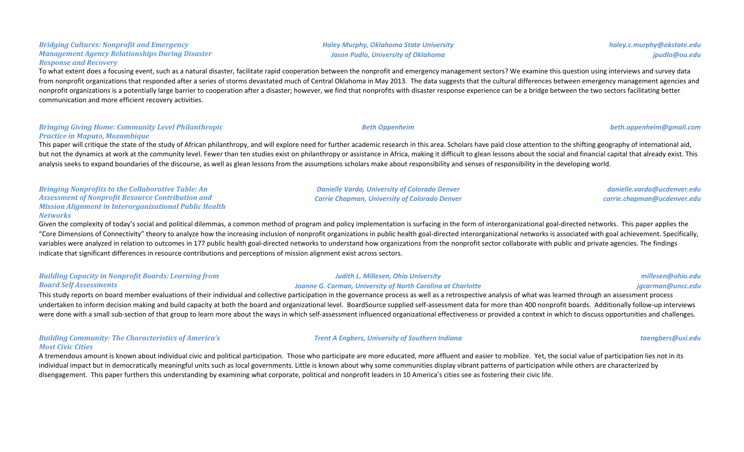# **Jason Pudlo, University of Oklahoma**

To what extent does a focusing event, such as a natural disaster, facilitate rapid cooperation between the nonprofit and emergency management sectors? We examine this question using interviews and survey data from nonprofit organizations that responded after a series of storms devastated much of Central Oklahoma in May 2013. The data suggests that the cultural differences between emergency management agencies and nonprofit organizations is a potentially large barrier to cooperation after a disaster; however, we find that nonprofits with disaster response experience can be a bridge between the two sectors facilitating better communication and more efficient recovery activities.

### **Bringing Giving Home: Community Level Philanthropic Practice in Maputo, Mozambique**

**Bridging Cultures: Nonprofit and Emergency** 

*Response and Recovery* 

*Management Agency Relationships During Disaster* 

This paper will critique the state of the study of African philanthropy, and will explore need for further academic research in this area. Scholars have paid close attention to the shifting geography of international aid, but not the dynamics at work at the community level. Fewer than ten studies exist on philanthropy or assistance in Africa, making it difficult to glean lessons about the social and financial capital that already exist. Thi analysis seeks to expand boundaries of the discourse, as well as glean lessons from the assumptions scholars make about responsibility and senses of responsibility in the developing world.

**Bringing Nonprofits to the Collaborative Table: An** Assessment of Nonprofit Resource Contribution and *Mission Alignment in Interorganizational Public Health Networks*

Given the complexity of today's social and political dilemmas, a common method of program and policy implementation is surfacing in the form of interorganizational goal-directed networks. This paper applies the "Core Dimensions of Connectivity" theory to analyze how the increasing inclusion of nonprofit organizations in public health goal-directed interorganizational networks is associated with goal achievement. Specifically, variables were analyzed in relation to outcomes in 177 public health goal-directed networks to understand how organizations from the nonprofit sector collaborate with public and private agencies. The findings indicate that significant differences in resource contributions and perceptions of mission alignment exist across sectors.

| <b>Building Capacity in Nonprofit Boards: Learning from</b>                                                                                                                                                     | Judith L. Millesen, Ohio University                                | millesen@ohio.edu |
|-----------------------------------------------------------------------------------------------------------------------------------------------------------------------------------------------------------------|--------------------------------------------------------------------|-------------------|
| <b>Board Self Assessments</b>                                                                                                                                                                                   | <b>Joanne G. Carman, University of North Carolina at Charlotte</b> | jgcarman@uncc.edu |
| This study reports on board member evaluations of their individual and collective participation in the governance process as well as a retrospective analysis of what was learned through an assessment process |                                                                    |                   |

on board member evaluations of their individual and collective participation in the governance process as well as a retrospective analysis of what was learned through an assessment process undertaken to inform decision making and build capacity at both the board and organizational level. BoardSource supplied self-assessment data for more than 400 nonprofit boards. Additionally follow-up interviews were done with a small sub-section of that group to learn more about the ways in which self-assessment influenced organizational effectiveness or provided a context in which to discuss opportunities and challenges.

### **Building Community: The Characteristics of America's** *Most Civic Cities*

A tremendous amount is known about individual civic and political participation. Those who participate are more educated, more affluent and easier to mobilize. Yet, the social value of participation lies not in its individual impact but in democratically meaningful units such as local governments. Little is known about why some communities display vibrant patterns of participation while others are characterized by disengagement. This paper furthers this understanding by examining what corporate, political and nonprofit leaders in 10 America's cities see as fostering their civic life.

*Haley Murphy, Oklahoma State University*

*jpudlo@ou.edu*

*haley.c.murphy@okstate.edu*

*danielle.varda@ucdenver.edu carrie.chapman@ucdenver.edu*

### *Trent A Engbers, University of Southern Indiana taengbers@usi.edu*

*Beth Oppenheim beth.oppenheim@gmail.com*

*Danielle Varda, University of Colorado Denver Carrie Chapman, University of Colorado Denver*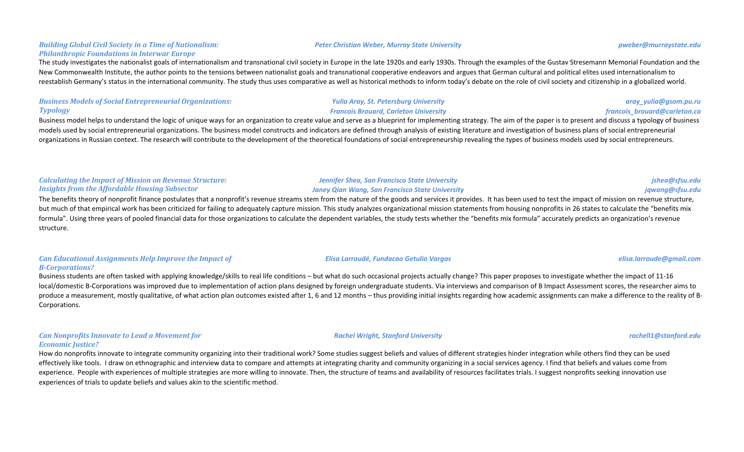#### **Building Global Civil Society in a Time of Nationalism: Philanthropic Foundations in Interwar Europe**

The study investigates the nationalist goals of internationalism and transnational civil society in Europe in the late 1920s and early 1930s. Through the examples of the Gustav Stresemann Memorial Foundation and the New Commonwealth Institute, the author points to the tensions between nationalist goals and transnational cooperative endeavors and argues that German cultural and political elites used internationalism to reestablish Germany's status in the international community. The study thus uses comparative as well as historical methods to inform today's debate on the role of civil society and citizenship in a globalized world.

### **Business Models of Social Entrepreneurial Organizations:** *Typology*

Business model helps to understand the logic of unique ways for an organization to create value and serve as a blueprint for implementing strategy. The aim of the paper is to present and discuss a typology of business models used by social entrepreneurial organizations. The business model constructs and indicators are defined through analysis of existing literature and investigation of business plans of social entrepreneurial organizations in Russian context. The research will contribute to the development of the theoretical foundations of social entrepreneurship revealing the types of business models used by social entrepreneurs.

### **Calculating the Impact of Mission on Revenue Structure:** *Insights from the Affordable Housing Subsector*

The benefits theory of nonprofit finance postulates that a nonprofit's revenue streams stem from the nature of the goods and services it provides. It has been used to test the impact of mission on revenue structure, but much of that empirical work has been criticized for failing to adequately capture mission. This study analyzes organizational mission statements from housing nonprofits in 26 states to calculate the "benefits mix formula". Using three years of pooled financial data for those organizations to calculate the dependent variables, the study tests whether the "benefits mix formula" accurately predicts an organization's revenue structure.

#### **Can Educational Assignments Help Improve the Impact of** *B-Corporations?*

Business students are often tasked with applying knowledge/skills to real life conditions – but what do such occasional projects actually change? This paper proposes to investigate whether the impact of 11-16 local/domestic B-Corporations was improved due to implementation of action plans designed by foreign undergraduate students. Via interviews and comparison of B Impact Assessment scores, the researcher aims to produce a measurement, mostly qualitative, of what action plan outcomes existed after 1, 6 and 12 months – thus providing initial insights regarding how academic assignments can make a difference to the reality of B-Corporations.

### *Can Nonprofits Innovate to Lead a Movement for Economic Justice?*

How do nonprofits innovate to integrate community organizing into their traditional work? Some studies suggest beliefs and values of different strategies hinder integration while others find they can be used effectively like tools. I draw on ethnographic and interview data to compare and attempts at integrating charity and community organizing in a social services agency. I find that beliefs and values come from experience. People with experiences of multiple strategies are more willing to innovate. Then, the structure of teams and availability of resources facilitates trials. I suggest nonprofits seeking innovation use experiences of trials to update beliefs and values akin to the scientific method.

#### *Peter Christian Weber, Murray State University pweber@murraystate.edu*

*Francois Brouard, Carleton University*

*Yulia Aray, St. Petersburg University*

*Jennifer Shea, San Francisco State University*

### *Janey Qian Wang, San Francisco State University*

#### *Elisa Larroudé, Fundacao Getulio Vargas elisa.larroude@gmail.com*

### *Rachel Wright, Stanford University rachell1@stanford.edu*

*jshea@sfsu.edu jqwang@sfsu.edu*

*aray\_yulia@gsom.pu.ru francois\_brouard@carleton.ca*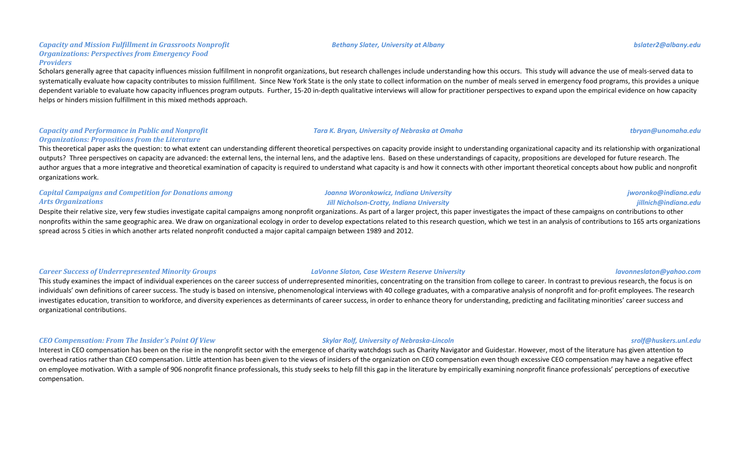#### *Capacity and Mission Fulfillment in Grassroots Nonprofit* **Organizations: Perspectives from Emergency Food** *Providers*

Scholars generally agree that capacity influences mission fulfillment in nonprofit organizations, but research challenges include understanding how this occurs. This study will advance the use of meals-served data to systematically evaluate how capacity contributes to mission fulfillment. Since New York State is the only state to collect information on the number of meals served in emergency food programs, this provides a unique dependent variable to evaluate how capacity influences program outputs. Further, 15-20 in-depth qualitative interviews will allow for practitioner perspectives to expand upon the empirical evidence on how capacity helps or hinders mission fulfillment in this mixed methods approach.

#### *Capacity and Performance in Public and Nonprofit Organizations: Propositions from the Literature*

This theoretical paper asks the question: to what extent can understanding different theoretical perspectives on capacity provide insight to understanding organizational capacity and its relationship with organizational outputs? Three perspectives on capacity are advanced: the external lens, the internal lens, and the adaptive lens. Based on these understandings of capacity, propositions are developed for future research. The author argues that a more integrative and theoretical examination of capacity is required to understand what capacity is and how it connects with other important theoretical concepts about how public and nonprofit organizations work.

| <b>Capital Campaigns and Competition for Donations among</b> |  |
|--------------------------------------------------------------|--|
| <b>Arts Organizations</b>                                    |  |

Despite their relative size, very few studies investigate capital campaigns among nonprofit organizations. As part of a larger project, this paper investigates the impact of these campaigns on contributions to other nonprofits within the same geographic area. We draw on organizational ecology in order to develop expectations related to this research question, which we test in an analysis of contributions to 165 arts organizations spread across 5 cities in which another arts related nonprofit conducted a major capital campaign between 1989 and 2012.

#### *Career Success of Underrepresented Minority Groups LaVonne Slaton, Case Western Reserve University lavonneslaton@yahoo.com*

This study examines the impact of individual experiences on the career success of underrepresented minorities, concentrating on the transition from college to career. In contrast to previous research, the focus is on individuals' own definitions of career success. The study is based on intensive, phenomenological interviews with 40 college graduates, with a comparative analysis of nonprofit and for-profit employees. The research investigates education, transition to workforce, and diversity experiences as determinants of career success, in order to enhance theory for understanding, predicting and facilitating minorities' career success and organizational contributions.

### *CEO Compensation: From The Insider's Point Of View Skylar Rolf, University of Nebraska-Lincoln srolf@huskers.unl.edu*

Interest in CEO compensation has been on the rise in the nonprofit sector with the emergence of charity watchdogs such as Charity Navigator and Guidestar. However, most of the literature has given attention to overhead ratios rather than CEO compensation. Little attention has been given to the views of insiders of the organization on CEO compensation even though excessive CEO compensation may have a negative effect on employee motivation. With a sample of 906 nonprofit finance professionals, this study seeks to help fill this gap in the literature by empirically examining nonprofit finance professionals' perceptions of executive compensation.

*Joanna Woronkowicz, Indiana University* **Jill Nicholson-Crotty, Indiana University** 

*Bethany Slater, University at Albany bslater2@albany.edu*

#### *Tara K. Bryan, University of Nebraska at Omaha tbryan@unomaha.edu*

*jworonko@indiana.edu jillnich@indiana.edu*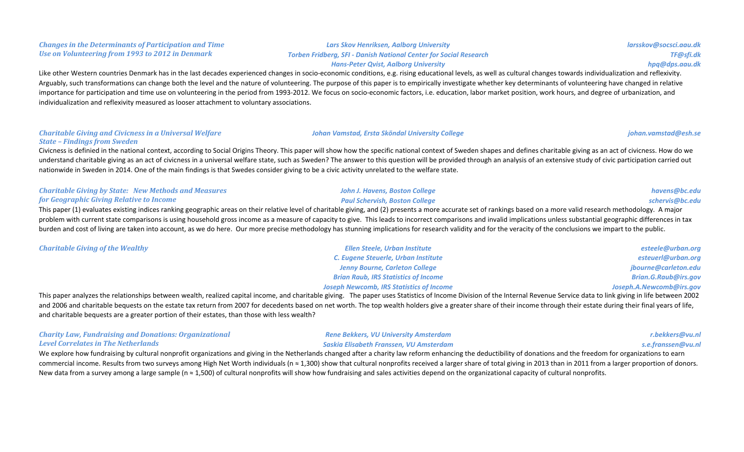#### *Changes in the Determinants of Participation and Time Use on Volunteering from 1993 to 2012 in Denmark*

*Lars Skov Henriksen, Aalborg University Torben Fridberg, SFI - Danish National Center for Social Research* *larsskov@socsci.aau.dk TF@sfi.dk hpq@dps.aau.dk*

#### *Hans-Peter Qvist, Aalborg University*

Like other Western countries Denmark has in the last decades experienced changes in socio-economic conditions, e.g. rising educational levels, as well as cultural changes towards individualization and reflexivity. Arguably, such transformations can change both the level and the nature of volunteering. The purpose of this paper is to empirically investigate whether key determinants of volunteering have changed in relative importance for participation and time use on volunteering in the period from 1993-2012. We focus on socio-economic factors, i.e. education, labor market position, work hours, and degree of urbanization, and individualization and reflexivity measured as looser attachment to voluntary associations.

#### *Charitable Giving and Civicness in a Universal Welfare State – Findings from Sweden*

Civicness is definied in the national context, according to Social Origins Theory. This paper will show how the specific national context of Sweden shapes and defines charitable giving as an act of civicness. How do we understand charitable giving as an act of civicness in a universal welfare state, such as Sweden? The answer to this question will be provided through an analysis of an extensive study of civic participation carried out nationwide in Sweden in 2014. One of the main findings is that Swedes consider giving to be a civic activity unrelated to the welfare state.

| <b>Charitable Giving by State: New Methods and Measures</b>                                                                                                                                                            | John J. Havens, Boston College        | havens@bc.edu   |
|------------------------------------------------------------------------------------------------------------------------------------------------------------------------------------------------------------------------|---------------------------------------|-----------------|
| <b>for Geographic Giving Relative to Income</b>                                                                                                                                                                        | <b>Paul Schervish, Boston College</b> | schervis@bc.edu |
| This paper (1) evaluates existing indices ranking geographic areas on their relative level of charitable giving, and (2) presents a more accurate set of rankings based on a more valid research methodology. A major  |                                       |                 |
| problem with current state comparisons is using household gross income as a measure of capacity to give. This leads to incorrect comparisons and invalid implications unless substantial geographic differences in tax |                                       |                 |
| burden and cost of living are taken into account, as we do here. Our more precise methodology has stunning implications for research validity and for the veracity of the conclusions we impart to the public.         |                                       |                 |

| <b>Charitable Giving of the Wealthy</b> | Ellen Steele, Urban Institute                   | esteele@urban.org        |
|-----------------------------------------|-------------------------------------------------|--------------------------|
|                                         | C. Eugene Steuerle, Urban Institute             | esteuerl@urban.org       |
|                                         | <b>Jenny Bourne, Carleton College</b>           | jbourne@carleton.edu     |
|                                         | <b>Brian Raub, IRS Statistics of Income</b>     | Brian.G.Raub@irs.gov     |
|                                         | <b>Joseph Newcomb, IRS Statistics of Income</b> | Joseph.A.Newcomb@irs.gov |

This paper analyzes the relationships between wealth, realized capital income, and charitable giving. The paper uses Statistics of Income Division of the Internal Revenue Service data to link giving in life between 2002 and 2006 and charitable bequests on the estate tax return from 2007 for decedents based on net worth. The top wealth holders give a greater share of their income through their estate during their final years of life, and charitable bequests are a greater portion of their estates, than those with less wealth?

| <b>Charity Law, Fundraising and Donations: Organizational</b> | <b>Rene Bekkers, VU University Amsterdam</b> | r.bekkers@vu.nl    |
|---------------------------------------------------------------|----------------------------------------------|--------------------|
| Level Correlates in The Netherlands                           | Saskia Elisabeth Franssen, VU Amsterdam      | s.e.franssen@vu.nl |
|                                                               |                                              |                    |

We explore how fundraising by cultural nonprofit organizations and giving in the Netherlands changed after a charity law reform enhancing the deductibility of donations and the freedom for organizations to earn commercial income. Results from two surveys among High Net Worth individuals (n  $\approx$  1,300) show that cultural nonprofits received a larger share of total giving in 2013 than in 2011 from a larger proportion of donors. New data from a survey among a large sample (n  $\approx$  1,500) of cultural nonprofits will show how fundraising and sales activities depend on the organizational capacity of cultural nonprofits.

#### *Johan Vamstad, Ersta Sköndal University College johan.vamstad@esh.se*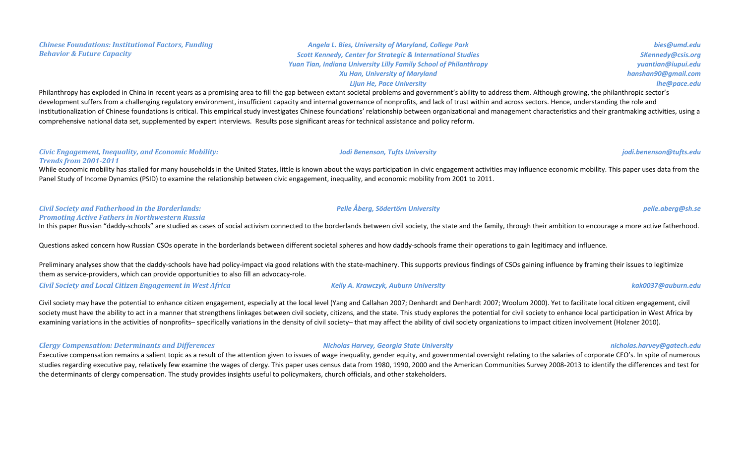#### *Chinese Foundations: Institutional Factors, Funding*  **Behavior & Future Capacity**

### *Angela L. Bies, University of Maryland, College Park* **Scott Kennedy, Center for Strategic & International Studies Yuan Tian, Indiana University Lilly Family School of Philanthropy** *Xu Han, University of Maryland Lijun He, Pace University*

Philanthropy has exploded in China in recent years as a promising area to fill the gap between extant societal problems and government's ability to address them. Although growing, the philanthropic sector's development suffers from a challenging regulatory environment, insufficient capacity and internal governance of nonprofits, and lack of trust within and across sectors. Hence, understanding the role and institutionalization of Chinese foundations is critical. This empirical study investigates Chinese foundations' relationship between organizational and management characteristics and their grantmaking activities, using a comprehensive national data set, supplemented by expert interviews. Results pose significant areas for technical assistance and policy reform.

#### *Civic Engagement, Inequality, and Economic Mobility: Trends from 2001-2011*

While economic mobility has stalled for many households in the United States, little is known about the ways participation in civic engagement activities may influence economic mobility. This paper uses data from the Panel Study of Income Dynamics (PSID) to examine the relationship between civic engagement, inequality, and economic mobility from 2001 to 2011.

#### *Civil Society and Fatherhood in the Borderlands: Promoting Active Fathers in Northwestern Russia*

In this paper Russian "daddy-schools" are studied as cases of social activism connected to the borderlands between civil society, the state and the family, through their ambition to encourage a more active fatherhood.

Questions asked concern how Russian CSOs operate in the borderlands between different societal spheres and how daddy-schools frame their operations to gain legitimacy and influence.

Preliminary analyses show that the daddy-schools have had policy-impact via good relations with the state-machinery. This supports previous findings of CSOs gaining influence by framing their issues to legitimize them as service-providers, which can provide opportunities to also fill an advocacy-role.

*Civil Society and Local Citizen Engagement in West Africa Kelly A. Krawczyk, Auburn University kak0037@auburn.edu*

Civil society may have the potential to enhance citizen engagement, especially at the local level (Yang and Callahan 2007; Denhardt and Denhardt 2007; Woolum 2000). Yet to facilitate local citizen engagement, civil society must have the ability to act in a manner that strengthens linkages between civil society, citizens, and the state. This study explores the potential for civil society to enhance local participation in West Africa b examining variations in the activities of nonprofits– specifically variations in the density of civil society– that may affect the ability of civil society organizations to impact citizen involvement (Holzner 2010).

### *Clergy Compensation: Determinants and Differences Nicholas Harvey, Georgia State University nicholas.harvey@gatech.edu*

Executive compensation remains a salient topic as a result of the attention given to issues of wage inequality, gender equity, and governmental oversight relating to the salaries of corporate CEO's. In spite of numerous studies regarding executive pay, relatively few examine the wages of clergy. This paper uses census data from 1980, 1990, 2000 and the American Communities Survey 2008-2013 to identify the differences and test for the determinants of clergy compensation. The study provides insights useful to policymakers, church officials, and other stakeholders.

#### *Jodi Benenson, Tufts University jodi.benenson@tufts.edu*

*Pelle Åberg, Södertörn University pelle.aberg@sh.se*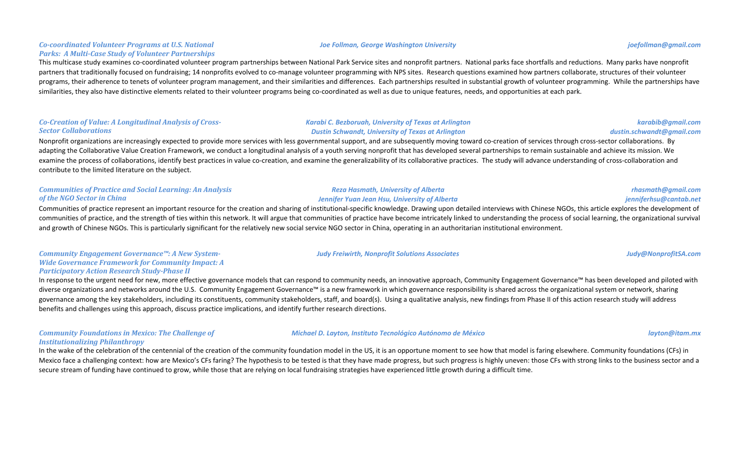#### *Co-coordinated Volunteer Programs at U.S. National*  Parks: A Multi-Case Study of Volunteer Partnerships

This multicase study examines co-coordinated volunteer program partnerships between National Park Service sites and nonprofit partners. National parks face shortfalls and reductions. Many parks have nonprofit partners that traditionally focused on fundraising; 14 nonprofits evolved to co-manage volunteer programming with NPS sites. Research questions examined how partners collaborate, structures of their volunteer programs, their adherence to tenets of volunteer program management, and their similarities and differences. Each partnerships resulted in substantial growth of volunteer programming. While the partnerships have similarities, they also have distinctive elements related to their volunteer programs being co-coordinated as well as due to unique features, needs, and opportunities at each park.

### Co-Creation of Value: A Longitudinal Analysis of Cross-*Sector Collaborations*

#### *Karabi C. Bezboruah, University of Texas at Arlington Dustin Schwandt, University of Texas at Arlington*

*Reza Hasmath, University of Alberta Jennifer Yuan Jean Hsu, University of Alberta*

Nonprofit organizations are increasingly expected to provide more services with less governmental support, and are subsequently moving toward co-creation of services through cross-sector collaborations. By adapting the Collaborative Value Creation Framework, we conduct a longitudinal analysis of a youth serving nonprofit that has developed several partnerships to remain sustainable and achieve its mission. We examine the process of collaborations, identify best practices in value co-creation, and examine the generalizability of its collaborative practices. The study will advance understanding of cross-collaboration and contribute to the limited literature on the subject.

### **Communities of Practice and Social Learning: An Analysis** *of the NGO Sector in China*

Communities of practice represent an important resource for the creation and sharing of institutional-specific knowledge. Drawing upon detailed interviews with Chinese NGOs, this article explores the development of communities of practice, and the strength of ties within this network. It will argue that communities of practice have become intricately linked to understanding the process of social learning, the organizational survival and growth of Chinese NGOs. This is particularly significant for the relatively new social service NGO sector in China, operating in an authoritarian institutional environment.

#### Community Engagement Governance™: A New System-*Wide Governance Framework for Community Impact: A Participatory Action Research Study-Phase II*

In response to the urgent need for new, more effective governance models that can respond to community needs, an innovative approach, Community Engagement Governance™ has been developed and piloted with diverse organizations and networks around the U.S. Community Engagement Governance<sup>™</sup> is a new framework in which governance responsibility is shared across the organizational system or network, sharing governance among the key stakeholders, including its constituents, community stakeholders, staff, and board(s). Using a qualitative analysis, new findings from Phase II of this action research study will address benefits and challenges using this approach, discuss practice implications, and identify further research directions.

### **Community Foundations in Mexico: The Challenge of** *Institutionalizing Philanthropy*

In the wake of the celebration of the centennial of the creation of the community foundation model in the US, it is an opportune moment to see how that model is faring elsewhere. Community foundations (CFs) in Mexico face a challenging context: how are Mexico's CFs faring? The hypothesis to be tested is that they have made progress, but such progress is highly uneven: those CFs with strong links to the business sector and a secure stream of funding have continued to grow, while those that are relying on local fundraising strategies have experienced little growth during a difficult time.

#### *Joe Follman, George Washington University joefollman@gmail.com*

## *karabib@gmail.com dustin.schwandt@gmail.com*

*rhasmath@gmail.com jenniferhsu@cantab.net*

### *Judy Freiwirth, Nonprofit Solutions Associates Judy@NonprofitSA.com*

### *Michael D. Layton, Instituto Tecnológico Autónomo de México layton@itam.mx*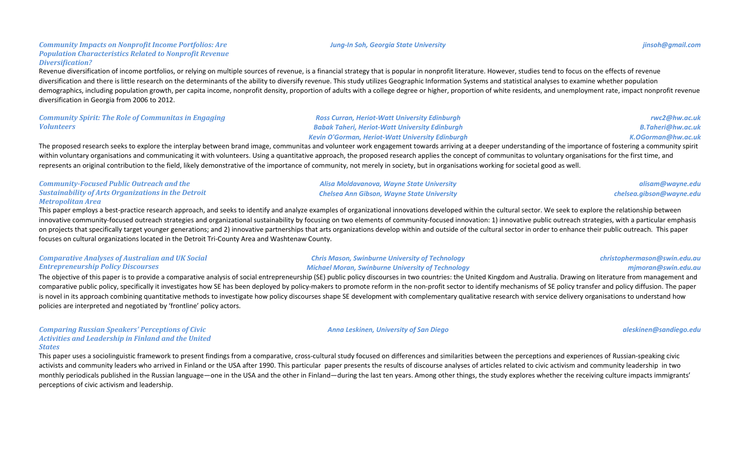### *Community Impacts on Nonprofit Income Portfolios: Are* **Population Characteristics Related to Nonprofit Revenue** *Diversification?*

Revenue diversification of income portfolios, or relying on multiple sources of revenue, is a financial strategy that is popular in nonprofit literature. However, studies tend to focus on the effects of revenue diversification and there is little research on the determinants of the ability to diversify revenue. This study utilizes Geographic Information Systems and statistical analyses to examine whether population demographics, including population growth, per capita income, nonprofit density, proportion of adults with a college degree or higher, proportion of white residents, and unemployment rate, impact nonprofit revenue diversification in Georgia from 2006 to 2012.

*Community Spirit: The Role of Communitas in Engaging Volunteers*

*Ross Curran, Heriot-Watt University Edinburgh Babak Taheri, Heriot-Watt University Edinburgh Kevin O'Gorman, Heriot-Watt University Edinburgh*

*rwc2@hw.ac.uk B.Taheri@hw.ac.uk K.OGorman@hw.ac.uk*

The proposed research seeks to explore the interplay between brand image, communitas and volunteer work engagement towards arriving at a deeper understanding of the importance of fostering a community spirit within voluntary organisations and communicating it with volunteers. Using a quantitative approach, the proposed research applies the concept of communitas to voluntary organisations for the first time, and represents an original contribution to the field, likely demonstrative of the importance of community, not merely in society, but in organisations working for societal good as well.

| <b>Community-Focused Public Outreach and the</b>           | Alisa Moldavanova, Wayne State University         | alisam@wayne.edu         |
|------------------------------------------------------------|---------------------------------------------------|--------------------------|
| <b>Sustainability of Arts Organizations in the Detroit</b> | <b>Chelsea Ann Gibson, Wayne State University</b> | chelsea.gibson@wayne.edu |
| Metropolitan Area                                          |                                                   |                          |

This paper employs a best-practice research approach, and seeks to identify and analyze examples of organizational innovations developed within the cultural sector. We seek to explore the relationship between innovative community-focused outreach strategies and organizational sustainability by focusing on two elements of community-focused innovation: 1) innovative public outreach strategies, with a particular emphasis on projects that specifically target younger generations; and 2) innovative partnerships that arts organizations develop within and outside of the cultural sector in order to enhance their public outreach. This paper focuses on cultural organizations located in the Detroit Tri-County Area and Washtenaw County.

### *Comparative Analyses of Australian and UK Social Entrepreneurship Policy Discourses*

**Chris Mason, Swinburne University of Technology** *Michael Moran, Swinburne University of Technology*

The objective of this paper is to provide a comparative analysis of social entrepreneurship (SE) public policy discourses in two countries: the United Kingdom and Australia. Drawing on literature from management and comparative public policy, specifically it investigates how SE has been deployed by policy-makers to promote reform in the non-profit sector to identify mechanisms of SE policy transfer and policy diffusion. The paper is novel in its approach combining quantitative methods to investigate how policy discourses shape SE development with complementary qualitative research with service delivery organisations to understand how policies are interpreted and negotiated by 'frontline' policy actors.

*Comparing Russian Speakers' Perceptions of Civic* Activities and Leadership in Finland and the United *States*

This paper uses a sociolinguistic framework to present findings from a comparative, cross-cultural study focused on differences and similarities between the perceptions and experiences of Russian-speaking civic activists and community leaders who arrived in Finland or the USA after 1990. This particular paper presents the results of discourse analyses of articles related to civic activism and community leadership in two monthly periodicals published in the Russian language—one in the USA and the other in Finland—during the last ten years. Among other things, the study explores whether the receiving culture impacts immigrants' perceptions of civic activism and leadership.



*Anna Leskinen, University of San Diego aleskinen@sandiego.edu*

*mjmoran@swin.edu.au*

*christophermason@swin.edu.au*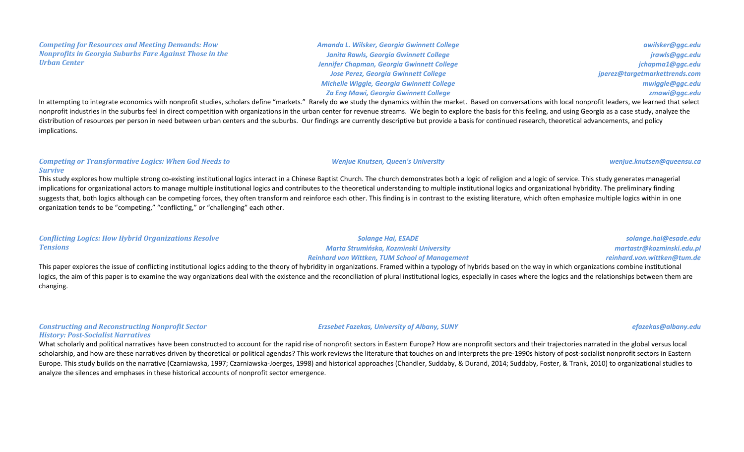#### *Competing for Resources and Meeting Demands: How Nonprofits in Georgia Suburbs Fare Against Those in the Urban Center*

*Amanda L. Wilsker, Georgia Gwinnett College Janita Rawls, Georgia Gwinnett College* **Jennifer Chapman, Georgia Gwinnett College Jose Perez, Georgia Gwinnett College** *Michelle Wiggle, Georgia Gwinnett College* **Za Eng Mawi, Georgia Gwinnett College** 

*awilsker@ggc.edu jrawls@ggc.edu jchapma1@ggc.edu jperez@targetmarkettrends.com mwiggle@ggc.edu zmawi@ggc.edu*

In attempting to integrate economics with nonprofit studies, scholars define "markets." Rarely do we study the dynamics within the market. Based on conversations with local nonprofit leaders, we learned that select nonprofit industries in the suburbs feel in direct competition with organizations in the urban center for revenue streams. We begin to explore the basis for this feeling, and using Georgia as a case study, analyze the distribution of resources per person in need between urban centers and the suburbs. Our findings are currently descriptive but provide a basis for continued research, theoretical advancements, and policy implications.

### **Competing or Transformative Logics: When God Needs to** *Survive*

This study explores how multiple strong co-existing institutional logics interact in a Chinese Baptist Church. The church demonstrates both a logic of religion and a logic of service. This study generates managerial implications for organizational actors to manage multiple institutional logics and contributes to the theoretical understanding to multiple institutional logics and organizational hybridity. The preliminary finding suggests that, both logics although can be competing forces, they often transform and reinforce each other. This finding is in contrast to the existing literature, which often emphasize multiple logics within in one organization tends to be "competing," "conflicting," or "challenging" each other.

| <b>Conflicting Logics: How Hybrid Organizations Resolve</b> | Solange Hai, ESADE                                    | solange.hai@esade.edu       |
|-------------------------------------------------------------|-------------------------------------------------------|-----------------------------|
| <b>Tensions</b>                                             | Marta Strumińska, Kozminski University                | martastr@kozminski.edu.pl   |
|                                                             | <b>Reinhard von Wittken, TUM School of Management</b> | reinhard.von.wittken@tum.de |

This paper explores the issue of conflicting institutional logics adding to the theory of hybridity in organizations. Framed within a typology of hybrids based on the way in which organizations combine institutional logics, the aim of this paper is to examine the way organizations deal with the existence and the reconciliation of plural institutional logics, especially in cases where the logics and the relationships between them are changing.

#### **Constructing and Reconstructing Nonprofit Sector** *History: Post-Socialist Narratives*

*Erzsebet Fazekas, University of Albany, SUNY efazekas@albany.edu*

What scholarly and political narratives have been constructed to account for the rapid rise of nonprofit sectors in Eastern Europe? How are nonprofit sectors and their trajectories narrated in the global versus local scholarship, and how are these narratives driven by theoretical or political agendas? This work reviews the literature that touches on and interprets the pre-1990s history of post-socialist nonprofit sectors in Eastern Europe. This study builds on the narrative (Czarniawska, 1997; Czarniawska-Joerges, 1998) and historical approaches (Chandler, Suddaby, & Durand, 2014; Suddaby, Foster, & Trank, 2010) to organizational studies to analyze the silences and emphases in these historical accounts of nonprofit sector emergence.

#### *Wenjue Knutsen, Queen's University wenjue.knutsen@queensu.ca*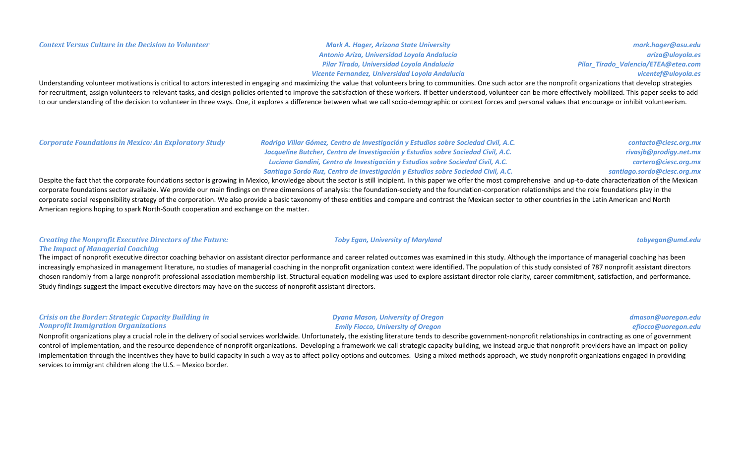*Antonio Ariza, Universidad Loyola Andalucía Pilar Tirado, Universidad Loyola Andalucía Vicente Fernandez, Universidad Loyola Andalucía*

*mark.hager@asu.edu ariza@uloyola.es Pilar\_Tirado\_Valencia/ETEA@etea.com vicentef@uloyola.es*

Understanding volunteer motivations is critical to actors interested in engaging and maximizing the value that volunteers bring to communities. One such actor are the nonprofit organizations that develop strategies for recruitment, assign volunteers to relevant tasks, and design policies oriented to improve the satisfaction of these workers. If better understood, volunteer can be more effectively mobilized. This paper seeks to add to our understanding of the decision to volunteer in three ways. One, it explores a difference between what we call socio-demographic or context forces and personal values that encourage or inhibit volunteerism.

*Corporate Foundations in Mexico: An Exploratory Study Rodrigo Villar Gómez, Centro de Investigación y Estudios sobre Sociedad Civil, A.C.* 

*Jacqueline Butcher, Centro de Investigación y Estudios sobre Sociedad Civil, A.C. Luciana Gandini, Centro de Investigación y Estudios sobre Sociedad Civil, A.C.* Santiago Sordo Ruz, Centro de Investigación y Estudios sobre Sociedad Civil, A.C.

*contacto@ciesc.org.mx rivasjb@prodigy.net.mx cartero@ciesc.org.mx santiago.sordo@ciesc.org.mx*

Despite the fact that the corporate foundations sector is growing in Mexico, knowledge about the sector is still incipient. In this paper we offer the most comprehensive and up-to-date characterization of the Mexican corporate foundations sector available. We provide our main findings on three dimensions of analysis: the foundation-society and the foundation-corporation relationships and the role foundations play in the corporate social responsibility strategy of the corporation. We also provide a basic taxonomy of these entities and compare and contrast the Mexican sector to other countries in the Latin American and North American regions hoping to spark North-South cooperation and exchange on the matter.

### *Creating the Nonprofit Executive Directors of the Future:* **The Impact of Managerial Coaching**

The impact of nonprofit executive director coaching behavior on assistant director performance and career related outcomes was examined in this study. Although the importance of managerial coaching has been increasingly emphasized in management literature, no studies of managerial coaching in the nonprofit organization context were identified. The population of this study consisted of 787 nonprofit assistant directors chosen randomly from a large nonprofit professional association membership list. Structural equation modeling was used to explore assistant director role clarity, career commitment, satisfaction, and performance. Study findings suggest the impact executive directors may have on the success of nonprofit assistant directors.

### *Crisis* on the Border: Strategic Capacity Building in *Nonprofit Immigration Organizations*

Nonprofit organizations play a crucial role in the delivery of social services worldwide. Unfortunately, the existing literature tends to describe government-nonprofit relationships in contracting as one of government control of implementation, and the resource dependence of nonprofit organizations. Developing a framework we call strategic capacity building, we instead argue that nonprofit providers have an impact on policy implementation through the incentives they have to build capacity in such a way as to affect policy options and outcomes. Using a mixed methods approach, we study nonprofit organizations engaged in providing services to immigrant children along the  $U.S.$  – Mexico border.

### *Toby Egan, University of Maryland tobyegan@umd.edu*

#### *Dyana Mason, University of Oregon Emily Fiocco, University of Oregon*

### *dmason@uoregon.edu*

#### *efiocco@uoregon.edu*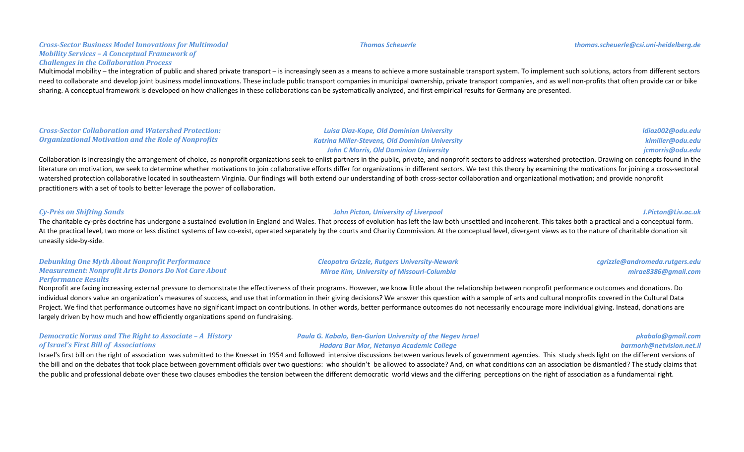### *Cross-Sector Business Model Innovations for Multimodal Mobility Services - A Conceptual Framework of Challenges in the Collaboration Process*

Multimodal mobility – the integration of public and shared private transport – is increasingly seen as a means to achieve a more sustainable transport system. To implement such solutions, actors from different sectors need to collaborate and develop joint business model innovations. These include public transport companies in municipal ownership, private transport companies, and as well non-profits that often provide car or bike sharing. A conceptual framework is developed on how challenges in these collaborations can be systematically analyzed, and first empirical results for Germany are presented.

#### *Cross-Sector Collaboration and Watershed Protection:* **Organizational Motivation and the Role of Nonprofits**

*Luisa Diaz-Kope, Old Dominion University Katrina Miller-Stevens, Old Dominion University John C Morris, Old Dominion University*

Collaboration is increasingly the arrangement of choice, as nonprofit organizations seek to enlist partners in the public, private, and nonprofit sectors to address watershed protection. Drawing on concepts found in the literature on motivation, we seek to determine whether motivations to join collaborative efforts differ for organizations in different sectors. We test this theory by examining the motivations for joining a cross-sectoral watershed protection collaborative located in southeastern Virginia. Our findings will both extend our understanding of both cross-sector collaboration and organizational motivation; and provide nonprofit practitioners with a set of tools to better leverage the power of collaboration.

### *Cy-Près on Shifting Sands John Picton, University of Liverpool J.Picton@Liv.ac.uk*

The charitable cy-près doctrine has undergone a sustained evolution in England and Wales. That process of evolution has left the law both unsettled and incoherent. This takes both a practical and a conceptual form. At the practical level, two more or less distinct systems of law co-exist, operated separately by the courts and Charity Commission. At the conceptual level, divergent views as to the nature of charitable donation sit uneasily side-by-side.

#### **Debunking One Myth About Nonprofit Performance** *Measurement: Nonprofit Arts Donors Do Not Care About* **Performance Results**

Nonprofit are facing increasing external pressure to demonstrate the effectiveness of their programs. However, we know little about the relationship between nonprofit performance outcomes and donations. Do individual donors value an organization's measures of success, and use that information in their giving decisions? We answer this question with a sample of arts and cultural nonprofits covered in the Cultural Data Project. We find that performance outcomes have no significant impact on contributions. In other words, better performance outcomes do not necessarily encourage more individual giving. Instead, donations are largely driven by how much and how efficiently organizations spend on fundraising.

#### *Democratic Norms and The Right to Associate - A History of Israel's First Bill of Associations*

Israel's first bill on the right of association was submitted to the Knesset in 1954 and followed intensive discussions between various levels of government agencies. This study sheds light on the different versions of the bill and on the debates that took place between government officials over two questions: who shouldn't be allowed to associate? And, on what conditions can an association be dismantled? The study claims that the public and professional debate over these two clauses embodies the tension between the different democratic world views and the differing perceptions on the right of association as a fundamental right.

*Mirae Kim, University of Missouri-Columbia*

**Paula G. Kabalo, Ben-Gurion University of the Negev Israel** *Hadara Bar Mor, Netanya Academic College*

*mirae8386@gmail.com*

*cgrizzle@andromeda.rutgers.edu*

*barmorh@netvision.net.il*

# *pkabalo@gmail.com*

*ldiaz002@odu.edu klmiller@odu.edu jcmorris@odu.edu*

# *Cleopatra Grizzle, Rutgers University-Newark*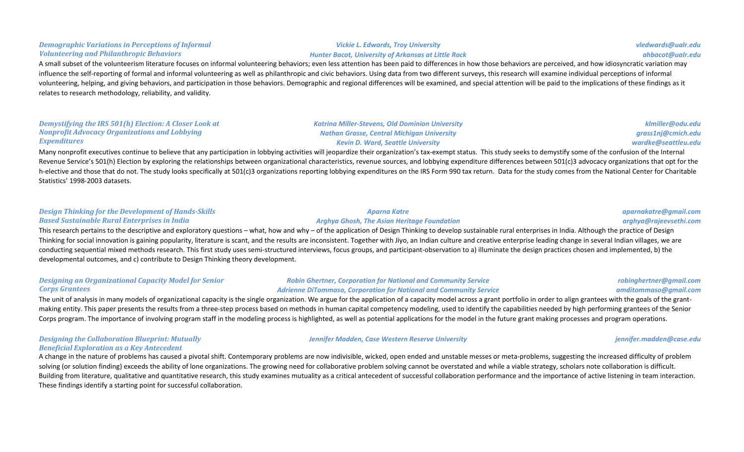### **Demographic Variations in Perceptions of Informal** *Volunteering and Philanthropic Behaviors*

A small subset of the volunteerism literature focuses on informal volunteering behaviors; even less attention has been paid to differences in how those behaviors are perceived, and how idiosyncratic variation may influence the self-reporting of formal and informal volunteering as well as philanthropic and civic behaviors. Using data from two different surveys, this research will examine individual perceptions of informal volunteering, helping, and giving behaviors, and participation in those behaviors. Demographic and regional differences will be examined, and special attention will be paid to the implications of these findings as it relates to research methodology, reliability, and validity.

#### *Demystifying the IRS 501(h) Election: A Closer Look at Nonprofit Advocacy Organizations and Lobbying Expenditures*

Many nonprofit executives continue to believe that any participation in lobbying activities will jeopardize their organization's tax-exempt status. This study seeks to demystify some of the confusion of the Internal Revenue Service's 501(h) Election by exploring the relationships between organizational characteristics, revenue sources, and lobbying expenditure differences between 501(c)3 advocacy organizations that opt for the h-elective and those that do not. The study looks specifically at 501(c)3 organizations reporting lobbying expenditures on the IRS Form 990 tax return. Data for the study comes from the National Center for Charitable Statistics' 1998-2003 datasets.

### **Design Thinking for the Development of Hands-Skills** *Based Sustainable Rural Enterprises in India*

This research pertains to the descriptive and exploratory questions – what, how and why – of the application of Design Thinking to develop sustainable rural enterprises in India. Although the practice of Design Thinking for social innovation is gaining popularity, literature is scant, and the results are inconsistent. Together with Jiyo, an Indian culture and creative enterprise leading change in several Indian villages, we are conducting sequential mixed methods research. This first study uses semi-structured interviews, focus groups, and participant-observation to a) illuminate the design practices chosen and implemented, b) the developmental outcomes, and c) contribute to Design Thinking theory development.

### **Designing an Organizational Capacity Model for Senior** *Corps Grantees*

Adrienne DiTommaso, Corporation for National and Community Service

The unit of analysis in many models of organizational capacity is the single organization. We argue for the application of a capacity model across a grant portfolio in order to align grantees with the goals of the grantmaking entity. This paper presents the results from a three-step process based on methods in human capital competency modeling, used to identify the capabilities needed by high performing grantees of the Senior Corps program. The importance of involving program staff in the modeling process is highlighted, as well as potential applications for the model in the future grant making processes and program operations.

### **Designing the Collaboration Blueprint: Mutually Beneficial Exploration as a Key Antecedent**

A change in the nature of problems has caused a pivotal shift. Contemporary problems are now indivisible, wicked, open ended and unstable messes or meta-problems, suggesting the increased difficulty of problem solving (or solution finding) exceeds the ability of lone organizations. The growing need for collaborative problem solving cannot be overstated and while a viable strategy, scholars note collaboration is difficult. Building from literature, qualitative and quantitative research, this study examines mutuality as a critical antecedent of successful collaboration performance and the importance of active listening in team interaction. These findings identify a starting point for successful collaboration.

*Aparna Katre Arghya Ghosh, The Asian Heritage Foundation*

**Robin Ghertner, Corporation for National and Community Service** 

#### *aparnakatre@gmail.com arghya@rajeevsethi.com*

*robinghertner@gmail.com amditommaso@gmail.com*

*Jennifer Madden, Case Western Reserve University jennifer.madden@case.edu*

*vledwards@ualr.edu ahbacot@ualr.edu*

*klmiller@odu.edu grass1nj@cmich.edu wardke@seattleu.edu*

# *Vickie L. Edwards, Troy University*

*Katrina Miller-Stevens, Old Dominion University Nathan Grasse, Central Michigan University Kevin D. Ward, Seattle University*

## *Hunter Bacot, University of Arkansas at Little Rock*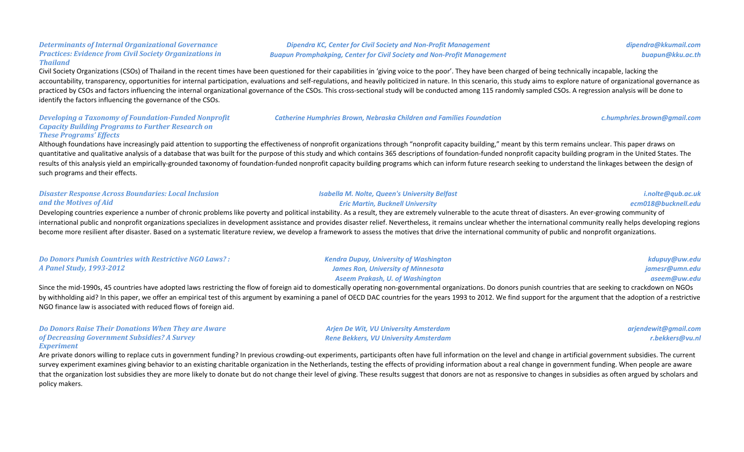### **Determinants of Internal Organizational Governance Practices: Evidence from Civil Society Organizations in** *Thailand*

Civil Society Organizations (CSOs) of Thailand in the recent times have been questioned for their capabilities in 'giving voice to the poor'. They have been charged of being technically incapable, lacking the accountability, transparency, opportunities for internal participation, evaluations and self-regulations, and heavily politicized in nature. In this scenario, this study aims to explore nature of organizational governance practiced by CSOs and factors influencing the internal organizational governance of the CSOs. This cross-sectional study will be conducted among 115 randomly sampled CSOs. A regression analysis will be done to identify the factors influencing the governance of the CSOs.

#### **Developing a Taxonomy of Foundation-Funded Nonprofit** *Capacity Building Programs to Further Research on These Programs' Effects*

Although foundations have increasingly paid attention to supporting the effectiveness of nonprofit organizations through "nonprofit capacity building," meant by this term remains unclear. This paper draws on guantitative and qualitative analysis of a database that was built for the purpose of this study and which contains 365 descriptions of foundation-funded nonprofit capacity building program in the United States. The results of this analysis yield an empirically-grounded taxonomy of foundation-funded nonprofit capacity building programs which can inform future research seeking to understand the linkages between the design of such programs and their effects.

| <b>Disaster Response Across Boundaries: Local Inclusion</b>                                                                                                                                                               | <b>Isabella M. Nolte, Queen's University Belfast</b>                                                                                                                                                      | i.nolte@qub.ac.uk   |
|---------------------------------------------------------------------------------------------------------------------------------------------------------------------------------------------------------------------------|-----------------------------------------------------------------------------------------------------------------------------------------------------------------------------------------------------------|---------------------|
| and the Motives of Aid                                                                                                                                                                                                    | <b>Eric Martin, Bucknell University</b>                                                                                                                                                                   | ecm018@bucknell.edu |
| Developing countries experience a number of chronic problems like poverty and political instability. As a result, they are extremely vulnerable to the acute threat of disasters. An ever-growing community of            |                                                                                                                                                                                                           |                     |
| international public and nonprofit organizations specializes in development assistance and provides disaster relief. Nevertheless, it remains unclear whether the international community really helps developing regions |                                                                                                                                                                                                           |                     |
|                                                                                                                                                                                                                           | become more resilient after disaster. Based on a systematic literature review, we develop a framework to assess the motives that drive the international community of public and nonprofit organizations. |                     |

| <b>Do Donors Punish Countries with Restrictive NGO Laws?:</b> | <b>Kendra Dupuy, University of Washington</b> | kdupuy@uw.edu  |
|---------------------------------------------------------------|-----------------------------------------------|----------------|
| <b>A Panel Study, 1993-2012</b>                               | <b>James Ron, University of Minnesota</b>     | jamesr@umn.edu |
|                                                               | <b>Aseem Prakash, U. of Washington</b>        | aseem@uw.edu   |

Since the mid-1990s, 45 countries have adopted laws restricting the flow of foreign aid to domestically operating non-governmental organizations. Do donors punish countries that are seeking to crackdown on NGOs by withholding aid? In this paper, we offer an empirical test of this argument by examining a panel of OECD DAC countries for the years 1993 to 2012. We find support for the argument that the adoption of a restrictive NGO finance law is associated with reduced flows of foreign aid.

> *Arjen De Wit, VU University Amsterdam Rene Bekkers, VU University Amsterdam*

| <b>Do Donors Raise Their Donations When They are Aware</b> |
|------------------------------------------------------------|
| of Decreasing Government Subsidies? A Survey               |
| <b>Experiment</b>                                          |

Are private donors willing to replace cuts in government funding? In previous crowding-out experiments, participants often have full information on the level and change in artificial government subsidies. The current survey experiment examines giving behavior to an existing charitable organization in the Netherlands, testing the effects of providing information about a real change in government funding. When people are aware that the organization lost subsidies they are more likely to donate but do not change their level of giving. These results suggest that donors are not as responsive to changes in subsidies as often argued by scholars and policy makers.

### **Dipendra KC, Center for Civil Society and Non-Profit Management Buapun Promphakping, Center for Civil Society and Non-Profit Management**

*arjendewit@gmail.com r.bekkers@vu.nl*

**Catherine Humphries Brown, Nebraska Children and Families Foundation** *c.humphries.brown@gmail.com* 

*dipendra@kkumail.com buapun@kku.ac.th*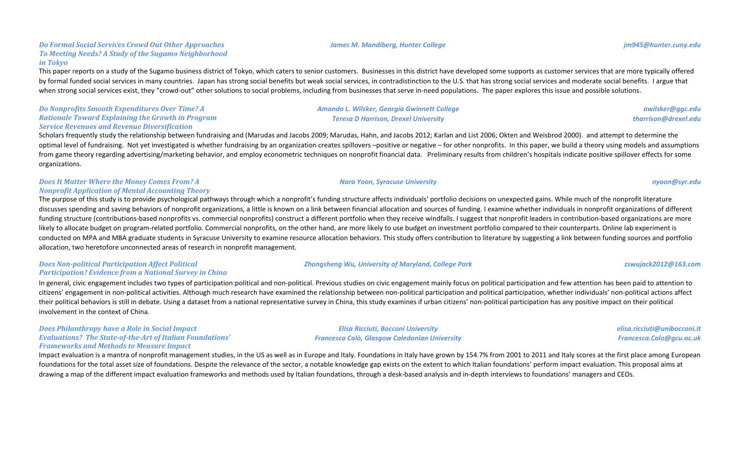#### *Do Formal Social Services Crowd Out Other Approaches* **To Meeting Needs? A Study of the Sugamo Neighborhood** *in Tokyo*

This paper reports on a study of the Sugamo business district of Tokyo, which caters to senior customers. Businesses in this district have developed some supports as customer services that are more typically offered by formal funded social services in many countries. Japan has strong social benefits but weak social services, in contradistinction to the U.S. that has strong social services and moderate social benefits. I argue that when strong social services exist, they "crowd-out" other solutions to social problems, including from businesses that serve in-need populations. The paper explores this issue and possible solutions.

*Do Nonprofits Smooth Expenditures Over Time? A Rationale Toward Explaining the Growth in Program Service Revenues and Revenue Diversification*

Scholars frequently study the relationship between fundraising and (Marudas and Jacobs 2009; Marudas, Hahn, and Jacobs 2012; Karlan and List 2006; Okten and Weisbrod 2000). and attempt to determine the optimal level of fundraising. Not vet investigated is whether fundraising by an organization creates spillovers -positive or negative - for other nonprofits. In this paper, we build a theory using models and assumptions from game theory regarding advertising/marketing behavior, and employ econometric techniques on nonprofit financial data. Preliminary results from children's hospitals indicate positive spillover effects for some organizations.

### *Does It Matter Where the Money Comes From? A Nonprofit Application of Mental Accounting Theory*

The purpose of this study is to provide psychological pathways through which a nonprofit's funding structure affects individuals' portfolio decisions on unexpected gains. While much of the nonprofit literature discusses spending and saving behaviors of nonprofit organizations, a little is known on a link between financial allocation and sources of funding. I examine whether individuals in nonprofit organizations of different funding structure (contributions-based nonprofits vs. commercial nonprofits) construct a different portfolio when they receive windfalls. I suggest that nonprofit leaders in contribution-based organizations are more likely to allocate budget on program-related portfolio. Commercial nonprofits, on the other hand, are more likely to use budget on investment portfolio compared to their counterparts. Online lab experiment is conducted on MPA and MBA graduate students in Syracuse University to examine resource allocation behaviors. This study offers contribution to literature by suggesting a link between funding sources and portfolio allocation, two heretofore unconnected areas of research in nonprofit management.

### *Does Non-political Participation Affect Political Participation?* Evidence from a National Survey in China

In general, civic engagement includes two types of participation:political and non-political. Previous studies on civic engagement mainly focus on political participation and few attention has been paid to attention to citizens' engagement in non-political activities. Although much research have examined the relationship between non-political participation and political participation, whether individuals' non-political actions affect their political behaviors is still in debate. Using a dataset from a national representative survey in China, this study examines if urban citizens' non-political participation has any positive impact on their political involvement in the context of China.

#### *Does Philanthropy have a Role in Social Impact* Evaluations? The State-of-the-Art of Italian Foundations' *Frameworks and Methods to Measure Impact*

Impact evaluation is a mantra of nonprofit management studies, in the US as well as in Europe and Italy. Foundations in Italy have grown by 154.7% from 2001 to 2011 and Italy scores at the first place among European foundations for the total asset size of foundations. Despite the relevance of the sector, a notable knowledge gap exists on the extent to which Italian foundations' perform impact evaluation. This proposal aims at drawing a map of the different impact evaluation frameworks and methods used by Italian foundations, through a desk-based analysis and in-depth interviews to foundations' managers and CEOs.

#### *James M. Mandiberg, Hunter College jm945@hunter.cuny.edu*

*Amanda L. Wilsker, Georgia Gwinnett College Teresa D Harrison, Drexel University*

#### *Zhongsheng Wu, University of Maryland, College Park zswujack2012@163.com*

*Elisa Ricciuti, Bocconi University Francesca Calò, Glasgow Caledonian University* *elisa.ricciuti@unibocconi.it*

*Francesca.Calo@gcu.ac.uk*

*tharrison@drexel.edu*

*awilsker@ggc.edu*

*Nara Yoon, Syracuse University nyoon@syr.edu*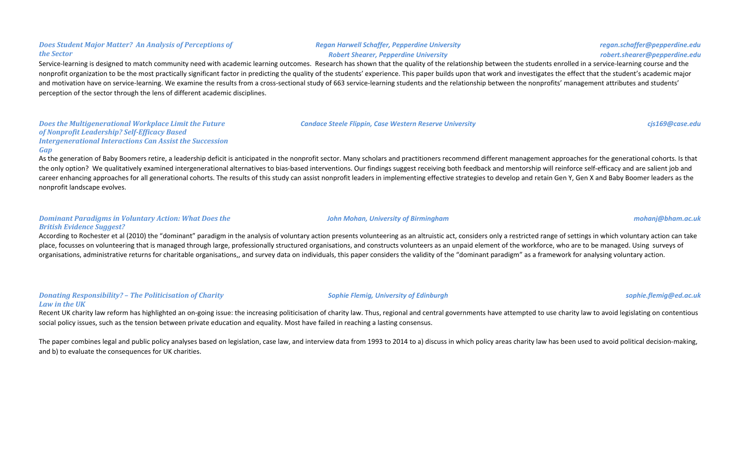#### *Regan Harwell Schaffer, Pepperdine University Robert Shearer, Pepperdine University*

### Service-learning is designed to match community need with academic learning outcomes. Research has shown that the quality of the relationship between the students enrolled in a service-learning course and the nonprofit organization to be the most practically significant factor in predicting the quality of the students' experience. This paper builds upon that work and investigates the effect that the student's academic major and motivation have on service-learning. We examine the results from a cross-sectional study of 663 service-learning students and the relationship between the nonprofits' management attributes and students' perception of the sector through the lens of different academic disciplines.

*Does the Multigenerational Workplace Limit the Future of Nonprofit Leadership? Self-Efficacy Based*  **Intergenerational Interactions Can Assist the Succession** *Gap*

As the generation of Baby Boomers retire, a leadership deficit is anticipated in the nonprofit sector. Many scholars and practitioners recommend different management approaches for the generational cohorts. Is that the only option? We qualitatively examined intergenerational alternatives to bias-based interventions. Our findings suggest receiving both feedback and mentorship will reinforce self-efficacy and are salient job and career enhancing approaches for all generational cohorts. The results of this study can assist nonprofit leaders in implementing effective strategies to develop and retain Gen Y, Gen X and Baby Boomer leaders as the nonprofit landscape evolves.

### *Dominant Paradigms in Voluntary Action: What Does the British Evidence Suggest?*

According to Rochester et al (2010) the "dominant" paradigm in the analysis of voluntary action presents volunteering as an altruistic act, considers only a restricted range of settings in which voluntary action can take place, focusses on volunteering that is managed through large, professionally structured organisations, and constructs volunteers as an unpaid element of the workforce, who are to be managed. Using surveys of organisations, administrative returns for charitable organisations,, and survey data on individuals, this paper considers the validity of the "dominant paradigm" as a framework for analysing voluntary action.

### *Donating Responsibility?* – The Politicisation of Charity Law in the UK

Recent UK charity law reform has highlighted an on-going issue: the increasing politicisation of charity law. Thus, regional and central governments have attempted to use charity law to avoid legislating on contentious social policy issues, such as the tension between private education and equality. Most have failed in reaching a lasting consensus.

The paper combines legal and public policy analyses based on legislation, case law, and interview data from 1993 to 2014 to a) discuss in which policy areas charity law has been used to avoid political decision-making, and b) to evaluate the consequences for UK charities.

#### **Does Student Major Matter? An Analysis of Perceptions of** *the Sector*

**Sophie Flemig, University of Edinburgh** *Sophie.flemig@ed.ac.uk**sophie.flemig@ed.ac.uk* 

**Candace Steele Flippin, Case Western Reserve University <b>and a community of the Case of Case** Constantine Constantine Constantine Constantine Constantine Constantine Constantine Constantine Constantine Constantine Constan

*John Mohan, University of Birmingham mohanj@bham.ac.uk*

*regan.schaffer@pepperdine.edu robert.shearer@pepperdine.edu*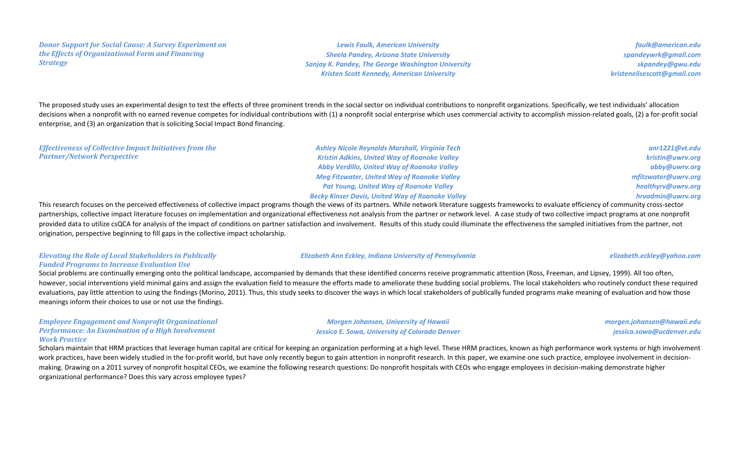#### *Donor Support for Social Cause: A Survey Experiment on the Effects of Organizational Form and Financing Strategy*

*Lewis Faulk, American University Sheela Pandey, Arizona State University Sanjay K. Pandey, The George Washington University Kristen Scott Kennedy, American University*

*faulk@american.edu spandeywrk@gmail.com skpandey@gwu.edu kristenelisescott@gmail.com*

The proposed study uses an experimental design to test the effects of three prominent trends in the social sector on individual contributions to nonprofit organizations. Specifically, we test individuals' allocation decisions when a nonprofit with no earned revenue competes for individual contributions with (1) a nonprofit social enterprise which uses commercial activity to accomplish mission-related goals, (2) a for-profit social enterprise, and (3) an organization that is soliciting Social Impact Bond financing.

#### *Effectiveness of Collective Impact Initiatives from the Partner/Network Perspective*

*Ashley Nicole Reynolds Marshall, Virginia Tech Kristin Adkins, United Way of Roanoke Valley* **Abby Verdillo, United Way of Roanoke Valley Meg Fitzwater, United Way of Roanoke Valley Pat Young, United Way of Roanoke Valley** *Becky Kinser Davis, United Way of Roanoke Valley*

### *anr1221@vt.edu kristin@uwrv.org abby@uwrv.org mfitzwater@uwrv.org healthyrv@uwrv.org hrvadmin@uwrv.org*

This research focuses on the perceived effectiveness of collective impact programs though the views of its partners. While network literature suggests frameworks to evaluate efficiency of community cross-sector partnerships, collective impact literature focuses on implementation and organizational effectiveness not analysis from the partner or network level. A case study of two collective impact programs at one nonprofit provided data to utilize csQCA for analysis of the impact of conditions on partner satisfaction and involvement. Results of this study could illuminate the effectiveness the sampled initiatives from the partner, not origination, perspective beginning to fill gaps in the collective impact scholarship.

### **Elevating the Role of Local Stakeholders in Publically Funded Programs to Increase Evaluation Use**

*Elizabeth Ann Eckley, Indiana University of Pennsylvania elizabeth.eckley@yahoo.com*

Social problems are continually emerging onto the political landscape, accompanied by demands that these identified concerns receive programmatic attention (Ross, Freeman, and Lipsey, 1999). All too often, however, social interventions yield minimal gains and assign the evaluation field to measure the efforts made to ameliorate these budding social problems. The local stakeholders who routinely conduct these required evaluations, pay little attention to using the findings (Morino, 2011). Thus, this study seeks to discover the ways in which local stakeholders of publically funded programs make meaning of evaluation and how those meanings inform their choices to use or not use the findings.

### *Employee Engagement and Nonprofit Organizational Performance: An Examination of a High Involvement Work Practice*

*Morgen Johansen, University of Hawaii* **Jessica E. Sowa, University of Colorado Denver**  *morgen.johansen@hawaii.edu jessica.sowa@ucdenver.edu*

Scholars maintain that HRM practices that leverage human capital are critical for keeping an organization performing at a high level. These HRM practices, known as high performance work systems or high involvement work practices, have been widely studied in the for-profit world, but have only recently begun to gain attention in nonprofit research. In this paper, we examine one such practice, employee involvement in decisionmaking. Drawing on a 2011 survey of nonprofit hospital CEOs, we examine the following research questions: Do nonprofit hospitals with CEOs who engage employees in decision-making demonstrate higher organizational performance? Does this vary across employee types?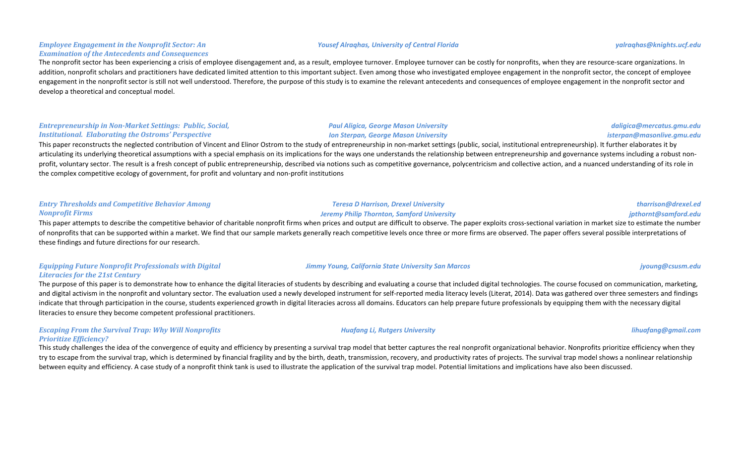#### *Employee Engagement in the Nonprofit Sector: An* **Examination of the Antecedents and Consequences**

The nonprofit sector has been experiencing a crisis of employee disengagement and, as a result, employee turnover. Employee turnover can be costly for nonprofits, when they are resource-scare organizations. In addition, nonprofit scholars and practitioners have dedicated limited attention to this important subject. Even among those who investigated employee engagement in the nonprofit sector, the concept of employee engagement in the nonprofit sector is still not well understood. Therefore, the purpose of this study is to examine the relevant antecedents and consequences of employee engagement in the nonprofit sector and develop a theoretical and conceptual model.

#### *Entrepreneurship in Non-Market Settings: Public, Social, Institutional. Elaborating the Ostroms' Perspective*

**Paul Aligica, George Mason University** *Ion Sterpan, George Mason University* 

This paper reconstructs the neglected contribution of Vincent and Elinor Ostrom to the study of entrepreneurship in non-market settings (public, social, institutional entrepreneurship). It further elaborates it by articulating its underlying theoretical assumptions with a special emphasis on its implications for the ways one understands the relationship between entrepreneurship and governance systems including a robust nonprofit, voluntary sector. The result is a fresh concept of public entrepreneurship, described via notions such as competitive governance, polycentricism and collective action, and a nuanced understanding of its role in the complex competitive ecology of government, for profit and voluntary and non-profit institutions

### *Entry Thresholds and Competitive Behavior Among Nonprofit Firms*

This paper attempts to describe the competitive behavior of charitable nonprofit firms when prices and output are difficult to observe. The paper exploits cross-sectional variation in market size to estimate the number of nonprofits that can be supported within a market. We find that our sample markets generally reach competitive levels once three or more firms are observed. The paper offers several possible interpretations of these findings and future directions for our research.

*Teresa D Harrison, Drexel University Jeremy Philip Thornton, Samford University*

### *Equipping Future Nonprofit Professionals with Digital* Literacies for the 21st Century

The purpose of this paper is to demonstrate how to enhance the digital literacies of students by describing and evaluating a course that included digital technologies. The course focused on communication, marketing, and digital activism in the nonprofit and voluntary sector. The evaluation used a newly developed instrument for self-reported media literacy levels (Literat, 2014). Data was gathered over three semesters and findings indicate that through participation in the course, students experienced growth in digital literacies across all domains. Educators can help prepare future professionals by equipping them with the necessary digital literacies to ensure they become competent professional practitioners.

### *Escaping From the Survival Trap: Why Will Nonprofits Prioritize Efficiency?*

This study challenges the idea of the convergence of equity and efficiency by presenting a survival trap model that better captures the real nonprofit organizational behavior. Nonprofits prioritize efficiency when they try to escape from the survival trap, which is determined by financial fragility and by the birth, death, transmission, recovery, and productivity rates of projects. The survival trap model shows a nonlinear relationship between equity and efficiency. A case study of a nonprofit think tank is used to illustrate the application of the survival trap model. Potential limitations and implications have also been discussed.

#### *Yousef Alraqhas, University of Central Florida yalraqhas@knights.ucf.edu*

# *daligica@mercatus.gmu.edu isterpan@masonlive.gmu.edu*

*tharrison@drexel.ed jpthornt@samford.edu*

## *Huafang Li, Rutgers University lihuafang@gmail.com*

*Jimmy Young, California State University San Marcos jyoung@csusm.edu*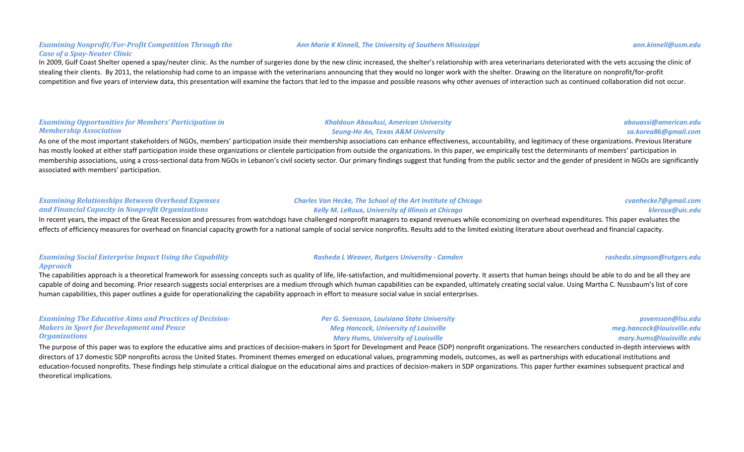### **Examining Nonprofit/For-Profit Competition Through the** *Case of a Spay-Neuter Clinic*

In 2009, Gulf Coast Shelter opened a spay/neuter clinic. As the number of surgeries done by the new clinic increased, the shelter's relationship with area veterinarians deteriorated with the vets accusing the clinic of stealing their clients. By 2011, the relationship had come to an impasse with the veterinarians announcing that they would no longer work with the shelter. Drawing on the literature on nonprofit/for-profit competition and five years of interview data, this presentation will examine the factors that led to the impasse and possible reasons why other avenues of interaction such as continued collaboration did not occur.

### **Examining Opportunities for Members' Participation in** *Membership Association*

As one of the most important stakeholders of NGOs, members' participation inside their membership associations can enhance effectiveness, accountability, and legitimacy of these organizations. Previous literature has mostly looked at either staff participation inside these organizations or clientele participation from outside the organizations. In this paper, we empirically test the determinants of members' participation in membership associations, using a cross-sectional data from NGOs in Lebanon's civil society sector. Our primary findings suggest that funding from the public sector and the gender of president in NGOs are significantly associated with members' participation.

| <b>Examining Relationships Between Overhead Expenses</b> | <b>Charles Van Hecke, The School of the Art Institute of Chicago</b> | cvanhecke7@gmail.com |
|----------------------------------------------------------|----------------------------------------------------------------------|----------------------|
| and Financial Capacity in Nonprofit Organizations        | Kelly M. LeRoux, University of Illinois at Chicago                   | kleroux@uic.edu      |

In recent years, the impact of the Great Recession and pressures from watchdogs have challenged nonprofit managers to expand revenues while economizing on overhead expenditures. This paper evaluates the effects of efficiency measures for overhead on financial capacity growth for a national sample of social service nonprofits. Results add to the limited existing literature about overhead and financial capacity.

#### **Examining Social Enterprise Impact Using the Capability** *Approach*

The capabilities approach is a theoretical framework for assessing concepts such as quality of life, life-satisfaction, and multidimensional poverty. It asserts that human beings should be able to do and be all they are capable of doing and becoming. Prior research suggests social enterprises are a medium through which human capabilities can be expanded, ultimately creating social value. Using Martha C. Nussbaum's list of core human capabilities, this paper outlines a guide for operationalizing the capability approach in effort to measure social value in social enterprises.

**Examining The Educative Aims and Practices of Decision-Makers in Sport for Development and Peace** *Organizations*

**Per G. Svensson, Louisiana State University** *Meg Hancock, University of Louisville* **Mary Hums, University of Louisville** 

*psvensson@lsu.edu meg.hancock@louisville.edu mary.hums@louisville.edu*

### The purpose of this paper was to explore the educative aims and practices of decision-makers in Sport for Development and Peace (SDP) nonprofit organizations. The researchers conducted in-depth interviews with directors of 17 domestic SDP nonprofits across the United States. Prominent themes emerged on educational values, programming models, outcomes, as well as partnerships with educational institutions and education-focused nonprofits. These findings help stimulate a critical dialogue on the educational aims and practices of decision-makers in SDP organizations. This paper further examines subsequent practical and theoretical implications.

#### *abouassi@american.edu sa.korea86@gmail.com*

### *Khaldoun AbouAssi, American University Seung-Ho An, Texas A&M University*

*Rasheda L Weaver, Rutgers University - Camden rasheda.simpson@rutgers.edu*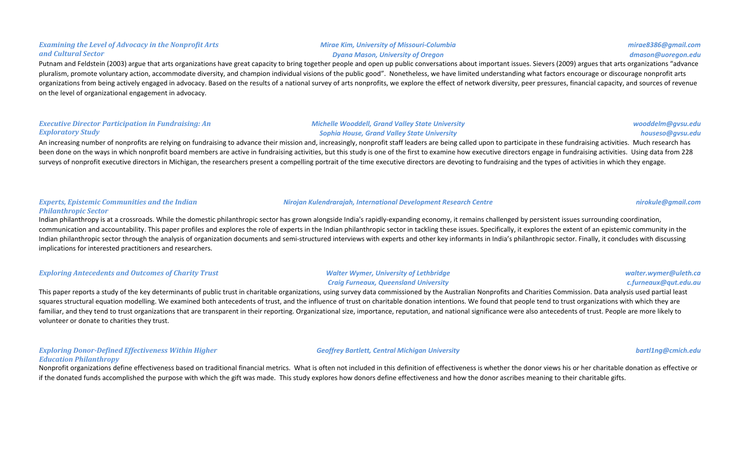### **Examining the Level of Advocacy in the Nonprofit Arts** *and Cultural Sector*

Putnam and Feldstein (2003) argue that arts organizations have great capacity to bring together people and open up public conversations about important issues. Sievers (2009) argues that arts organizations "advance pluralism, promote voluntary action, accommodate diversity, and champion individual visions of the public good". Nonetheless, we have limited understanding what factors encourage or discourage nonprofit arts organizations from being actively engaged in advocacy. Based on the results of a national survey of arts nonprofits, we explore the effect of network diversity, peer pressures, financial capacity, and sources of revenue on the level of organizational engagement in advocacy.

### *Executive Director Participation in Fundraising: An Exploratory Study*

#### **Michelle Wooddell, Grand Valley State University** *Sophia House, Grand Valley State University*

An increasing number of nonprofits are relying on fundraising to advance their mission and, increasingly, nonprofit staff leaders are being called upon to participate in these fundraising activities. Much research has been done on the ways in which nonprofit board members are active in fundraising activities, but this study is one of the first to examine how executive directors engage in fundraising activities. Using data from 228 surveys of nonprofit executive directors in Michigan, the researchers present a compelling portrait of the time executive directors are devoting to fundraising and the types of activities in which they engage.

#### *Experts, Epistemic Communities and the Indian Philanthropic Sector*

Indian philanthropy is at a crossroads. While the domestic philanthropic sector has grown alongside India's rapidly-expanding economy, it remains challenged by persistent issues surrounding coordination, communication and accountability. This paper profiles and explores the role of experts in the Indian philanthropic sector in tackling these issues. Specifically, it explores the extent of an epistemic community in the Indian philanthropic sector through the analysis of organization documents and semi-structured interviews with experts and other key informants in India's philanthropic sector. Finally, it concludes with discussing implications for interested practitioners and researchers.

| <b>Exploring Antecedents and Outcomes of Charity Trust</b>                                                                                                                                                             | <b>Walter Wymer, University of Lethbridge</b> | walter.wymer@uleth.ca |
|------------------------------------------------------------------------------------------------------------------------------------------------------------------------------------------------------------------------|-----------------------------------------------|-----------------------|
|                                                                                                                                                                                                                        | <b>Craig Furneaux, Queensland University</b>  | c.furneaux@qut.edu.au |
| This paper reports a study of the key determinants of public trust in charitable organizations, using survey data commissioned by the Australian Nonprofits and Charities Commission. Data analysis used partial least |                                               |                       |

squares structural equation modelling. We examined both antecedents of trust, and the influence of trust on charitable donation intentions. We found that people tend to trust organizations with which they are familiar, and they tend to trust organizations that are transparent in their reporting. Organizational size, importance, reputation, and national significance were also antecedents of trust. People are more likely to volunteer or donate to charities they trust.

#### **Exploring Donor-Defined Effectiveness Within Higher** *Education Philanthropy*

Nonprofit organizations define effectiveness based on traditional financial metrics. What is often not included in this definition of effectiveness is whether the donor views his or her charitable donation as effective or if the donated funds accomplished the purpose with which the gift was made. This study explores how donors define effectiveness and how the donor ascribes meaning to their charitable gifts.

### *Mirae Kim, University of Missouri-Columbia Dyana Mason, University of Oregon*

# *mirae8386@gmail.com dmason@uoregon.edu*

#### *wooddelm@gvsu.edu houseso@gvsu.edu*

#### *Nirojan Kulendrarajah, International Development Research Centre nirokule@gmail.com*

### *Geoffrey Bartlett, Central Michigan University bartl1ng@cmich.edu*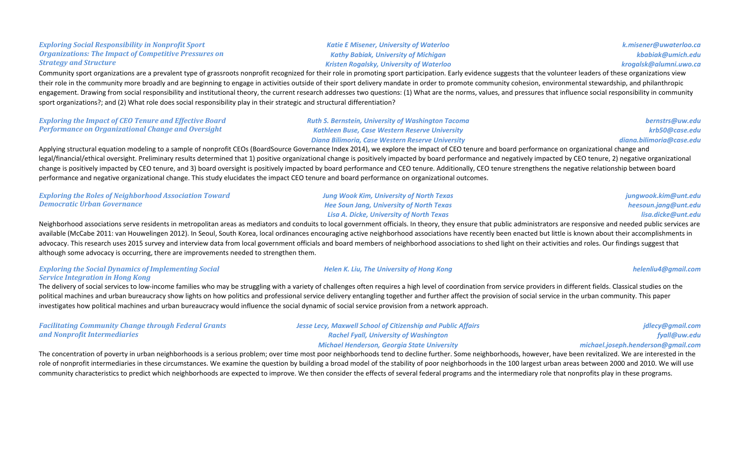#### **Organizations: The Impact of Competitive Pressures on** *Strategy and Structure Kathy Babiak, University of Michigan Kristen Rogalsky, University of Waterloo krogalsk@alumni.uwo.ca* Community sport organizations are a prevalent type of grassroots nonprofit recognized for their role in promoting sport participation. Early evidence suggests that the volunteer leaders of these organizations view their role in the community more broadly and are beginning to engage in activities outside of their sport delivery mandate in order to promote community cohesion, environmental stewardship, and philanthropic engagement. Drawing from social responsibility and institutional theory, the current research addresses two questions: (1) What are the norms, values, and pressures that influence social responsibility in community

**Exploring the Impact of CEO Tenure and Effective Board Performance on Organizational Change and Oversight** *Ruth S. Bernstein, University of Washington Tacoma Kathleen Buse, Case Western Reserve University Diana Bilimoria, Case Western Reserve University bernstrs@uw.edu krb50@case.edu diana.bilimoria@case.edu* Applying structural equation modeling to a sample of nonprofit CEOs (BoardSource Governance Index 2014), we explore the impact of CEO tenure and board performance on organizational change and legal/financial/ethical oversight. Preliminary results determined that 1) positive organizational change is positively impacted by board performance and negatively impacted by CEO tenure, 2) negative organizational change is positively impacted by CEO tenure, and 3) board oversight is positively impacted by board performance and CEO tenure. Additionally, CEO tenure strengthens the negative relationship between board performance and negative organizational change. This study elucidates the impact CEO tenure and board performance on organizational outcomes.

| <b>Exploring the Roles of Neighborhood Association Toward</b>                                                                                                                                                            | <b>Jung Wook Kim, University of North Texas</b> | jungwook.kim@unt.edu |  |  |
|--------------------------------------------------------------------------------------------------------------------------------------------------------------------------------------------------------------------------|-------------------------------------------------|----------------------|--|--|
| Democratic Urban Governance                                                                                                                                                                                              | <b>Hee Soun Jang, University of North Texas</b> | heesoun.jang@unt.edu |  |  |
|                                                                                                                                                                                                                          | Lisa A. Dicke, University of North Texas        | lisa.dicke@unt.edu   |  |  |
| Neighborhood associations serve residents in metropolitan areas as mediators and conduits to local government officials. In theory, they ensure that public administrators are responsive and needed public services are |                                                 |                      |  |  |

available (McCabe 2011: van Houwelingen 2012). In Seoul, South Korea, local ordinances encouraging active neighborhood associations have recently been enacted but little is known about their accomplishments in advocacy. This research uses 2015 survey and interview data from local government officials and board members of neighborhood associations to shed light on their activities and roles. Our findings suggest that although some advocacy is occurring, there are improvements needed to strengthen them.

### **Exploring the Social Dynamics of Implementing Social Service Integration in Hong Kong**

The delivery of social services to low-income families who may be struggling with a variety of challenges often requires a high level of coordination from service providers in different fields. Classical studies on the political machines and urban bureaucracy show lights on how politics and professional service delivery entangling together and further affect the provision of social service in the urban community. This paper investigates how political machines and urban bureaucracy would influence the social dynamic of social service provision from a network approach.

| <b>Facilitating Community Change through Federal Grants</b> | <b>Jesse Lecy, Maxwell School of Citizenship and Public Affairs</b> | jdlecy@gmail.com                   |
|-------------------------------------------------------------|---------------------------------------------------------------------|------------------------------------|
| and Nonprofit Intermediaries                                | <b>Rachel Fyall, University of Washington</b>                       | fyall@uw.edu                       |
|                                                             | Michael Henderson, Georgia State University                         | michael.joseph.henderson@gmail.com |

The concentration of poverty in urban neighborhoods is a serious problem; over time most poor neighborhoods tend to decline further. Some neighborhoods, however, have been revitalized. We are interested in the role of nonprofit intermediaries in these circumstances. We examine the question by building a broad model of the stability of poor neighborhoods in the 100 largest urban areas between 2000 and 2010. We will use community characteristics to predict which neighborhoods are expected to improve. We then consider the effects of several federal programs and the intermediary role that nonprofits play in these programs.

**Exploring Social Responsibility in Nonprofit Sport** 

sport organizations?; and (2) What role does social responsibility play in their strategic and structural differentiation?

**Katie E Misener, University of Waterloo** 



*Helen K. Liu, The University of Hong Kong helenliu4@gmail.com*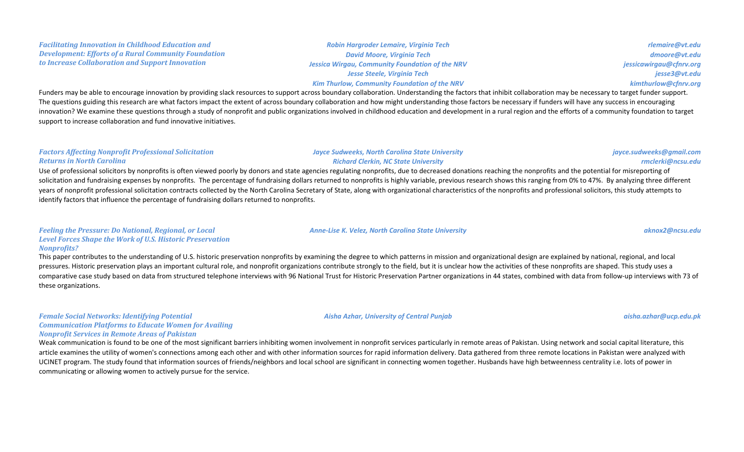#### *Development: Efforts of a Rural Community Foundation to Increase Collaboration and Support Innovation* **Jessica Wirgau, Community Foundation of the NRV** *Jesse Steele, Virginia Tech* **Kim Thurlow, Community Foundation of the NRV** Funders may be able to encourage innovation by providing slack resources to support across boundary collaboration. Understanding the factors that inhibit collaboration may be necessary to target funder support. The questions guiding this research are what factors impact the extent of across boundary collaboration and how might understanding those factors be necessary if funders will have any success in encouraging innovation? We examine these questions through a study of nonprofit and public organizations involved in childhood education and development in a rural region and the efforts of a community foundation to target

**Factors Affecting Nonprofit Professional Solicitation** *Returns in North Carolina*

support to increase collaboration and fund innovative initiatives.

**Facilitating Innovation in Childhood Education and** 

*Jayce Sudweeks, North Carolina State University Richard Clerkin, NC State University*

Use of professional solicitors by nonprofits is often viewed poorly by donors and state agencies regulating nonprofits, due to decreased donations reaching the nonprofits and the potential for misreporting of solicitation and fundraising expenses by nonprofits. The percentage of fundraising dollars returned to nonprofits is highly variable, previous research shows this ranging from 0% to 47%. By analyzing three different years of nonprofit professional solicitation contracts collected by the North Carolina Secretary of State, along with organizational characteristics of the nonprofits and professional solicitors, this study attempts to identify factors that influence the percentage of fundraising dollars returned to nonprofits.

### *Feeling the Pressure: Do National, Regional, or Local* Level Forces Shape the Work of U.S. Historic Preservation *Nonprofits?*

This paper contributes to the understanding of U.S. historic preservation nonprofits by examining the degree to which patterns in mission and organizational design are explained by national, regional, and local pressures. Historic preservation plays an important cultural role, and nonprofit organizations contribute strongly to the field, but it is unclear how the activities of these nonprofits are shaped. This study uses a comparative case study based on data from structured telephone interviews with 96 National Trust for Historic Preservation Partner organizations in 44 states, combined with data from follow-up interviews with 73 of these organizations.

**Female Social Networks: Identifying Potential Communication Platforms to Educate Women for Availing** *Nonprofit Services in Remote Areas of Pakistan*

Weak communication is found to be one of the most significant barriers inhibiting women involvement in nonprofit services particularly in remote areas of Pakistan. Using network and social capital literature, this article examines the utility of women's connections among each other and with other information sources for rapid information delivery. Data gathered from three remote locations in Pakistan were analyzed with UCINET program. The study found that information sources of friends/neighbors and local school are significant in connecting women together. Husbands have high betweenness centrality i.e. lots of power in communicating or allowing women to actively pursue for the service.

*David Moore, Virginia Tech*

*Robin Hargroder Lemaire, Virginia Tech*

*rlemaire@vt.edu dmoore@vt.edu jessicawirgau@cfnrv.org jesse3@vt.edu kimthurlow@cfnrv.org*

### *Anne-Lise K. Velez, North Carolina State University aknox2@ncsu.edu*

*rmclerki@ncsu.edu*

*jayce.sudweeks@gmail.com*

*Aisha Azhar, University of Central Punjab aisha.azhar@ucp.edu.pk*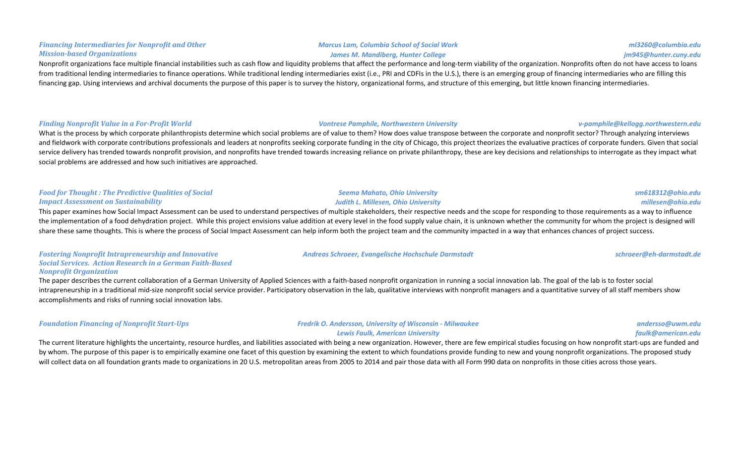### Nonprofit organizations face multiple financial instabilities such as cash flow and liquidity problems that affect the performance and long-term viability of the organization. Nonprofits often do not have access to loans from traditional lending intermediaries to finance operations. While traditional lending intermediaries exist (i.e., PRI and CDFIs in the U.S.), there is an emerging group of financing intermediaries who are filling this financing gap. Using interviews and archival documents the purpose of this paper is to survey the history, organizational forms, and structure of this emerging, but little known financing intermediaries.

#### *Finding* Nonprofit Value in a For-Profit World *Vontrese Pamphile, Northwestern University v-pamphile@kellogg.northwestern.edu*

**Financing Intermediaries for Nonprofit and Other** 

*Mission-based Organizations*

What is the process by which corporate philanthropists determine which social problems are of value to them? How does value transpose between the corporate and nonprofit sector? Through analyzing interviews and fieldwork with corporate contributions professionals and leaders at nonprofits seeking corporate funding in the city of Chicago, this project theorizes the evaluative practices of corporate funders. Given that social service delivery has trended towards nonprofit provision, and nonprofits have trended towards increasing reliance on private philanthropy, these are key decisions and relationships to interrogate as they impact what social problems are addressed and how such initiatives are approached.

#### **Food for Thought: The Predictive Qualities of Social** *Impact Assessment on Sustainability*

This paper examines how Social Impact Assessment can be used to understand perspectives of multiple stakeholders, their respective needs and the scope for responding to those requirements as a way to influence the implementation of a food dehydration project. While this project envisions value addition at every level in the food supply value chain, it is unknown whether the community for whom the project is designed will share these same thoughts. This is where the process of Social Impact Assessment can help inform both the project team and the community impacted in a way that enhances chances of project success.

*Seema Mahato, Ohio University Judith L. Millesen, Ohio University*

#### **Fostering Nonprofit Intrapreneurship and Innovative** *Social Services. Action Research in a German Faith-Based Nonprofit Organization*

The paper describes the current collaboration of a German University of Applied Sciences with a faith-based nonprofit organization in running a social innovation lab. The goal of the lab is to foster social intrapreneurship in a traditional mid-size nonprofit social service provider. Participatory observation in the lab, qualitative interviews with nonprofit managers and a quantitative survey of all staff members show accomplishments and risks of running social innovation labs.

| <b>Foundation Financing of Nonprofit Start-Ups</b> | <b>Fredrik O. Andersson, University of Wisconsin - Milwaukee</b> | andersso@uwm.   |
|----------------------------------------------------|------------------------------------------------------------------|-----------------|
|                                                    | <b>Lewis Faulk, American University</b>                          | faulk@american. |

The current literature highlights the uncertainty, resource hurdles, and liabilities associated with being a new organization. However, there are few empirical studies focusing on how nonprofit start-ups are funded and by whom. The purpose of this paper is to empirically examine one facet of this question by examining the extent to which foundations provide funding to new and young nonprofit organizations. The proposed study will collect data on all foundation grants made to organizations in 20 U.S. metropolitan areas from 2005 to 2014 and pair those data with all Form 990 data on nonprofits in those cities across those years.

#### *Marcus Lam, Columbia School of Social Work* James M. Mandiberg, Hunter College

### *sm618312@ohio.edu millesen@ohio.edu*

# *andersso@uwm.edu faulk@american.edu*

*Andreas Schroeer, Evangelische Hochschule Darmstadt schroeer@eh-darmstadt.de*

*ml3260@columbia.edu jm945@hunter.cuny.edu*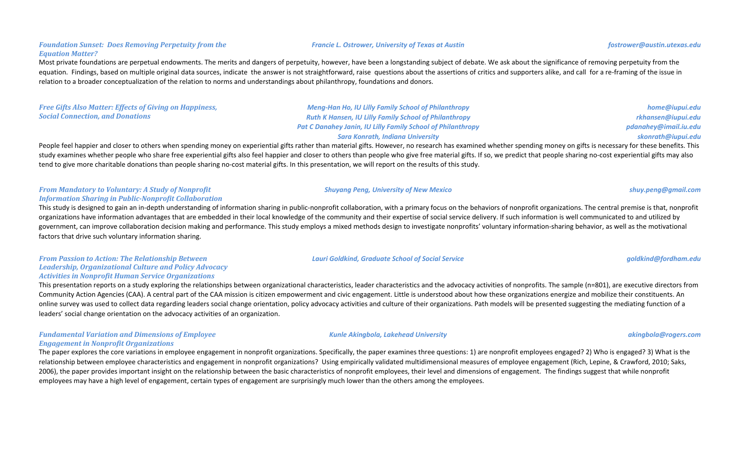### **Foundation Sunset: Does Removing Perpetuity from the** *Equation Matter?*

Most private foundations are perpetual endowments. The merits and dangers of perpetuity, however, have been a longstanding subject of debate. We ask about the significance of removing perpetuity from the equation. Findings, based on multiple original data sources, indicate the answer is not straightforward, raise questions about the assertions of critics and supporters alike, and call for a re-framing of the issue in relation to a broader conceptualization of the relation to norms and understandings about philanthropy, foundations and donors.

**Free Gifts Also Matter: Effects of Giving on Happiness, Social Connection, and Donations** *Meng-Han Ho, IU Lilly Family School of Philanthropy* **Ruth K Hansen, IU Lilly Family School of Philanthropy Pat C Danahey Janin, IU Lilly Family School of Philanthropy** *Sara Konrath, Indiana University*

People feel happier and closer to others when spending money on experiential gifts rather than material gifts. However, no research has examined whether spending money on gifts is necessary for these benefits. This study examines whether people who share free experiential gifts also feel happier and closer to others than people who give free material gifts. If so, we predict that people sharing no-cost experiential gifts may also tend to give more charitable donations than people sharing no-cost material gifts. In this presentation, we will report on the results of this study.

#### *From Mandatory to Voluntary: A Study of Nonprofit Information Sharing in Public-Nonprofit Collaboration*

This study is designed to gain an in-depth understanding of information sharing in public-nonprofit collaboration, with a primary focus on the behaviors of nonprofit organizations. The central premise is that, nonprofit organizations have information advantages that are embedded in their local knowledge of the community and their expertise of social service delivery. If such information is well communicated to and utilized by government, can improve collaboration decision making and performance. This study employs a mixed methods design to investigate nonprofits' voluntary information-sharing behavior, as well as the motivational factors that drive such voluntary information sharing.

*From Passion to Action: The Relationship Between Leadership, Organizational Culture and Policy Advocacy* Activities in Nonprofit Human Service Organizations

This presentation reports on a study exploring the relationships between organizational characteristics, leader characteristics and the advocacy activities of nonprofits. The sample (n=801), are executive directors from Community Action Agencies (CAA). A central part of the CAA mission is citizen empowerment and civic engagement. Little is understood about how these organizations energize and mobilize their constituents. An online survey was used to collect data regarding leaders social change orientation, policy advocacy activities and culture of their organizations. Path models will be presented suggesting the mediating function of a leaders' social change orientation on the advocacy activities of an organization.

### *Fundamental Variation and Dimensions of Employee Engagement in Nonprofit Organizations*

The paper explores the core variations in employee engagement in nonprofit organizations. Specifically, the paper examines three questions: 1) are nonprofit employees engaged? 2) Who is engaged? 3) What is the relationship between employee characteristics and engagement in nonprofit organizations? Using empirically validated multidimensional measures of employee engagement (Rich, Lepine, & Crawford, 2010; Saks, 2006), the paper provides important insight on the relationship between the basic characteristics of nonprofit employees, their level and dimensions of engagement. The findings suggest that while nonprofit employees may have a high level of engagement, certain types of engagement are surprisingly much lower than the others among the employees.

*Lauri Goldkind, Graduate School of Social Service goldkind@fordham.edu*

*Kunle Akingbola, Lakehead University akingbola@rogers.com*

#### *Francie L. Ostrower, University of Texas at Austin fostrower@austin.utexas.edu*

*Shuyang Peng, University of New Mexico shuy.peng@gmail.com*

*home@iupui.edu rkhansen@iupui.edu pdanahey@imail.iu.edu skonrath@iupui.edu*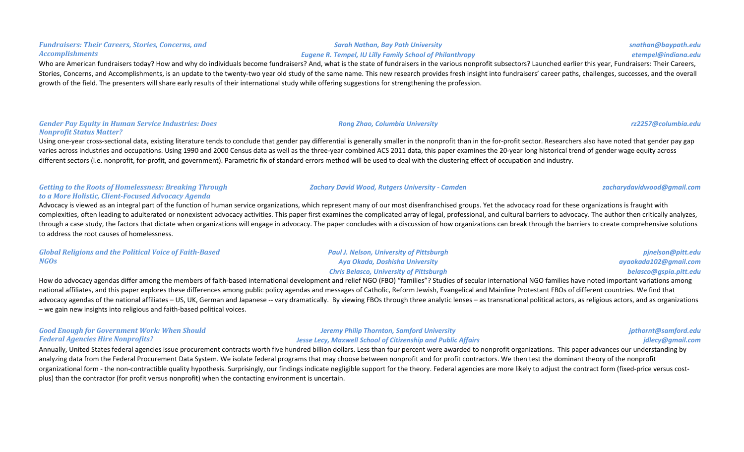#### *Sarah Nathan, Bay Path University Eugene R. Tempel, IU Lilly Family School of Philanthropy*

Who are American fundraisers today? How and why do individuals become fundraisers? And, what is the state of fundraisers in the various nonprofit subsectors? Launched earlier this year, Fundraisers: Their Careers, Stories, Concerns, and Accomplishments, is an update to the twenty-two year old study of the same name. This new research provides fresh insight into fundraisers' career paths, challenges, successes, and the overall growth of the field. The presenters will share early results of their international study while offering suggestions for strengthening the profession.

#### *Gender Pay Equity in Human Service Industries: Does Nonprofit Status Matter?*

Using one-year cross-sectional data, existing literature tends to conclude that gender pay differential is generally smaller in the nonprofit than in the for-profit sector. Researchers also have noted that gender pay gap varies across industries and occupations. Using 1990 and 2000 Census data as well as the three-year combined ACS 2011 data, this paper examines the 20-year long historical trend of gender wage equity across different sectors (i.e. nonprofit, for-profit, and government). Parametric fix of standard errors method will be used to deal with the clustering effect of occupation and industry.

### *Getting to the Roots of Homelessness: Breaking Through to a More Holistic, Client-Focused Advocacy Agenda*

Advocacy is viewed as an integral part of the function of human service organizations, which represent many of our most disenfranchised groups. Yet the advocacy road for these organizations is fraught with complexities, often leading to adulterated or nonexistent advocacy activities. This paper first examines the complicated array of legal, professional, and cultural barriers to advocacy. The author then critically analyzes, through a case study, the factors that dictate when organizations will engage in advocacy. The paper concludes with a discussion of how organizations can break through the barriers to create comprehensive solutions to address the root causes of homelessness.

| <b>Global Religions and the Political Voice of Faith-Based</b> | <b>Paul J. Nelson, University of Pittsburgh</b> | pjnelson@pitt.edu      |
|----------------------------------------------------------------|-------------------------------------------------|------------------------|
| NGOs                                                           | Aya Okada, Doshisha University                  | ayaokada102@gmail.com  |
|                                                                | <b>Chris Belasco, University of Pittsburgh</b>  | belasco@gspia.pitt.edu |

How do advocacy agendas differ among the members of faith-based international development and relief NGO (FBO) "families"? Studies of secular international NGO families have noted important variations among national affiliates, and this paper explores these differences among public policy agendas and messages of Catholic, Reform Jewish, Evangelical and Mainline Protestant FBOs of different countries. We find that advocacy agendas of the national affiliates – US, UK, German and Japanese -- vary dramatically. By viewing FBOs through three analytic lenses – as transnational political actors, as religious actors, and as organizations – we gain new insights into religious and faith-based political voices.

| <b>Good Enough for Government Work: When Should</b> | <b>Jeremy Philip Thornton, Samford University</b>                   | jpthornt@sam |
|-----------------------------------------------------|---------------------------------------------------------------------|--------------|
| <b>Federal Agencies Hire Nonprofits?</b>            | <b>Jesse Lecy, Maxwell School of Citizenship and Public Affairs</b> | jdlecy@gn    |
|                                                     |                                                                     |              |

Annually, United States federal agencies issue procurement contracts worth five hundred billion dollars. Less than four percent were awarded to nonprofit organizations. This paper advances our understanding by analyzing data from the Federal Procurement Data System. We isolate federal programs that may choose between nonprofit and for profit contractors. We then test the dominant theory of the nonprofit organizational form - the non-contractible quality hypothesis. Surprisingly, our findings indicate negligible support for the theory. Federal agencies are more likely to adjust the contract form (fixed-price versus costplus) than the contractor (for profit versus nonprofit) when the contacting environment is uncertain.

#### *Fundraisers: Their Careers, Stories, Concerns, and Accomplishments*

*snathan@baypath.edu etempel@indiana.edu*

*Zachary David Wood, Rutgers University - Camden zacharydavidwood@gmail.com*

*ford.edu jdlecy@gmail.com*

# *Rong Zhao, Columbia University rz2257@columbia.edu*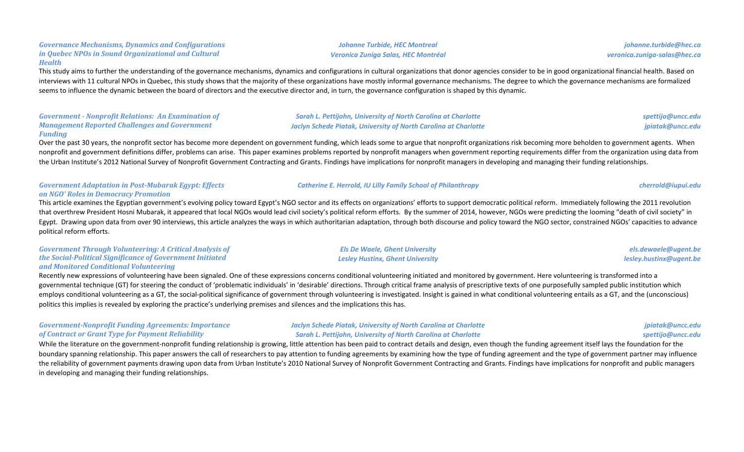# **Johanne Turbide, HEC Montreal**

This study aims to further the understanding of the governance mechanisms, dynamics and configurations in cultural organizations that donor agencies consider to be in good organizational financial health. Based on interviews with 11 cultural NPOs in Quebec, this study shows that the majority of these organizations have mostly informal governance mechanisms. The degree to which the governance mechanisms are formalized seems to influence the dynamic between the board of directors and the executive director and, in turn, the governance configuration is shaped by this dynamic.

### Government - Nonprofit Relations: An Examination of **Management Reported Challenges and Government** *Funding*

Over the past 30 years, the nonprofit sector has become more dependent on government funding, which leads some to argue that nonprofit organizations risk becoming more beholden to government agents. When nonprofit and government definitions differ, problems can arise. This paper examines problems reported by nonprofit managers when government reporting requirements differ from the organization using data from the Urban Institute's 2012 National Survey of Nonprofit Government Contracting and Grants. Findings have implications for nonprofit managers in developing and managing their funding relationships.

### Government *Adaptation* in Post-Mubarak Egypt: Effects *on NGO' Roles in Democracy Promotion*

Governance Mechanisms, Dynamics and Configurations *in Quebec NPOs in Sound Organizational and Cultural* 

*Health*

This article examines the Egyptian government's evolving policy toward Egypt's NGO sector and its effects on organizations' efforts to support democratic political reform. Immediately following the 2011 revolution that overthrew President Hosni Mubarak, it appeared that local NGOs would lead civil society's political reform efforts. By the summer of 2014, however, NGOs were predicting the looming "death of civil society" in Egypt. Drawing upon data from over 90 interviews, this article analyzes the ways in which authoritarian adaptation, through both discourse and policy toward the NGO sector, constrained NGOs' capacities to advance political reform efforts.

### Government Through Volunteering: A Critical Analysis of *the Social-Political Significance of Government Initiated and Monitored Conditional Volunteering*

Recently new expressions of volunteering have been signaled. One of these expressions concerns conditional volunteering initiated and monitored by government. Here volunteering is transformed into a governmental technique (GT) for steering the conduct of 'problematic individuals' in 'desirable' directions. Through critical frame analysis of prescriptive texts of one purposefully sampled public institution which employs conditional volunteering as a GT, the social-political significance of government through volunteering is investigated. Insight is gained in what conditional volunteering entails as a GT, and the (unconscious) politics this implies is revealed by exploring the practice's underlying premises and silences and the implications this has.

### *Government-Nonprofit Funding Agreements: Importance of Contract or Grant Type for Payment Reliability*

*Jaclyn Schede Piatak, University of North Carolina at Charlotte* **Sarah L. Pettijohn, University of North Carolina at Charlotte** 

While the literature on the government-nonprofit funding relationship is growing, little attention has been paid to contract details and design, even though the funding agreement itself lays the foundation for the boundary spanning relationship. This paper answers the call of researchers to pay attention to funding agreements by examining how the type of funding agreement and the type of government partner may influence the reliability of government payments drawing upon data from Urban Institute's 2010 National Survey of Nonprofit Government Contracting and Grants. Findings have implications for nonprofit and public managers in developing and managing their funding relationships.

# *Veronica Zuniga Salas, HEC Montréal*

*spettijo@uncc.edu*

*lesley.hustinx@ugent.be*

*jpiatak@uncc.edu*

*els.dewaele@ugent.be*

*jpiatak@uncc.edu spettijo@uncc.edu*

*johanne.turbide@hec.ca veronica.zuniga-salas@hec.ca*

### **Sarah L. Pettijohn, University of North Carolina at Charlotte** *Jaclyn Schede Piatak, University of North Carolina at Charlotte*

*Els De Waele, Ghent University* 

**Catherine E. Herrold, IU Lilly Family School of Philanthropy** *cherrold@iupui.edu cherrold@iupui.edu* 

## *Lesley Hustinx, Ghent University*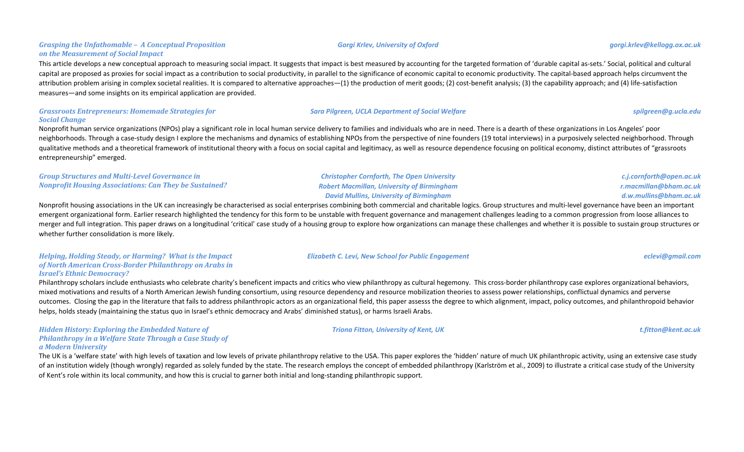### *Grasping the Unfathomable - A Conceptual Proposition on the Measurement of Social Impact*

This article develops a new conceptual approach to measuring social impact. It suggests that impact is best measured by accounting for the targeted formation of 'durable capital as-sets.' Social, political and cultural capital are proposed as proxies for social impact as a contribution to social productivity, in parallel to the significance of economic capital to economic productivity. The capital-based approach helps circumvent the attribution problem arising in complex societal realities. It is compared to alternative approaches—(1) the production of merit goods; (2) cost-benefit analysis; (3) the capability approach; and (4) life-satisfaction measures—and some insights on its empirical application are provided.

### Grassroots Entrepreneurs: Homemade Strategies for *Social Change*

Nonprofit human service organizations (NPOs) play a significant role in local human service delivery to families and individuals who are in need. There is a dearth of these organizations in Los Angeles' poor neighborhoods. Through a case-study design I explore the mechanisms and dynamics of establishing NPOs from the perspective of nine founders (19 total interviews) in a purposively selected neighborhood. Through qualitative methods and a theoretical framework of institutional theory with a focus on social capital and legitimacy, as well as resource dependence focusing on political economy, distinct attributes of "grassroots entrepreneurship" emerged.

**Sara Pilgreen, UCLA Department of Social Welfare** *spilgreen@g.ucla.edu spilgreen@g.ucla.edu* 

### *Group Structures and Multi-Level Governance in Nonprofit Housing Associations: Can They be Sustained?*

*David Mullins, University of Birmingham* Nonprofit housing associations in the UK can increasingly be characterised as social enterprises combining both commercial and charitable logics. Group structures and multi-level governance have been an important emergent organizational form. Earlier research highlighted the tendency for this form to be unstable with frequent governance and management challenges leading to a common progression from loose alliances to merger and full integration. This paper draws on a longitudinal 'critical' case study of a housing group to explore how organizations can manage these challenges and whether it is possible to sustain group structures or whether further consolidation is more likely.

### *Helping, Holding Steady, or Harming? What is the Impact* of North American Cross-Border Philanthropy on Arabs in *Israel's Ethnic Democracy?*

Philanthropy scholars include enthusiasts who celebrate charity's beneficent impacts and critics who view philanthropy as cultural hegemony. This cross-border philanthropy case explores organizational behaviors, mixed motivations and results of a North American Jewish funding consortium, using resource dependency and resource mobilization theories to assess power relationships, conflictual dynamics and perverse outcomes. Closing the gap in the literature that fails to address philanthropic actors as an organizational field, this paper assesss the degree to which alignment, impact, policy outcomes, and philanthropoid behavior helps, holds steady (maintaining the status quo in Israel's ethnic democracy and Arabs' diminished status), or harms Israeli Arabs.

### *Hidden History: Exploring the Embedded Nature of* **Philanthropy in a Welfare State Through a Case Study of** *a Modern University*

The UK is a 'welfare state' with high levels of taxation and low levels of private philanthropy relative to the USA. This paper explores the 'hidden' nature of much UK philanthropic activity, using an extensive case study of an institution widely (though wrongly) regarded as solely funded by the state. The research employs the concept of embedded philanthropy (Karlström et al., 2009) to illustrate a critical case study of the University of Kent's role within its local community, and how this is crucial to garner both initial and long-standing philanthropic support.

### *Elizabeth C. Levi, New School for Public Engagement eclevi@gmail.com*

*Christopher Cornforth, The Open University Robert Macmillan, University of Birmingham*

*Triona Fitton, University of Kent, UK t.fitton@kent.ac.uk*

*c.j.cornforth@open.ac.uk r.macmillan@bham.ac.uk d.w.mullins@bham.ac.uk*

*Gorgi Krlev, University of Oxford gorgi.krlev@kellogg.ox.ac.uk*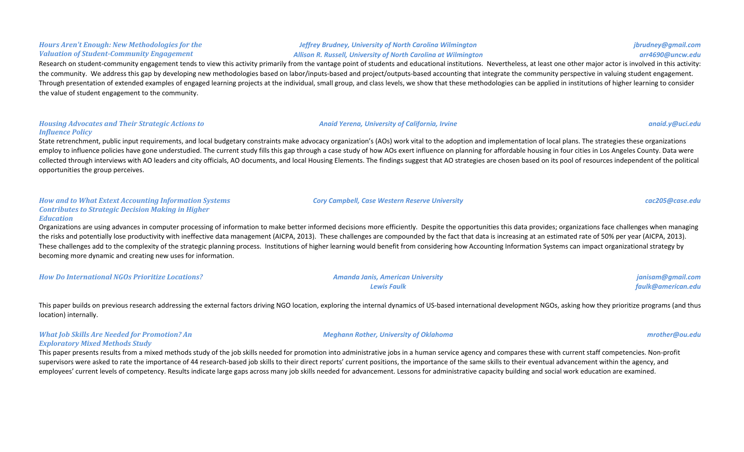### *Hours Aren't Enough: New Methodologies for the Valuation of Student-Community Engagement*

### *Jeffrey Brudney, University of North Carolina Wilmington Allison R. Russell, University of North Carolina at Wilmington*

### Research on student-community engagement tends to view this activity primarily from the vantage point of students and educational institutions. Nevertheless, at least one other major actor is involved in this activity: the community. We address this gap by developing new methodologies based on labor/inputs-based and project/outputs-based accounting that integrate the community perspective in valuing student engagement. Through presentation of extended examples of engaged learning projects at the individual, small group, and class levels, we show that these methodologies can be applied in institutions of higher learning to consider the value of student engagement to the community.

### *Housing Advocates and Their Strategic Actions to Influence Policy*

State retrenchment, public input requirements, and local budgetary constraints make advocacy organization's (AOs) work vital to the adoption and implementation of local plans. The strategies these organizations employ to influence policies have gone understudied. The current study fills this gap through a case study of how AOs exert influence on planning for affordable housing in four cities in Los Angeles County. Data were collected through interviews with AO leaders and city officials, AO documents, and local Housing Elements. The findings suggest that AO strategies are chosen based on its pool of resources independent of the political opportunities the group perceives.

### How and to What Extext Accounting Information Systems *Contributes to Strategic Decision Making in Higher Education*

Organizations are using advances in computer processing of information to make better informed decisions more efficiently. Despite the opportunities this data provides; organizations face challenges when managing the risks and potentially lose productivity with ineffective data management (AICPA, 2013). These challenges are compounded by the fact that data is increasing at an estimated rate of 50% per year (AICPA, 2013). These challenges add to the complexity of the strategic planning process. Institutions of higher learning would benefit from considering how Accounting Information Systems can impact organizational strategy by becoming more dynamic and creating new uses for information.

| <b>How Do International NGOs Prioritize Locations?</b> | <b>Amanda Janis, American University</b> | janisam@gmail.com  |
|--------------------------------------------------------|------------------------------------------|--------------------|
|                                                        | <b>Lewis Faulk</b>                       | faulk@american.edu |

This paper builds on previous research addressing the external factors driving NGO location, exploring the internal dynamics of US-based international development NGOs, asking how they prioritize programs (and thus location) internally.

### *What Job Skills Are Needed for Promotion? An Exploratory Mixed Methods Study*

This paper presents results from a mixed methods study of the job skills needed for promotion into administrative jobs in a human service agency and compares these with current staff competencies. Non-profit supervisors were asked to rate the importance of 44 research-based job skills to their direct reports' current positions, the importance of the same skills to their eventual advancement within the agency, and employees' current levels of competency. Results indicate large gaps across many job skills needed for advancement. Lessons for administrative capacity building and social work education are examined.

*jbrudney@gmail.com arr4690@uncw.edu*

### *Cory Campbell, Case Western Reserve University cac205@case.edu*

*Anaid Yerena, University of California, Irvine anaid.y@uci.edu*

### *Meghann Rother, University of Oklahoma mrother@ou.edu*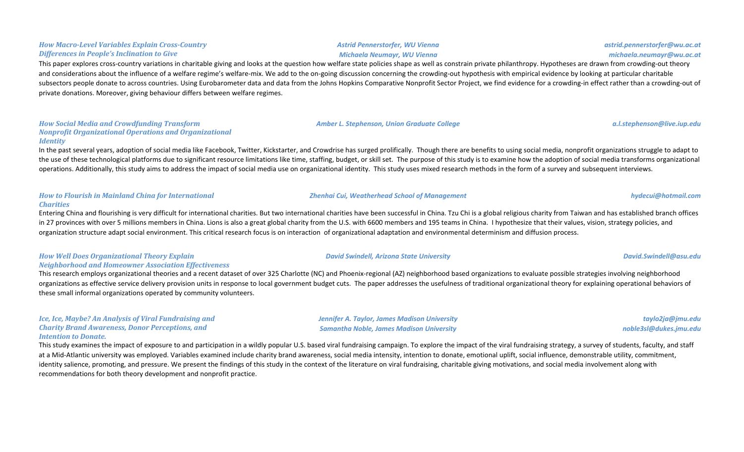### *How Macro-Level Variables Explain Cross-Country*  **Differences in People's Inclination to Give**

This paper explores cross-country variations in charitable giving and looks at the question how welfare state policies shape as well as constrain private philanthropy. Hypotheses are drawn from crowding-out theory and considerations about the influence of a welfare regime's welfare-mix. We add to the on-going discussion concerning the crowding-out hypothesis with empirical evidence by looking at particular charitable subsectors people donate to across countries. Using Eurobarometer data and data from the Johns Hopkins Comparative Nonprofit Sector Project, we find evidence for a crowding-in effect rather than a crowding-out of private donations. Moreover, giving behaviour differs between welfare regimes.

### *How Social Media and Crowdfunding Transform Nonprofit Organizational Operations and Organizational Identity*

In the past several years, adoption of social media like Facebook, Twitter, Kickstarter, and Crowdrise has surged prolifically. Though there are benefits to using social media, nonprofit organizations struggle to adapt to the use of these technological platforms due to significant resource limitations like time, staffing, budget, or skill set. The purpose of this study is to examine how the adoption of social media transforms organizational operations. Additionally, this study aims to address the impact of social media use on organizational identity. This study uses mixed research methods in the form of a survey and subsequent interviews.

### **How to Flourish in Mainland China for International** *Charities*

Entering China and flourishing is very difficult for international charities. But two international charities have been successful in China. Tzu Chi is a global religious charity from Taiwan and has established branch offi in 27 provinces with over 5 millions members in China. Lions is also a great global charity from the U.S. with 6600 members and 195 teams in China. I hypothesize that their values, vision, strategy policies, and organization structure adapt social environment. This critical research focus is on interaction of organizational adaptation and environmental determinism and diffusion process.

### *How Well Does Organizational Theory Explain Neighborhood and Homeowner Association Effectiveness*

This research employs organizational theories and a recent dataset of over 325 Charlotte (NC) and Phoenix-regional (AZ) neighborhood based organizations to evaluate possible strategies involving neighborhood organizations as effective service delivery provision units in response to local government budget cuts. The paper addresses the usefulness of traditional organizational theory for explaining operational behaviors of these small informal organizations operated by community volunteers.

### *Ice, Ice, Maybe? An Analysis of Viral Fundraising and Charity Brand Awareness, Donor Perceptions, and* **Intention to Donate.**

This study examines the impact of exposure to and participation in a wildly popular U.S. based viral fundraising campaign. To explore the impact of the viral fundraising strategy, a survey of students, faculty, and staff at a Mid-Atlantic university was employed. Variables examined include charity brand awareness, social media intensity, intention to donate, emotional uplift, social influence, demonstrable utility, commitment, identity salience, promoting, and pressure. We present the findings of this study in the context of the literature on viral fundraising, charitable giving motivations, and social media involvement along with recommendations for both theory development and nonprofit practice.

### *Astrid Pennerstorfer, WU Vienna Michaela Neumayr, WU Vienna*

## *Amber L. Stephenson, Union Graduate College**a.l.stephenson@live.iup.edu**a.l.stephenson@live.iup.edu*

*Zhenhai Cui, Weatherhead School of Management hydecui@hotmail.com*

*Jennifer A. Taylor, James Madison University Samantha Noble, James Madison University*

*taylo2ja@jmu.edu noble3sl@dukes.jmu.edu*

*David Swindell, Arizona State University David.Swindell@asu.edu*

*astrid.pennerstorfer@wu.ac.at michaela.neumayr@wu.ac.at*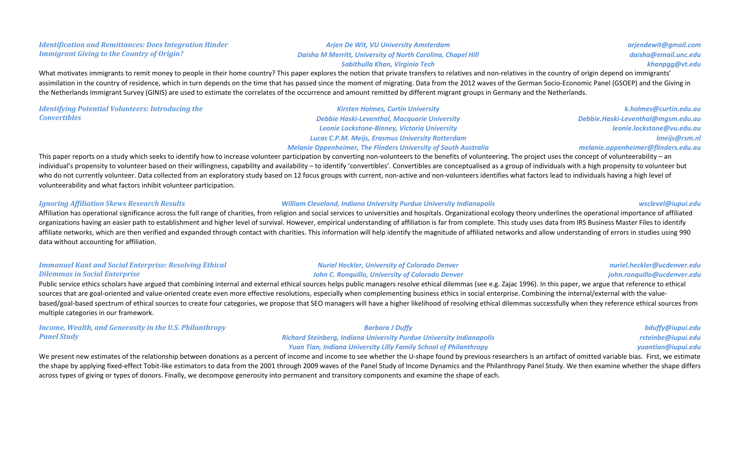### *Identification and Remittances: Does Integration Hinder Immigrant Giving to the Country of Origin?*

### *Arjen De Wit, VU University Amsterdam Daisha M Merritt, University of North Carolina, Chapel Hill*

*arjendewit@gmail.com daisha@email.unc.edu khanpgg@vt.edu*

### *Sabithulla Khan, Virginia Tech*

What motivates immigrants to remit money to people in their home country? This paper explores the notion that private transfers to relatives and non-relatives in the country of origin depend on immigrants' assimilation in the country of residence, which in turn depends on the time that has passed since the moment of migrating. Data from the 2012 waves of the German Socio-Economic Panel (GSOEP) and the Giving in the Netherlands Immigrant Survey (GINIS) are used to estimate the correlates of the occurrence and amount remitted by different migrant groups in Germany and the Netherlands.

*Identifying Potential Volunteers: Introducing the Convertibles*

*Kirsten Holmes, Curtin University Debbie Haski-Leventhal, Macquarie University Leonie Lockstone-Binney, Victoria University Lucas C.P.M. Meijs, Erasmus University Rotterdam Melanie Oppenheimer, The Flinders University of South Australia* 

*k.holmes@curtin.edu.au Debbie.Haski-Leventhal@mgsm.edu.au leonie.lockstone@vu.edu.au lmeijs@rsm.nl melanie.oppenheimer@flinders.edu.au*

This paper reports on a study which seeks to identify how to increase volunteer participation by converting non-volunteers to the benefits of volunteering. The project uses the concept of volunteerability – an individual's propensity to volunteer based on their willingness, capability and availability - to identify 'convertibles'. Convertibles are conceptualised as a group of individuals with a high propensity to volunteer but who do not currently volunteer. Data collected from an exploratory study based on 12 focus groups with current, non-active and non-volunteers identifies what factors lead to individuals having a high level of volunteerability and what factors inhibit volunteer participation.

### *Ignoring Affiliation Skews Research Results William Cleveland, Indiana University Purdue University Indianapolis wsclevel@iupui.edu*

Affiliation has operational significance across the full range of charities, from religion and social services to universities and hospitals. Organizational ecology theory underlines the operational importance of affiliate organizations having an easier path to establishment and higher level of survival. However, empirical understanding of affiliation is far from complete. This study uses data from IRS Business Master Files to identify affiliate networks, which are then verified and expanded through contact with charities. This information will help identify the magnitude of affiliated networks and allow understanding of errors in studies using 990 data without accounting for affiliation.

### *Immanuel Kant and Social Enterprise: Resolving Ethical Dilemmas in Social Enterprise*

*Nuriel Heckler, University of Colorado Denver* **John C. Ronquillo, University of Colorado Denver** 

Public service ethics scholars have argued that combining internal and external ethical sources helps public managers resolve ethical dilemmas (see e.g. Zajac 1996). In this paper, we argue that reference to ethical sources that are goal-oriented and value-oriented create even more effective resolutions, especially when complementing business ethics in social enterprise. Combining the internal/external with the valuebased/goal-based spectrum of ethical sources to create four categories, we propose that SEO managers will have a higher likelihood of resolving ethical dilemmas successfully when they reference ethical sources from multiple categories in our framework.

*Income, Wealth, and Generosity in the U.S. Philanthropy Panel Study*

*Barbara J Duffy Richard Steinberg, Indiana University Purdue University Indianapolis* **Yuan Tian, Indiana University Lilly Family School of Philanthropy** 

*bduffy@iupui.edu rsteinbe@iupui.edu yuantian@iupui.edu*

We present new estimates of the relationship between donations as a percent of income and income to see whether the U-shape found by previous researchers is an artifact of omitted variable bias. First, we estimate the shape by applying fixed-effect Tobit-like estimators to data from the 2001 through 2009 waves of the Panel Study of Income Dynamics and the Philanthropy Panel Study. We then examine whether the shape differs across types of giving or types of donors. Finally, we decompose generosity into permanent and transitory components and examine the shape of each.

*nuriel.heckler@ucdenver.edu john.ronquillo@ucdenver.edu*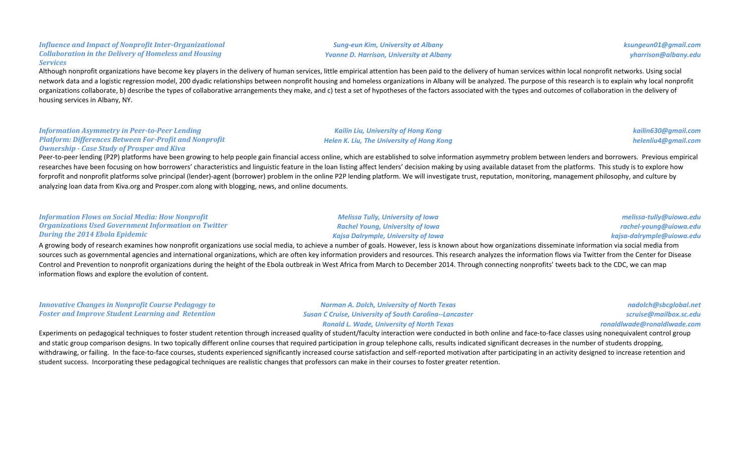### *Influence and Impact of Nonprofit Inter-Organizational* **Collaboration in the Delivery of Homeless and Housing** *Services*

Although nonprofit organizations have become key players in the delivery of human services, little empirical attention has been paid to the delivery of human services within local nonprofit networks. Using social network data and a logistic regression model, 200 dyadic relationships between nonprofit housing and homeless organizations in Albany will be analyzed. The purpose of this research is to explain why local nonprofit organizations collaborate, b) describe the types of collaborative arrangements they make, and c) test a set of hypotheses of the factors associated with the types and outcomes of collaboration in the delivery of housing services in Albany, NY.

### **Information Asymmetry in Peer-to-Peer Lending Platform: Differences Between For-Profit and Nonprofit Ownership - Case Study of Prosper and Kiva**

Peer-to-peer lending (P2P) platforms have been growing to help people gain financial access online, which are established to solve information asymmetry problem between lenders and borrowers. Previous empirical researches have been focusing on how borrowers' characteristics and linguistic feature in the loan listing affect lenders' decision making by using available dataset from the platforms. This study is to explore how forprofit and nonprofit platforms solve principal (lender)-agent (borrower) problem in the online P2P lending platform. We will investigate trust, reputation, monitoring, management philosophy, and culture by analyzing loan data from Kiva.org and Prosper.com along with blogging, news, and online documents.

| <b>Information Flows on Social Media: How Nonprofit</b>     |
|-------------------------------------------------------------|
| <b>Organizations Used Government Information on Twitter</b> |
| <b>During the 2014 Ebola Epidemic</b>                       |

**Melissa Tully, University of Iowa** *Rachel Young, University of Iowa Kajsa Dalrymple, University of Iowa*

*melissa-tully@uiowa.edu rachel-young@uiowa.edu kajsa-dalrymple@uiowa.edu*

A growing body of research examines how nonprofit organizations use social media, to achieve a number of goals. However, less is known about how organizations disseminate information via social media from sources such as governmental agencies and international organizations, which are often key information providers and resources. This research analyzes the information flows via Twitter from the Center for Disease Control and Prevention to nonprofit organizations during the height of the Ebola outbreak in West Africa from March to December 2014. Through connecting nonprofits' tweets back to the CDC, we can map information flows and explore the evolution of content.

*Innovative Changes in Nonprofit Course Pedagogy to* **Foster and Improve Student Learning and Retention** *Norman A. Dolch, University of North Texas Susan C Cruise, University of South Carolina--Lancaster Ronald L. Wade, University of North Texas ronaldlwade@ronaldlwade.com* Experiments on pedagogical techniques to foster student retention through increased quality of student/faculty interaction were conducted in both online and face-to-face classes using nonequivalent control group

and static group comparison designs. In two topically different online courses that required participation in group telephone calls, results indicated significant decreases in the number of students dropping, withdrawing, or failing. In the face-to-face courses, students experienced significantly increased course satisfaction and self-reported motivation after participating in an activity designed to increase retention and student success. Incorporating these pedagogical techniques are realistic changes that professors can make in their courses to foster greater retention.

# **Sung-eun Kim, University at Albany**

*Kailin Liu, University of Hong Kong Helen K. Liu, The University of Hong Kong*  *ksungeun01@gmail.com yharrison@albany.edu*

> *kailin630@gmail.com helenliu4@gmail.com*

*nadolch@sbcglobal.net scruise@mailbox.sc.edu*

# *Yvonne D. Harrison, University at Albany*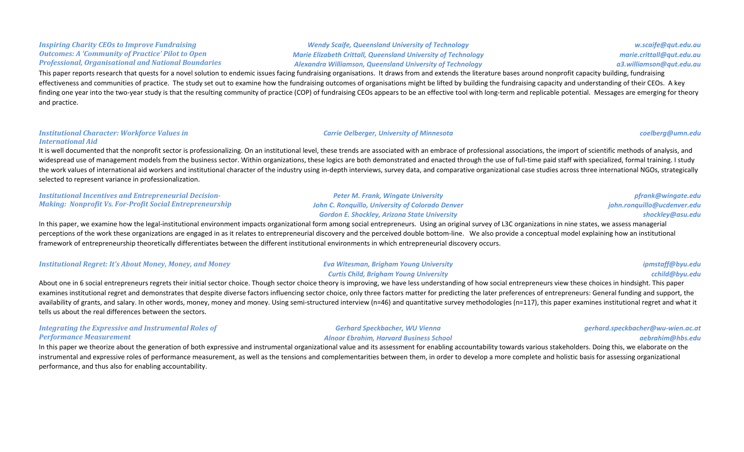### *Inspiring Charity CEOs to Improve Fundraising* **Outcomes:** A 'Community of Practice' Pilot to Open *Professional, Organisational and National Boundaries*

*Wendy Scaife, Queensland University of Technology Marie Elizabeth Crittall, Queensland University of Technology Alexandra Williamson, Queensland University of Technology*

*w.scaife@qut.edu.au marie.crittall@qut.edu.au a3.williamson@qut.edu.au*

This paper reports research that quests for a novel solution to endemic issues facing fundraising organisations. It draws from and extends the literature bases around nonprofit capacity building, fundraising effectiveness and communities of practice. The study set out to examine how the fundraising outcomes of organisations might be lifted by building the fundraising capacity and understanding of their CEOs. A key finding one year into the two-year study is that the resulting community of practice (COP) of fundraising CEOs appears to be an effective tool with long-term and replicable potential. Messages are emerging for theory and practice.

### **Institutional Character: Workforce Values in** *International Aid*

It is well documented that the nonprofit sector is professionalizing. On an institutional level, these trends are associated with an embrace of professional associations, the import of scientific methods of analysis, and widespread use of management models from the business sector. Within organizations, these logics are both demonstrated and enacted through the use of full-time paid staff with specialized, formal training. I study the work values of international aid workers and institutional character of the industry using in-depth interviews, survey data, and comparative organizational case studies across three international NGOs, strategically selected to represent variance in professionalization.

**Institutional Incentives and Entrepreneurial Decision-***Making: Nonprofit Vs. For-Profit Social Entrepreneurship* 

**Peter M. Frank, Wingate University John C. Ronquillo, University of Colorado Denver** *Gordon E. Shockley, Arizona State University*

*pfrank@wingate.edu john.ronquillo@ucdenver.edu shockley@asu.edu*

In this paper, we examine how the legal-institutional environment impacts organizational form among social entrepreneurs. Using an original survey of L3C organizations in nine states, we assess managerial perceptions of the work these organizations are engaged in as it relates to entrepreneurial discovery and the perceived double bottom-line. We also provide a conceptual model explaining how an institutional framework of entrepreneurship theoretically differentiates between the different institutional environments in which entrepreneurial discovery occurs.

| <b>Institutional Regret: It's About Money, Money, and Money</b> | <b>Eva Witesman, Brigham Young University</b> | ipmstaff@byu.edu |
|-----------------------------------------------------------------|-----------------------------------------------|------------------|
|                                                                 | <b>Curtis Child, Brigham Young University</b> | cchild@byu.edu   |

About one in 6 social entrepreneurs regrets their initial sector choice. Though sector choice theory is improving, we have less understanding of how social entrepreneurs view these choices in hindsight. This paper examines institutional regret and demonstrates that despite diverse factors influencing sector choice, only three factors matter for predicting the later preferences of entrepreneurs: General funding and support, the availability of grants, and salary. In other words, money, money and money. Using semi-structured interview (n=46) and quantitative survey methodologies (n=117), this paper examines institutional regret and what it tells us about the real differences between the sectors.

### *Integrating the Expressive and Instrumental Roles of Performance Measurement*

In this paper we theorize about the generation of both expressive and instrumental organizational value and its assessment for enabling accountability towards various stakeholders. Doing this, we elaborate on the instrumental and expressive roles of performance measurement, as well as the tensions and complementarities between them, in order to develop a more complete and holistic basis for assessing organizational performance, and thus also for enabling accountability.

### *Gerhard Speckbacher, WU Vienna Alnoor Ebrahim, Harvard Business School*

*gerhard.speckbacher@wu-wien.ac.at aebrahim@hbs.edu*

### *Carrie Oelberger, University of Minnesota coelberg@umn.edu*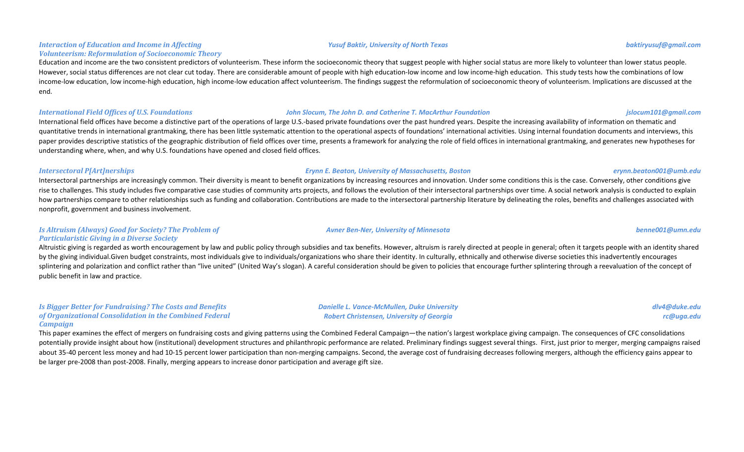*Interaction of Education and Income in Affecting Volunteerism: Reformulation of Socioeconomic Theory*

Education and income are the two consistent predictors of volunteerism. These inform the socioeconomic theory that suggest people with higher social status are more likely to volunteer than lower status people. However, social status differences are not clear cut today. There are considerable amount of people with high education-low income and low income-high education. This study tests how the combinations of low income-low education, low income-high education, high income-low education affect volunteerism. The findings suggest the reformulation of socioeconomic theory of volunteerism. Implications are discussed at the end.

### *International Field Offices of U.S. Foundations John Slocum, The John D. and Catherine T. MacArthur Foundation jslocum101@gmail.com*

International field offices have become a distinctive part of the operations of large U.S.-based private foundations over the past hundred years. Despite the increasing availability of information on thematic and quantitative trends in international grantmaking, there has been little systematic attention to the operational aspects of foundations' international activities. Using internal foundation documents and interviews, this paper provides descriptive statistics of the geographic distribution of field offices over time, presents a framework for analyzing the role of field offices in international grantmaking, and generates new hypotheses for understanding where, when, and why U.S. foundations have opened and closed field offices.

### **Intersectoral P[Art]nerships Exynn E. Beaton, University of Massachusetts, Boston** *Erynn E. Beaton, University of Massachusetts, Boston**erynn.beaton001@umb.edu*

Intersectoral partnerships are increasingly common. Their diversity is meant to benefit organizations by increasing resources and innovation. Under some conditions this is the case. Conversely, other conditions give rise to challenges. This study includes five comparative case studies of community arts projects, and follows the evolution of their intersectoral partnerships over time. A social network analysis is conducted to explain how partnerships compare to other relationships such as funding and collaboration. Contributions are made to the intersectoral partnership literature by delineating the roles, benefits and challenges associated with nonprofit, government and business involvement.

### *Is Altruism (Always) Good for Society? The Problem of Particularistic Giving in a Diverse Society*

Altruistic giving is regarded as worth encouragement by law and public policy through subsidies and tax benefits. However, altruism is rarely directed at people in general; often it targets people with an identity shared by the giving individual.Given budget constraints, most individuals give to individuals/organizations who share their identity. In culturally, ethnically and otherwise diverse societies this inadvertently encourages splintering and polarization and conflict rather than "live united" (United Way's slogan). A careful consideration should be given to policies that encourage further splintering through a reevaluation of the concept of public benefit in law and practice.

### *Is Bigger Better for Fundraising? The Costs and Benefits* of Organizational Consolidation in the Combined Federal *Campaign*

*Danielle L. Vance-McMullen, Duke University Robert Christensen, University of Georgia*

*dlv4@duke.edu rc@uga.edu*

This paper examines the effect of mergers on fundraising costs and giving patterns using the Combined Federal Campaign—the nation's largest workplace giving campaign. The consequences of CFC consolidations potentially provide insight about how (institutional) development structures and philanthropic performance are related. Preliminary findings suggest several things. First, just prior to merger, merging campaigns raised about 35-40 percent less money and had 10-15 percent lower participation than non-merging campaigns. Second, the average cost of fundraising decreases following mergers, although the efficiency gains appear to be larger pre-2008 than post-2008. Finally, merging appears to increase donor participation and average gift size.

### *Yusuf Baktir, University of North Texas baktiryusuf@gmail.com*

### *Avner Ben-Ner, University of Minnesota benne001@umn.edu*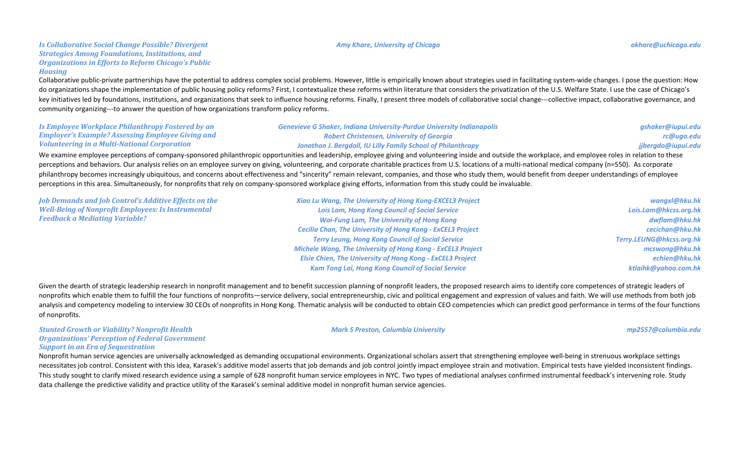### **Is Collaborative Social Change Possible? Divergent** *Strategies Among Foundations, Institutions, and* **Organizations in Efforts to Reform Chicago's Public** *Housing*

Collaborative public-private partnerships have the potential to address complex social problems. However, little is empirically known about strategies used in facilitating system-wide changes. I pose the question: How do organizations shape the implementation of public housing policy reforms? First, I contextualize these reforms within literature that considers the privatization of the U.S. Welfare State. I use the case of Chicago's key initiatives led by foundations, institutions, and organizations that seek to influence housing reforms. Finally, I present three models of collaborative social change---collective impact, collaborative governance, and community organizing---to answer the question of how organizations transform policy reforms.

| Is Employee Workplace Philanthropy Fostered by an        | <b>Genevieve G Shaker, Indiana University-Purdue University Indianapolis</b>                                                              | gshaker@iupui.edu  |
|----------------------------------------------------------|-------------------------------------------------------------------------------------------------------------------------------------------|--------------------|
| <b>Employer's Example? Assessing Employee Giving and</b> | Robert Christensen, University of Georgia                                                                                                 | rc@uga.edu         |
| <b>Volunteering in a Multi-National Corporation</b>      | Jonathon J. Bergdoll, IU Lilly Family School of Philanthropy                                                                              | jjbergdo@iupui.edu |
|                                                          | MCC and and an annual contract and alternative and the collective and actual contract of a studies and actual contract and contract and a |                    |

We examine employee perceptions of company-sponsored philanthropic opportunities and leadership, employee giving and volunteering inside and outside the workplace, and employee roles in relation to these perceptions and behaviors. Our analysis relies on an employee survey on giving, volunteering, and corporate charitable practices from U.S. locations of a multi-national medical company (n=550). As corporate philanthropy becomes increasingly ubiquitous, and concerns about effectiveness and "sincerity" remain relevant, companies, and those who study them, would benefit from deeper understandings of employee perceptions in this area. Simultaneously, for nonprofits that rely on company-sponsored workplace giving efforts, information from this study could be invaluable.

| Xiao Lu Wang, The University of Hong Kong-EXCEL3 Project          | wangxl@hku.hk            |
|-------------------------------------------------------------------|--------------------------|
| <b>Lois Lam, Hong Kong Council of Social Service</b>              | Lois.Lam@hkcss.org.hk    |
| <b>Wai-Fung Lam, The University of Hong Kong</b>                  | dwflam@hku.hk            |
| <b>Cecilia Chan, The University of Hong Kong - ExCEL3 Project</b> | cecichan@hku.hk          |
| <b>Terry Leung, Hong Kong Council of Social Service</b>           | Terry.LEUNG@hkcss.org.hk |
| <b>Michele Wong, The University of Hong Kong - ExCEL3 Project</b> | mcswong@hku.hk           |
| <b>Elsie Chien, The University of Hong Kong - ExCEL3 Project</b>  | echien@hku.hk            |
| <b>Kam Tong Lai, Hong Kong Council of Social Service</b>          | ktlaihk@yahoo.com.hk     |
|                                                                   |                          |

Given the dearth of strategic leadership research in nonprofit management and to benefit succession planning of nonprofit leaders, the proposed research aims to identify core competences of strategic leaders of nonprofits which enable them to fulfill the four functions of nonprofits—service delivery, social entrepreneurship, civic and political engagement and expression of values and faith. We will use methods from both job analysis and competency modeling to interview 30 CEOs of nonprofits in Hong Kong. Thematic analysis will be conducted to obtain CEO competencies which can predict good performance in terms of the four functions of nonprofits.

### **Stunted Growth or Viability? Nonprofit Health Organizations' Perception of Federal Government Support in an Era of Sequestration**

*Mark S Preston, Columbia University mp2557@columbia.edu*

Nonprofit human service agencies are universally acknowledged as demanding occupational environments. Organizational scholars assert that strengthening employee well-being in strenuous workplace settings necessitates job control. Consistent with this idea, Karasek's additive model asserts that job demands and job control jointly impact employee strain and motivation. Empirical tests have yielded inconsistent findings. This study sought to clarify mixed research evidence using a sample of 628 nonprofit human service employees in NYC. Two types of mediational analyses confirmed instrumental feedback's intervening role. Study data challenge the predictive validity and practice utility of the Karasek's seminal additive model in nonprofit human service agencies.

### *Amy Khare, University of Chicago**and a strategies of the strategies of the strategies of the strategies of the strategies of the strategies of the strategies of the strategies of the strategies of the strategies of the*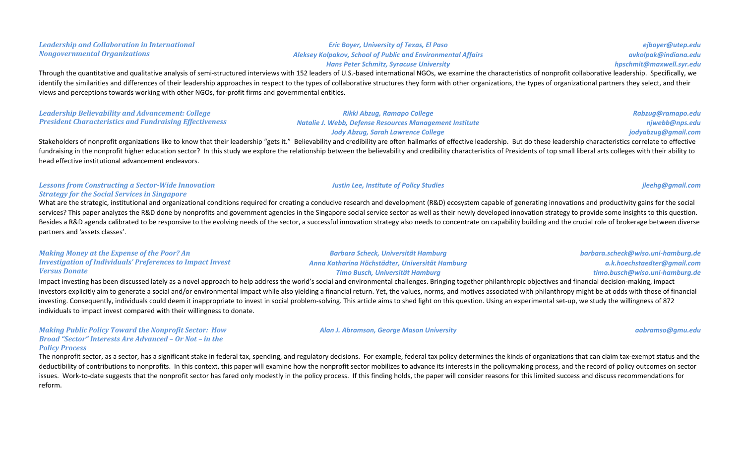*Leadership and Collaboration in International Nongovernmental Organizations*

### *Aleksey Kolpakov, School of Public and Environmental Affairs Hans Peter Schmitz, Syracuse University*

*Eric Boyer, University of Texas, El Paso*

Through the quantitative and qualitative analysis of semi-structured interviews with 152 leaders of U.S.-based international NGOs, we examine the characteristics of nonprofit collaborative leadership. Specifically, we identify the similarities and differences of their leadership approaches in respect to the types of collaborative structures they form with other organizations, the types of organizational partners they select, and their views and perceptions towards working with other NGOs, for-profit firms and governmental entities.

### Leadership Believability and Advancement: College **President Characteristics and Fundraising Effectiveness**

### Lessons from Constructing a Sector-Wide Innovation *Strategy for the Social Services in Singapore*

head effective institutional advancement endeavors.

What are the strategic, institutional and organizational conditions required for creating a conducive research and development (R&D) ecosystem capable of generating innovations and productivity gains for the social services? This paper analyzes the R&D done by nonprofits and government agencies in the Singapore social service sector as well as their newly developed innovation strategy to provide some insights to this question. Besides a R&D agenda calibrated to be responsive to the evolving needs of the sector, a successful innovation strategy also needs to concentrate on capability building and the crucial role of brokerage between diverse partners and 'assets classes'.

| <b>Making Money at the Expense of the Poor? An</b>                |
|-------------------------------------------------------------------|
| <b>Investigation of Individuals' Preferences to Impact Invest</b> |
| <i><b>Versus Donate</b></i>                                       |

Impact investing has been discussed lately as a novel approach to help address the world's social and environmental challenges. Bringing together philanthropic objectives and financial decision-making, impact investors explicitly aim to generate a social and/or environmental impact while also yielding a financial return. Yet, the values, norms, and motives associated with philanthropy might be at odds with those of financial investing. Consequently, individuals could deem it inappropriate to invest in social problem-solving. This article aims to shed light on this question. Using an experimental set-up, we study the willingness of 872 individuals to impact invest compared with their willingness to donate.

### *Making Public Policy Toward the Nonprofit Sector: How Broad "Sector" Interests Are Advanced - Or Not - in the Policy Process*

The nonprofit sector, as a sector, has a significant stake in federal tax, spending, and regulatory decisions. For example, federal tax policy determines the kinds of organizations that can claim tax-exempt status and the deductibility of contributions to nonprofits. In this context, this paper will examine how the nonprofit sector mobilizes to advance its interests in the policymaking process, and the record of policy outcomes on sector issues. Work-to-date suggests that the nonprofit sector has fared only modestly in the policy process. If this finding holds, the paper will consider reasons for this limited success and discuss recommendations for reform.

*barbara.scheck@wiso.uni-hamburg.de a.k.hoechstaedter@gmail.com*

## *Justin Lee, Institute of Policy Studies jleehg@gmail.com*

### *Jody Abzug, Sarah Lawrence College* Stakeholders of nonprofit organizations like to know that their leadership "gets it." Believability and credibility are often hallmarks of effective leadership. But do these leadership characteristics correlate to effectiv fundraising in the nonprofit higher education sector? In this study we explore the relationship between the believability and credibility characteristics of Presidents of top small liberal arts colleges with their ability

*Rikki Abzug, Ramapo College Natalie J. Webb, Defense Resources Management Institute* 

*Barbara Scheck, Universität Hamburg Anna Katharina Höchstädter, Universität Hamburg Timo Busch, Universität Hamburg*

*Alan J. Abramson, George Mason University aabramso@gmu.edu*

*timo.busch@wiso.uni-hamburg.de*

*Rabzug@ramapo.edu njwebb@nps.edu jodyabzug@gmail.com*

*ejboyer@utep.edu avkolpak@indiana.edu hpschmit@maxwell.syr.edu*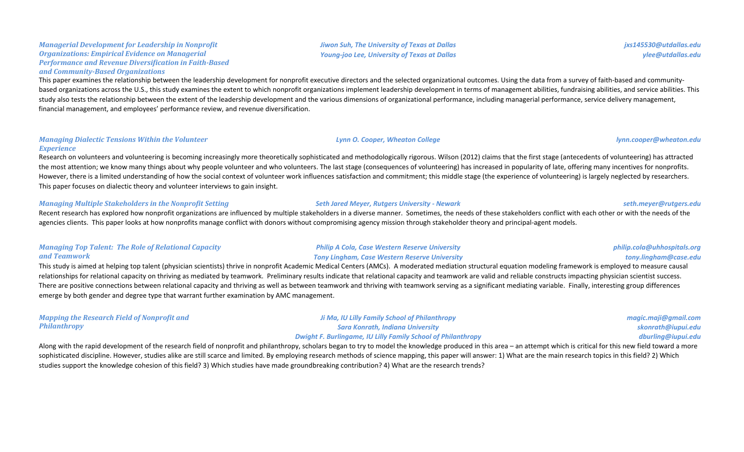### *Managerial Development for Leadership in Nonprofit* **Organizations: Empirical Evidence on Managerial Performance and Revenue Diversification in Faith-Based** *and Community-Based Organizations*

This paper examines the relationship between the leadership development for nonprofit executive directors and the selected organizational outcomes. Using the data from a survey of faith-based and communitybased organizations across the U.S., this study examines the extent to which nonprofit organizations implement leadership development in terms of management abilities, fundraising abilities, and service abilities. This study also tests the relationship between the extent of the leadership development and the various dimensions of organizational performance, including managerial performance, service delivery management, financial management, and employees' performance review, and revenue diversification.

### **Managing Dialectic Tensions Within the Volunteer** *Experience*

Research on volunteers and volunteering is becoming increasingly more theoretically sophisticated and methodologically rigorous. Wilson (2012) claims that the first stage (antecedents of volunteering) has attracted the most attention; we know many things about why people volunteer and who volunteers. The last stage (consequences of volunteering) has increased in popularity of late, offering many incentives for nonprofits. However, there is a limited understanding of how the social context of volunteer work influences satisfaction and commitment; this middle stage (the experience of volunteering) is largely neglected by researchers. This paper focuses on dialectic theory and volunteer interviews to gain insight.

### *Managing Multiple Stakeholders in the Nonprofit Setting Seth Jared Meyer, Rutgers University - Newark seth.meyer@rutgers.edu*

Recent research has explored how nonprofit organizations are influenced by multiple stakeholders in a diverse manner. Sometimes, the needs of these stakeholders conflict with each other or with the needs of the agencies clients. This paper looks at how nonprofits manage conflict with donors without compromising agency mission through stakeholder theory and principal-agent models.

### *Managing Top Talent: The Role of Relational Capacity and Teamwork*

**Philip A Cola, Case Western Reserve University** *Tony Lingham, Case Western Reserve University*

This study is aimed at helping top talent (physician scientists) thrive in nonprofit Academic Medical Centers (AMCs). A moderated mediation structural equation modeling framework is employed to measure causal relationships for relational capacity on thriving as mediated by teamwork. Preliminary results indicate that relational capacity and teamwork are valid and reliable constructs impacting physician scientist success. There are positive connections between relational capacity and thriving as well as between teamwork and thriving with teamwork serving as a significant mediating variable. Finally, interesting group differences emerge by both gender and degree type that warrant further examination by AMC management.

| <b>Mapping the Research Field of Nonprofit and</b> | Ji Ma, IU Lilly Family School of Philanthropy                                                                                                                                                                           | magic.maji@gmail.com |
|----------------------------------------------------|-------------------------------------------------------------------------------------------------------------------------------------------------------------------------------------------------------------------------|----------------------|
| <b>Philanthropy</b>                                | Sara Konrath, Indiana University                                                                                                                                                                                        | skonrath@iupui.edu   |
|                                                    | <b>Dwight F. Burlingame, IU Lilly Family School of Philanthropy</b>                                                                                                                                                     | dburling@iupui.edu   |
|                                                    | less with the resid development of the recessob field of nonnrefit and philastbreamy coholers because to truto model the lyoculedge aredyzed in this area, an ottampt which is exitied for this now field toward a more |                      |

Along with the rapid development of the research field of nonprofit and philanthropy, scholars began to try to model the knowledge produced in this area – an attempt which is critical for this new field toward a more sophisticated discipline. However, studies alike are still scarce and limited. By employing research methods of science mapping, this paper will answer: 1) What are the main research topics in this field? 2) Which studies support the knowledge cohesion of this field? 3) Which studies have made groundbreaking contribution? 4) What are the research trends?

*Jiwon Suh, The University of Texas at Dallas Young-joo Lee, University of Texas at Dallas*

## *Lynn O. Cooper, Wheaton College lynn.cooper@wheaton.edu*

*jxs145530@utdallas.edu ylee@utdallas.edu*

*philip.cola@uhhospitals.org tony.lingham@case.edu*

> *magic.maji@gmail.com skonrath@iupui.edu*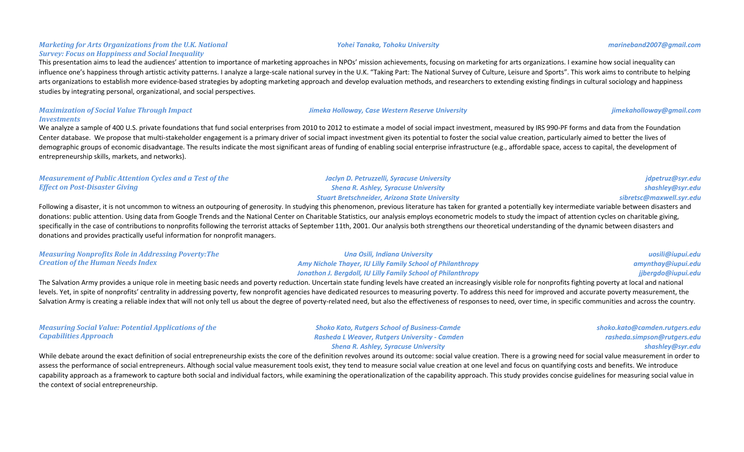### *Marketing for Arts Organizations from the U.K. National Survey: Focus on Happiness and Social Inequality*

This presentation aims to lead the audiences' attention to importance of marketing approaches in NPOs' mission achievements, focusing on marketing for arts organizations. I examine how social inequality can influence one's happiness through artistic activity patterns. I analyze a large-scale national survey in the U.K. "Taking Part: The National Survey of Culture, Leisure and Sports". This work aims to contribute to helping arts organizations to establish more evidence-based strategies by adopting marketing approach and develop evaluation methods, and researchers to extending existing findings in cultural sociology and happiness studies by integrating personal, organizational, and social perspectives.

### *Maximization of Social Value Through Impact Investments*

We analyze a sample of 400 U.S. private foundations that fund social enterprises from 2010 to 2012 to estimate a model of social impact investment, measured by IRS 990-PF forms and data from the Foundation Center database. We propose that multi-stakeholder engagement is a primary driver of social impact investment given its potential to foster the social value creation, particularly aimed to better the lives of demographic groups of economic disadvantage. The results indicate the most significant areas of funding of enabling social enterprise infrastructure (e.g., affordable space, access to capital, the development of entrepreneurship skills, markets, and networks).

| Measurement of Public Attention Cycles and a Test of the | Jaclyn D. Petruzzelli, Syracuse University                                                                                                                                                                           | jdpetruz@syr.         |
|----------------------------------------------------------|----------------------------------------------------------------------------------------------------------------------------------------------------------------------------------------------------------------------|-----------------------|
| <b>Effect on Post-Disaster Giving</b>                    | <b>Shena R. Ashley, Syracuse University</b>                                                                                                                                                                          | shashley@syr.         |
|                                                          | <b>Stuart Bretschneider, Arizona State University</b>                                                                                                                                                                | sibretsc@maxwell.syr. |
|                                                          | Following a disaster it is not uncommon to witness an outnouring of generosity. In studying this phenomenon, previous literature has taken for granted a potentially key intermediate variable hetween disasters and |                       |

Following a disaster, it is not uncommon to witness an outpouring of generosity. In studying this phenomenon, previous literature has taken for granted a potentially key intermediate variable between disasters and donations: public attention. Using data from Google Trends and the National Center on Charitable Statistics, our analysis employs econometric models to study the impact of attention cycles on charitable giving, specifically in the case of contributions to nonprofits following the terrorist attacks of September 11th, 2001. Our analysis both strengthens our theoretical understanding of the dynamic between disasters and donations and provides practically useful information for nonprofit managers.

| <b>Measuring Nonprofits Role in Addressing Poverty: The</b> | Una Osili, Indiana University                                     | uosili@iupui.edu   |
|-------------------------------------------------------------|-------------------------------------------------------------------|--------------------|
| <b>Creation of the Human Needs Index</b>                    | <b>Amy Nichole Thayer, IU Lilly Family School of Philanthropy</b> | amynthay@iupui.edu |
|                                                             | Jonathon J. Bergdoll, IU Lilly Family School of Philanthropy      | jjbergdo@iupui.edu |

The Salvation Army provides a unique role in meeting basic needs and poverty reduction. Uncertain state funding levels have created an increasingly visible role for nonprofits fighting poverty at local and national levels. Yet, in spite of nonprofits' centrality in addressing poverty, few nonprofit agencies have dedicated resources to measuring poverty. To address this need for improved and accurate poverty measurement, the Salvation Army is creating a reliable index that will not only tell us about the degree of poverty-related need, but also the effectiveness of responses to need, over time, in specific communities and across the country.

| <b>Measuring Social Value: Potential Applications of the</b> | <b>Shoko Kato, Rutgers School of Business-Camde</b> | shoko.kato@camden.rutgo |
|--------------------------------------------------------------|-----------------------------------------------------|-------------------------|
| Capabilities Approach                                        | – Rasheda L Weaver, Rutgers University - Camden     | rasheda.simpson@rutge   |
|                                                              | <b>Shena R. Ashley, Syracuse University</b>         | shashley@s              |

While debate around the exact definition of social entrepreneurship exists the core of the definition revolves around its outcome: social value creation. There is a growing need for social value measurement in order to assess the performance of social entrepreneurs. Although social value measurement tools exist, they tend to measure social value creation at one level and focus on quantifying costs and benefits. We introduce capability approach as a framework to capture both social and individual factors, while examining the operationalization of the capability approach. This study provides concise guidelines for measuring social value in the context of social entrepreneurship.

### *Yohei Tanaka, Tohoku University marineband2007@gmail.com*

*Jimeka Holloway, Case Western Reserve University jimekaholloway@gmail.com*

*jdpetruz@syr.edu shashley@syr.edu sibretsc@maxwell.syr.edu*

*shoko.kato@camden.rutgers.edu*

*rasheda.simpson@rutgers.edu shashley@syr.edu*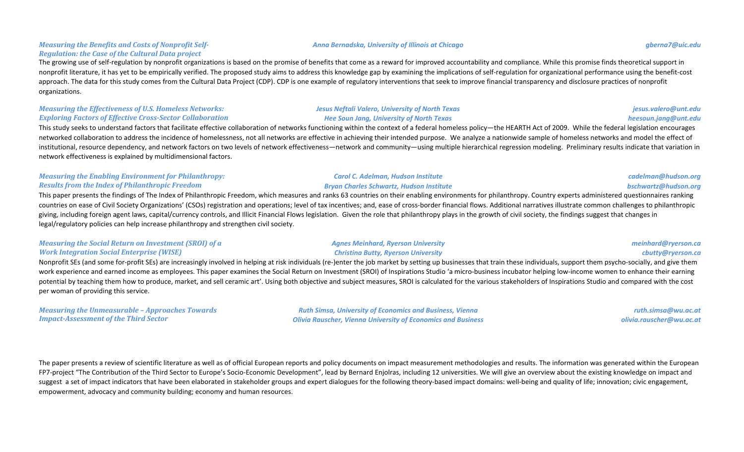### **Measuring the Benefits and Costs of Nonprofit Self-***Regulation: the Case of the Cultural Data project*

The growing use of self-regulation by nonprofit organizations is based on the promise of benefits that come as a reward for improved accountability and compliance. While this promise finds theoretical support in nonprofit literature, it has yet to be empirically verified. The proposed study aims to address this knowledge gap by examining the implications of self-regulation for organizational performance using the benefit-cost approach. The data for this study comes from the Cultural Data Project (CDP). CDP is one example of regulatory interventions that seek to improve financial transparency and disclosure practices of nonprofit organizations.

### *Measuring the Effectiveness of U.S. Homeless Networks:* **Exploring Factors of Effective Cross-Sector Collaboration**

This study seeks to understand factors that facilitate effective collaboration of networks functioning within the context of a federal homeless policy—the HEARTH Act of 2009. While the federal legislation encourages networked collaboration to address the incidence of homelessness, not all networks are effective in achieving their intended purpose. We analyze a nationwide sample of homeless networks and model the effect of institutional, resource dependency, and network factors on two levels of network effectiveness—network and community—using multiple hierarchical regression modeling. Preliminary results indicate that variation in network effectiveness is explained by multidimensional factors.

### *Measuring the Enabling Environment for Philanthropy: Results from the Index of Philanthropic Freedom*

This paper presents the findings of The Index of Philanthropic Freedom, which measures and ranks 63 countries on their enabling environments for philanthropy. Country experts administered questionnaires ranking countries on ease of Civil Society Organizations' (CSOs) registration and operations; level of tax incentives; and, ease of cross-border financial flows. Additional narratives illustrate common challenges to philanthropic giving, including foreign agent laws, capital/currency controls, and Illicit Financial Flows legislation. Given the role that philanthropy plays in the growth of civil society, the findings suggest that changes in legal/regulatory policies can help increase philanthropy and strengthen civil society.

### *Measuring the Social Return on Investment (SROI) of a Work Integration Social Enterprise (WISE)*

Nonprofit SEs (and some for-profit SEs) are increasingly involved in helping at risk individuals (re-)enter the job market by setting up businesses that train these individuals, support them psycho-socially, and give them work experience and earned income as employees. This paper examines the Social Return on Investment (SROI) of Inspirations Studio 'a micro-business incubator helping low-income women to enhance their earning potential by teaching them how to produce, market, and sell ceramic art'. Using both objective and subject measures, SROI is calculated for the various stakeholders of Inspirations Studio and compared with the cost per woman of providing this service.

*Measuring the Unmeasurable - Approaches Towards Impact-Assessment of the Third Sector*

*Ruth Simsa, University of Economics and Business, Vienna Olivia Rauscher, Vienna University of Economics and Business*

### **Jesus Neftali Valero, University of North Texas** *Hee Soun Jang, University of North Texas*

*Carol C. Adelman, Hudson Institute Bryan Charles Schwartz, Hudson Institute*

### *Agnes Meinhard, Ryerson University Christina Butty, Ryerson University*

*ruth.simsa@wu.ac.at olivia.rauscher@wu.ac.at*

The paper presents a review of scientific literature as well as of official European reports and policy documents on impact measurement methodologies and results. The information was generated within the European FP7-project "The Contribution of the Third Sector to Europe's Socio-Economic Development", lead by Bernard Enjolras, including 12 universities. We will give an overview about the existing knowledge on impact and suggest a set of impact indicators that have been elaborated in stakeholder groups and expert dialogues for the following theory-based impact domains: well-being and quality of life; innovation; civic engagement, empowerment, advocacy and community building; economy and human resources.

### *Anna Bernadska, University of Illinois at Chicago gberna7@uic.edu*

*jesus.valero@unt.edu heesoun.jang@unt.edu*

*cadelman@hudson.org bschwartz@hudson.org*

*meinhard@ryerson.ca cbutty@ryerson.ca*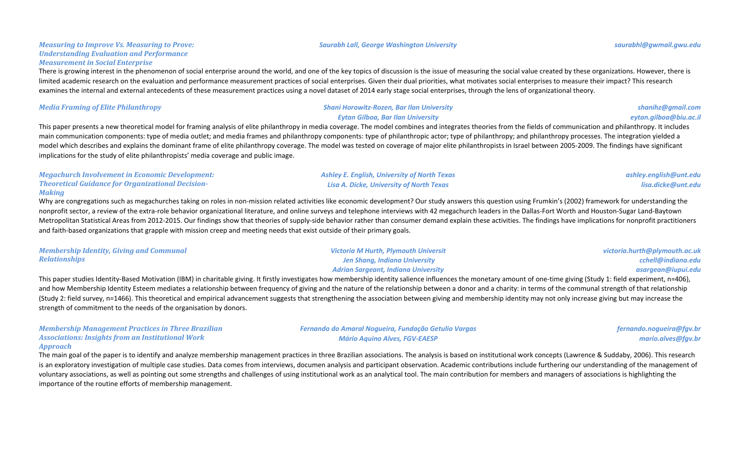### **Measuring to Improve Vs. Measuring to Prove:** *Understanding Evaluation and Performance Measurement in Social Enterprise*

There is growing interest in the phenomenon of social enterprise around the world, and one of the key topics of discussion is the issue of measuring the social value created by these organizations. However, there is limited academic research on the evaluation and performance measurement practices of social enterprises. Given their dual priorities, what motivates social enterprises to measure their impact? This research examines the internal and external antecedents of these measurement practices using a novel dataset of 2014 early stage social enterprises, through the lens of organizational theory.

### *Media Framing of Elite Philanthropy Shani Horowitz-Rozen, Bar Ilan University*

### *Eytan Gilboa, Bar Ilan University*

This paper presents a new theoretical model for framing analysis of elite philanthropy in media coverage. The model combines and integrates theories from the fields of communication and philanthropy. It includes main communication components: type of media outlet; and media frames and philanthropy components: type of philanthropic actor; type of philanthropy; and philanthropy processes. The integration yielded a model which describes and explains the dominant frame of elite philanthropy coverage. The model was tested on coverage of major elite philanthropists in Israel between 2005-2009. The findings have significant implications for the study of elite philanthropists' media coverage and public image.

| <b>Megachurch Involvement in Economic Development:</b>   | <b>Ashley E. English, University of North Texas</b> | ashley.english@unt.edu |
|----------------------------------------------------------|-----------------------------------------------------|------------------------|
| <b>Theoretical Guidance for Organizational Decision-</b> | Lisa A. Dicke, University of North Texas            | lisa.dicke@unt.edu     |
| Makina                                                   |                                                     |                        |

Why are congregations such as megachurches taking on roles in non-mission related activities like economic development? Our study answers this question using Frumkin's (2002) framework for understanding the nonprofit sector, a review of the extra-role behavior organizational literature, and online surveys and telephone interviews with 42 megachurch leaders in the Dallas-Fort Worth and Houston-Sugar Land-Baytown Metropolitan Statistical Areas from 2012-2015. Our findings show that theories of supply-side behavior rather than consumer demand explain these activities. The findings have implications for nonprofit practitioners and faith-based organizations that grapple with mission creep and meeting needs that exist outside of their primary goals.

| <b>Membership Identity, Giving and Communal</b>                                                                 | <b>Victoria M Hurth, Plymouth Universit</b> | victoria.hurth@plymouth.ac.uk                                                                                                                                                                                                     |
|-----------------------------------------------------------------------------------------------------------------|---------------------------------------------|-----------------------------------------------------------------------------------------------------------------------------------------------------------------------------------------------------------------------------------|
| <b>Relationships</b>                                                                                            | Jen Shang, Indiana University               | cchell@indiana.edu                                                                                                                                                                                                                |
|                                                                                                                 | <b>Adrian Sargeant, Indiana University</b>  | asargean@iupui.edu                                                                                                                                                                                                                |
| the contract of the contract of the contract of the contract of the contract of the contract of the contract of |                                             | $\frac{1}{2}$ . The contract of the contract of the contract of the contract of the contract of the contract of the contract of the contract of the contract of the contract of the contract of the contract of the contract of t |

This paper studies Identity-Based Motivation (IBM) in charitable giving. It firstly investigates how membership identity salience influences the monetary amount of one-time giving (Study 1: field experiment, n=406), and how Membership Identity Esteem mediates a relationship between frequency of giving and the nature of the relationship between a donor and a charity: in terms of the communal strength of that relationship (Study 2: field survey, n=1466). This theoretical and empirical advancement suggests that strengthening the association between giving and membership identity may not only increase giving but may increase the strength of commitment to the needs of the organisation by donors.

| <b>Membership Management Practices in Three Brazilian</b> |  |
|-----------------------------------------------------------|--|
| <b>Associations: Insights from an Institutional Work</b>  |  |
| Approach                                                  |  |

*Fernando do Amaral Nogueira, Fundação Getulio Vargas Mário Aquino Alves, FGV-EAESP*

*fernando.nogueira@fgv.br mario.alves@fgv.br*

The main goal of the paper is to identify and analyze membership management practices in three Brazilian associations. The analysis is based on institutional work concepts (Lawrence & Suddaby, 2006). This research is an exploratory investigation of multiple case studies. Data comes from interviews, documen analysis and participant observation. Academic contributions include furthering our understanding of the management of voluntary associations, as well as pointing out some strengths and challenges of using institutional work as an analytical tool. The main contribution for members and managers of associations is highlighting the importance of the routine efforts of membership management.

### *Saurabh Lall, George Washington University saurabhl@gwmail.gwu.edu*

*shanihz@gmail.com eytan.gilboa@biu.ac.il*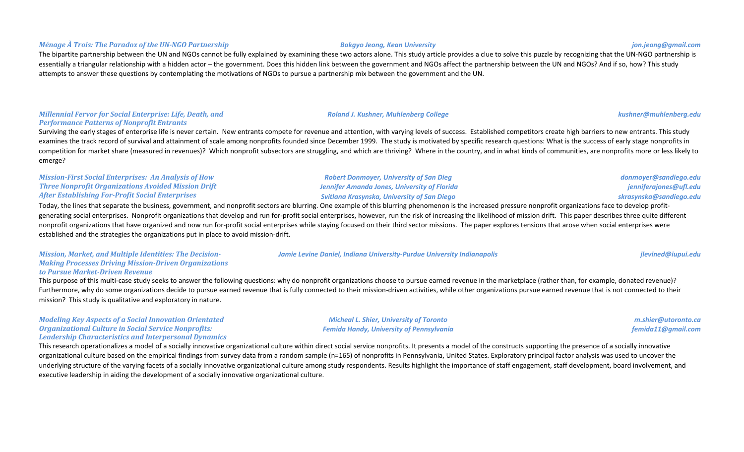### *Ménage À Trois: The Paradox of the UN-NGO Partnership Bokgyo Jeong, Kean University jon.jeong@gmail.com*

The bipartite partnership between the UN and NGOs cannot be fully explained by examining these two actors alone. This study article provides a clue to solve this puzzle by recognizing that the UN-NGO partnership is essentially a triangular relationship with a hidden actor – the government. Does this hidden link between the government and NGOs affect the partnership between the UN and NGOs? And if so, how? This study attempts to answer these questions by contemplating the motivations of NGOs to pursue a partnership mix between the government and the UN.

### *Millennial Fervor for Social Enterprise: Life, Death, and Performance Patterns of Nonprofit Entrants*

Surviving the early stages of enterprise life is never certain. New entrants compete for revenue and attention, with varying levels of success. Established competitors create high barriers to new entrants. This study examines the track record of survival and attainment of scale among nonprofits founded since December 1999. The study is motivated by specific research questions: What is the success of early stage nonprofits in competition for market share (measured in revenues)? Which nonprofit subsectors are struggling, and which are thriving? Where in the country, and in what kinds of communities, are nonprofits more or less likely to emerge?

### *Mission-First Social Enterprises: An Analysis of How* **Three Nonprofit Organizations Avoided Mission Drift** *After Establishing For-Profit Social Enterprises*

Today, the lines that separate the business, government, and nonprofit sectors are blurring. One example of this blurring phenomenon is the increased pressure nonprofit organizations face to develop profitgenerating social enterprises. Nonprofit organizations that develop and run for-profit social enterprises, however, run the risk of increasing the likelihood of mission drift. This paper describes three quite different nonprofit organizations that have organized and now run for-profit social enterprises while staying focused on their third sector missions. The paper explores tensions that arose when social enterprises were established and the strategies the organizations put in place to avoid mission-drift.

### **Mission, Market, and Multiple Identities: The Decision-***Making Processes Driving Mission-Driven Organizations to Pursue Market-Driven Revenue*

This purpose of this multi-case study seeks to answer the following questions: why do nonprofit organizations choose to pursue earned revenue in the marketplace (rather than, for example, donated revenue)? Furthermore, why do some organizations decide to pursue earned revenue that is fully connected to their mission-driven activities, while other organizations pursue earned revenue that is not connected to their mission? This study is qualitative and exploratory in nature.

### *Modeling Key Aspects of a Social Innovation Orientated* **Organizational Culture in Social Service Nonprofits: Leadership Characteristics and Interpersonal Dynamics**

This research operationalizes a model of a socially innovative organizational culture within direct social service nonprofits. It presents a model of the constructs supporting the presence of a socially innovative organizational culture based on the empirical findings from survey data from a random sample (n=165) of nonprofits in Pennsylvania, United States. Exploratory principal factor analysis was used to uncover the underlying structure of the varying facets of a socially innovative organizational culture among study respondents. Results highlight the importance of staff engagement, staff development, board involvement, and executive leadership in aiding the development of a socially innovative organizational culture.

*Jamie Levine Daniel, Indiana University-Purdue University Indianapolis jumined and the strategier of the strategiers of the strategiers of the strategiers of the strategiers of the strategiers of the strategiers of the* 

*Micheal L. Shier, University of Toronto Femida Handy, University of Pennsylvania*

*Robert Donmoyer, University of San Dieg Jennifer Amanda Jones, University of Florida Svitlana Krasynska, University of San Diego*

> *m.shier@utoronto.ca femida11@gmail.com*

*donmoyer@sandiego.edu jenniferajones@ufl.edu skrasynska@sandiego.edu*

*Roland J. Kushner, Muhlenberg College kushner@muhlenberg.edu*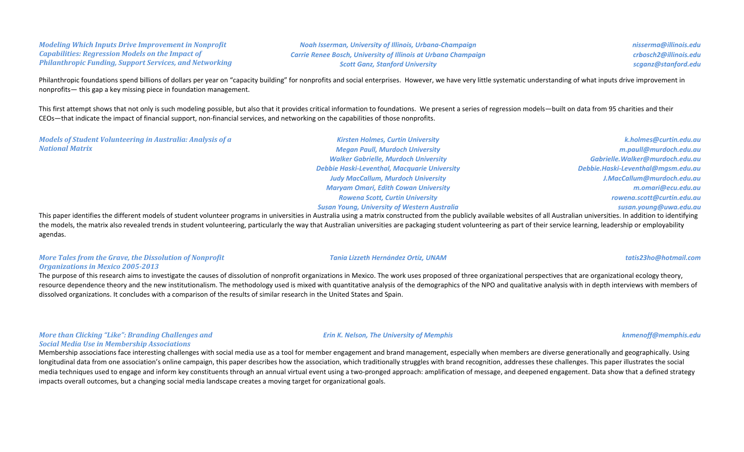### *Modeling Which Inputs Drive Improvement in Nonprofit Capabilities: Regression Models on the Impact of Philanthropic Funding, Support Services, and Networking*

*Noah Isserman, University of Illinois, Urbana-Champaign Carrie Renee Bosch, University of Illinois at Urbana Champaign Scott Ganz, Stanford University*

*nisserma@illinois.edu crbosch2@illinois.edu scganz@stanford.edu*

Philanthropic foundations spend billions of dollars per year on "capacity building" for nonprofits and social enterprises. However, we have very little systematic understanding of what inputs drive improvement in nonprofits— this gap a key missing piece in foundation management.

This first attempt shows that not only is such modeling possible, but also that it provides critical information to foundations. We present a series of regression models—built on data from 95 charities and their CEOs—that indicate the impact of financial support, non-financial services, and networking on the capabilities of those nonprofits.

*Models of Student Volunteering in Australia: Analysis of a National Matrix*

*Kirsten Holmes, Curtin University Megan Paull, Murdoch University Walker Gabrielle, Murdoch University Debbie Haski-Leventhal, Macquarie University Judy MacCallum, Murdoch University Maryam Omari, Edith Cowan University Rowena Scott, Curtin University Susan Young, University of Western Australia*

*k.holmes@curtin.edu.au m.paull@murdoch.edu.au Gabrielle.Walker@murdoch.edu.au Debbie.Haski-Leventhal@mgsm.edu.au J.MacCallum@murdoch.edu.au m.omari@ecu.edu.au rowena.scott@curtin.edu.au susan.young@uwa.edu.au*

This paper identifies the different models of student volunteer programs in universities in Australia using a matrix constructed from the publicly available websites of all Australian universities. In addition to identifyi the models, the matrix also revealed trends in student volunteering, particularly the way that Australian universities are packaging student volunteering as part of their service learning, leadership or employability agendas.

### *More Tales from the Grave, the Dissolution of Nonprofit* **Organizations in Mexico 2005-2013**

The purpose of this research aims to investigate the causes of dissolution of nonprofit organizations in Mexico. The work uses proposed of three organizational perspectives that are organizational ecology theory, resource dependence theory and the new institutionalism. The methodology used is mixed with quantitative analysis of the demographics of the NPO and qualitative analysis with in depth interviews with members of dissolved organizations. It concludes with a comparison of the results of similar research in the United States and Spain.

### *More than Clicking "Like": Branding Challenges and Social Media Use in Membership Associations*

Membership associations face interesting challenges with social media use as a tool for member engagement and brand management, especially when members are diverse generationally and geographically. Using longitudinal data from one association's online campaign, this paper describes how the association, which traditionally struggles with brand recognition, addresses these challenges. This paper illustrates the social media techniques used to engage and inform key constituents through an annual virtual event using a two-pronged approach: amplification of message, and deepened engagement. Data show that a defined strategy impacts overall outcomes, but a changing social media landscape creates a moving target for organizational goals.

### *Erin K. Nelson, The University of Memphis knmenoff@memphis.edu*

*Tania Lizzeth Hernández Ortíz, UNAM tatis23ho@hotmail.com*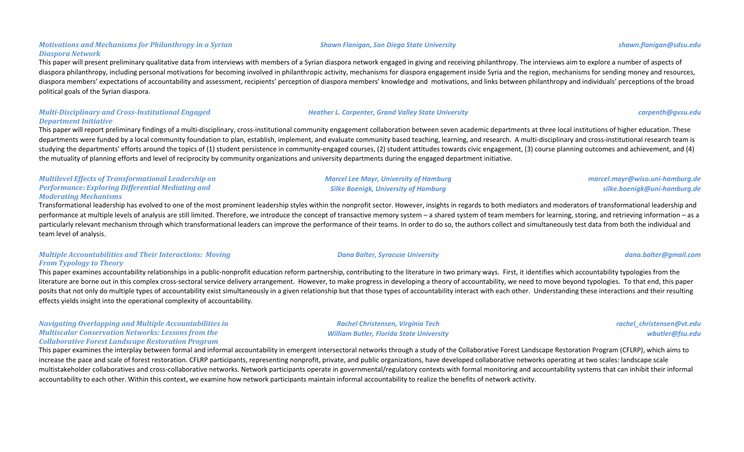### *Motivations and Mechanisms for Philanthropy in a Syrian Diaspora Network*

This paper will present preliminary qualitative data from interviews with members of a Syrian diaspora network engaged in giving and receiving philanthropy. The interviews aim to explore a number of aspects of diaspora philanthropy, including personal motivations for becoming involved in philanthropic activity, mechanisms for diaspora engagement inside Syria and the region, mechanisms for sending money and resources, diaspora members' expectations of accountability and assessment, recipients' perception of diaspora members' knowledge and motivations, and links between philanthropy and individuals' perceptions of the broad political goals of the Syrian diaspora.

*Shawn Flanigan, San Diego State University shawn.flanigan@sdsu.edu*

### *Multi-Disciplinary and Cross-Institutional Engaged Department Initiative*

This paper will report preliminary findings of a multi-disciplinary, cross-institutional community engagement collaboration between seven academic departments at three local institutions of higher education. These departments were funded by a local community foundation to plan, establish, implement, and evaluate community based teaching, learning, and research. A multi-disciplinary and cross-institutional research team is studying the departments' efforts around the topics of (1) student persistence in community-engaged courses, (2) student attitudes towards civic engagement, (3) course planning outcomes and achievement, and (4) the mutuality of planning efforts and level of reciprocity by community organizations and university departments during the engaged department initiative.

### *Multilevel Effects of Transformational Leadership on* **Performance: Exploring Differential Mediating and** *Moderating Mechanisms*

Transformational leadership has evolved to one of the most prominent leadership styles within the nonprofit sector. However, insights in regards to both mediators and moderators of transformational leadership and performance at multiple levels of analysis are still limited. Therefore, we introduce the concept of transactive memory system – a shared system of team members for learning, storing, and retrieving information – as a particularly relevant mechanism through which transformational leaders can improve the performance of their teams. In order to do so, the authors collect and simultaneously test data from both the individual and team level of analysis.

### *Multiple Accountabilities and Their Interactions: Moving From Typology to Theory*

This paper examines accountability relationships in a public-nonprofit education reform partnership, contributing to the literature in two primary ways. First, it identifies which accountability typologies from the literature are borne out in this complex cross-sectoral service delivery arrangement. However, to make progress in developing a theory of accountability, we need to move beyond typologies. To that end, this paper posits that not only do multiple types of accountability exist simultaneously in a given relationship but that those types of accountability interact with each other. Understanding these interactions and their resulting effects yields insight into the operational complexity of accountability.

### *Navigating Overlapping and Multiple Accountabilities in Multiscalar Conservation Networks: Lessons from the Collaborative Forest Landscape Restoration Program*

This paper examines the interplay between formal and informal accountability in emergent intersectoral networks through a study of the Collaborative Forest Landscape Restoration Program (CFLRP), which aims to increase the pace and scale of forest restoration. CFLRP participants, representing nonprofit, private, and public organizations, have developed collaborative networks operating at two scales: landscape scale multistakeholder collaboratives and cross-collaborative networks. Network participants operate in governmental/regulatory contexts with formal monitoring and accountability systems that can inhibit their informal accountability to each other. Within this context, we examine how network participants maintain informal accountability to realize the benefits of network activity.

*Marcel Lee Mayr, University of Hamburg* **Silke Boenigk, University of Hamburg** 

### *Dana Balter, Syracuse University dana.balter@gmail.com*

*Rachel Christensen, Virginia Tech William Butler, Florida State University* *silke.boenigk@uni-hamburg.de*

*marcel.mayr@wiso.uni-hamburg.de*

*rachel\_christensen@vt.edu wbutler@fsu.edu*

*Heather L. Carpenter, Grand Valley State University carpenth@gvsu.edu*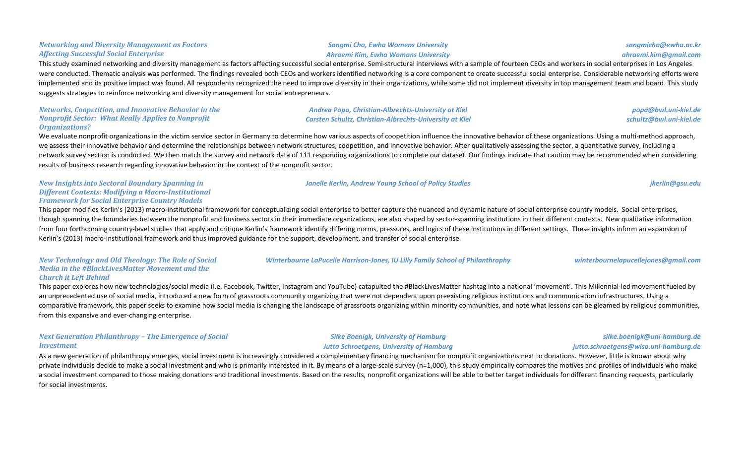### *Sangmi Cho, Ewha Womens University Ahraemi Kim, Ewha Womans University*

*Andrea Popa, Christian-Albrechts-University at Kiel Carsten Schultz, Christian-Albrechts-University at Kiel*

*Janelle Kerlin, Andrew Young School of Policy Studies jkerlin@gsu.edu*

### This study examined networking and diversity management as factors affecting successful social enterprise. Semi-structural interviews with a sample of fourteen CEOs and workers in social enterprises in Los Angeles were conducted. Thematic analysis was performed. The findings revealed both CEOs and workers identified networking is a core component to create successful social enterprise. Considerable networking efforts were implemented and its positive impact was found. All respondents recognized the need to improve diversity in their organizations, while some did not implement diversity in top management team and board. This study suggests strategies to reinforce networking and diversity management for social entrepreneurs.

### *Networks, Coopetition, and Innovative Behavior in the Nonprofit Sector: What Really Applies to Nonprofit Organizations?*

*Networking and Diversity Management as Factors* 

*Affecting Successful Social Enterprise*

We evaluate nonprofit organizations in the victim service sector in Germany to determine how various aspects of coopetition influence the innovative behavior of these organizations. Using a multi-method approach, we assess their innovative behavior and determine the relationships between network structures, coopetition, and innovative behavior. After qualitatively assessing the sector, a quantitative survey, including a network survey section is conducted. We then match the survey and network data of 111 responding organizations to complete our dataset. Our findings indicate that caution may be recommended when considering results of business research regarding innovative behavior in the context of the nonprofit sector.

### *New Insights into Sectoral Boundary Spanning in* **Different Contexts: Modifying a Macro-Institutional** *Framework for Social Enterprise Country Models*

This paper modifies Kerlin's (2013) macro-institutional framework for conceptualizing social enterprise to better capture the nuanced and dynamic nature of social enterprise country models. Social enterprises, though spanning the boundaries between the nonprofit and business sectors in their immediate organizations, are also shaped by sector-spanning institutions in their different contexts. New qualitative information from four forthcoming country-level studies that apply and critique Kerlin's framework identify differing norms, pressures, and logics of these institutions in different settings. These insights inform an expansion of Kerlin's (2013) macro-institutional framework and thus improved guidance for the support, development, and transfer of social enterprise.

*New Technology and Old Theology: The Role of Social Media in the #BlackLivesMatter Movement and the Church it Left Behind*

This paper explores how new technologies/social media (i.e. Facebook, Twitter, Instagram and YouTube) catapulted the #BlackLivesMatter hashtag into a national 'movement'. This Millennial-led movement fueled by an unprecedented use of social media, introduced a new form of grassroots community organizing that were not dependent upon preexisting religious institutions and communication infrastructures. Using a comparative framework, this paper seeks to examine how social media is changing the landscape of grassroots organizing within minority communities, and note what lessons can be gleamed by religious communities, from this expansive and ever-changing enterprise.

### *Next Generation Philanthropy - The Emergence of Social Investment*

**Silke Boenigk, University of Hamburg** *Jutta Schroetgens, University of Hamburg*

As a new generation of philanthropy emerges, social investment is increasingly considered a complementary financing mechanism for nonprofit organizations next to donations. However, little is known about why private individuals decide to make a social investment and who is primarily interested in it. By means of a large-scale survey (n=1,000), this study empirically compares the motives and profiles of individuals who make a social investment compared to those making donations and traditional investments. Based on the results, nonprofit organizations will be able to better target individuals for different financing requests, particularly for social investments.

*popa@bwl.uni-kiel.de schultz@bwl.uni-kiel.de*

*Winterbourne LaPucelle Harrison-Jones, IU Lilly Family School of Philanthrophy winterbournelapucellejones@gmail.com* 

*silke.boenigk@uni-hamburg.de jutta.schroetgens@wiso.uni-hamburg.de*

*sangmicho@ewha.ac.kr ahraemi.kim@gmail.com*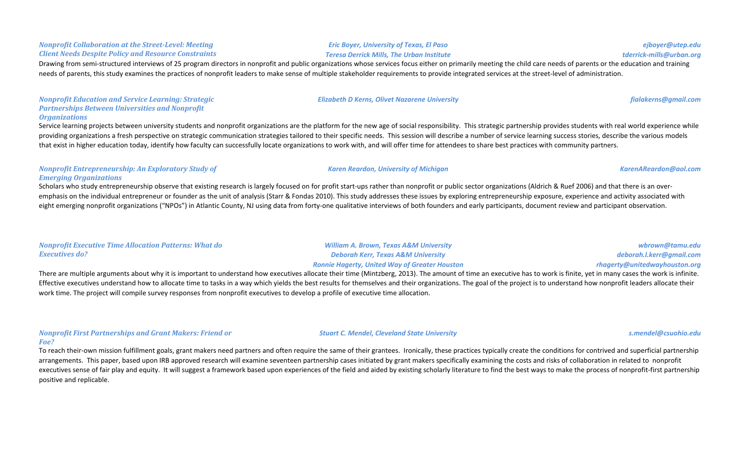### Drawing from semi-structured interviews of 25 program directors in nonprofit and public organizations whose services focus either on primarily meeting the child care needs of parents or the education and training needs of parents, this study examines the practices of nonprofit leaders to make sense of multiple stakeholder requirements to provide integrated services at the street-level of administration.

*Nonprofit Education and Service Learning: Strategic* **Partnerships Between Universities and Nonprofit** *Organizations*

*Nonprofit Collaboration at the Street-Level: Meeting Client Needs Despite Policy and Resource Constraints*

Service learning projects between university students and nonprofit organizations are the platform for the new age of social responsibility. This strategic partnership provides students with real world experience while providing organizations a fresh perspective on strategic communication strategies tailored to their specific needs. This session will describe a number of service learning success stories, describe the various models that exist in higher education today, identify how faculty can successfully locate organizations to work with, and will offer time for attendees to share best practices with community partners.

### *Nonprofit Entrepreneurship: An Exploratory Study of Emerging Organizations*

Scholars who study entrepreneurship observe that existing research is largely focused on for profit start-ups rather than nonprofit or public sector organizations (Aldrich & Ruef 2006) and that there is an overemphasis on the individual entrepreneur or founder as the unit of analysis (Starr & Fondas 2010). This study addresses these issues by exploring entrepreneurship exposure, experience and activity associated with eight emerging nonprofit organizations ("NPOs") in Atlantic County, NJ using data from forty-one qualitative interviews of both founders and early participants, document review and participant observation.

| <b>Nonprofit Executive Time Allocation Patterns: What do</b> | <b>William A. Brown, Texas A&amp;M University</b>    | wbrown@tamu.edu               |
|--------------------------------------------------------------|------------------------------------------------------|-------------------------------|
| <b>Executives do?</b>                                        | Deborah Kerr, Texas A&M University                   | deborah.l.kerr@gmail.com      |
|                                                              | <b>Ronnie Hagerty, United Way of Greater Houston</b> | rhagerty@unitedwayhouston.org |

There are multiple arguments about why it is important to understand how executives allocate their time (Mintzberg, 2013). The amount of time an executive has to work is finite, yet in many cases the work is infinite. Effective executives understand how to allocate time to tasks in a way which yields the best results for themselves and their organizations. The goal of the project is to understand how nonprofit leaders allocate their work time. The project will compile survey responses from nonprofit executives to develop a profile of executive time allocation.

### *Nonprofit First Partnerships and Grant Makers: Friend or Foe?*

To reach their-own mission fulfillment goals, grant makers need partners and often require the same of their grantees. Ironically, these practices typically create the conditions for contrived and superficial partnership arrangements. This paper, based upon IRB approved research will examine seventeen partnership cases initiated by grant makers specifically examining the costs and risks of collaboration in related to nonprofit executives sense of fair play and equity. It will suggest a framework based upon experiences of the field and aided by existing scholarly literature to find the best ways to make the process of nonprofit-first partnership positive and replicable.

*Karen Reardon, University of Michigan KarenAReardon@aol.com*

### *Stuart C. Mendel, Cleveland State University s.mendel@csuohio.edu*

*Elizabeth D Kerns, Olivet Nazarene University fialakerns@gmail.com*

*ejboyer@utep.edu tderrick-mills@urban.org*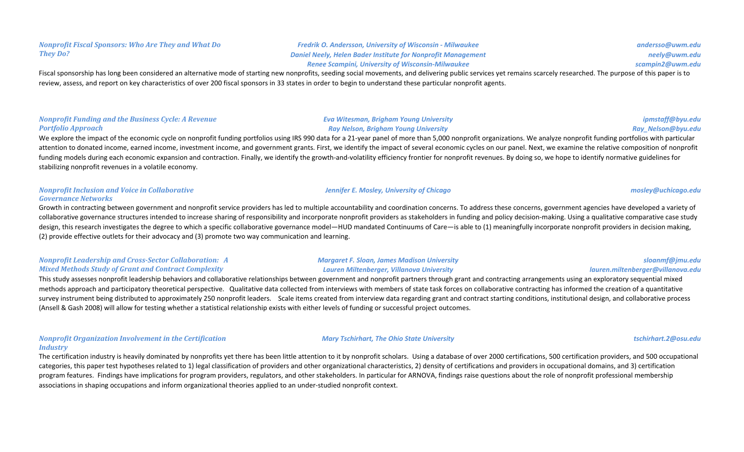### *Fredrik O. Andersson, University of Wisconsin - Milwaukee* **Daniel Neely, Helen Bader Institute for Nonprofit Management** *Renee Scampini, University of Wisconsin-Milwaukee*

Fiscal sponsorship has long been considered an alternative mode of starting new nonprofits, seeding social movements, and delivering public services yet remains scarcely researched. The purpose of this paper is to review, assess, and report on key characteristics of over 200 fiscal sponsors in 33 states in order to begin to understand these particular nonprofit agents.

### *Nonprofit Funding and the Business Cycle: A Revenue Portfolio Approach*

### *Eva Witesman, Brigham Young University Ray Nelson, Brigham Young University*

### *ipmstaff@byu.edu Ray\_Nelson@byu.edu*

We explore the impact of the economic cycle on nonprofit funding portfolios using IRS 990 data for a 21-year panel of more than 5,000 nonprofit organizations. We analyze nonprofit funding portfolios with particular attention to donated income, earned income, investment income, and government grants. First, we identify the impact of several economic cycles on our panel. Next, we examine the relative composition of nonprofit funding models during each economic expansion and contraction. Finally, we identify the growth-and-volatility efficiency frontier for nonprofit revenues. By doing so, we hope to identify normative guidelines for stabilizing nonprofit revenues in a volatile economy.

### *Nonprofit Inclusion and Voice in Collaborative Governance Networks*

Growth in contracting between government and nonprofit service providers has led to multiple accountability and coordination concerns. To address these concerns, government agencies have developed a variety of collaborative governance structures intended to increase sharing of responsibility and incorporate nonprofit providers as stakeholders in funding and policy decision-making. Using a qualitative comparative case study design, this research investigates the degree to which a specific collaborative governance model—HUD mandated Continuums of Care—is able to (1) meaningfully incorporate nonprofit providers in decision making, (2) provide effective outlets for their advocacy and (3) promote two way communication and learning.

### *Nonprofit Leadership and Cross-Sector Collaboration: A Mixed Methods Study of Grant and Contract Complexity*

This study assesses nonprofit leadership behaviors and collaborative relationships between government and nonprofit partners through grant and contracting arrangements using an exploratory sequential mixed methods approach and participatory theoretical perspective. Qualitative data collected from interviews with members of state task forces on collaborative contracting has informed the creation of a quantitative survey instrument being distributed to approximately 250 nonprofit leaders. Scale items created from interview data regarding grant and contract starting conditions, institutional design, and collaborative process (Ansell & Gash 2008) will allow for testing whether a statistical relationship exists with either levels of funding or successful project outcomes.

### *Nonprofit Organization Involvement in the Certification Industry*

The certification industry is heavily dominated by nonprofits yet there has been little attention to it by nonprofit scholars. Using a database of over 2000 certifications, 500 certification providers, and 500 occupational categories, this paper test hypotheses related to 1) legal classification of providers and other organizational characteristics, 2) density of certifications and providers in occupational domains, and 3) certification program features. Findings have implications for program providers, regulators, and other stakeholders. In particular for ARNOVA, findings raise questions about the role of nonprofit professional membership associations in shaping occupations and inform organizational theories applied to an under-studied nonprofit context.

### *Margaret F. Sloan, James Madison University Lauren Miltenberger, Villanova University*

### *Mary Tschirhart, The Ohio State University tschirhart.2@osu.edu*

*Jennifer E. Mosley, University of Chicago**mosley@uchicago.edu**mosley@uchicago.edu* 

*sloanmf@jmu.edu*

*lauren.miltenberger@villanova.edu*

*andersso@uwm.edu neely@uwm.edu scampin2@uwm.edu*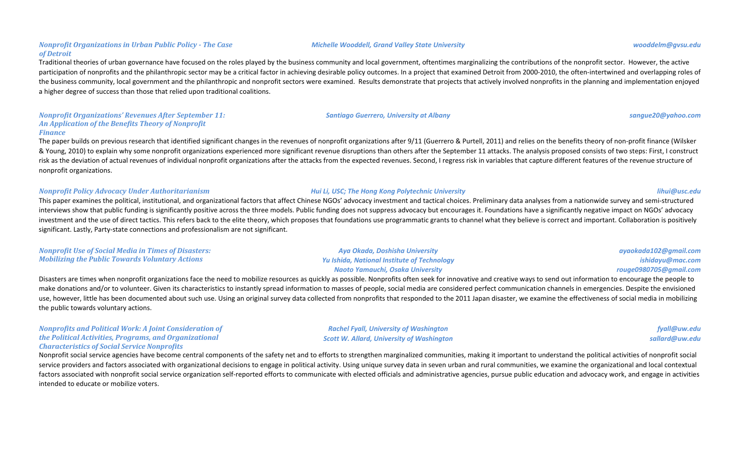### *Nonprofit Organizations in Urban Public Policy - The Case of Detroit*

Traditional theories of urban governance have focused on the roles played by the business community and local government, oftentimes marginalizing the contributions of the nonprofit sector. However, the active participation of nonprofits and the philanthropic sector may be a critical factor in achieving desirable policy outcomes. In a project that examined Detroit from 2000-2010, the often-intertwined and overlapping roles of the business community, local government and the philanthropic and nonprofit sectors were examined. Results demonstrate that projects that actively involved nonprofits in the planning and implementation enjoyed a higher degree of success than those that relied upon traditional coalitions.

### *Nonprofit Organizations' Revenues After September 11:* An Application of the Benefits Theory of Nonprofit *Finance*

The paper builds on previous research that identified significant changes in the revenues of nonprofit organizations after 9/11 (Guerrero & Purtell, 2011) and relies on the benefits theory of non-profit finance (Wilsker & Young, 2010) to explain why some nonprofit organizations experienced more significant revenue disruptions than others after the September 11 attacks. The analysis proposed consists of two steps: First, I construct risk as the deviation of actual revenues of individual nonprofit organizations after the attacks from the expected revenues. Second, I regress risk in variables that capture different features of the revenue structure of nonprofit organizations.

### *Nonprofit Policy Advocacy Under Authoritarianism Hui Li, USC; The Hong Kong Polytechnic University lihui@usc.edu*

This paper examines the political, institutional, and organizational factors that affect Chinese NGOs' advocacy investment and tactical choices. Preliminary data analyses from a nationwide survey and semi-structured interviews show that public funding is significantly positive across the three models. Public funding does not suppress advocacy but encourages it. Foundations have a significantly negative impact on NGOs' advocacy investment and the use of direct tactics. This refers back to the elite theory, which proposes that foundations use programmatic grants to channel what they believe is correct and important. Collaboration is positively significant. Lastly, Party-state connections and professionalism are not significant.

| <b>Nonprofit Use of Social Media in Times of Disasters:</b> | Aya Okada, Doshisha University                     | ayaokada102@gm  |
|-------------------------------------------------------------|----------------------------------------------------|-----------------|
| Mobilizing the Public Towards Voluntary Actions             | <b>Yu Ishida, National Institute of Technology</b> | ishidayu@m      |
|                                                             | Naoto Yamauchi, Osaka University                   | rouge0980705@gm |

Disasters are times when nonprofit organizations face the need to mobilize resources as quickly as possible. Nonprofits often seek for innovative and creative ways to send out information to encourage the people to make donations and/or to volunteer. Given its characteristics to instantly spread information to masses of people, social media are considered perfect communication channels in emergencies. Despite the envisioned use, however, little has been documented about such use. Using an original survey data collected from nonprofits that responded to the 2011 Japan disaster, we examine the effectiveness of social media in mobilizing the public towards voluntary actions.

> *Rachel Fyall, University of Washington* **Scott W. Allard, University of Washington**

*Nonprofits and Political Work: A Joint Consideration of the Political Activities, Programs, and Organizational Characteristics of Social Service Nonprofits*

Nonprofit social service agencies have become central components of the safety net and to efforts to strengthen marginalized communities, making it important to understand the political activities of nonprofit social service providers and factors associated with organizational decisions to engage in political activity. Using unique survey data in seven urban and rural communities, we examine the organizational and local contextual factors associated with nonprofit social service organization self-reported efforts to communicate with elected officials and administrative agencies, pursue public education and advocacy work, and engage in activities intended to educate or mobilize voters.

### *Michelle Wooddell, Grand Valley State University wooddelm@gvsu.edu*

### *Santiago Guerrero, University at Albany sangue20@yahoo.com*

### *ayaokada102@gmail.com ishidayu@mac.com rouge0980705@gmail.com*

*fyall@uw.edu sallard@uw.edu*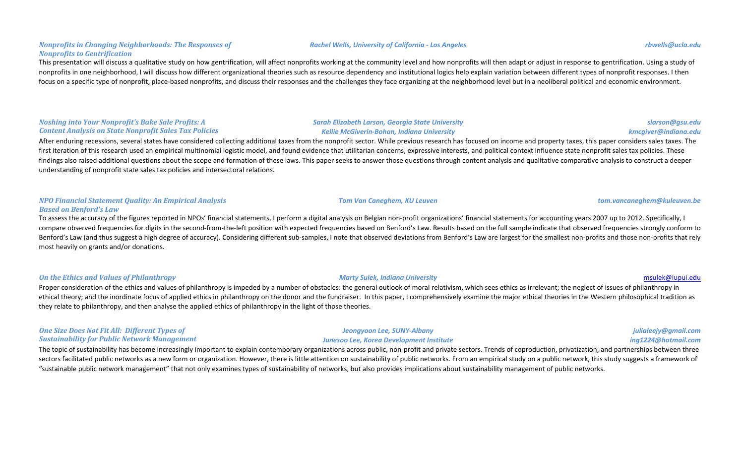### *Nonprofits in Changing Neighborhoods: The Responses of Nonprofits to Gentrification*

This presentation will discuss a qualitative study on how gentrification, will affect nonprofits working at the community level and how nonprofits will then adapt or adjust in response to gentrification. Using a study of nonprofits in one neighborhood, I will discuss how different organizational theories such as resource dependency and institutional logics help explain variation between different types of nonprofit responses. I then focus on a specific type of nonprofit, place-based nonprofits, and discuss their responses and the challenges they face organizing at the neighborhood level but in a neoliberal political and economic environment.

### *Noshing into Your Nonprofit's Bake Sale Profits: A* **Content Analysis on State Nonprofit Sales Tax Policies**

After enduring recessions, several states have considered collecting additional taxes from the nonprofit sector. While previous research has focused on income and property taxes, this paper considers sales taxes. The first iteration of this research used an empirical multinomial logistic model, and found evidence that utilitarian concerns, expressive interests, and political context influence state nonprofit sales tax policies. These findings also raised additional questions about the scope and formation of these laws. This paper seeks to answer those questions through content analysis and qualitative comparative analysis to construct a deeper understanding of nonprofit state sales tax policies and intersectoral relations.

### *NPO Financial Statement Quality: An Empirical Analysis Based on Benford's Law*

To assess the accuracy of the figures reported in NPOs' financial statements, I perform a digital analysis on Belgian non-profit organizations' financial statements for accounting years 2007 up to 2012. Specifically, I compare observed frequencies for digits in the second-from-the-left position with expected frequencies based on Benford's Law. Results based on the full sample indicate that observed frequencies strongly conform to Benford's Law (and thus suggest a high degree of accuracy). Considering different sub-samples, I note that observed deviations from Benford's Law are largest for the smallest non-profits and those non-profits that rely most heavily on grants and/or donations.

### **On** the Ethics and Values of Philanthropy *Marty Sulek, Indiana University* **Marty Sulek, Indiana University Marty Sulek, Indiana University msulek@iupui.edu**

Proper consideration of the ethics and values of philanthropy is impeded by a number of obstacles: the general outlook of moral relativism, which sees ethics as irrelevant; the neglect of issues of philanthropy in ethical theory; and the inordinate focus of applied ethics in philanthropy on the donor and the fundraiser. In this paper, I comprehensively examine the major ethical theories in the Western philosophical tradition as they relate to philanthropy, and then analyse the applied ethics of philanthropy in the light of those theories.

### **One Size Does Not Fit All: Different Types of Sustainability for Public Network Management**

The topic of sustainability has become increasingly important to explain contemporary organizations across public, non-profit and private sectors. Trends of coproduction, privatization, and partnerships between three sectors facilitated public networks as a new form or organization. However, there is little attention on sustainability of public networks. From an empirical study on a public network, this study suggests a framework of "sustainable public network management" that not only examines types of sustainability of networks, but also provides implications about sustainability management of public networks.

### *Rachel Wells, University of California - Los Angeles rbwells@ucla.edu*

*Sarah Elizabeth Larson, Georgia State University Kellie McGiverin-Bohan, Indiana University*

## *Tom Van Caneghem, KU Leuven tom.vancaneghem@kuleuven.be*

### *Jeongyoon Lee, SUNY-Albany Junesoo Lee, Korea Development Institute*

*slarson@gsu.edu kmcgiver@indiana.edu*

# *ing1224@hotmail.com*

# *julialeejy@gmail.com*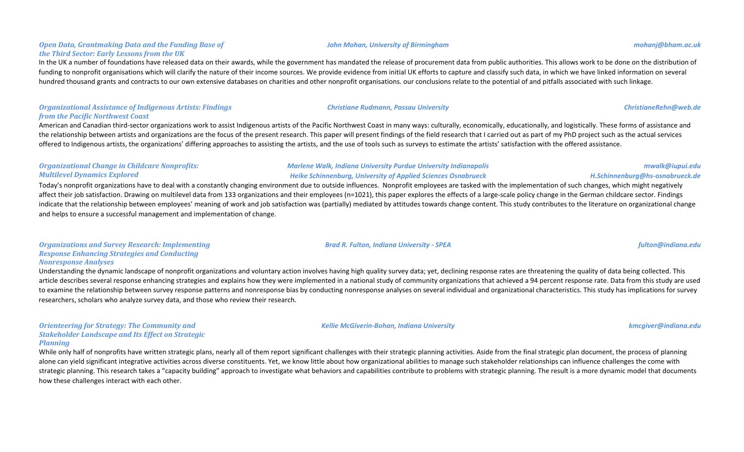### **Open Data, Grantmaking Data and the Funding Base of** *the Third Sector: Early Lessons from the UK*

In the UK a number of foundations have released data on their awards, while the government has mandated the release of procurement data from public authorities. This allows work to be done on the distribution of funding to nonprofit organisations which will clarify the nature of their income sources. We provide evidence from initial UK efforts to capture and classify such data, in which we have linked information on several hundred thousand grants and contracts to our own extensive databases on charities and other nonprofit organisations. our conclusions relate to the potential of and pitfalls associated with such linkage.

### **Organizational Assistance of Indigenous Artists: Findings** *from the Pacific Northwest Coast*

American and Canadian third-sector organizations work to assist Indigenous artists of the Pacific Northwest Coast in many ways: culturally, economically, educationally, and logistically. These forms of assistance and the relationship between artists and organizations are the focus of the present research. This paper will present findings of the field research that I carried out as part of my PhD project such as the actual services offered to Indigenous artists, the organizations' differing approaches to assisting the artists, and the use of tools such as surveys to estimate the artists' satisfaction with the offered assistance.

### **Organizational Change in Childcare Nonprofits:** *Multilevel Dynamics Explored*

### *Marlene Walk, Indiana University Purdue University Indianapolis Heike Schinnenburg, University of Applied Sciences Osnabrueck*

Today's nonprofit organizations have to deal with a constantly changing environment due to outside influences. Nonprofit employees are tasked with the implementation of such changes, which might negatively affect their job satisfaction. Drawing on multilevel data from 133 organizations and their employees (n=1021), this paper explores the effects of a large-scale policy change in the German childcare sector. Findings indicate that the relationship between employees' meaning of work and job satisfaction was (partially) mediated by attitudes towards change content. This study contributes to the literature on organizational change and helps to ensure a successful management and implementation of change.

### **Organizations and Survey Research: Implementing Response Enhancing Strategies and Conducting** *Nonresponse Analyses*

Understanding the dynamic landscape of nonprofit organizations and voluntary action involves having high quality survey data; yet, declining response rates are threatening the quality of data being collected. This article describes several response enhancing strategies and explains how they were implemented in a national study of community organizations that achieved a 94 percent response rate. Data from this study are used to examine the relationship between survey response patterns and nonresponse bias by conducting nonresponse analyses on several individual and organizational characteristics. This study has implications for survey researchers, scholars who analyze survey data, and those who review their research.

### **Orienteering for Strategy: The Community and Stakeholder Landscape and Its Effect on Strategic** *Planning*

While only half of nonprofits have written strategic plans, nearly all of them report significant challenges with their strategic planning activities. Aside from the final strategic plan document, the process of planning alone can yield significant integrative activities across diverse constituents. Yet, we know little about how organizational abilities to manage such stakeholder relationships can influence challenges the come with strategic planning. This research takes a "capacity building" approach to investigate what behaviors and capabilities contribute to problems with strategic planning. The result is a more dynamic model that documents how these challenges interact with each other.

### *John Mohan, University of Birmingham mohanj@bham.ac.uk*

*Brad R. Fulton, Indiana University - SPEA fulton@indiana.edu*

*Kellie McGiverin-Bohan, Indiana University kmcgiver@indiana.edu*

*mwalk@iupui.edu*

### *H.Schinnenburg@hs-osnabrueck.de*

### *Christiane Rudmann, Passau University ChristianeRehn@web.de*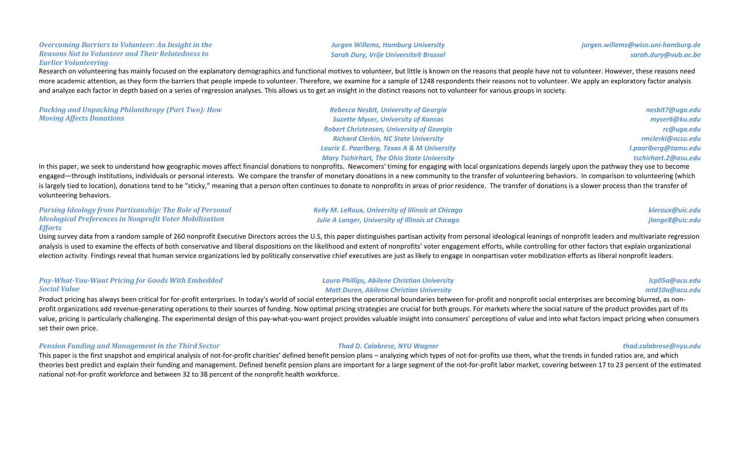### **Overcoming Barriers to Volunteer: An Insight in the** *Reasons Not to Volunteer and Their Relatedness to Earlier Volunteering*

### **Jurgen Willems, Hamburg University** *Sarah Dury, Vrije Universiteit Brussel*

Research on volunteering has mainly focused on the explanatory demographics and functional motives to volunteer, but little is known on the reasons that people have not to volunteer. However, these reasons need more academic attention, as they form the barriers that people impede to volunteer. Therefore, we examine for a sample of 1248 respondents their reasons not to volunteer. We apply an exploratory factor analysis and analyze each factor in depth based on a series of regression analyses. This allows us to get an insight in the distinct reasons not to volunteer for various groups in society.

*Packing and Unpacking Philanthropy (Part Two): How Moving Affects Donations*

*Rebecca Nesbit, University of Georgia Suzette Myser, University of Kansas Robert Christensen, University of Georgia Richard Clerkin, NC State University* **Laurie E. Paarlberg, Texas A & M University** *Mary Tschirhart, The Ohio State University*

*nesbit7@uga.edu myser6@ku.edu rc@uga.edu rmclerki@ncsu.edu l.paarlberg@tamu.edu tschirhart.2@osu.edu*

In this paper, we seek to understand how geographic moves affect financial donations to nonprofits. Newcomers' timing for engaging with local organizations depends largely upon the pathway they use to become engaged—through institutions, individuals or personal interests. We compare the transfer of monetary donations in a new community to the transfer of volunteering behaviors. In comparison to volunteering (which is largely tied to location), donations tend to be "sticky," meaning that a person often continues to donate to nonprofits in areas of prior residence. The transfer of donations is a slower process than the transfer of volunteering behaviors.

| <b>Parsing Ideology from Partisanship: The Role of Personal</b> | <b>Kelly M. LeRoux, University of Illinois at Chicago</b> | kleroux@uic.edu |
|-----------------------------------------------------------------|-----------------------------------------------------------|-----------------|
| <b>Ideological Preferences in Nonprofit Voter Mobilization</b>  | <b>Julie A Langer, University of Illinois at Chicago</b>  | jlange8@uic.edu |
| <b>Efforts</b>                                                  |                                                           |                 |

Using survey data from a random sample of 260 nonprofit Executive Directors across the U.S, this paper distinguishes partisan activity from personal ideological leanings of nonprofit leaders and multivariate regression analysis is used to examine the effects of both conservative and liberal dispositions on the likelihood and extent of nonprofits' voter engagement efforts, while controlling for other factors that explain organizational election activity. Findings reveal that human service organizations led by politically conservative chief executives are just as likely to engage in nonpartisan voter mobilization efforts as liberal nonprofit leaders.

### **Pay-What-You-Want Pricing for Goods With Embedded** *Social Value*

Product pricing has always been critical for for-profit enterprises. In today's world of social enterprises the operational boundaries between for-profit and nonprofit social enterprises are becoming blurred, as nonprofit organizations add revenue-generating operations to their sources of funding. Now optimal pricing strategies are crucial for both groups. For markets where the social nature of the product provides part of its value, pricing is particularly challenging. The experimental design of this pay-what-you-want project provides valuable insight into consumers' perceptions of value and into what factors impact pricing when consumers set their own price.

### **Pension Funding and Management in the Third Sector** *Thad D. Calabrese, NYU Wagner**thad.calabrese@nyu.edu**thad.calabrese@nyu.edu*

This paper is the first snapshot and empirical analysis of not-for-profit charities' defined benefit pension plans – analyzing which types of not-for-profits use them, what the trends in funded ratios are, and which theories best predict and explain their funding and management. Defined benefit pension plans are important for a large segment of the not-for-profit labor market, covering between 17 to 23 percent of the estimated national not-for-profit workforce and between 32 to 38 percent of the nonprofit health workforce.

*Laura Phillips, Abilene Christian University Matt Duren, Abilene Christian University* 

*lcp05a@acu.edu mtd10a@acu.edu*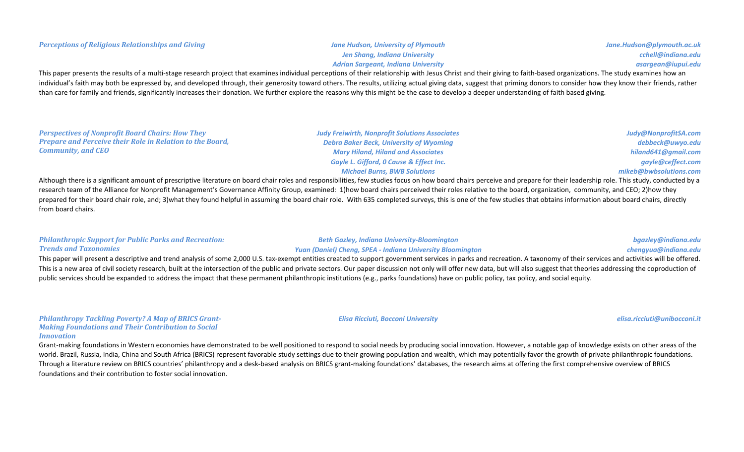# *Adrian Sargeant, Indiana University* This paper presents the results of a multi-stage research project that examines individual perceptions of their relationship with Jesus Christ and their giving to faith-based organizations. The study examines how an individual's faith may both be expressed by, and developed through, their generosity toward others. The results, utilizing actual giving data, suggest that priming donors to consider how they know their friends, rather than care for family and friends, significantly increases their donation. We further explore the reasons why this might be the case to develop a deeper understanding of faith based giving.

| <b>Perspectives of Nonprofit Board Chairs: How They</b>          | <b>Judy Freiwirth, Nonprofit Solutions Associates</b>                                                                                                                                                                         | Judy@NonprofitSA.com   |
|------------------------------------------------------------------|-------------------------------------------------------------------------------------------------------------------------------------------------------------------------------------------------------------------------------|------------------------|
| <b>Prepare and Perceive their Role in Relation to the Board,</b> | <b>Debra Baker Beck, University of Wyoming</b>                                                                                                                                                                                | debbeck@uwyo.edu       |
| <b>Community, and CEO</b>                                        | <b>Mary Hiland, Hiland and Associates</b>                                                                                                                                                                                     | hiland641@gmail.com    |
|                                                                  | <b>Gayle L. Gifford, O Cause &amp; Effect Inc.</b>                                                                                                                                                                            | gayle@ceffect.com      |
|                                                                  | <b>Michael Burns, BWB Solutions</b>                                                                                                                                                                                           | mikeb@bwbsolutions.com |
|                                                                  | Although there is a significant amount of prescriptive literature on board chair roles and responsibilities, few studies focus on how board chairs perceive and prepare for their leadership role. This study, conducted by a |                        |

research team of the Alliance for Nonprofit Management's Governance Affinity Group, examined: 1)how board chairs perceived their roles relative to the board, organization, community, and CEO; 2)how they prepared for their board chair role, and; 3)what they found helpful in assuming the board chair role. With 635 completed surveys, this is one of the few studies that obtains information about board chairs, directly from board chairs.

### **Philanthropic Support for Public Parks and Recreation:** *Trends and Taxonomies*

### *Beth Gazley, Indiana University-Bloomington Yuan (Daniel) Cheng, SPEA - Indiana University Bloomington*

### This paper will present a descriptive and trend analysis of some 2,000 U.S. tax-exempt entities created to support government services in parks and recreation. A taxonomy of their services and activities will be offered. This is a new area of civil society research, built at the intersection of the public and private sectors. Our paper discussion not only will offer new data, but will also suggest that theories addressing the coproduction public services should be expanded to address the impact that these permanent philanthropic institutions (e.g., parks foundations) have on public policy, tax policy, and social equity.

**Philanthropy Tackling Poverty? A Map of BRICS Grant-Making Foundations and Their Contribution to Social** *Innovation*

Grant-making foundations in Western economies have demonstrated to be well positioned to respond to social needs by producing social innovation. However, a notable gap of knowledge exists on other areas of the world. Brazil, Russia, India, China and South Africa (BRICS) represent favorable study settings due to their growing population and wealth, which may potentially favor the growth of private philanthropic foundations. Through a literature review on BRICS countries' philanthropy and a desk-based analysis on BRICS grant-making foundations' databases, the research aims at offering the first comprehensive overview of BRICS foundations and their contribution to foster social innovation.

# **Jen Shang, Indiana University**

### *Jane.Hudson@plymouth.ac.uk cchell@indiana.edu asargean@iupui.edu*

### *Elisa Ricciuti, Bocconi University elisa.ricciuti@unibocconi.it*

*bgazley@indiana.edu chengyua@indiana.edu*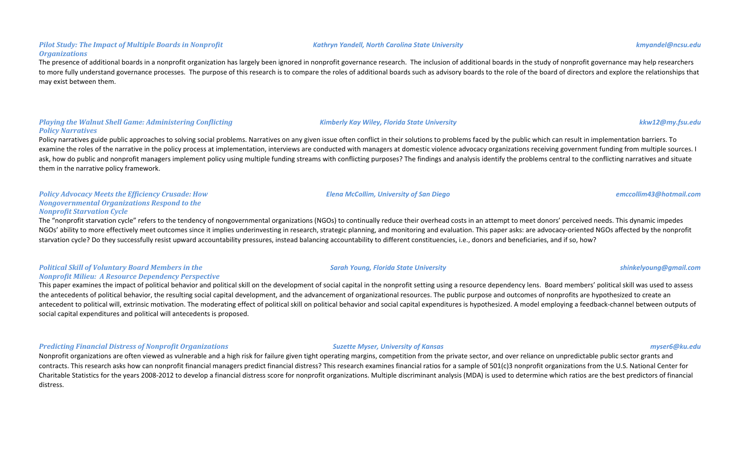### **Pilot Study: The Impact of Multiple Boards in Nonprofit** *Organizations*

The presence of additional boards in a nonprofit organization has largely been ignored in nonprofit governance research. The inclusion of additional boards in the study of nonprofit governance may help researchers to more fully understand governance processes. The purpose of this research is to compare the roles of additional boards such as advisory boards to the role of the board of directors and explore the relationships that may exist between them.

### *Playing the Walnut Shell Game: Administering Conflicting Policy Narratives*

Policy narratives guide public approaches to solving social problems. Narratives on any given issue often conflict in their solutions to problems faced by the public which can result in implementation barriers. To examine the roles of the narrative in the policy process at implementation, interviews are conducted with managers at domestic violence advocacy organizations receiving government funding from multiple sources. I ask, how do public and nonprofit managers implement policy using multiple funding streams with conflicting purposes? The findings and analysis identify the problems central to the conflicting narratives and situate them in the narrative policy framework.

### *Policy Advocacy Meets the Efficiency Crusade: How Nongovernmental Organizations Respond to the Nonprofit Starvation Cycle*

The "nonprofit starvation cycle" refers to the tendency of nongovernmental organizations (NGOs) to continually reduce their overhead costs in an attempt to meet donors' perceived needs. This dynamic impedes NGOs' ability to more effectively meet outcomes since it implies underinvesting in research, strategic planning, and monitoring and evaluation. This paper asks: are advocacy-oriented NGOs affected by the nonprofit starvation cycle? Do they successfully resist upward accountability pressures, instead balancing accountability to different constituencies, i.e., donors and beneficiaries, and if so, how?

### **Political Skill of Voluntary Board Members in the** *Nonprofit Milieu: A Resource Dependency Perspective*

This paper examines the impact of political behavior and political skill on the development of social capital in the nonprofit setting using a resource dependency lens. Board members' political skill was used to assess the antecedents of political behavior, the resulting social capital development, and the advancement of organizational resources. The public purpose and outcomes of nonprofits are hypothesized to create an antecedent to political will, extrinsic motivation. The moderating effect of political skill on political behavior and social capital expenditures is hypothesized. A model employing a feedback-channel between outputs of social capital expenditures and political will antecedents is proposed.

*Predicting Financial Distress of Nonprofit Organizations Suzette Myser, University of Kansas**myser6@ku.edu**myser6@ku.edu* 

Nonprofit organizations are often viewed as vulnerable and a high risk for failure given tight operating margins, competition from the private sector, and over reliance on unpredictable public sector grants and contracts. This research asks how can nonprofit financial managers predict financial distress? This research examines financial ratios for a sample of 501(c)3 nonprofit organizations from the U.S. National Center for Charitable Statistics for the years 2008-2012 to develop a financial distress score for nonprofit organizations. Multiple discriminant analysis (MDA) is used to determine which ratios are the best predictors of financial distress.

### *Kathryn Yandell, North Carolina State University kmyandel@ncsu.edu*

*Kimberly Kay Wiley, Florida State University kkw12@my.fsu.edu*

*Elena McCollim, University of San Diego emccollim43@hotmail.com*

*Sarah Young, Florida State University shinkelyoung@gmail.com*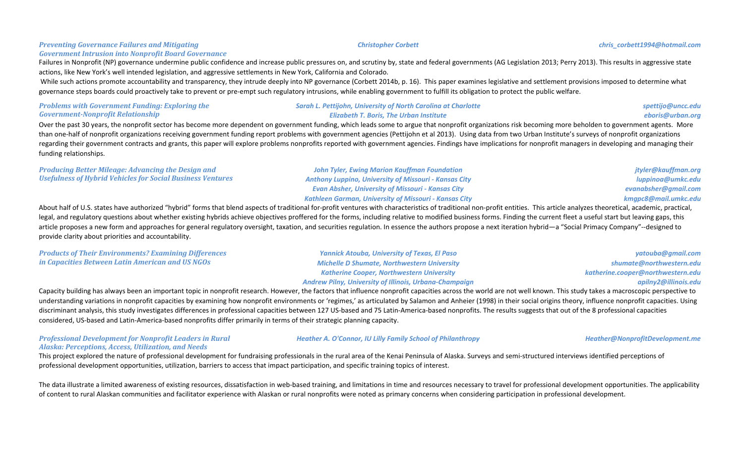### **Preventing Governance Failures and Mitigating**

### **Government Intrusion into Nonprofit Board Governance**

Failures in Nonprofit (NP) governance undermine public confidence and increase public pressures on, and scrutiny by, state and federal governments (AG Legislation 2013; Perry 2013). This results in aggressive state actions, like New York's well intended legislation, and aggressive settlements in New York, California and Colorado.

While such actions promote accountability and transparency, they intrude deeply into NP governance (Corbett 2014b, p. 16). This paper examines legislative and settlement provisions imposed to determine what governance steps boards could proactively take to prevent or pre-empt such regulatory intrusions, while enabling government to fulfill its obligation to protect the public welfare.

| <b>Problems with Government Funding: Exploring the</b> | <b>Sarah L. Pettijohn, University of North Carolina at Charlotte</b>                                                                                                                                        | spettijo@uncc.edu |
|--------------------------------------------------------|-------------------------------------------------------------------------------------------------------------------------------------------------------------------------------------------------------------|-------------------|
| <b>Government-Nonprofit Relationship</b>               | <b>Elizabeth T. Boris, The Urban Institute</b>                                                                                                                                                              | eboris@urban.org  |
|                                                        | Over the past 30 years, the nonprofit sector has become more dependent on government funding, which leads some to argue that nonprofit organizations risk becoming more beholden to government agents. More |                   |

than one-half of nonprofit organizations receiving government funding report problems with government agencies (Pettijohn et al 2013). Using data from two Urban Institute's surveys of nonprofit organizations regarding their government contracts and grants, this paper will explore problems nonprofits reported with government agencies. Findings have implications for nonprofit managers in developing and managing their funding relationships.

| <b>Producing Better Mileage: Advancing the Design and</b>                                                                                                                                                                      | <b>John Tyler, Ewing Marion Kauffman Foundation</b>          | jtyler@kauffman.org  |
|--------------------------------------------------------------------------------------------------------------------------------------------------------------------------------------------------------------------------------|--------------------------------------------------------------|----------------------|
| <b>Usefulness of Hybrid Vehicles for Social Business Ventures</b>                                                                                                                                                              | <b>Anthony Luppino, University of Missouri - Kansas City</b> | luppinoa@umkc.edu    |
|                                                                                                                                                                                                                                | <b>Evan Absher, University of Missouri - Kansas City</b>     | evanabsher@gmail.com |
|                                                                                                                                                                                                                                | <b>Kathleen Garman, University of Missouri - Kansas City</b> | kmgpc8@mail.umkc.edu |
| About half of U.S. states have authorized "hybrid" forms that blend aspects of traditional for-profit ventures with characteristics of traditional non-profit entities. This article analyzes theoretical, academic, practical |                                                              |                      |

lybrid" forms that blend aspects of traditional for-profit ventures with characteristics of traditional non-profit entities. This article analyzes theoretical, academic, p legal, and regulatory questions about whether existing hybrids achieve objectives proffered for the forms, including relative to modified business forms. Finding the current fleet a useful start but leaving gaps, this article proposes a new form and approaches for general regulatory oversight, taxation, and securities regulation. In essence the authors propose a next iteration hybrid—a "Social Primacy Company"--designed to provide clarity about priorities and accountability.

| <b>Products of Their Environments? Examining Differences</b> | Yannick Atouba, University of Texas, El Paso                  | yatouba@gmail.com                 |
|--------------------------------------------------------------|---------------------------------------------------------------|-----------------------------------|
| in Capacities Between Latin American and US NGOs             | <b>Michelle D Shumate, Northwestern University</b>            | shumate@northwestern.edu          |
|                                                              | <b>Katherine Cooper, Northwestern University</b>              | katherine.cooper@northwestern.edu |
|                                                              | <b>Andrew Pilny, University of Illinois, Urbana-Champaign</b> | apilny2@illinois.edu              |

Capacity building has always been an important topic in nonprofit research. However, the factors that influence nonprofit capacities across the world are not well known. This study takes a macroscopic perspective to understanding variations in nonprofit capacities by examining how nonprofit environments or 'regimes,' as articulated by Salamon and Anheier (1998) in their social origins theory, influence nonprofit capacities. Using discriminant analysis, this study investigates differences in professional capacities between 127 US-based and 75 Latin-America-based nonprofits. The results suggests that out of the 8 professional capacities considered, US-based and Latin-America-based nonprofits differ primarily in terms of their strategic planning capacity.

### **Professional Development for Nonprofit Leaders in Rural** *Alaska: Perceptions, Access, Utilization, and Needs*

*Heather A. O'Connor, IU Lilly Family School of Philanthropy Heather@NonprofitDevelopment.me* 

This project explored the nature of professional development for fundraising professionals in the rural area of the Kenai Peninsula of Alaska. Surveys and semi-structured interviews identified perceptions of professional development opportunities, utilization, barriers to access that impact participation, and specific training topics of interest.

The data illustrate a limited awareness of existing resources, dissatisfaction in web-based training, and limitations in time and resources necessary to travel for professional development opportunities. The applicability of content to rural Alaskan communities and facilitator experience with Alaskan or rural nonprofits were noted as primary concerns when considering participation in professional development.

### *Christopher Corbett chris\_corbett1994@hotmail.com*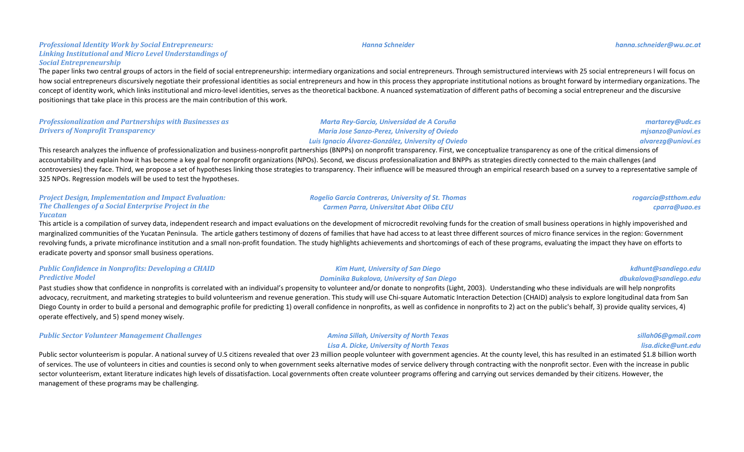### *Hanna Schneider hanna.schneider@wu.ac.at*

### **Professional Identity Work by Social Entrepreneurs:** Linking Institutional and Micro Level Understandings of *Social Entrepreneurship*

The paper links two central groups of actors in the field of social entrepreneurship: intermediary organizations and social entrepreneurs. Through semistructured interviews with 25 social entrepreneurs I will focus on how social entrepreneurs discursively negotiate their professional identities as social entrepreneurs and how in this process they appropriate institutional notions as brought forward by intermediary organizations. The concept of identity work, which links institutional and micro-level identities, serves as the theoretical backbone. A nuanced systematization of different paths of becoming a social entrepreneur and the discursive positionings that take place in this process are the main contribution of this work.

| <b>Professionalization and Partnerships with Businesses as</b>                                                                                                                                               | Marta Rey-Garcia, Universidad de A Coruña           | martarey@udc.es    |
|--------------------------------------------------------------------------------------------------------------------------------------------------------------------------------------------------------------|-----------------------------------------------------|--------------------|
| <b>Drivers of Nonprofit Transparency</b>                                                                                                                                                                     | <b>Maria Jose Sanzo-Perez, University of Oviedo</b> | misanzo@uniovi.es  |
|                                                                                                                                                                                                              | Luis Ignacio Álvarez-González, University of Oviedo | alvareza@uniovi.es |
| This research applyzes the influence of professionalization and business nonprofit partnerships (PNDDs) on nonprofit transparency. First, we consentualize transparency as one of the critical dimensions of |                                                     |                    |

This research analyzes the influence of professionalization and business-nonprofit partnerships (BNPPs) on nonprofit transparency. First, we conceptualize transparency as one of the critical dimensions of accountability and explain how it has become a key goal for nonprofit organizations (NPOs). Second, we discuss professionalization and BNPPs as strategies directly connected to the main challenges (and controversies) they face. Third, we propose a set of hypotheses linking those strategies to transparency. Their influence will be measured through an empirical research based on a survey to a representative sample of 325 NPOs. Regression models will be used to test the hypotheses.

| <b>Project Design, Implementation and Impact Evaluation:</b> | <b>Rogelio Garcia Contreras, University of St. Thomas</b> | rogarcia@stthom.edu |
|--------------------------------------------------------------|-----------------------------------------------------------|---------------------|
| The Challenges of a Social Enterprise Project in the         | <b>Carmen Parra, Universitat Abat Oliba CEU</b>           | cparra@uao.es       |
| Yucatan                                                      |                                                           |                     |

This article is a compilation of survey data, independent research and impact evaluations on the development of microcredit revolving funds for the creation of small business operations in highly impoverished and marginalized communities of the Yucatan Peninsula. The article gathers testimony of dozens of families that have had access to at least three different sources of micro finance services in the region: Government revolving funds, a private microfinance institution and a small non-profit foundation. The study highlights achievements and shortcomings of each of these programs, evaluating the impact they have on efforts to eradicate poverty and sponsor small business operations.

### **Public Confidence in Nonprofits: Developing a CHAID** *Predictive Model*

Past studies show that confidence in nonprofits is correlated with an individual's propensity to volunteer and/or donate to nonprofits (Light, 2003). Understanding who these individuals are will help nonprofits advocacy, recruitment, and marketing strategies to build volunteerism and revenue generation. This study will use Chi-square Automatic Interaction Detection (CHAID) analysis to explore longitudinal data from San Diego County in order to build a personal and demographic profile for predicting 1) overall confidence in nonprofits, as well as confidence in nonprofits to 2) act on the public's behalf, 3) provide quality services, 4) operate effectively, and 5) spend money wisely.

**Public Sector Volunteer Management Challenges** *Amina Sillah, University of North Texas* 

## *Lisa A. Dicke, University of North Texas*

*Kim Hunt, University of San Diego Dominika Bukalova, University of San Diego*

Public sector volunteerism is popular. A national survey of U.S citizens revealed that over 23 million people volunteer with government agencies. At the county level, this has resulted in an estimated \$1.8 billion worth of services. The use of volunteers in cities and counties is second only to when government seeks alternative modes of service delivery through contracting with the nonprofit sector. Even with the increase in public sector volunteerism, extant literature indicates high levels of dissatisfaction. Local governments often create volunteer programs offering and carrying out services demanded by their citizens. However, the management of these programs may be challenging.

*sillah06@gmail.com lisa.dicke@unt.edu*

*kdhunt@sandiego.edu dbukalova@sandiego.edu*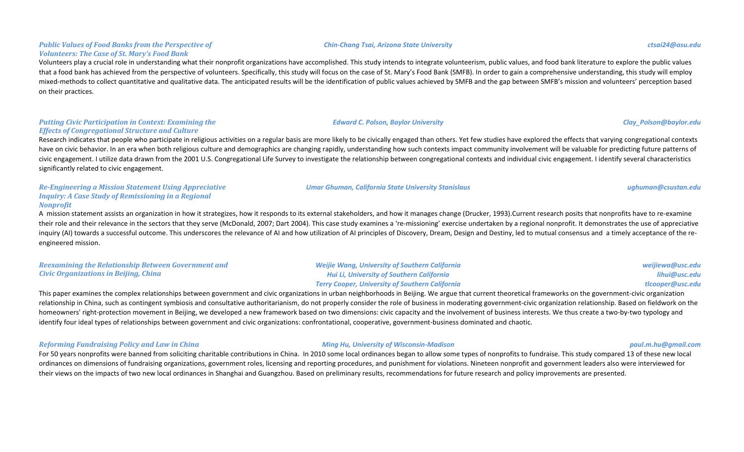### **Public Values of Food Banks from the Perspective of** *Volunteers: The Case of St. Mary's Food Bank*

Volunteers play a crucial role in understanding what their nonprofit organizations have accomplished. This study intends to integrate volunteerism, public values, and food bank literature to explore the public values that a food bank has achieved from the perspective of volunteers. Specifically, this study will focus on the case of St. Mary's Food Bank (SMFB). In order to gain a comprehensive understanding, this study will employ mixed-methods to collect quantitative and qualitative data. The anticipated results will be the identification of public values achieved by SMFB and the gap between SMFB's mission and volunteers' perception based on their practices.

### **Putting Civic Participation in Context: Examining the** *Effects of Congregational Structure and Culture*

Research indicates that people who participate in religious activities on a regular basis are more likely to be civically engaged than others. Yet few studies have explored the effects that varying congregational contexts have on civic behavior. In an era when both religious culture and demographics are changing rapidly, understanding how such contexts impact community involvement will be valuable for predicting future patterns of civic engagement. I utilize data drawn from the 2001 U.S. Congregational Life Survey to investigate the relationship between congregational contexts and individual civic engagement. I identify several characteristics significantly related to civic engagement.

### *Re-Engineering a Mission Statement Using Appreciative Inquiry: A Case Study of Remissioning in a Regional Nonprofit*

A mission statement assists an organization in how it strategizes, how it responds to its external stakeholders, and how it manages change (Drucker, 1993).Current research posits that nonprofits have to re-examine their role and their relevance in the sectors that they serve (McDonald, 2007; Dart 2004). This case study examines a 're-missioning' exercise undertaken by a regional nonprofit. It demonstrates the use of appreciative inquiry (AI) towards a successful outcome. This underscores the relevance of AI and how utilization of AI principles of Discovery, Dream, Design and Destiny, led to mutual consensus and a timely acceptance of the reengineered mission.

| <b>Reexamining the Relationship Between Government and</b> | <b>Weijie Wang, University of Southern California</b>  | weijiewa@usc.edu |
|------------------------------------------------------------|--------------------------------------------------------|------------------|
| <b>Civic Organizations in Beijing, China</b>               | <b>Hui Li, University of Southern California</b>       | lihui@usc.edu    |
|                                                            | <b>Terry Cooper, University of Southern California</b> | tlcooper@usc.edu |

This paper examines the complex relationships between government and civic organizations in urban neighborhoods in Beijing. We argue that current theoretical frameworks on the government-civic organization relationship in China, such as contingent symbiosis and consultative authoritarianism, do not properly consider the role of business in moderating government-civic organization relationship. Based on fieldwork on the homeowners' right-protection movement in Beijing, we developed a new framework based on two dimensions: civic capacity and the involvement of business interests. We thus create a two-by-two typology and identify four ideal types of relationships between government and civic organizations: confrontational, cooperative, government-business dominated and chaotic.

### *Reforming Fundraising Policy and Law in China Ming Hu, University of Wisconsin-Madison paul.m.hu@gmail.com*

For 50 years nonprofits were banned from soliciting charitable contributions in China. In 2010 some local ordinances began to allow some types of nonprofits to fundraise. This study compared 13 of these new local ordinances on dimensions of fundraising organizations, government roles, licensing and reporting procedures, and punishment for violations. Nineteen nonprofit and government leaders also were interviewed for their views on the impacts of two new local ordinances in Shanghai and Guangzhou. Based on preliminary results, recommendations for future research and policy improvements are presented.

### *Chin-Chang Tsai, Arizona State University ctsai24@asu.edu*

*Umar Ghuman, California State University Stanislaus ughuman@csustan.edu*

*Edward C. Polson, Baylor University Clay\_Polson@baylor.edu*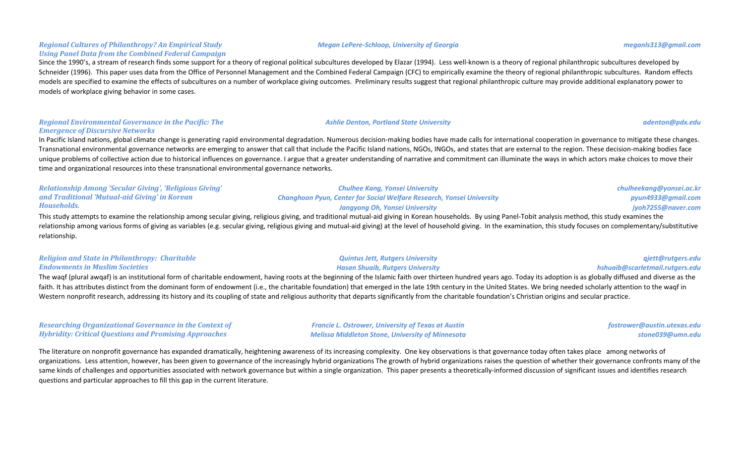### **Regional Cultures of Philanthropy? An Empirical Study** *Using Panel Data from the Combined Federal Campaign*

Since the 1990's, a stream of research finds some support for a theory of regional political subcultures developed by Elazar (1994). Less well-known is a theory of regional philanthropic subcultures developed by Schneider (1996). This paper uses data from the Office of Personnel Management and the Combined Federal Campaign (CFC) to empirically examine the theory of regional philanthropic subcultures. Random effects models are specified to examine the effects of subcultures on a number of workplace giving outcomes. Preliminary results suggest that regional philanthropic culture may provide additional explanatory power to models of workplace giving behavior in some cases.

### **Regional Environmental Governance in the Pacific: The** *Emergence of Discursive Networks*

In Pacific Island nations, global climate change is generating rapid environmental degradation. Numerous decision-making bodies have made calls for international cooperation in governance to mitigate these changes. Transnational environmental governance networks are emerging to answer that call that include the Pacific Island nations, NGOs, INGOs, and states that are external to the region. These decision-making bodies face unique problems of collective action due to historical influences on governance. I argue that a greater understanding of narrative and commitment can illuminate the ways in which actors make choices to move their time and organizational resources into these transnational environmental governance networks.

| <b>Relationship Among 'Secular Giving', 'Religious Giving'</b> | <b>Chulhee Kang, Yonsei University</b>                                       | chulheekang@yonsei.ac.kr |
|----------------------------------------------------------------|------------------------------------------------------------------------------|--------------------------|
| and Traditional 'Mutual-aid Giving' in Korean                  | <b>Changhoon Pyun, Center for Social Welfare Research, Yonsei University</b> | pyun4933@gmail.com       |
| Households.                                                    | Jangyong Oh, Yonsei University                                               | jyoh7255@naver.com       |

This study attempts to examine the relationship among secular giving, religious giving, and traditional mutual-aid giving in Korean households. By using Panel-Tobit analysis method, this study examines the relationship among various forms of giving as variables (e.g. secular giving, religious giving and mutual-aid giving) at the level of household giving. In the examination, this study focuses on complementary/substitutive relationship.

### *Religion and State in Philanthropy: Charitable Endowments in Muslim Societies*

The waqf (plural awqaf) is an institutional form of charitable endowment, having roots at the beginning of the Islamic faith over thirteen hundred years ago. Today its adoption is as globally diffused and diverse as the faith. It has attributes distinct from the dominant form of endowment (i.e., the charitable foundation) that emerged in the late 19th century in the United States. We bring needed scholarly attention to the waqf in Western nonprofit research, addressing its history and its coupling of state and religious authority that departs significantly from the charitable foundation's Christian origins and secular practice.

### *Researching Organizational Governance in the Context of Hybridity: Critical Questions and Promising Approaches*

*Francie L. Ostrower, University of Texas at Austin Melissa Middleton Stone, University of Minnesota*

*Quintus Jett, Rutgers University Hasan Shuaib, Rutgers University*

> *fostrower@austin.utexas.edu stone039@umn.edu*

The literature on nonprofit governance has expanded dramatically, heightening awareness of its increasing complexity. One key observations is that governance today often takes place among networks of organizations. Less attention, however, has been given to governance of the increasingly hybrid organizations The growth of hybrid organizations raises the question of whether their governance confronts many of the same kinds of challenges and opportunities associated with network governance but within a single organization. This paper presents a theoretically-informed discussion of significant issues and identifies research questions and particular approaches to fill this gap in the current literature.

### *Megan LePere-Schloop, University of Georgia meganls313@gmail.com*

*Ashlie Denton, Portland State University adenton@pdx.edu*

*qjett@rutgers.edu hshuaib@scarletmail.rutgers.edu*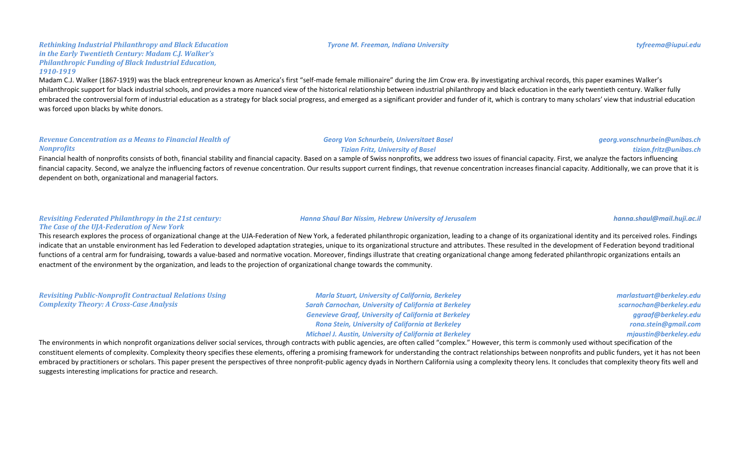### *Rethinking Industrial Philanthropy and Black Education in the Early Twentieth Century: Madam C.J. Walker's Philanthropic Funding of Black Industrial Education, 1910-1919*

Madam C.J. Walker (1867-1919) was the black entrepreneur known as America's first "self-made female millionaire" during the Jim Crow era. By investigating archival records, this paper examines Walker's philanthropic support for black industrial schools, and provides a more nuanced view of the historical relationship between industrial philanthropy and black education in the early twentieth century. Walker fully embraced the controversial form of industrial education as a strategy for black social progress, and emerged as a significant provider and funder of it, which is contrary to many scholars' view that industrial education was forced upon blacks by white donors.

### **Revenue Concentration as a Means to Financial Health of** *Nonprofits*

### Financial health of nonprofits consists of both, financial stability and financial capacity. Based on a sample of Swiss nonprofits, we address two issues of financial capacity. First, we analyze the factors influencing financial capacity. Second, we analyze the influencing factors of revenue concentration. Our results support current findings, that revenue concentration increases financial capacity. Additionally, we can prove that it is dependent on both, organizational and managerial factors.

### **Revisiting Federated Philanthropy in the 21st century: The Case of the UJA-Federation of New York**

This research explores the process of organizational change at the UJA-Federation of New York, a federated philanthropic organization, leading to a change of its organizational identity and its perceived roles. Findings indicate that an unstable environment has led Federation to developed adaptation strategies, unique to its organizational structure and attributes. These resulted in the development of Federation beyond traditional functions of a central arm for fundraising, towards a value-based and normative vocation. Moreover, findings illustrate that creating organizational change among federated philanthropic organizations entails an enactment of the environment by the organization, and leads to the projection of organizational change towards the community.

*Revisiting Public-Nonprofit Contractual Relations Using Complexity Theory: A Cross-Case Analysis*

*Marla Stuart, University of California, Berkeley* **Sarah Carnochan, University of California at Berkeley** Genevieve Graaf, University of California at Berkeley *Rona Stein, University of California at Berkeley Michael J. Austin, University of California at Berkeley* 

*Hanna Shaul Bar Nissim, Hebrew University of Jerusalem hanna.shaul@mail.huji.ac.il*

*marlastuart@berkeley.edu scarnochan@berkeley.edu ggraaf@berkeley.edu rona.stein@gmail.com mjaustin@berkeley.edu*

The environments in which nonprofit organizations deliver social services, through contracts with public agencies, are often called "complex." However, this term is commonly used without specification of the constituent elements of complexity. Complexity theory specifies these elements, offering a promising framework for understanding the contract relationships between nonprofits and public funders, yet it has not been embraced by practitioners or scholars. This paper present the perspectives of three nonprofit-public agency dyads in Northern California using a complexity theory lens. It concludes that complexity theory fits well and suggests interesting implications for practice and research.

### *Tyrone M. Freeman, Indiana University tyfreema@iupui.edu*

*Georg Von Schnurbein, Universitaet Basel Tizian Fritz, University of Basel*

*georg.vonschnurbein@unibas.ch tizian.fritz@unibas.ch*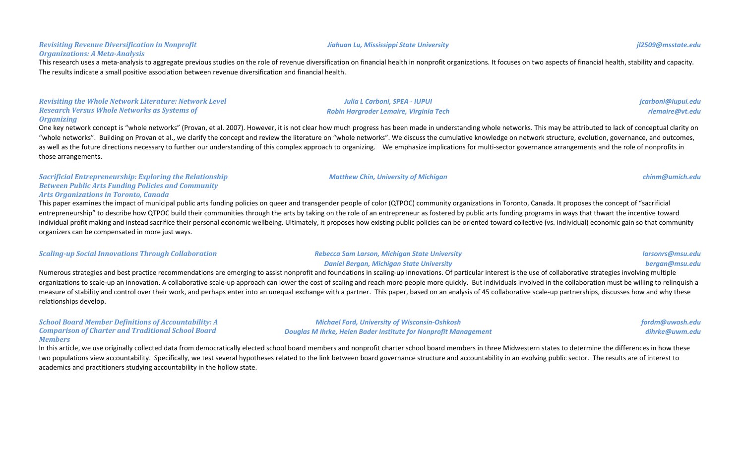### **Revisiting Revenue Diversification in Nonprofit** *Organizations: A Meta-Analysis*

This research uses a meta-analysis to aggregate previous studies on the role of revenue diversification on financial health in nonprofit organizations. It focuses on two aspects of financial health, stability and capacity. The results indicate a small positive association between revenue diversification and financial health.

**Revisiting the Whole Network Literature: Network Level Research Versus Whole Networks as Systems of** *Organizing*

One key network concept is "whole networks" (Provan, et al. 2007). However, it is not clear how much progress has been made in understanding whole networks. This may be attributed to lack of conceptual clarity on "whole networks". Building on Provan et al., we clarify the concept and review the literature on "whole networks". We discuss the cumulative knowledge on network structure, evolution, governance, and outcomes, as well as the future directions necessary to further our understanding of this complex approach to organizing. We emphasize implications for multi-sector governance arrangements and the role of nonprofits in those arrangements.

*Sacrificial Entrepreneurship: Exploring the Relationship* **Between Public Arts Funding Policies and Community** *Arts Organizations in Toronto, Canada*

This paper examines the impact of municipal public arts funding policies on queer and transgender people of color (QTPOC) community organizations in Toronto, Canada. It proposes the concept of "sacrificial entrepreneurship" to describe how QTPOC build their communities through the arts by taking on the role of an entrepreneur as fostered by public arts funding programs in ways that thwart the incentive toward individual profit making and instead sacrifice their personal economic wellbeing. Ultimately, it proposes how existing public policies can be oriented toward collective (vs. individual) economic gain so that community organizers can be compensated in more just ways.

| <b>Scaling-up Social Innovations Through Collaboration</b> | Rebecca Sam Larson, Michigan State University   | larsonrs@msu.edu |
|------------------------------------------------------------|-------------------------------------------------|------------------|
|                                                            | <b>Daniel Bergan, Michigan State University</b> | bergan@msu.edu   |

Numerous strategies and best practice recommendations are emerging to assist nonprofit and foundations in scaling-up innovations. Of particular interest is the use of collaborative strategies involving multiple organizations to scale-up an innovation. A collaborative scale-up approach can lower the cost of scaling and reach more people more quickly. But individuals involved in the collaboration must be willing to relinquish a measure of stability and control over their work, and perhaps enter into an unequal exchange with a partner. This paper, based on an analysis of 45 collaborative scale-up partnerships, discusses how and why these relationships develop.

*School Board Member Definitions of Accountability: A Comparison of Charter and Traditional School Board Members*

In this article, we use originally collected data from democratically elected school board members and nonprofit charter school board members in three Midwestern states to determine the differences in how these two populations view accountability. Specifically, we test several hypotheses related to the link between board governance structure and accountability in an evolving public sector. The results are of interest to academics and practitioners studying accountability in the hollow state.

*jcarboni@iupui.edu rlemaire@vt.edu*

*fordm@uwosh.edu dihrke@uwm.edu*

# *Matthew Chin, University of Michigan chinm@umich.edu*

*Michael Ford, University of Wisconsin-Oshkosh Douglas M Ihrke, Helen Bader Institute for Nonprofit Management* 

**Julia L Carboni, SPEA - IUPUI** *Robin Hargroder Lemaire, Virginia Tech*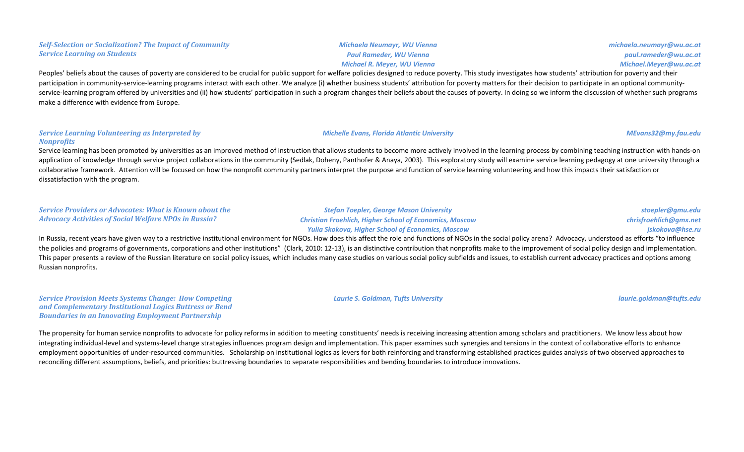### *Self-Selection or Socialization? The Impact of Community* **Service Learning on Students** *Michaela Neumayr, WU Vienna Paul Rameder, WU Vienna Michael R. Meyer, WU Vienna michaela.neumayr@wu.ac.at paul.rameder@wu.ac.at Michael.Meyer@wu.ac.at*

Peoples' beliefs about the causes of poverty are considered to be crucial for public support for welfare policies designed to reduce poverty. This study investigates how students' attribution for poverty and their participation in community-service-learning programs interact with each other. We analyze (i) whether business students' attribution for poverty matters for their decision to participate in an optional communityservice-learning program offered by universities and (ii) how students' participation in such a program changes their beliefs about the causes of poverty. In doing so we inform the discussion of whether such programs make a difference with evidence from Europe.

### *Service Learning Volunteering as Interpreted by Nonprofits*

Service learning has been promoted by universities as an improved method of instruction that allows students to become more actively involved in the learning process by combining teaching instruction with hands-on application of knowledge through service project collaborations in the community (Sedlak, Doheny, Panthofer & Anaya, 2003). This exploratory study will examine service learning pedagogy at one university through a collaborative framework. Attention will be focused on how the nonprofit community partners interpret the purpose and function of service learning volunteering and how this impacts their satisfaction or dissatisfaction with the program.

### *Service Providers or Advocates: What is Known about the Advocacy Activities of Social Welfare NPOs in Russia? Stefan Toepler, George Mason University Christian Froehlich, Higher School of Economics, Moscow Yulia Skokova, Higher School of Economics, Moscow stoepler@gmu.edu chrisfroehlich@gmx.net jskokova@hse.ru* In Russia, recent years have given way to a restrictive institutional environment for NGOs. How does this affect the role and functions of NGOs in the social policy arena? Advocacy, understood as efforts "to influence

the policies and programs of governments, corporations and other institutions" (Clark, 2010: 12-13), is an distinctive contribution that nonprofits make to the improvement of social policy design and implementation. This paper presents a review of the Russian literature on social policy issues, which includes many case studies on various social policy subfields and issues, to establish current advocacy practices and options among Russian nonprofits.

*Service Provision Meets Systems Change: How Competing* and Complementary Institutional Logics Buttress or Bend **Boundaries in an Innovating Employment Partnership** 

*Laurie S. Goldman, Tufts University laurie.goldman@tufts.edu*

The propensity for human service nonprofits to advocate for policy reforms in addition to meeting constituents' needs is receiving increasing attention among scholars and practitioners. We know less about how integrating individual-level and systems-level change strategies influences program design and implementation. This paper examines such synergies and tensions in the context of collaborative efforts to enhance employment opportunities of under-resourced communities. Scholarship on institutional logics as levers for both reinforcing and transforming established practices guides analysis of two observed approaches to reconciling different assumptions, beliefs, and priorities: buttressing boundaries to separate responsibilities and bending boundaries to introduce innovations.

### *Michelle Evans, Florida Atlantic University MEvans32@my.fau.edu*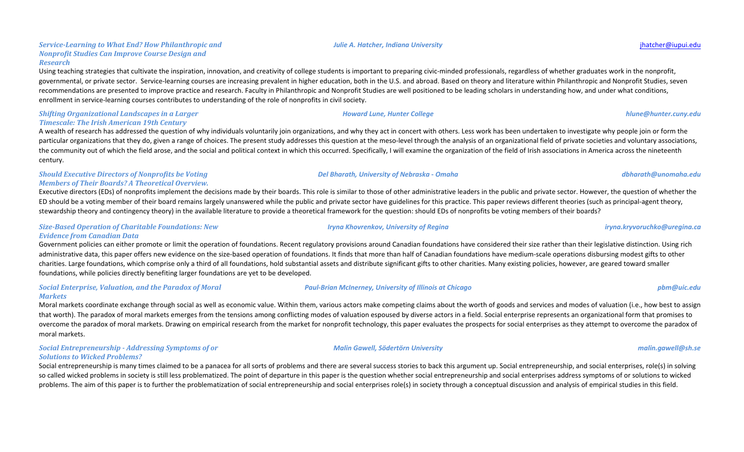### *Service-Learning to What End? How Philanthropic and Nonprofit Studies Can Improve Course Design and Research*

Using teaching strategies that cultivate the inspiration, innovation, and creativity of college students is important to preparing civic-minded professionals, regardless of whether graduates work in the nonprofit, governmental, or private sector. Service-learning courses are increasing prevalent in higher education, both in the U.S. and abroad. Based on theory and literature within Philanthropic and Nonprofit Studies, seven recommendations are presented to improve practice and research. Faculty in Philanthropic and Nonprofit Studies are well positioned to be leading scholars in understanding how, and under what conditions, enrollment in service-learning courses contributes to understanding of the role of nonprofits in civil society.

### **Shifting Organizational Landscapes in a Larger Timescale: The Irish American 19th Century**

A wealth of research has addressed the question of why individuals voluntarily join organizations, and why they act in concert with others. Less work has been undertaken to investigate why people join or form the particular organizations that they do, given a range of choices. The present study addresses this question at the meso-level through the analysis of an organizational field of private societies and voluntary associations, the community out of which the field arose, and the social and political context in which this occurred. Specifically, I will examine the organization of the field of Irish associations in America across the nineteenth century.

### **Should Executive Directors of Nonprofits be Voting** *Members of Their Boards? A Theoretical Overview.*

Executive directors (EDs) of nonprofits implement the decisions made by their boards. This role is similar to those of other administrative leaders in the public and private sector. However, the question of whether the ED should be a voting member of their board remains largely unanswered while the public and private sector have guidelines for this practice. This paper reviews different theories (such as principal-agent theory, stewardship theory and contingency theory) in the available literature to provide a theoretical framework for the question: should EDs of nonprofits be voting members of their boards?

### *Size-Based Operation of Charitable Foundations: New Evidence from Canadian Data*

Government policies can either promote or limit the operation of foundations. Recent regulatory provisions around Canadian foundations have considered their size rather than their legislative distinction. Using rich administrative data, this paper offers new evidence on the size-based operation of foundations. It finds that more than half of Canadian foundations have medium-scale operations disbursing modest gifts to other charities. Large foundations, which comprise only a third of all foundations, hold substantial assets and distribute significant gifts to other charities. Many existing policies, however, are geared toward smaller foundations, while policies directly benefiting larger foundations are yet to be developed.

### **Social Enterprise, Valuation, and the Paradox of Moral** *Markets*

Moral markets coordinate exchange through social as well as economic value. Within them, various actors make competing claims about the worth of goods and services and modes of valuation (i.e., how best to assign that worth). The paradox of moral markets emerges from the tensions among conflicting modes of valuation espoused by diverse actors in a field. Social enterprise represents an organizational form that promises to overcome the paradox of moral markets. Drawing on empirical research from the market for nonprofit technology, this paper evaluates the prospects for social enterprises as they attempt to overcome the paradox of moral markets.

### **Social Entrepreneurship - Addressing Symptoms of or Solutions to Wicked Problems?**

Social entrepreneurship is many times claimed to be a panacea for all sorts of problems and there are several success stories to back this argument up. Social entrepreneurship, and social enterprises, role(s) in solving so called wicked problems in society is still less problematized. The point of departure in this paper is the question whether social entrepreneurship and social enterprises address symptoms of or solutions to wicked problems. The aim of this paper is to further the problematization of social entrepreneurship and social enterprises role(s) in society through a conceptual discussion and analysis of empirical studies in this field.

# *Del Bharath, University of Nebraska - Omaha dbharath@unomaha.edu*

### *Iryna Khovrenkov, University of Regina iryna.kryvoruchko@uregina.ca*

### *Malin Gawell, Södertörn University malin.gawell@sh.se*

### *Howard Lune, Hunter College hlune@hunter.cuny.edu*

*Paul-Brian McInerney, University of Illinois at Chicago pbm@uic.edu*

*Julie A. Hatcher, Indiana University* jhatcher@iupui.edu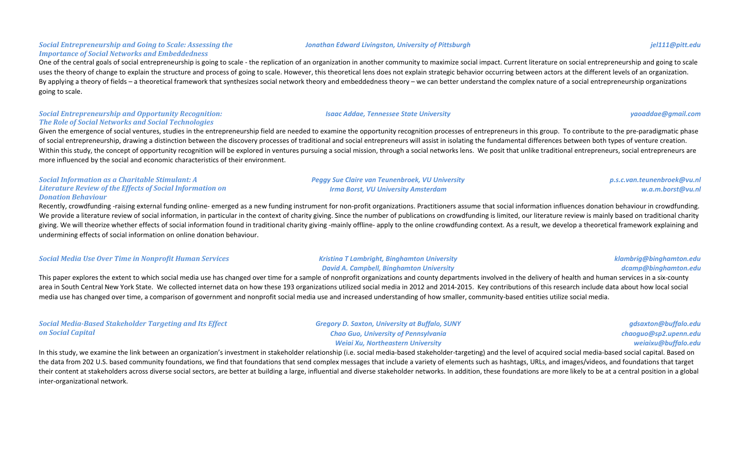### **Social Entrepreneurship and Going to Scale: Assessing the** *Importance of Social Networks and Embeddedness*

One of the central goals of social entrepreneurship is going to scale - the replication of an organization in another community to maximize social impact. Current literature on social entrepreneurship and going to scale uses the theory of change to explain the structure and process of going to scale. However, this theoretical lens does not explain strategic behavior occurring between actors at the different levels of an organization. By applying a theory of fields – a theoretical framework that synthesizes social network theory and embeddedness theory – we can better understand the complex nature of a social entrepreneurship organizations going to scale.

### **Social Entrepreneurship and Opportunity Recognition: The Role of Social Networks and Social Technologies**

Given the emergence of social ventures, studies in the entrepreneurship field are needed to examine the opportunity recognition processes of entrepreneurs in this group. To contribute to the pre-paradigmatic phase of social entrepreneurship, drawing a distinction between the discovery processes of traditional and social entrepreneurs will assist in isolating the fundamental differences between both types of venture creation. Within this study, the concept of opportunity recognition will be explored in ventures pursuing a social mission, through a social networks lens. We posit that unlike traditional entrepreneurs, social entrepreneurs are more influenced by the social and economic characteristics of their environment.

### **Social Information as a Charitable Stimulant: A** Literature Review of the *Effects* of Social Information on *Donation Behaviour*

Recently, crowdfunding -raising external funding online- emerged as a new funding instrument for non-profit organizations. Practitioners assume that social information influences donation behaviour in crowdfunding. We provide a literature review of social information, in particular in the context of charity giving. Since the number of publications on crowdfunding is limited, our literature review is mainly based on traditional charit giving. We will theorize whether effects of social information found in traditional charity giving -mainly offline- apply to the online crowdfunding context. As a result, we develop a theoretical framework explaining and undermining effects of social information on online donation behaviour.

### **Social Media Use Over Time in Nonprofit Human Services Kristing T Lambright, Binghamton University**

### *David A. Campbell, Binghamton University*

**Peggy Sue Claire van Teunenbroek, VU University** *Irma Borst, VU University Amsterdam*

This paper explores the extent to which social media use has changed over time for a sample of nonprofit organizations and county departments involved in the delivery of health and human services in a six-county area in South Central New York State. We collected internet data on how these 193 organizations utilized social media in 2012 and 2014-2015. Key contributions of this research include data about how local social media use has changed over time, a comparison of government and nonprofit social media use and increased understanding of how smaller, community-based entities utilize social media.

| <b>Social Media-Based Stakeholder Targeting and Its Effect</b> | <b>Gregory D. Saxton, University at Buffalo, SUNY</b> | gdsaxton@buffalo.edu  |
|----------------------------------------------------------------|-------------------------------------------------------|-----------------------|
| on Social Capital                                              | <b>Chao Guo, University of Pennsylvania</b>           | chaoguo@sp2.upenn.edu |
|                                                                | Weiai Xu, Northeastern University                     | weiaixu@buffalo.edu   |
|                                                                |                                                       |                       |

In this study, we examine the link between an organization's investment in stakeholder relationship (i.e. social media-based stakeholder-targeting) and the level of acquired social media-based social capital. Based on the data from 202 U.S. based community foundations, we find that foundations that send complex messages that include a variety of elements such as hashtags, URLs, and images/videos, and foundations that target their content at stakeholders across diverse social sectors, are better at building a large, influential and diverse stakeholder networks. In addition, these foundations are more likely to be at a central position in a glo inter-organizational network.

### *Jonathan Edward Livingston, University of Pittsburgh jel111@pitt.edu*

*p.s.c.van.teunenbroek@vu.nl w.a.m.borst@vu.nl*

*klambrig@binghamton.edu dcamp@binghamton.edu*

*Isaac Addae, Tennessee State University yaoaddae@gmail.com*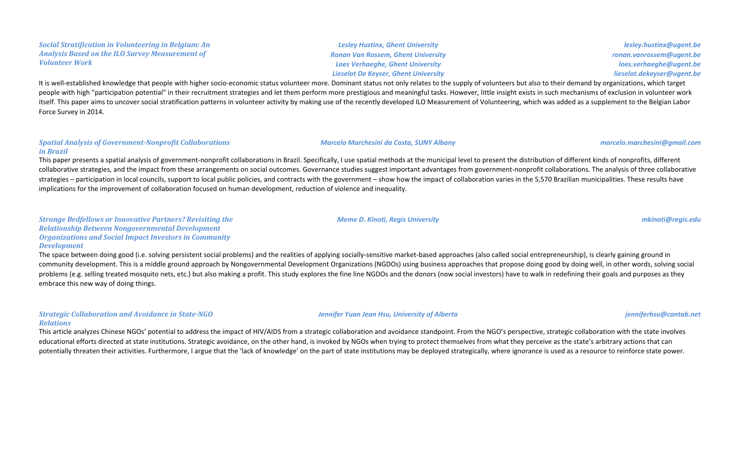### **Social Stratification in Volunteering in Belgium:** An **Analysis Based on the ILO Survey Measurement of** *Volunteer Work*

*Lesley Hustinx, Ghent University Ronan Van Rossem, Ghent University* **Loes Verhaeghe, Ghent University** *Lieselot De Keyser, Ghent University*

*lesley.hustinx@ugent.be ronan.vanrossem@ugent.be loes.verhaeghe@ugent.be lieselot.dekeyser@ugent.be*

It is well-established knowledge that people with higher socio-economic status volunteer more. Dominant status not only relates to the supply of volunteers but also to their demand by organizations, which target people with high "participation potential" in their recruitment strategies and let them perform more prestigious and meaningful tasks. However, little insight exists in such mechanisms of exclusion in volunteer work itself. This paper aims to uncover social stratification patterns in volunteer activity by making use of the recently developed ILO Measurement of Volunteering, which was added as a supplement to the Belgian Labor Force Survey in 2014.

### **Spatial Analysis of Government-Nonprofit Collaborations** *in Brazil*

This paper presents a spatial analysis of government-nonprofit collaborations in Brazil. Specifically, I use spatial methods at the municipal level to present the distribution of different kinds of nonprofits, different collaborative strategies, and the impact from these arrangements on social outcomes. Governance studies suggest important advantages from government-nonprofit collaborations. The analysis of three collaborative strategies – participation in local councils, support to local public policies, and contracts with the government – show how the impact of collaboration varies in the 5,570 Brazilian municipalities. These results have implications for the improvement of collaboration focused on human development, reduction of violence and inequality.

*Strange Bedfellows or Innovative Partners? Revisiting the Relationship Between Nongovernmental Development*  **Organizations and Social Impact Investors in Community** *Development*

The space between doing good (i.e. solving persistent social problems) and the realities of applying socially-sensitive market-based approaches (also called social entrepreneurship), is clearly gaining ground in community development. This is a middle ground approach by Nongovernmental Development Organizations (NGDOs) using business approaches that propose doing good by doing well, in other words, solving social problems (e.g. selling treated mosquito nets, etc.) but also making a profit. This study explores the fine line NGDOs and the donors (now social investors) have to walk in redefining their goals and purposes as they embrace this new way of doing things.

### *Strategic Collaboration and Avoidance in State-NGO Relations*

This article analyzes Chinese NGOs' potential to address the impact of HIV/AIDS from a strategic collaboration and avoidance standpoint. From the NGO's perspective, strategic collaboration with the state involves educational efforts directed at state institutions. Strategic avoidance, on the other hand, is invoked by NGOs when trying to protect themselves from what they perceive as the state's arbitrary actions that can potentially threaten their activities. Furthermore, I argue that the 'lack of knowledge' on the part of state institutions may be deployed strategically, where ignorance is used as a resource to reinforce state power.

*Meme D. Kinoti, Regis University mkinoti@regis.edu*

*Jennifer Yuan Jean Hsu, University of Alberta jenniferhsu@cantab.net*

## *Marcelo Marchesini da Costa, SUNY Albany marcelo.marchesini@gmail.com*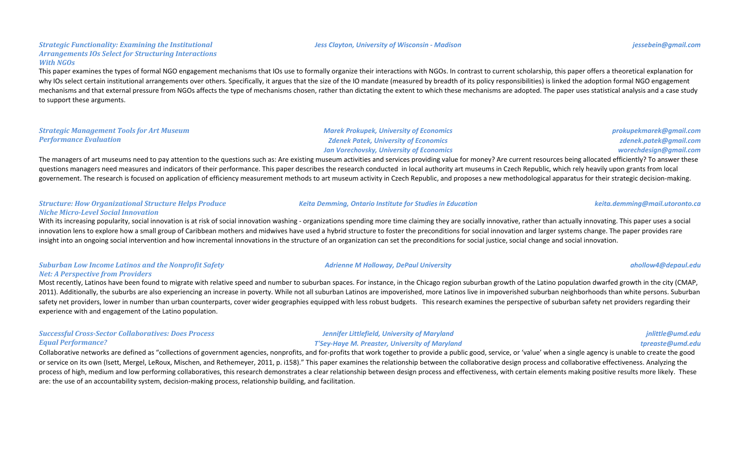#### *Jess Clayton, University of Wisconsin - Madison jessebein@gmail.com*

#### *Strategic Functionality: Examining the Institutional* Arrangements IOs Select for Structuring Interactions *With NGOs*

This paper examines the types of formal NGO engagement mechanisms that IOs use to formally organize their interactions with NGOs. In contrast to current scholarship, this paper offers a theoretical explanation for why IOs select certain institutional arrangements over others. Specifically, it argues that the size of the IO mandate (measured by breadth of its policy responsibilities) is linked the adoption formal NGO engagement mechanisms and that external pressure from NGOs affects the type of mechanisms chosen, rather than dictating the extent to which these mechanisms are adopted. The paper uses statistical analysis and a case study to support these arguments.

#### **Strategic Management Tools for Art Museum** *Performance Evaluation*

#### *Marek Prokupek, University of Economics Zdenek Patek, University of Economics* **Jan Vorechovsky, University of Economics**

The managers of art museums need to pay attention to the questions such as: Are existing museum activities and services providing value for money? Are current resources being allocated efficiently? To answer these questions managers need measures and indicators of their performance. This paper describes the research conducted in local authority art museums in Czech Republic, which rely heavily upon grants from local governement. The research is focused on application of efficiency measurement methods to art museum activity in Czech Republic, and proposes a new methodological apparatus for their strategic decision-making.

#### *Structure: How Organizational Structure Helps Produce Niche Micro-Level Social Innovation*

With its increasing popularity, social innovation is at risk of social innovation washing - organizations spending more time claiming they are socially innovative, rather than actually innovating. This paper uses a social innovation lens to explore how a small group of Caribbean mothers and midwives have used a hybrid structure to foster the preconditions for social innovation and larger systems change. The paper provides rare insight into an ongoing social intervention and how incremental innovations in the structure of an organization can set the preconditions for social iustice, social change and social innovation.

#### **Suburban Low Income Latinos and the Nonprofit Safety** *Net: A Perspective from Providers*

Most recently, Latinos have been found to migrate with relative speed and number to suburban spaces. For instance, in the Chicago region suburban growth of the Latino population dwarfed growth in the city (CMAP, 2011). Additionally, the suburbs are also experiencing an increase in poverty. While not all suburban Latinos are impoverished, more Latinos live in impoverished suburban neighborhoods than white persons. Suburban safety net providers, lower in number than urban counterparts, cover wider geographies equipped with less robust budgets. This research examines the perspective of suburban safety net providers regarding their experience with and engagement of the Latino population.

#### *Successful Cross-Sector Collaboratives: Does Process Equal Performance?*

Collaborative networks are defined as "collections of government agencies, nonprofits, and for-profits that work together to provide a public good, service, or 'value' when a single agency is unable to create the good or service on its own (Isett, Mergel, LeRoux, Mischen, and Rethemeyer, 2011, p. i158)." This paper examines the relationship between the collaborative design process and collaborative effectiveness. Analyzing the process of high, medium and low performing collaboratives, this research demonstrates a clear relationship between design process and effectiveness, with certain elements making positive results more likely. These are: the use of an accountability system, decision-making process, relationship building, and facilitation.

### **Adrienne M Holloway, DePaul University and the contract of the contract of the contract of the contract of the contract of the contract of the contract of the contract of the contract of the contract of the contract of**

#### **Jennifer Littlefield, University of Maryland** *T'Sey-Haye M. Preaster, University of Maryland*

*Keita Demming, Ontario Institute for Studies in Education keita.demming@mail.utoronto.ca*

*prokupekmarek@gmail.com zdenek.patek@gmail.com worechdesign@gmail.com*

*jnlittle@umd.edu*

#### *tpreaste@umd.edu*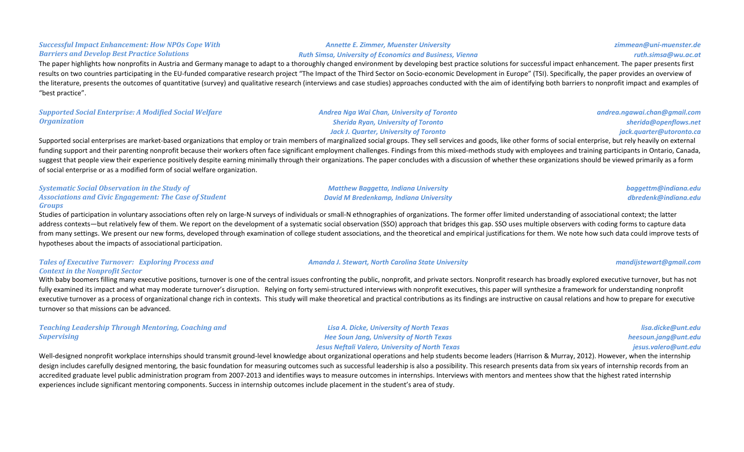#### **Successful Impact Enhancement: How NPOs Cope With** *Barriers and Develop Best Practice Solutions*

The paper highlights how nonprofits in Austria and Germany manage to adapt to a thoroughly changed environment by developing best practice solutions for successful impact enhancement. The paper presents first results on two countries participating in the EU-funded comparative research project "The Impact of the Third Sector on Socio-economic Development in Europe" (TSI). Specifically, the paper provides an overview of the literature, presents the outcomes of quantitative (survey) and qualitative research (interviews and case studies) approaches conducted with the aim of identifying both barriers to nonprofit impact and examples of "best practice".

### **Supported Social Enterprise: A Modified Social Welfare** *Organization*

### *Andrea Nga Wai Chan, University of Toronto Sherida Ryan, University of Toronto Jack J. Quarter, University of Toronto*

*Matthew Baggetta, Indiana University David M Bredenkamp, Indiana University* *andrea.ngawai.chan@gmail.com sherida@openflows.net jack.quarter@utoronto.ca*

Supported social enterprises are market-based organizations that employ or train members of marginalized social groups. They sell services and goods, like other forms of social enterprise, but rely heavily on external funding support and their parenting nonprofit because their workers often face significant employment challenges. Findings from this mixed-methods study with employees and training participants in Ontario, Canada, suggest that people view their experience positively despite earning minimally through their organizations. The paper concludes with a discussion of whether these organizations should be viewed primarily as a form of social enterprise or as a modified form of social welfare organization.

#### **Systematic Social Observation in the Study of** Associations and Civic Engagement: The Case of Student *Groups*

Studies of participation in voluntary associations often rely on large-N surveys of individuals or small-N ethnographies of organizations. The former offer limited understanding of associational context; the latter address contexts—but relatively few of them. We report on the development of a systematic social observation (SSO) approach that bridges this gap. SSO uses multiple observers with coding forms to capture data from many settings. We present our new forms, developed through examination of college student associations, and the theoretical and empirical justifications for them. We note how such data could improve tests of hypotheses about the impacts of associational participation.

#### **Tales of Executive Turnover: Exploring Process and** *Context in the Nonprofit Sector*

With baby boomers filling many executive positions, turnover is one of the central issues confronting the public, nonprofit, and private sectors. Nonprofit research has broadly explored executive turnover, but has not fully examined its impact and what may moderate turnover's disruption. Relying on forty semi-structured interviews with nonprofit executives, this paper will synthesize a framework for understanding nonprofit executive turnover as a process of organizational change rich in contexts. This study will make theoretical and practical contributions as its findings are instructive on causal relations and how to prepare for executive turnover so that missions can be advanced.

| <b>Teaching Leadership Through Mentoring, Coaching and</b> | Lisa A. Dicke, University of North Texas               | lisa.dicke@unt.edu   |
|------------------------------------------------------------|--------------------------------------------------------|----------------------|
| <b>Supervising</b>                                         | Hee Soun Jang, University of North Texas               | heesoun.jang@unt.edu |
|                                                            | <b>Jesus Neftali Valero, University of North Texas</b> | jesus.valero@unt.edu |

Well-designed nonprofit workplace internships should transmit ground-level knowledge about organizational operations and help students become leaders (Harrison & Murray, 2012). However, when the internship design includes carefully designed mentoring, the basic foundation for measuring outcomes such as successful leadership is also a possibility. This research presents data from six years of internship records from an accredited graduate level public administration program from 2007-2013 and identifies ways to measure outcomes in internships. Interviews with mentors and mentees show that the highest rated internship experiences include significant mentoring components. Success in internship outcomes include placement in the student's area of study.

#### *Amanda J. Stewart, North Carolina State University mandijstewart@gmail.com*

*Annette E. Zimmer, Muenster University Ruth Simsa, University of Economics and Business, Vienna* *zimmean@uni-muenster.de*

#### *ruth.simsa@wu.ac.at*

*baggettm@indiana.edu dbredenk@indiana.edu*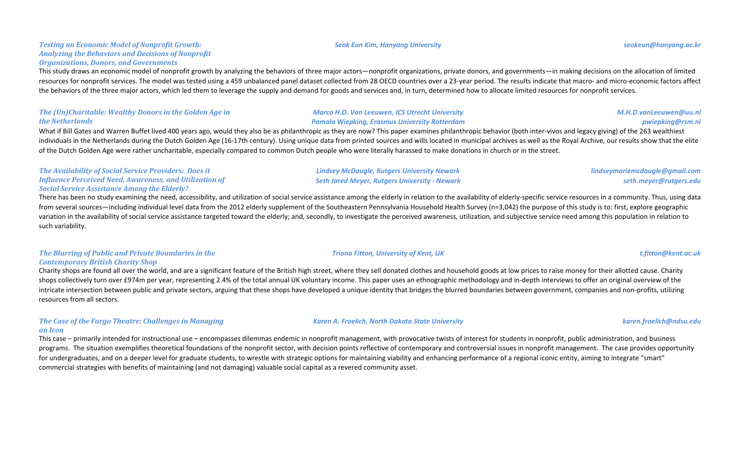#### **Testing an Economic Model of Nonprofit Growth:** Analyzing the Behaviors and Decisions of Nonprofit *Organizations, Donors, and Governments*

This study draws an economic model of nonprofit growth by analyzing the behaviors of three major actors—nonprofit organizations, private donors, and governments—in making decisions on the allocation of limited resources for nonprofit services. The model was tested using a 459 unbalanced panel dataset collected from 28 OECD countries over a 23-year period. The results indicate that macro- and micro-economic factors affect the behaviors of the three major actors, which led them to leverage the supply and demand for goods and services and, in turn, determined how to allocate limited resources for nonprofit services.

#### **The (Un)Charitable: Wealthy Donors in the Golden Age in** *the Netherlands*

What if Bill Gates and Warren Buffet lived 400 years ago, would they also be as philanthropic as they are now? This paper examines philanthropic behavior (both inter-vivos and legacy giving) of the 263 wealthiest individuals in the Netherlands during the Dutch Golden Age (16-17th century). Using unique data from printed sources and wills located in municipal archives as well as the Royal Archive, our results show that the elite of the Dutch Golden Age were rather uncharitable, especially compared to common Dutch people who were literally harassed to make donations in church or in the street.

#### **The Availability of Social Service Providers: Does it** *Influence Perceived Need, Awareness, and Utilization of* **Social Service Assistance Among the Elderly?**

There has been no study examining the need, accessibility, and utilization of social service assistance among the elderly in relation to the availability of elderly-specific service resources in a community. Thus, using da from several sources—including individual level data from the 2012 elderly supplement of the Southeastern Pennsylvania Household Health Survey (n=3,042) the purpose of this study is to: first, explore geographic variation in the availability of social service assistance targeted toward the elderly; and, secondly, to investigate the perceived awareness, utilization, and subjective service need among this population in relation to such variability.

### **The Blurring of Public and Private Boundaries in the** *Contemporary British Charity Shop*

Charity shops are found all over the world, and are a significant feature of the British high street, where they sell donated clothes and household goods at low prices to raise money for their allotted cause. Charity shops collectively turn over £974m per year, representing 2.4% of the total annual UK voluntary income. This paper uses an ethnographic methodology and in-depth interviews to offer an original overview of the intricate intersection between public and private sectors, arguing that these shops have developed a unique identity that bridges the blurred boundaries between government, companies and non-profits, utilizing resources from all sectors.

#### **The Case of the Fargo Theatre: Challenges in Managing** *an Icon*

This case – primarily intended for instructional use – encompasses dilemmas endemic in nonprofit management, with provocative twists of interest for students in nonprofit, public administration, and business programs. The situation exemplifies theoretical foundations of the nonprofit sector, with decision points reflective of contemporary and controversial issues in nonprofit management. The case provides opportunity for undergraduates, and on a deeper level for graduate students, to wrestle with strategic options for maintaining viability and enhancing performance of a regional iconic entity, aiming to integrate "smart" commercial strategies with benefits of maintaining (and not damaging) valuable social capital as a revered community asset.

#### *Seok Eun Kim, Hanyang University seokeun@hanyang.ac.kr*

*Marco H.D. Van Leeuwen, ICS Utrecht University Pamala Wiepking, Erasmus University Rotterdam*

### *lindseymariemcdougle@gmail.com seth.meyer@rutgers.edu*

### *Karen A. Froelich, North Dakota State University karen.froelich@ndsu.edu*

*M.H.D.vanLeeuwen@uu.nl*

*pwiepking@rsm.nl*

*Lindsey McDougle, Rutgers University Newark Seth Jared Meyer, Rutgers University - Newark*

### *Triona Fitton, University of Kent, UK t.fitton@kent.ac.uk*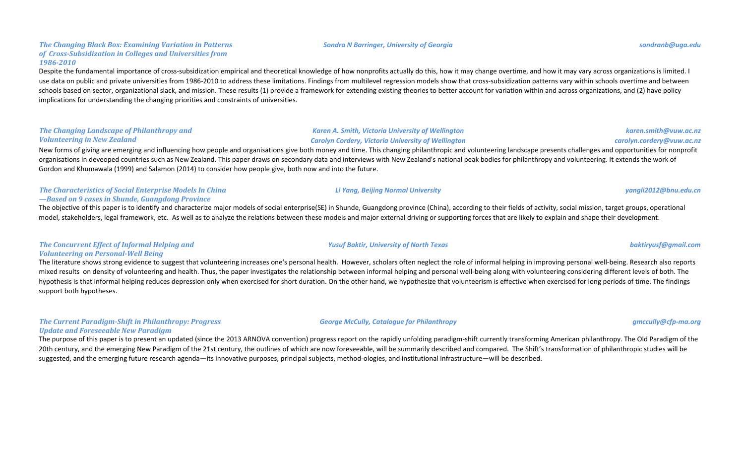#### **The Changing Black Box: Examining Variation in Patterns** of *Cross-Subsidization in Colleges and Universities from 1986-2010*

Despite the fundamental importance of cross-subsidization empirical and theoretical knowledge of how nonprofits actually do this, how it may change overtime, and how it may vary across organizations is limited. I use data on public and private universities from 1986-2010 to address these limitations. Findings from multilevel regression models show that cross-subsidization patterns vary within schools overtime and between schools based on sector, organizational slack, and mission. These results (1) provide a framework for extending existing theories to better account for variation within and across organizations, and (2) have policy implications for understanding the changing priorities and constraints of universities.

#### **The Changing Landscape of Philanthropy and** *Volunteering in New Zealand*

New forms of giving are emerging and influencing how people and organisations give both money and time. This changing philanthropic and volunteering landscape presents challenges and opportunities for nonprofit organisations in deveoped countries such as New Zealand. This paper draws on secondary data and interviews with New Zealand's national peak bodies for philanthropy and volunteering. It extends the work of Gordon and Khumawala (1999) and Salamon (2014) to consider how people give, both now and into the future.

### **The Characteristics of Social Enterprise Models In China** *—Based on 9 cases in Shunde, Guangdong Province*

The objective of this paper is to identify and characterize major models of social enterprise(SE) in Shunde, Guangdong province (China), according to their fields of activity, social mission, target groups, operational model, stakeholders, legal framework, etc. As well as to analyze the relations between these models and major external driving or supporting forces that are likely to explain and shape their development.

### **The Concurrent Effect of Informal Helping and** *Volunteering on Personal-Well Being*

The literature shows strong evidence to suggest that volunteering increases one's personal health. However, scholars often neglect the role of informal helping in improving personal well-being. Research also reports mixed results on density of volunteering and health. Thus, the paper investigates the relationship between informal helping and personal well-being along with volunteering considering different levels of both. The hypothesis is that informal helping reduces depression only when exercised for short duration. On the other hand, we hypothesize that volunteerism is effective when exercised for long periods of time. The findings support both hypotheses.

#### **The Current Paradigm-Shift in Philanthropy: Progress** *Update and Foreseeable New Paradigm*

The purpose of this paper is to present an updated (since the 2013 ARNOVA convention) progress report on the rapidly unfolding paradigm-shift currently transforming American philanthropy. The Old Paradigm of the 20th century, and the emerging New Paradigm of the 21st century, the outlines of which are now foreseeable, will be summarily described and compared. The Shift's transformation of philanthropic studies will be suggested, and the emerging future research agenda—its innovative purposes, principal subjects, method-ologies, and institutional infrastructure—will be described.

*Karen A. Smith, Victoria University of Wellington Carolyn Cordery, Victoria University of Wellington*

*Li Yang, Beijing Normal University yangli2012@bnu.edu.cn*

*Yusuf Baktir, University of North Texas baktiryusf@gmail.com*

### *karen.smith@vuw.ac.nz carolyn.cordery@vuw.ac.nz*

#### *George McCully, Catalogue for Philanthropy gmccully@cfp-ma.org*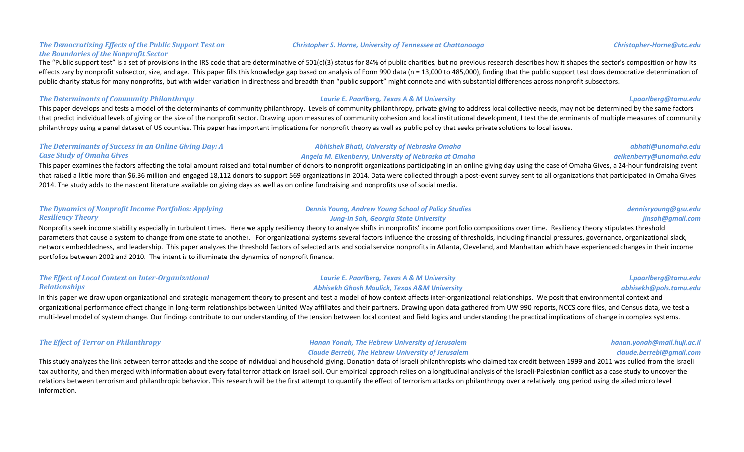#### **The Democratizing Effects of the Public Support Test on** *the Boundaries of the Nonprofit Sector*

The "Public support test" is a set of provisions in the IRS code that are determinative of 501(c)(3) status for 84% of public charities, but no previous research describes how it shapes the sector's composition or how its effects vary by nonprofit subsector, size, and age. This paper fills this knowledge gap based on analysis of Form 990 data (n = 13,000 to 485,000), finding that the public support test does democratize determination of public charity status for many nonprofits, but with wider variation in directness and breadth than "public support" might connote and with substantial differences across nonprofit subsectors.

#### **The Determinants of Community Philanthropy** *Laurie E. Paarlberg, Texas A* **& M University** *l.paarlberg@tamu.edu*

This paper develops and tests a model of the determinants of community philanthropy. Levels of community philanthropy, private giving to address local collective needs, may not be determined by the same factors that predict individual levels of giving or the size of the nonprofit sector. Drawing upon measures of community cohesion and local institutional development, I test the determinants of multiple measures of community philanthropy using a panel dataset of US counties. This paper has important implications for nonprofit theory as well as public policy that seeks private solutions to local issues.

#### **The Determinants of Success in an Online Giving Day: A** *Case Study of Omaha Gives*

#### *Abhishek Bhati, University of Nebraska Omaha Angela M. Eikenberry, University of Nebraska at Omaha*

This paper examines the factors affecting the total amount raised and total number of donors to nonprofit organizations participating in an online giving day using the case of Omaha Gives, a 24-hour fundraising event that raised a little more than \$6.36 million and engaged 18,112 donors to support 569 organizations in 2014. Data were collected through a post-event survey sent to all organizations that participated in Omaha Gives 2014. The study adds to the nascent literature available on giving days as well as on online fundraising and nonprofits use of social media.

| <b>The Dynamics of Nonprofit Income Portfolios: Applying</b> | <b>Dennis Young, Andrew Young School of Policy Studies</b> | dennisryoung@gsu.edu |
|--------------------------------------------------------------|------------------------------------------------------------|----------------------|
| <b>Resiliency Theory</b>                                     | Jung-In Soh, Georgia State University                      | jinsoh@gmail.com     |

Nonprofits seek income stability especially in turbulent times. Here we apply resiliency theory to analyze shifts in nonprofits' income portfolio compositions over time. Resiliency theory stipulates threshold parameters that cause a system to change from one state to another. For organizational systems several factors influence the crossing of thresholds, including financial pressures, governance, organizational slack, network embeddedness, and leadership. This paper analyzes the threshold factors of selected arts and social service nonprofits in Atlanta, Cleveland, and Manhattan which have experienced changes in their income portfolios between 2002 and 2010. The intent is to illuminate the dynamics of nonprofit finance.

#### **The Effect of Local Context on Inter-Organizational** *Relationships Laurie E. Paarlberg, Texas A & M University Abhisekh Ghosh Moulick, Texas A&M University l.paarlberg@tamu.edu abhisekh@pols.tamu.edu*

In this paper we draw upon organizational and strategic management theory to present and test a model of how context affects inter-organizational relationships. We posit that environmental context and organizational performance effect change in long-term relationships between United Way affiliates and their partners. Drawing upon data gathered from UW 990 reports, NCCS core files, and Census data, we test a multi-level model of system change. Our findings contribute to our understanding of the tension between local context and field logics and understanding the practical implications of change in complex systems.

#### **The Effect of Terror on Philanthropy** *Hanan Yonah, The Hebrew University of Jerusalem Claude Berrebi, The Hebrew University of Jerusalem*

*hanan.yonah@mail.huji.ac.il claude.berrebi@gmail.com*

This study analyzes the link between terror attacks and the scope of individual and household giving. Donation data of Israeli philanthropists who claimed tax credit between 1999 and 2011 was culled from the Israeli tax authority, and then merged with information about every fatal terror attack on Israeli soil. Our empirical approach relies on a longitudinal analysis of the Israeli-Palestinian conflict as a case study to uncover the relations between terrorism and philanthropic behavior. This research will be the first attempt to quantify the effect of terrorism attacks on philanthropy over a relatively long period using detailed micro level information.

#### **Christopher S. Horne, University of Tennessee at Chattanooga** *Christopher-Horne@utc.edu*

*abhati@unomaha.edu aeikenberry@unomaha.edu*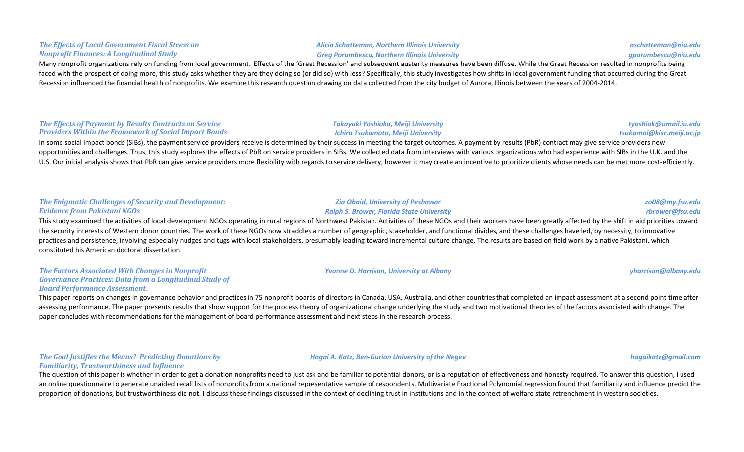#### **The Effects of Local Government Fiscal Stress on** *Nonprofit Finances: A Longitudinal Study*

Many nonprofit organizations rely on funding from local government. Effects of the 'Great Recession' and subsequent austerity measures have been diffuse. While the Great Recession resulted in nonprofits being faced with the prospect of doing more, this study asks whether they are they doing so (or did so) with less? Specifically, this study investigates how shifts in local government funding that occurred during the Great Recession influenced the financial health of nonprofits. We examine this research question drawing on data collected from the city budget of Aurora, Illinois between the years of 2004-2014.

### **The Effects of Payment by Results Contracts on Service Providers Within the Framework of Social Impact Bonds**

In some social impact bonds (SIBs), the payment service providers receive is determined by their success in meeting the target outcomes. A payment by results (PbR) contract may give service providers new opportunities and challenges. Thus, this study explores the effects of PbR on service providers in SIBs. We collected data from interviews with various organizations who had experience with SIBs in the U.K. and the U.S. Our initial analysis shows that PbR can give service providers more flexibility with regards to service delivery, however it may create an incentive to prioritize clients whose needs can be met more cost-efficiently.

#### **The Enigmatic Challenges of Security and Development:** *Evidence from Pakistani NGOs*

This study examined the activities of local development NGOs operating in rural regions of Northwest Pakistan. Activities of these NGOs and their workers have been greatly affected by the shift in aid priorities toward the security interests of Western donor countries. The work of these NGOs now straddles a number of geographic, stakeholder, and functional divides, and these challenges have led, by necessity, to innovative practices and persistence, involving especially nudges and tugs with local stakeholders, presumably leading toward incremental culture change. The results are based on field work by a native Pakistani, which constituted his American doctoral dissertation.

#### **The Factors Associated With Changes in Nonprofit** Governance Practices: Data from a Longitudinal Study of *Board Performance Assessment.*

This paper reports on changes in governance behavior and practices in 75 nonprofit boards of directors in Canada, USA, Australia, and other countries that completed an impact assessment at a second point time after assessing performance. The paper presents results that show support for the process theory of organizational change underlying the study and two motivational theories of the factors associated with change. The paper concludes with recommendations for the management of board performance assessment and next steps in the research process.

**The Goal Justifies the Means? Predicting Donations by** *Familiarity, Trustworthiness and Influence*

The question of this paper is whether in order to get a donation nonprofits need to just ask and be familiar to potential donors, or is a reputation of effectiveness and honesty required. To answer this question, I used an online questionnaire to generate unaided recall lists of nonprofits from a national representative sample of respondents. Multivariate Fractional Polynomial regression found that familiarity and influence predict the proportion of donations, but trustworthiness did not. I discuss these findings discussed in the context of declining trust in institutions and in the context of welfare state retrenchment in western societies.

#### *Alicia Schatteman, Northern Illinois University Greg Porumbescu, Northern Illinois University*

# *Takayuki Yoshioka, Meiji University*

### *Ichiro Tsukamoto, Meiji University*

*Ralph S. Brower, Florida State University*

*Zia Obaid, University of Peshawar*

*Yvonne D. Harrison, University at Albany yharrison@albany.edu yharrison@albany.edu* 

*zo08@my.fsu.edu rbrower@fsu.edu*

*Hagai A. Katz, Ben-Gurion University of the Negev hagaikatz@gmail.com*

*aschatteman@niu.edu gporumbescu@niu.edu*

*tyoshiok@umail.iu.edu tsukamoi@kisc.meiji.ac.jp*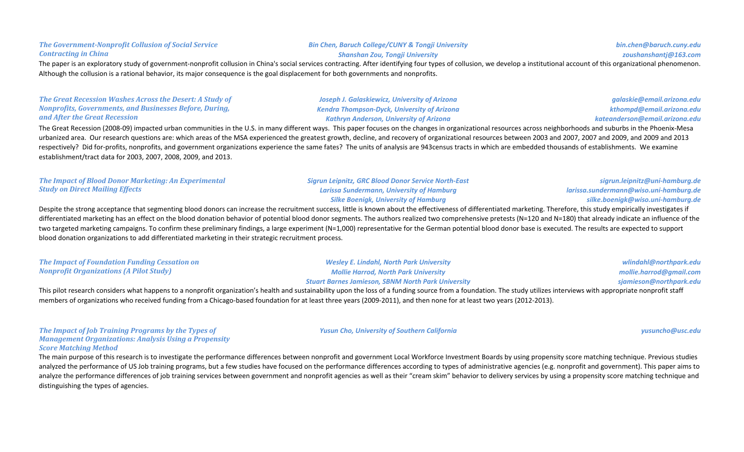#### **The Government-Nonprofit Collusion of Social Service** *Contracting in China*

#### **Bin Chen, Baruch College/CUNY & Tongji University** *Shanshan Zou, Tongji University*

### The paper is an exploratory study of government-nonprofit collusion in China's social services contracting. After identifying four types of collusion, we develop a institutional account of this organizational phenomenon. Although the collusion is a rational behavior, its major consequence is the goal displacement for both governments and nonprofits.

**The Great Recession Washes Across the Desert: A Study of** *Nonprofits, Governments, and Businesses Before, During, and After the Great Recession*

**Study on Direct Mailing Effects** 

The Great Recession (2008-09) impacted urban communities in the U.S. in many different ways. This paper focuses on the changes in organizational resources across neighborhoods and suburbs in the Phoenix-Mesa urbanized area. Our research questions are: which areas of the MSA experienced the greatest growth, decline, and recovery of organizational resources between 2003 and 2007, 2007 and 2009, and 2009 and 2013 respectively? Did for-profits, nonprofits, and government organizations experience the same fates? The units of analysis are 943census tracts in which are embedded thousands of establishments. We examine establishment/tract data for 2003, 2007, 2008, 2009, and 2013.

Despite the strong acceptance that segmenting blood donors can increase the recruitment success, little is known about the effectiveness of differentiated marketing. Therefore, this study empirically investigates if differentiated marketing has an effect on the blood donation behavior of potential blood donor segments. The authors realized two comprehensive pretests (N=120 and N=180) that already indicate an influence of the two targeted marketing campaigns. To confirm these preliminary findings, a large experiment (N=1,000) representative for the German potential blood donor base is executed. The results are expected to support blood donation organizations to add differentiated marketing in their strategic recruitment process.

| The Impact of Foundation Funding Cessation on  | <b>Wesley E. Lindahl, North Park University</b>           | wlindahl@northpark.edu  |
|------------------------------------------------|-----------------------------------------------------------|-------------------------|
| <b>Nonprofit Organizations (A Pilot Study)</b> | <b>Mollie Harrod, North Park University</b>               | mollie.harrod@gmail.com |
|                                                | <b>Stuart Barnes Jamieson, SBNM North Park University</b> | sjamieson@northpark.edu |
|                                                |                                                           |                         |

This pilot research considers what happens to a nonprofit organization's health and sustainability upon the loss of a funding source from a foundation. The study utilizes interviews with appropriate nonprofit staff members of organizations who received funding from a Chicago-based foundation for at least three years (2009-2011), and then none for at least two years (2012-2013).

#### **The Impact of Job Training Programs by the Types of** *Management Organizations: Analysis Using a Propensity Score Matching Method*

The main purpose of this research is to investigate the performance differences between nonprofit and government Local Workforce Investment Boards by using propensity score matching technique. Previous studies analyzed the performance of US Job training programs, but a few studies have focused on the performance differences according to types of administrative agencies (e.g. nonprofit and government). This paper aims to analyze the performance differences of job training services between government and nonprofit agencies as well as their "cream skim" behavior to delivery services by using a propensity score matching technique and distinguishing the types of agencies.

*Joseph J. Galaskiewicz, University of Arizona Kendra Thompson-Dyck, University of Arizona Kathryn Anderson, University of Arizona*

*sigrun.leipnitz@uni-hamburg.de larissa.sundermann@wiso.uni-hamburg.de silke.boenigk@wiso.uni-hamburg.de*

*Yusun Cho, University of Southern California yusuncho@usc.edu*

*bin.chen@baruch.cuny.edu zoushanshantj@163.com*

*galaskie@email.arizona.edu kthompd@email.arizona.edu kateanderson@email.arizona.edu*

**The Impact of Blood Donor Marketing: An Experimental** *Sigrun Leipnitz, GRC Blood Donor Service North-East Larissa Sundermann, University of Hamburg* **Silke Boenigk, University of Hamburg**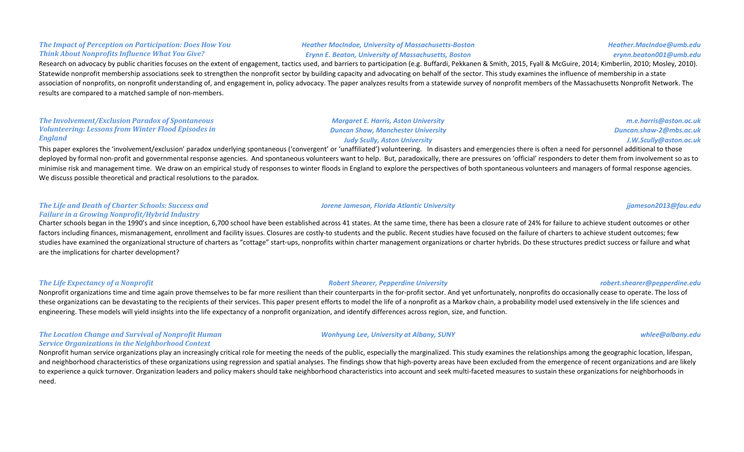#### **The Impact of Perception on Participation: Does How You Think About Nonprofits Influence What You Give?**

#### *Heather MacIndoe, University of Massachusetts-Boston Erynn E. Beaton, University of Massachusetts, Boston*

*Margaret E. Harris, Aston University Duncan Shaw, Manchester University Judy Scully, Aston University* 

*Heather.MacIndoe@umb.edu erynn.beaton001@umb.edu*

Research on advocacy by public charities focuses on the extent of engagement, tactics used, and barriers to participation (e.g. Buffardi, Pekkanen & Smith, 2015, Fyall & McGuire, 2014; Kimberlin, 2010; Mosley, 2010). Statewide nonprofit membership associations seek to strengthen the nonprofit sector by building capacity and advocating on behalf of the sector. This study examines the influence of membership in a state association of nonprofits, on nonprofit understanding of, and engagement in, policy advocacy. The paper analyzes results from a statewide survey of nonprofit members of the Massachusetts Nonprofit Network. The results are compared to a matched sample of non-members.

#### **The Involvement/Exclusion Paradox of Spontaneous** *Volunteering: Lessons from Winter Flood Episodes in England*

This paper explores the 'involvement/exclusion' paradox underlying spontaneous ('convergent' or 'unaffiliated') volunteering. In disasters and emergencies there is often a need for personnel additional to those deployed by formal non-profit and governmental response agencies. And spontaneous volunteers want to help. But, paradoxically, there are pressures on 'official' responders to deter them from involvement so as to minimise risk and management time. We draw on an empirical study of responses to winter floods in England to explore the perspectives of both spontaneous volunteers and managers of formal response agencies. We discuss possible theoretical and practical resolutions to the paradox.

#### **The Life and Death of Charter Schools: Success and** *Failure in a Growing Nonprofit/Hybrid Industry*

Charter schools began in the 1990's and since inception, 6,700 school have been established across 41 states. At the same time, there has been a closure rate of 24% for failure to achieve student outcomes or other factors including finances, mismanagement, enrollment and facility issues. Closures are costly-to students and the public. Recent studies have focused on the failure of charters to achieve student outcomes; few studies have examined the organizational structure of charters as "cottage" start-ups, nonprofits within charter management organizations or charter hybrids. Do these structures predict success or failure and what are the implications for charter development?

### **The Life Expectancy of a Nonprofit** *Robert Shearer, Pepperdine University**robert.shearer@pepperdine.edu*

Nonprofit organizations time and time again prove themselves to be far more resilient than their counterparts in the for-profit sector. And yet unfortunately, nonprofits do occasionally cease to operate. The loss of these organizations can be devastating to the recipients of their services. This paper present efforts to model the life of a nonprofit as a Markov chain, a probability model used extensively in the life sciences and engineering. These models will yield insights into the life expectancy of a nonprofit organization, and identify differences across region, size, and function.

#### **The Location Change and Survival of Nonprofit Human Service Organizations in the Neighborhood Context**

Nonprofit human service organizations play an increasingly critical role for meeting the needs of the public, especially the marginalized. This study examines the relationships among the geographic location, lifespan, and neighborhood characteristics of these organizations using regression and spatial analyses. The findings show that high-poverty areas have been excluded from the emergence of recent organizations and are likely to experience a quick turnover. Organization leaders and policy makers should take neighborhood characteristics into account and seek multi-faceted measures to sustain these organizations for neighborhoods in need.

### *Jorene Jameson, Florida Atlantic University jjameson2013@fau.edu*

*m.e.harris@aston.ac.uk Duncan.shaw-2@mbs.ac.uk J.W.Scully@aston.ac.uk*

*Wonhyung Lee, University at Albany, SUNY whlee@albany.edu*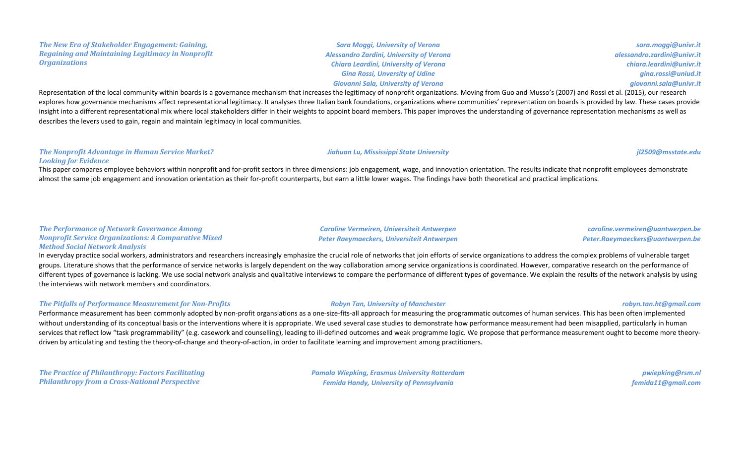#### **The New Era of Stakeholder Engagement: Gaining, Regaining and Maintaining Legitimacy in Nonprofit** *Organizations*

**Sara Moggi, University of Verona** *Alessandro Zardini, University of Verona Chiara Leardini, University of Verona Gina Rossi, Unversity of Udine Giovanni Sala, University of Verona*

*sara.moggi@univr.it alessandro.zardini@univr.it chiara.leardini@univr.it gina.rossi@uniud.it giovanni.sala@univr.it*

Representation of the local community within boards is a governance mechanism that increases the legitimacy of nonprofit organizations. Moving from Guo and Musso's (2007) and Rossi et al. (2015), our research explores how governance mechanisms affect representational legitimacy. It analyses three Italian bank foundations, organizations where communities' representation on boards is provided by law. These cases provide insight into a different representational mix where local stakeholders differ in their weights to appoint board members. This paper improves the understanding of governance representation mechanisms as well as describes the levers used to gain, regain and maintain legitimacy in local communities.

#### **The Nonprofit Advantage in Human Service Market?** *Looking for Evidence*

This paper compares employee behaviors within nonprofit and for-profit sectors in three dimensions: job engagement, wage, and innovation orientation. The results indicate that nonprofit employees demonstrate almost the same job engagement and innovation orientation as their for-profit counterparts, but earn a little lower wages. The findings have both theoretical and practical implications.

### **The Performance of Network Governance Among** *Nonprofit Service Organizations: A Comparative Mixed Method Social Network Analysis*

*Caroline Vermeiren, Universiteit Antwerpen Peter Raeymaeckers, Universiteit Antwerpen*

### *caroline.vermeiren@uantwerpen.be Peter.Raeymaeckers@uantwerpen.be*

In everyday practice social workers, administrators and researchers increasingly emphasize the crucial role of networks that join efforts of service organizations to address the complex problems of vulnerable target groups. Literature shows that the performance of service networks is largely dependent on the way collaboration among service organizations is coordinated. However, comparative research on the performance of different types of governance is lacking. We use social network analysis and qualitative interviews to compare the performance of different types of governance. We explain the results of the network analysis by using the interviews with network members and coordinators.

### *The Pitfalls of Performance Measurement for Non-Profits Robyn Tan, University of Manchester robyn.tan.ht@gmail.com*

Performance measurement has been commonly adopted by non-profit organsiations as a one-size-fits-all approach for measuring the programmatic outcomes of human services. This has been often implemented without understanding of its conceptual basis or the interventions where it is appropriate. We used several case studies to demonstrate how performance measurement had been misapplied, particularly in human services that reflect low "task programmability" (e.g. casework and counselling), leading to ill-defined outcomes and weak programme logic. We propose that performance measurement ought to become more theorydriven by articulating and testing the theory-of-change and theory-of-action, in order to facilitate learning and improvement among practitioners.

**The Practice of Philanthropy: Factors Facilitating Philanthropy from a Cross-National Perspective** 

*Pamala Wiepking, Erasmus University Rotterdam Femida Handy, University of Pennsylvania*

*pwiepking@rsm.nl femida11@gmail.com*

*Jiahuan Lu, Mississippi State University jl2509@msstate.edu*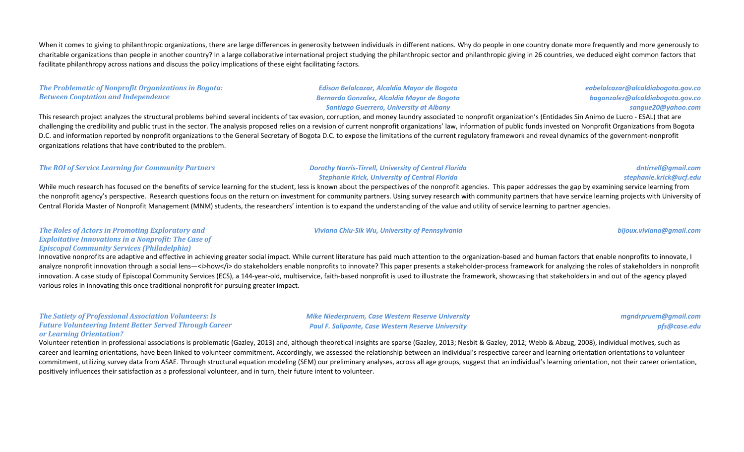When it comes to giving to philanthropic organizations, there are large differences in generosity between individuals in different nations. Why do people in one country donate more frequently and more generously to charitable organizations than people in another country? In a large collaborative international project studying the philanthropic sector and philanthropic giving in 26 countries, we deduced eight common factors that facilitate philanthropy across nations and discuss the policy implications of these eight facilitating factors.

#### **The Problematic of Nonprofit Organizations in Bogota: Between Cooptation and Independence**

*Edison Belalcazar, Alcaldia Mayor de Bogota Bernardo Gonzalez, Alcaldia Mayor de Bogota Santiago Guerrero, University at Albany*

This research project analyzes the structural problems behind several incidents of tax evasion, corruption, and money laundry associated to nonprofit organization's (Entidades Sin Animo de Lucro - ESAL) that are challenging the credibility and public trust in the sector. The analysis proposed relies on a revision of current nonprofit organizations' law, information of public funds invested on Nonprofit Organizations from Bogota D.C. and information reported by nonprofit organizations to the General Secretary of Bogota D.C. to expose the limitations of the current regulatory framework and reveal dynamics of the government-nonprofit organizations relations that have contributed to the problem.

#### **The ROI** of Service Learning for Community Partners *Dorothy Norris-Tirrell, University of Central Florida*

## **Stephanie Krick, University of Central Florida**

While much research has focused on the benefits of service learning for the student, less is known about the perspectives of the nonprofit agencies. This paper addresses the gap by examining service learning from the nonprofit agency's perspective. Research questions focus on the return on investment for community partners. Using survey research with community partners that have service learning projects with University of Central Florida Master of Nonprofit Management (MNM) students, the researchers' intention is to expand the understanding of the value and utility of service learning to partner agencies.

#### *Viviana Chiu-Sik Wu, University of Pennsylvania bijoux.viviana@gmail.com*

*Mike Niederpruem, Case Western Reserve University Paul F. Salipante, Case Western Reserve University*

#### **The Roles of Actors in Promoting Exploratory and Exploitative Innovations in a Nonprofit: The Case of** *Episcopal Community Services (Philadelphia)*

Innovative nonprofits are adaptive and effective in achieving greater social impact. While current literature has paid much attention to the organization-based and human factors that enable nonprofits to innovate, I analyze nonprofit innovation through a social lens—<i>how</i> do stakeholders enable nonprofits to innovate? This paper presents a stakeholder-process framework for analyzing the roles of stakeholders in nonprofit innovation. A case study of Episcopal Community Services (ECS), a 144-year-old, multiservice, faith-based nonprofit is used to illustrate the framework, showcasing that stakeholders in and out of the agency played various roles in innovating this once traditional nonprofit for pursuing greater impact.

#### **The Satiety of Professional Association Volunteers: Is Future Volunteering Intent Better Served Through Career** *or Learning Orientation?*

Volunteer retention in professional associations is problematic (Gazley, 2013) and, although theoretical insights are sparse (Gazley, 2013; Nesbit & Gazley, 2012; Webb & Abzug, 2008), individual motives, such as career and learning orientations, have been linked to volunteer commitment. Accordingly, we assessed the relationship between an individual's respective career and learning orientation orientations to volunteer commitment, utilizing survey data from ASAE. Through structural equation modeling (SEM) our preliminary analyses, across all age groups, suggest that an individual's learning orientation, not their career orientation, positively influences their satisfaction as a professional volunteer, and in turn, their future intent to volunteer.

*mgndrpruem@gmail.com pfs@case.edu*

*eabelalcazar@alcaldiabogota.gov.co bagonzalez@alcaldiabogota.gov.co sangue20@yahoo.com*

*dntirrell@gmail.com stephanie.krick@ucf.edu*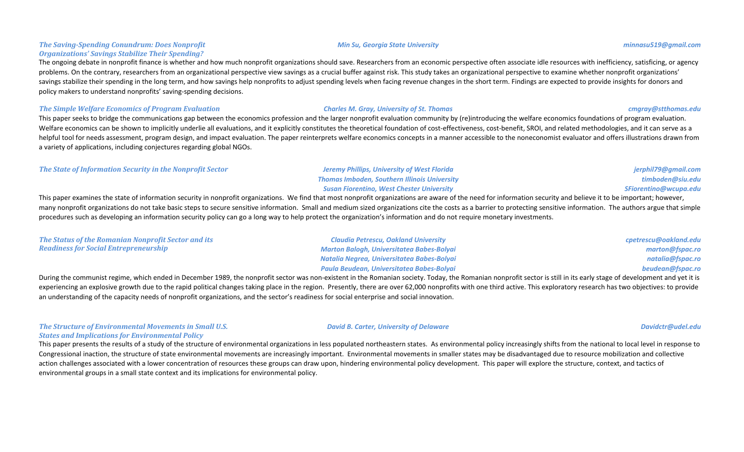#### **The Saving-Spending Conundrum: Does Nonprofit** *Organizations' Savings Stabilize Their Spending?*

The ongoing debate in nonprofit finance is whether and how much nonprofit organizations should save. Researchers from an economic perspective often associate idle resources with inefficiency, satisficing, or agency problems. On the contrary, researchers from an organizational perspective view savings as a crucial buffer against risk. This study takes an organizational perspective to examine whether nonprofit organizations' savings stabilize their spending in the long term, and how savings help nonprofits to adjust spending levels when facing revenue changes in the short term. Findings are expected to provide insights for donors and policy makers to understand nonprofits' saving-spending decisions.

#### **The Simple Welfare Economics of Program Evaluation** *Charles M. Gray, University of St. Thomas**cmgray@stthomas.edu*

This paper seeks to bridge the communications gap between the economics profession and the larger nonprofit evaluation community by (re)introducing the welfare economics foundations of program evaluation. Welfare economics can be shown to implicitly underlie all evaluations, and it explicitly constitutes the theoretical foundation of cost-effectiveness, cost-benefit, SROI, and related methodologies, and it can serve as a helpful tool for needs assessment, program design, and impact evaluation. The paper reinterprets welfare economics concepts in a manner accessible to the noneconomist evaluator and offers illustrations drawn from a variety of applications, including conjectures regarding global NGOs.

#### **The State of Information Security in the Nonprofit Sector** *Jeremy Phillips, University of West Florida Thomas Imboden, Southern Illinois University*

This paper examines the state of information security in nonprofit organizations. We find that most nonprofit organizations are aware of the need for information security and believe it to be important; however, many nonprofit organizations do not take basic steps to secure sensitive information. Small and medium sized organizations cite the costs as a barrier to protecting sensitive information. The authors argue that simple procedures such as developing an information security policy can go a long way to help protect the organization's information and do not require monetary investments.

*Susan Fiorentino, West Chester University*

| The Status of the Romanian Nonprofit Sector and its | <b>Claudia Petrescu, Oakland University</b> | cpetrescu@oakland.edu |
|-----------------------------------------------------|---------------------------------------------|-----------------------|
| <b>Readiness for Social Entrepreneurship</b>        | Marton Balogh, Universitatea Babes-Bolyai   | marton@fspac.ro       |
|                                                     | Natalia Negrea, Universitatea Babes-Bolyai  | natalia@fspac.ro      |
|                                                     | Paula Beudean, Universitatea Babes-Bolyai   | beudean@fspac.ro      |

During the communist regime, which ended in December 1989, the nonprofit sector was non-existent in the Romanian society. Today, the Romanian nonprofit sector is still in its early stage of development and yet it is experiencing an explosive growth due to the rapid political changes taking place in the region. Presently, there are over 62,000 nonprofits with one third active. This exploratory research has two objectives: to provide an understanding of the capacity needs of nonprofit organizations, and the sector's readiness for social enterprise and social innovation.

#### **The Structure of Environmental Movements in Small U.S.** *States and Implications for Environmental Policy*

This paper presents the results of a study of the structure of environmental organizations in less populated northeastern states. As environmental policy increasingly shifts from the national to local level in response to Congressional inaction, the structure of state environmental movements are increasingly important. Environmental movements in smaller states may be disadvantaged due to resource mobilization and collective action challenges associated with a lower concentration of resources these groups can draw upon, hindering environmental policy development. This paper will explore the structure, context, and tactics of environmental groups in a small state context and its implications for environmental policy.

#### *Min Su, Georgia State University minnasu519@gmail.com*

#### *David B. Carter, University of Delaware Davidctr@udel.edu*

*jerphil79@gmail.com timboden@siu.edu SFiorentino@wcupa.edu*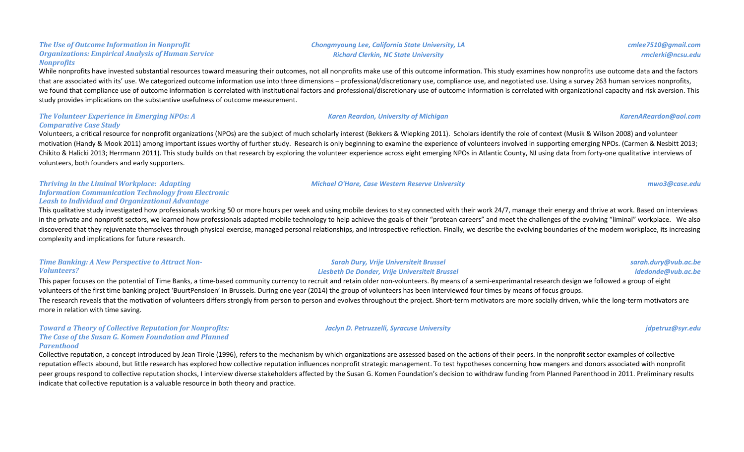While nonprofits have invested substantial resources toward measuring their outcomes, not all nonprofits make use of this outcome information. This study examines how nonprofits use outcome data and the factors that are associated with its' use. We categorized outcome information use into three dimensions - professional/discretionary use, compliance use, and negotiated use. Using a survey 263 human services nonprofits, we found that compliance use of outcome information is correlated with institutional factors and professional/discretionary use of outcome information is correlated with organizational capacity and risk aversion. This study provides implications on the substantive usefulness of outcome measurement.

### **The Volunteer Experience in Emerging NPOs: A** *Comparative Case Study*

**The Use of Outcome Information in Nonprofit** 

*Nonprofits*

**Organizations: Empirical Analysis of Human Service** 

Volunteers, a critical resource for nonprofit organizations (NPOs) are the subject of much scholarly interest (Bekkers & Wiepking 2011). Scholars identify the role of context (Musik & Wilson 2008) and volunteer motivation (Handy & Mook 2011) among important issues worthy of further study. Research is only beginning to examine the experience of volunteers involved in supporting emerging NPOs. (Carmen & Nesbitt 2013; Chikito & Halicki 2013; Herrmann 2011). This study builds on that research by exploring the volunteer experience across eight emerging NPOs in Atlantic County, NJ using data from forty-one qualitative interviews of volunteers, both founders and early supporters.

#### **Thriving in the Liminal Workplace: Adapting** *Information Communication Technology from Electronic*  Leash to Individual and Organizational Advantage

This qualitative study investigated how professionals working 50 or more hours per week and using mobile devices to stay connected with their work 24/7, manage their energy and thrive at work. Based on interviews in the private and nonprofit sectors, we learned how professionals adapted mobile technology to help achieve the goals of their "protean careers" and meet the challenges of the evolving "liminal" workplace. We also discovered that they rejuvenate themselves through physical exercise, managed personal relationships, and introspective reflection. Finally, we describe the evolving boundaries of the modern workplace, its increasing complexity and implications for future research.

### **Time Banking: A New Perspective to Attract Non-***Volunteers?*

This paper focuses on the potential of Time Banks, a time-based community currency to recruit and retain older non-volunteers. By means of a semi-experimantal research design we followed a group of eight volunteers of the first time banking project 'BuurtPensioen' in Brussels. During one year (2014) the group of volunteers has been interviewed four times by means of focus groups. The research reveals that the motivation of volunteers differs strongly from person to person and evolves throughout the project. Short-term motivators are more socially driven, while the long-term motivators are more in relation with time saving.

#### **Toward a Theory of Collective Reputation for Nonprofits: The Case of the Susan G. Komen Foundation and Planned** *Parenthood*

Collective reputation, a concept introduced by Jean Tirole (1996), refers to the mechanism by which organizations are assessed based on the actions of their peers. In the nonprofit sector examples of collective reputation effects abound, but little research has explored how collective reputation influences nonprofit strategic management. To test hypotheses concerning how mangers and donors associated with nonprofit peer groups respond to collective reputation shocks, I interview diverse stakeholders affected by the Susan G. Komen Foundation's decision to withdraw funding from Planned Parenthood in 2011. Preliminary results indicate that collective reputation is a valuable resource in both theory and practice.

### *Chongmyoung Lee, California State University, LA Richard Clerkin, NC State University*

*Sarah Dury, Vrije Universiteit Brussel Liesbeth De Donder, Vrije Universiteit Brussel*

*sarah.dury@vub.ac.be ldedonde@vub.ac.be*

*Jaclyn D. Petruzzelli, Syracuse University jdpetruz@syr.edu*

*cmlee7510@gmail.com rmclerki@ncsu.edu*

*Michael O'Hare, Case Western Reserve University mwo3@case.edu*

*Karen Reardon, University of Michigan KarenAReardon@aol.com*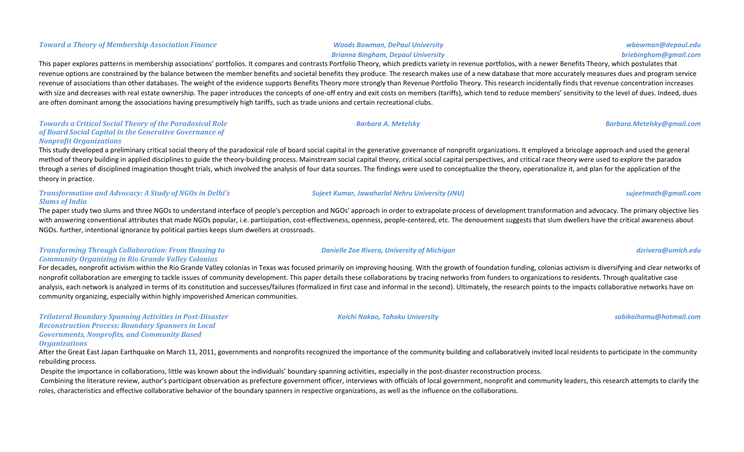## *Brianna Bingham, Depaul University*

### This paper explores patterns in membership associations' portfolios. It compares and contrasts Portfolio Theory, which predicts variety in revenue portfolios, with a newer Benefits Theory, which postulates that revenue options are constrained by the balance between the member benefits and societal benefits they produce. The research makes use of a new database that more accurately measures dues and program service revenue of associations than other databases. The weight of the evidence supports Benefits Theory more strongly than Revenue Portfolio Theory. This research incidentally finds that revenue concentration increases with size and decreases with real estate ownership. The paper introduces the concepts of one-off entry and exit costs on members (tariffs), which tend to reduce members' sensitivity to the level of dues. Indeed, dues are often dominant among the associations having presumptively high tariffs, such as trade unions and certain recreational clubs.

#### **Towards a Critical Social Theory of the Paradoxical Role** of Board Social Capital in the Generative Governance of *Nonprofit Organizations*

This study developed a preliminary critical social theory of the paradoxical role of board social capital in the generative governance of nonprofit organizations. It employed a bricolage approach and used the general method of theory building in applied disciplines to guide the theory-building process. Mainstream social capital theory, critical social capital perspectives, and critical race theory were used to explore the paradox through a series of disciplined imagination thought trials, which involved the analysis of four data sources. The findings were used to conceptualize the theory, operationalize it, and plan for the application of the theory in practice.

### **Transformation and Advocacy: A Study of NGOs in Delhi's** *Slums of India*

The paper study two slums and three NGOs to understand interface of people's perception and NGOs' approach in order to extrapolate process of development transformation and advocacy. The primary objective lies with answering conventional attributes that made NGOs popular, i.e. participation, cost-effectiveness, openness, people-centered, etc. The denouement suggests that slum dwellers have the critical awareness about NGOs. further, intentional ignorance by political parties keeps slum dwellers at crossroads.

#### **Transforming Through Collaboration: From Housing to** *Community Organizing in Rio Grande Valley Colonias*

For decades, nonprofit activism within the Rio Grande Valley colonias in Texas was focused primarily on improving housing. With the growth of foundation funding, colonias activism is diversifying and clear networks of nonprofit collaboration are emerging to tackle issues of community development. This paper details these collaborations by tracing networks from funders to organizations to residents. Through qualitative case analysis, each network is analyzed in terms of its constitution and successes/failures (formalized in first case and informal in the second). Ultimately, the research points to the impacts collaborative networks have on community organizing, especially within highly impoverished American communities.

**Trilateral Boundary Spanning Activities in Post-Disaster** *Reconstruction Process: Boundary Spanners in Local* Governments, Nonprofits, and Community Based *Organizations*

After the Great East Japan Earthquake on March 11, 2011, governments and nonprofits recognized the importance of the community building and collaboratively invited local residents to participate in the community rebuilding process.

Despite the importance in collaborations, little was known about the individuals' boundary spanning activities, especially in the post-disaster reconstruction process.

Combining the literature review, author's participant observation as prefecture government officer, interviews with officials of local government, nonprofit and community leaders, this research attempts to clarify the roles, characteristics and effective collaborative behavior of the boundary spanners in respective organizations, as well as the influence on the collaborations.

*briebingham@gmail.com*

*Barbara A. Metelsky Barbara.Metelsky@gmail.com*

*Danielle Zoe Rivera, University of Michigan dzrivera@umich.edu*

*wbowman@depaul.edu*

*Koichi Nakao, Tohoku University sabikaihamu@hotmail.com*

*Sujeet Kumar, Jawaharlal Nehru University (JNU) sujeetmath@gmail.com*

**Toward a Theory of Membership Association Finance** *Woods Bowman, DePaul University*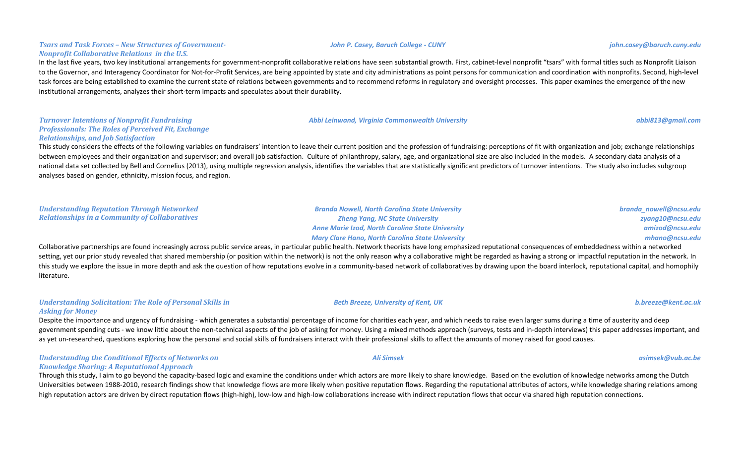#### **Tsars and Task Forces - New Structures of Government-***Nonprofit Collaborative Relations in the U.S.*

In the last five years, two key institutional arrangements for government-nonprofit collaborative relations have seen substantial growth. First, cabinet-level nonprofit "tsars" with formal titles such as Nonprofit Liaison to the Governor, and Interagency Coordinator for Not-for-Profit Services, are being appointed by state and city administrations as point persons for communication and coordination with nonprofits. Second, high-level task forces are being established to examine the current state of relations between governments and to recommend reforms in regulatory and oversight processes. This paper examines the emergence of the new institutional arrangements, analyzes their short-term impacts and speculates about their durability.

#### **Turnover Intentions of Nonprofit Fundraising Professionals: The Roles of Perceived Fit, Exchange** *Relationships, and Job Satisfaction*

This study considers the effects of the following variables on fundraisers' intention to leave their current position and the profession of fundraising: perceptions of fit with organization and job; exchange relationships between employees and their organization and supervisor; and overall job satisfaction. Culture of philanthropy, salary, age, and organizational size are also included in the models. A secondary data analysis of a national data set collected by Bell and Cornelius (2013), using multiple regression analysis, identifies the variables that are statistically significant predictors of turnover intentions. The study also includes subgroup analyses based on gender, ethnicity, mission focus, and region.

| <b>Understanding Reputation Through Networked</b>     | <b>Branda Nowell, North Carolina State University</b>   | branda_nowell@ncsu.edu |
|-------------------------------------------------------|---------------------------------------------------------|------------------------|
| <b>Relationships in a Community of Collaboratives</b> | <b>Zheng Yang, NC State University</b>                  | zyang10@ncsu.edu       |
|                                                       | <b>Anne Marie Izod, North Carolina State University</b> | amizod@ncsu.edu        |
|                                                       | <b>Mary Clare Hano, North Carolina State University</b> | mhano@ncsu.edu         |
|                                                       |                                                         |                        |

Collaborative partnerships are found increasingly across public service areas, in particular public health. Network theorists have long emphasized reputational consequences of embeddedness within a networked setting, vet our prior study revealed that shared membership (or position within the network) is not the only reason why a collaborative might be regarded as having a strong or impactful reputation in the network. In this study we explore the issue in more depth and ask the question of how reputations evolve in a community-based network of collaboratives by drawing upon the board interlock, reputational capital, and homophily literature.

#### *Understanding Solicitation: The Role of Personal Skills in Asking for Money*

Despite the importance and urgency of fundraising - which generates a substantial percentage of income for charities each year, and which needs to raise even larger sums during a time of austerity and deep government spending cuts - we know little about the non-technical aspects of the job of asking for money. Using a mixed methods approach (surveys, tests and in-depth interviews) this paper addresses important, and as yet un-researched, questions exploring how the personal and social skills of fundraisers interact with their professional skills to affect the amounts of money raised for good causes.

#### *Understanding the Conditional Effects of Networks on Knowledge Sharing: A Reputational Approach*

Through this study, I aim to go beyond the capacity-based logic and examine the conditions under which actors are more likely to share knowledge. Based on the evolution of knowledge networks among the Dutch Universities between 1988-2010, research findings show that knowledge flows are more likely when positive reputation flows. Regarding the reputational attributes of actors, while knowledge sharing relations among high reputation actors are driven by direct reputation flows (high-high), low-low and high-low collaborations increase with indirect reputation flows that occur via shared high reputation connections.

#### *John P. Casey, Baruch College - CUNY john.casey@baruch.cuny.edu*

#### *Beth Breeze, University of Kent, UK b.breeze@kent.ac.uk*

#### *Ali Simsek asimsek@vub.ac.be*

*Abbi Leinwand, Virginia Commonwealth University abbi813@gmail.com*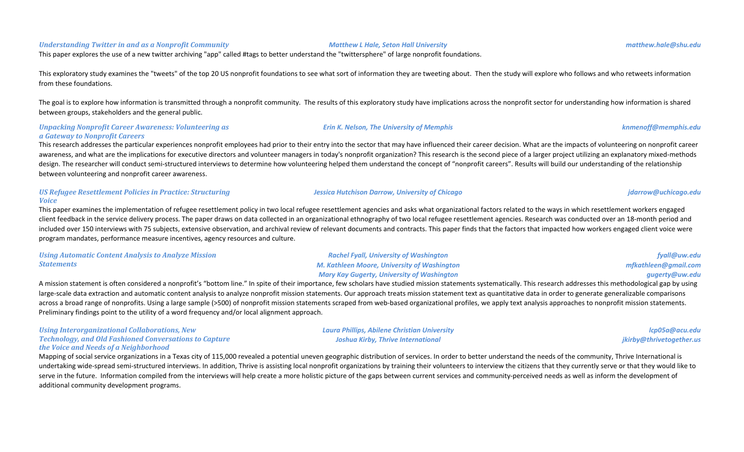#### *Understanding Twitter in and as a Nonprofit Community Matthew L Hale, Seton Hall University matthew.hale@shu.edu*

This paper explores the use of a new twitter archiving "app" called #tags to better understand the "twittersphere" of large nonprofit foundations.

This exploratory study examines the "tweets" of the top 20 US nonprofit foundations to see what sort of information they are tweeting about. Then the study will explore who follows and who retweets information from these foundations.

The goal is to explore how information is transmitted through a nonprofit community. The results of this exploratory study have implications across the nonprofit sector for understanding how information is shared between groups, stakeholders and the general public.

### *Unpacking Nonprofit Career Awareness: Volunteering as a Gateway to Nonprofit Careers*

This research addresses the particular experiences nonprofit employees had prior to their entry into the sector that may have influenced their career decision. What are the impacts of volunteering on nonprofit career awareness, and what are the implications for executive directors and volunteer managers in today's nonprofit organization? This research is the second piece of a larger project utilizing an explanatory mixed-methods design. The researcher will conduct semi-structured interviews to determine how volunteering helped them understand the concept of "nonprofit careers". Results will build our understanding of the relationship between volunteering and nonprofit career awareness.

### *US Refugee Resettlement Policies in Practice: Structuring Voice*

This paper examines the implementation of refugee resettlement policy in two local refugee resettlement agencies and asks what organizational factors related to the ways in which resettlement workers engaged client feedback in the service delivery process. The paper draws on data collected in an organizational ethnography of two local refugee resettlement agencies. Research was conducted over an 18-month period and included over 150 interviews with 75 subjects, extensive observation, and archival review of relevant documents and contracts. This paper finds that the factors that impacted how workers engaged client voice were program mandates, performance measure incentives, agency resources and culture.

| <b>Using Automatic Content Analysis to Analyze Mission</b> | <b>Rachel Fyall, University of Washington</b>      | fyall@uw.edu         |
|------------------------------------------------------------|----------------------------------------------------|----------------------|
| <b>Statements</b>                                          | <b>M. Kathleen Moore, University of Washington</b> | mfkathleen@gmail.com |
|                                                            | <b>Mary Kay Gugerty, University of Washington</b>  | gugerty@uw.edu       |

A mission statement is often considered a nonprofit's "bottom line." In spite of their importance, few scholars have studied mission statements systematically. This research addresses this methodological gap by using large-scale data extraction and automatic content analysis to analyze nonprofit mission statements. Our approach treats mission statement text as quantitative data in order to generate generalizable comparisons across a broad range of nonprofits. Using a large sample (>500) of nonprofit mission statements scraped from web-based organizational profiles, we apply text analysis approaches to nonprofit mission statements. Preliminary findings point to the utility of a word frequency and/or local alignment approach.

> *Laura Phillips, Abilene Christian University Joshua Kirby, Thrive International*

#### *Using Interorganizational Collaborations, New* **Technology, and Old Fashioned Conversations to Capture** *the Voice and Needs of a Neighborhood*

Mapping of social service organizations in a Texas city of 115,000 revealed a potential uneven geographic distribution of services. In order to better understand the needs of the community, Thrive International is undertaking wide-spread semi-structured interviews. In addition, Thrive is assisting local nonprofit organizations by training their volunteers to interview the citizens that they currently serve or that they would like to serve in the future. Information compiled from the interviews will help create a more holistic picture of the gaps between current services and community-perceived needs as well as inform the development of additional community development programs.

*Erin K. Nelson, The University of Memphis knmenoff@memphis.edu*

### *Jessica Hutchison Darrow, University of Chicago jdarrow@uchicago.edu*

*lcp05a@acu.edu jkirby@thrivetogether.us*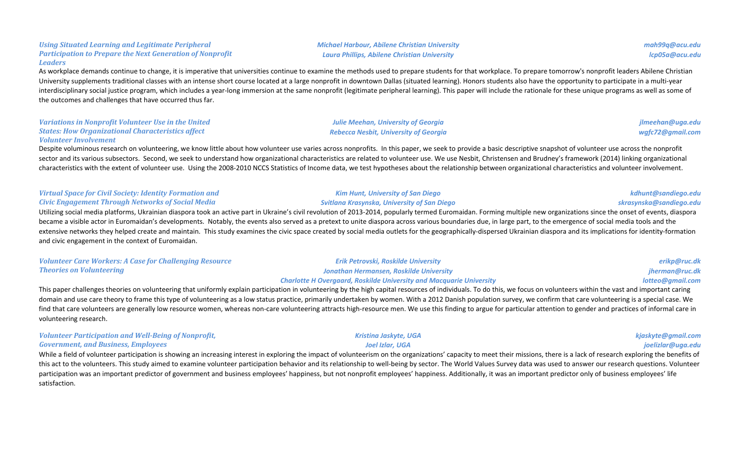## **Participation to Prepare the Next Generation of Nonprofit** *Leaders*

As workplace demands continue to change, it is imperative that universities continue to examine the methods used to prepare students for that workplace. To prepare tomorrow's nonprofit leaders Abilene Christian University supplements traditional classes with an intense short course located at a large nonprofit in downtown Dallas (situated learning). Honors students also have the opportunity to participate in a multi-year interdisciplinary social justice program, which includes a year-long immersion at the same nonprofit (legitimate peripheral learning). This paper will include the rationale for these unique programs as well as some of the outcomes and challenges that have occurred thus far.

#### **Variations in Nonprofit Volunteer Use in the United States: How Organizational Characteristics affect** *Volunteer Involvement*

Using Situated Learning and Legitimate Peripheral

Despite voluminous research on volunteering, we know little about how volunteer use varies across nonprofits. In this paper, we seek to provide a basic descriptive snapshot of volunteer use across the nonprofit sector and its various subsectors. Second, we seek to understand how organizational characteristics are related to volunteer use. We use Nesbit, Christensen and Brudney's framework (2014) linking organizational characteristics with the extent of volunteer use. Using the 2008-2010 NCCS Statistics of Income data, we test hypotheses about the relationship between organizational characteristics and volunteer involvement.

#### **Virtual Space for Civil Society: Identity Formation and** *Civic Engagement Through Networks of Social Media*

Utilizing social media platforms, Ukrainian diaspora took an active part in Ukraine's civil revolution of 2013-2014, popularly termed Euromaidan. Forming multiple new organizations since the onset of events, diaspora became a visible actor in Euromaidan's developments. Notably, the events also served as a pretext to unite diaspora across various boundaries due, in large part, to the emergence of social media tools and the extensive networks they helped create and maintain. This study examines the civic space created by social media outlets for the geographically-dispersed Ukrainian diaspora and its implications for identity-formation and civic engagement in the context of Euromaidan.

| <b>Volunteer Care Workers: A Case for Challenging Resource</b> | <b>Erik Petrovski, Roskilde University</b>                                 | erikp@ruc.dk     |
|----------------------------------------------------------------|----------------------------------------------------------------------------|------------------|
| <b>Theories on Volunteering</b>                                | Jonathan Hermansen, Roskilde University                                    | jherman@ruc.dk   |
|                                                                | <b>Charlotte H Overgaard, Roskilde University and Macquarie University</b> | lotteo@gmail.com |

This paper challenges theories on volunteering that uniformly explain participation in volunteering by the high capital resources of individuals. To do this, we focus on volunteers within the vast and important caring domain and use care theory to frame this type of volunteering as a low status practice, primarily undertaken by women. With a 2012 Danish population survey, we confirm that care volunteering is a special case. We find that care volunteers are generally low resource women, whereas non-care volunteering attracts high-resource men. We use this finding to argue for particular attention to gender and practices of informal care in volunteering research.

| <b>Volunteer Participation and Well-Being of Nonprofit,</b>                                                                                                                                                                    | Kristina Jaskyte, UGA | kjaskyte@gmail.com |
|--------------------------------------------------------------------------------------------------------------------------------------------------------------------------------------------------------------------------------|-----------------------|--------------------|
| <b>Government, and Business, Employees</b>                                                                                                                                                                                     | Joel Izlar. UGA       | joelizlar@uga.edu  |
| While a field of volunteer participation is showing an increasing interest in exploring the impact of volunteerism on the organizations' capacity to meet their missions, there is a lack of research exploring the benefits o |                       |                    |

this act to the volunteers. This study aimed to examine volunteer participation behavior and its relationship to well-being by sector. The World Values Survey data was used to answer our research questions. Volunteer participation was an important predictor of government and business employees' happiness, but not nonprofit employees' happiness. Additionally, it was an important predictor only of business employees' life satisfaction.

#### *Michael Harbour, Abilene Christian University Laura Phillips, Abilene Christian University*

**Julie Meehan, University of Georgia** *Rebecca Nesbit, University of Georgia*

*Kim Hunt, University of San Diego Svitlana Krasynska, University of San Diego*

*jlmeehan@uga.edu wgfc72@gmail.com*

*kdhunt@sandiego.edu skrasynska@sandiego.edu*

*mah99q@acu.edu lcp05a@acu.edu*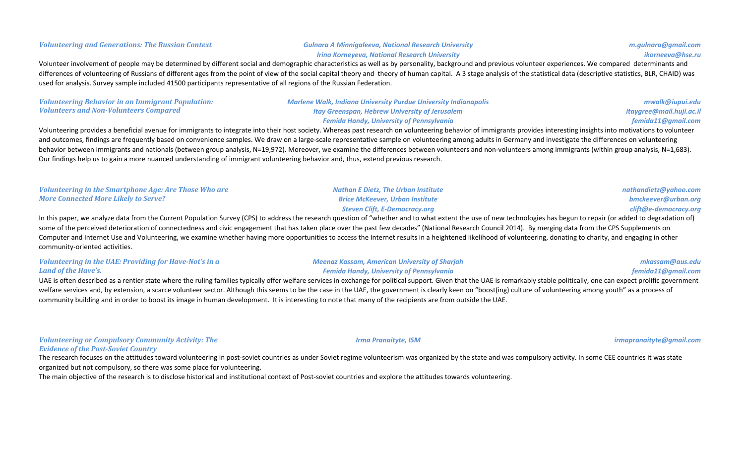#### *Volunteering and Generations: The Russian Context Gulnara A Minnigaleeva, National Research University*

## *Irina Korneyeva, National Research University*

*m.gulnara@gmail.com ikorneeva@hse.ru*

Volunteer involvement of people may be determined by different social and demographic characteristics as well as by personality, background and previous volunteer experiences. We compared determinants and differences of volunteering of Russians of different ages from the point of view of the social capital theory and theory of human capital. A 3 stage analysis of the statistical data (descriptive statistics, BLR, CHAID) was used for analysis. Survey sample included 41500 participants representative of all regions of the Russian Federation.

| <b>Volunteering Behavior in an Immigrant Population:</b> | <b>Marlene Walk, Indiana University Purdue University Indianapolis</b>                                                                                                                                                  | mwalk@iupui.edu          |
|----------------------------------------------------------|-------------------------------------------------------------------------------------------------------------------------------------------------------------------------------------------------------------------------|--------------------------|
| <b>Volunteers and Non-Volunteers Compared</b>            | Itay Greenspan, Hebrew University of Jerusalem                                                                                                                                                                          | itaygree@mail.huji.ac.il |
|                                                          | <b>Femida Handy, University of Pennsylvania</b>                                                                                                                                                                         | femida11@gmail.com       |
|                                                          | Volunteering provides a beneficial avenue for immigrants to integrate into their bost society. Whereas nast research on volunteering behavior of immigrants provides interesting insights into motivations to volunteer |                          |

Volunteering provides a beneficial avenue for immigrants to integrate into their host society. Whereas past research on volunteering behavior of immigrants provides interesting insights into motivations to volunteer and outcomes, findings are frequently based on convenience samples. We draw on a large-scale representative sample on volunteering among adults in Germany and investigate the differences on volunteering behavior between immigrants and nationals (between group analysis, N=19,972). Moreover, we examine the differences between volunteers and non-volunteers among immigrants (within group analysis, N=1,683). Our findings help us to gain a more nuanced understanding of immigrant volunteering behavior and, thus, extend previous research.

| <b>Volunteering in the Smartphone Age: Are Those Who are</b> | <b>Nathan E Dietz, The Urban Institute</b> | nathandietz@yahoo.com |
|--------------------------------------------------------------|--------------------------------------------|-----------------------|
| <b>More Connected More Likely to Serve?</b>                  | <b>Brice McKeever, Urban Institute</b>     | bmckeever@urban.org   |
|                                                              | Steven Clift, E-Democracy.org              | clift@e-democracy.org |

In this paper, we analyze data from the Current Population Survey (CPS) to address the research question of "whether and to what extent the use of new technologies has begun to repair (or added to degradation of) some of the perceived deterioration of connectedness and civic engagement that has taken place over the past few decades" (National Research Council 2014). By merging data from the CPS Supplements on Computer and Internet Use and Volunteering, we examine whether having more opportunities to access the Internet results in a heightened likelihood of volunteering, donating to charity, and engaging in other community-oriented activities.

#### *Volunteering in the UAE: Providing for Have-Not's in a* Land of the Have's.

*Meenaz Kassam, American University of Sharjah Femida Handy, University of Pennsylvania*

*mkassam@aus.edu femida11@gmail.com*

UAE is often described as a rentier state where the ruling families typically offer welfare services in exchange for political support. Given that the UAE is remarkably stable politically, one can expect prolific governmen welfare services and, by extension, a scarce volunteer sector. Although this seems to be the case in the UAE, the government is clearly keen on "boost(ing) culture of volunteering among youth" as a process of community building and in order to boost its image in human development. It is interesting to note that many of the recipients are from outside the UAE.

#### *Volunteering or Compulsory Community Activity: The Evidence of the Post-Soviet Country*

The research focuses on the attitudes toward volunteering in post-soviet countries as under Soviet regime volunteerism was organized by the state and was compulsory activity. In some CEE countries it was state

organized but not compulsory, so there was some place for volunteering.

The main objective of the research is to disclose historical and institutional context of Post-soviet countries and explore the attitudes towards volunteering.

*Irma Pranaityte, ISM irmapranaityte@gmail.com*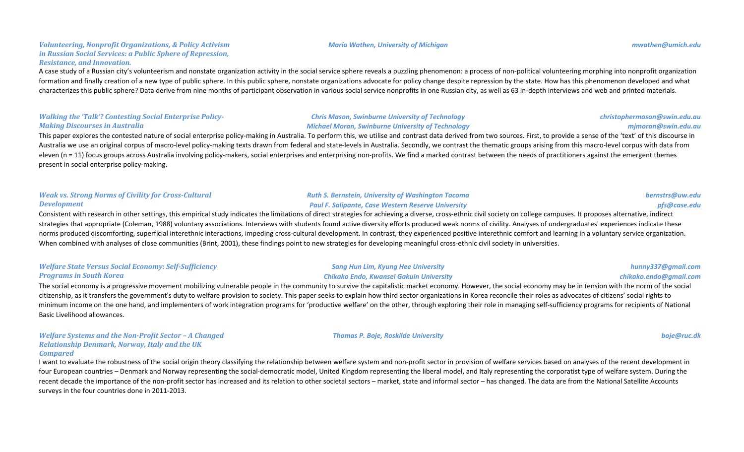#### *Volunteering, Nonprofit Organizations, & Policy Activism in Russian Social Services: a Public Sphere of Repression, Resistance, and Innovation.*

A case study of a Russian city's volunteerism and nonstate organization activity in the social service sphere reveals a puzzling phenomenon: a process of non-political volunteering morphing into nonprofit organization formation and finally creation of a new type of public sphere. In this public sphere, nonstate organizations advocate for policy change despite repression by the state. How has this phenomenon developed and what characterizes this public sphere? Data derive from nine months of participant observation in various social service nonprofits in one Russian city, as well as 63 in-depth interviews and web and printed materials.

#### *Walking the 'Talk'? Contesting Social Enterprise Policy-Making Discourses in Australia*

**Chris Mason, Swinburne University of Technology** *Michael Moran, Swinburne University of Technology*

This paper explores the contested nature of social enterprise policy-making in Australia. To perform this, we utilise and contrast data derived from two sources. First, to provide a sense of the 'text' of this discourse in Australia we use an original corpus of macro-level policy-making texts drawn from federal and state-levels in Australia. Secondly, we contrast the thematic groups arising from this macro-level corpus with data from eleven  $(n = 11)$  focus groups across Australia involving policy-makers, social enterprises and enterprising non-profits. We find a marked contrast between the needs of practitioners against the emergent themes present in social enterprise policy-making.

#### *Weak vs. Strong Norms of Civility for Cross-Cultural Development*

*Ruth S. Bernstein, University of Washington Tacoma* **Paul F. Salipante, Case Western Reserve University** 

> **Sang Hun Lim, Kyung Hee University** *Chikako Endo, Kwansei Gakuin University*

Consistent with research in other settings, this empirical study indicates the limitations of direct strategies for achieving a diverse, cross-ethnic civil society on college campuses. It proposes alternative, indirect strategies that appropriate (Coleman, 1988) voluntary associations. Interviews with students found active diversity efforts produced weak norms of civility. Analyses of undergraduates' experiences indicate these norms produced discomforting, superficial interethnic interactions, impeding cross-cultural development. In contrast, they experienced positive interethnic comfort and learning in a voluntary service organization. When combined with analyses of close communities (Brint, 2001), these findings point to new strategies for developing meaningful cross-ethnic civil society in universities.

#### **Welfare State Versus Social Economy: Self-Sufficiency Programs in South Korea**

The social economy is a progressive movement mobilizing vulnerable people in the community to survive the capitalistic market economy. However, the social economy may be in tension with the norm of the social citizenship, as it transfers the government's duty to welfare provision to society. This paper seeks to explain how third sector organizations in Korea reconcile their roles as advocates of citizens' social rights to minimum income on the one hand, and implementers of work integration programs for 'productive welfare' on the other, through exploring their role in managing self-sufficiency programs for recipients of National Basic Livelihood allowances.

#### *Welfare Systems and the Non-Profit Sector - A Changed* **Relationship Denmark, Norway, Italy and the UK** *Compared*

I want to evaluate the robustness of the social origin theory classifying the relationship between welfare system and non-profit sector in provision of welfare services based on analyses of the recent development in four European countries – Denmark and Norway representing the social-democratic model, United Kingdom representing the liberal model, and Italy representing the corporatist type of welfare system. During the recent decade the importance of the non-profit sector has increased and its relation to other societal sectors – market, state and informal sector – has changed. The data are from the National Satellite Accounts surveys in the four countries done in 2011-2013.

#### *Maria Wathen, University of Michigan mwathen@umich.edu*

*christophermason@swin.edu.au*

### *mjmoran@swin.edu.au*

*bernstrs@uw.edu pfs@case.edu*

#### *hunny337@gmail.com chikako.endo@gmail.com*

*Thomas P. Boje, Roskilde University boje@ruc.dk*